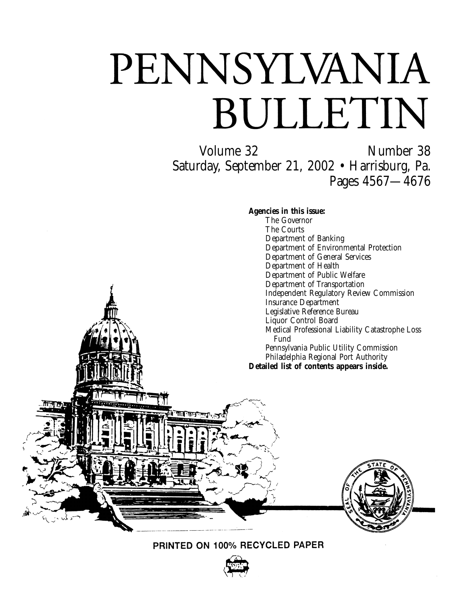# PENNSYLVANIA BULLETIN

Volume 32 Number 38 Saturday, September 21, 2002 • Harrisburg, Pa. Pages 4567—4676

**Agencies in this issue:**

The Governor The Courts Department of Banking Department of Environmental Protection Department of General Services Department of Health Department of Public Welfare Department of Transportation Independent Regulatory Review Commission Insurance Department Legislative Reference Bureau Liquor Control Board Medical Professional Liability Catastrophe Loss Fund Pennsylvania Public Utility Commission Philadelphia Regional Port Authority **Detailed list of contents appears inside.**





PRINTED ON 100% RECYCLED PAPER

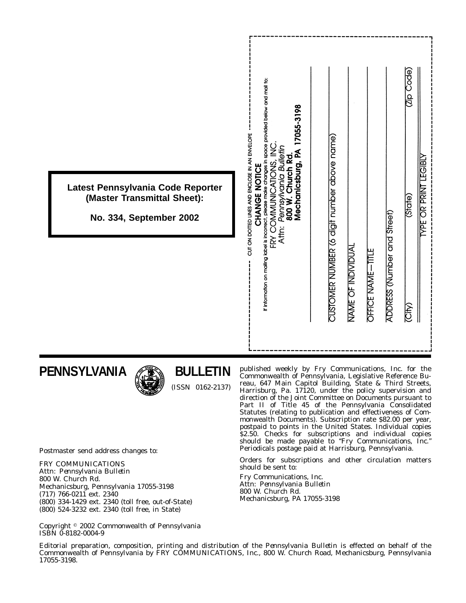|                                                                                             |                                                | If information on mailing label is incorrect, please make changes in space provided below and mail to:<br>17055-3198<br>$\frac{1}{2}$ |                                             |                    |                   |                             | Code)<br>$\overline{\mathsf{Q}}$ |                             |
|---------------------------------------------------------------------------------------------|------------------------------------------------|---------------------------------------------------------------------------------------------------------------------------------------|---------------------------------------------|--------------------|-------------------|-----------------------------|----------------------------------|-----------------------------|
| Latest Pennsylvania Code Reporter<br>(Master Transmittal Sheet):<br>No. 334, September 2002 | CUT ON DOTTED LINES AND ENCLOSE IN AN ENVELOPE | Pennsylvania Bulletin<br>800 W. Church Rd.<br>Mechanicsburg, PA<br>FRY COMMUNICATIONS,<br>CHANGE NOTICE<br>Attr:                      |                                             |                    |                   |                             | (State)                          | <b>YPE OR PRINT LEGIBLY</b> |
|                                                                                             |                                                |                                                                                                                                       | CUSTOMER NUMBER (6 digit number above name) | NAME OF INDIVIDUAI | OFFICE NAME-TITLE | ADDRESS (Number and Street) | (City)                           |                             |
|                                                                                             |                                                |                                                                                                                                       |                                             |                    |                   |                             |                                  |                             |

# **PENNSYLVANIA**



# **BULLETIN**

(ISSN 0162-2137)

published weekly by Fry Communications, Inc. for the Commonwealth of Pennsylvania, Legislative Reference Bureau, 647 Main Capitol Building, State & Third Streets, Harrisburg, Pa. 17120, under the policy supervision and direction of the Joint Committee on Documents pursuant to Part II of Title 45 of the Pennsylvania Consolidated Statutes (relating to publication and effectiveness of Commonwealth Documents). Subscription rate \$82.00 per year, postpaid to points in the United States. Individual copies \$2.50. Checks for subscriptions and individual copies should be made payable to ''*Fry Communications, Inc.*'' Periodicals postage paid at Harrisburg, Pennsylvania.

Orders for subscriptions and other circulation matters should be sent to:

Fry Communications, Inc. Attn: *Pennsylvania Bulletin* 800 W. Church Rd. Mechanicsburg, PA 17055-3198

Postmaster send address changes to:

FRY COMMUNICATIONS Attn: *Pennsylvania Bulletin* 800 W. Church Rd. Mechanicsburg, Pennsylvania 17055-3198 (717) 766-0211 ext. 2340 (800) 334-1429 ext. 2340 (toll free, out-of-State) (800) 524-3232 ext. 2340 (toll free, in State)

Copyright 2002 Commonwealth of Pennsylvania ISBN 0-8182-0004-9

Editorial preparation, composition, printing and distribution of the *Pennsylvania Bulletin* is effected on behalf of the Commonwealth of Pennsylvania by FRY COMMUNICATIONS, Inc., 800 W. Church Road, Mechanicsburg, Pennsylvania 17055-3198.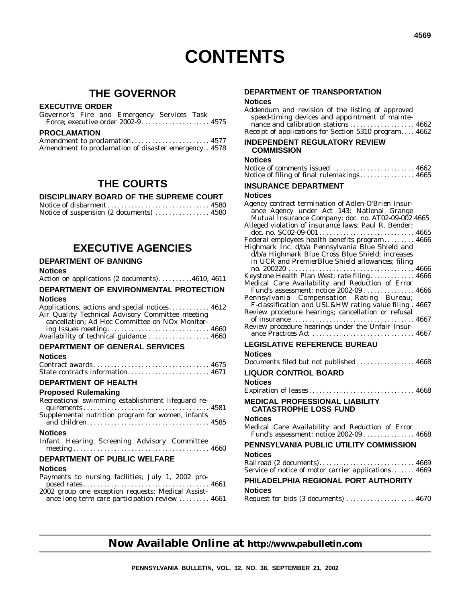# **THE GOVERNOR**

# **EXECUTIVE ORDER**

|                     |  | Governor's Fire and Emergency Services Task |  |  |
|---------------------|--|---------------------------------------------|--|--|
|                     |  |                                             |  |  |
| <b>PROCLAMATION</b> |  |                                             |  |  |

| Amendment to proclamation 4577                          |  |
|---------------------------------------------------------|--|
| Amendment to proclamation of disaster emergency. . 4578 |  |

# **THE COURTS**

# **DISCIPLINARY BOARD OF THE SUPREME COURT**

| Notice of suspension (2 documents)  4580 |  |
|------------------------------------------|--|

# **EXECUTIVE AGENCIES**

# **DEPARTMENT OF BANKING**

# **Notices**

| Action on applications (2 documents)4610, 4611 |  |
|------------------------------------------------|--|
|------------------------------------------------|--|

# **DEPARTMENT OF ENVIRONMENTAL PROTECTION Notices**

| Applications, actions and special notices 4612   |  |
|--------------------------------------------------|--|
| Air Quality Technical Advisory Committee meeting |  |
| cancellation; Ad Hoc Committee on NOx Monitor-   |  |
|                                                  |  |
| Availability of technical guidance  4660         |  |

# **DEPARTMENT OF GENERAL SERVICES**

# **Notices**

| State contracts information 4671 |  |
|----------------------------------|--|

# **DEPARTMENT OF HEALTH**

# **Proposed Rulemaking**

| Recreational swimming establishment lifeguard re- |  |
|---------------------------------------------------|--|
| Supplemental nutrition program for women, infants |  |
|                                                   |  |
| <b>Notices</b>                                    |  |
| Infant Hearing Screening Advisory Committee       |  |
|                                                   |  |

# **DEPARTMENT OF PUBLIC WELFARE**

# **Notices**

| Payments to nursing facilities; July 1, 2002 pro-  |  |
|----------------------------------------------------|--|
|                                                    |  |
| 2002 group one exception requests; Medical Assist- |  |
| ance long term care participation review  4661     |  |

# **DEPARTMENT OF TRANSPORTATION Notices**

| Addendum and revision of the listing of approved      |  |
|-------------------------------------------------------|--|
| speed-timing devices and appointment of mainte-       |  |
|                                                       |  |
| Receipt of applications for Section 5310 program 4662 |  |
| INDEDENDENT DECHLATODY DEVIEW                         |  |

#### **INDEPENDENT REGULATORY REVIEW COMMISSION**

| Notices                                              |
|------------------------------------------------------|
| Notice of comments issued  4662                      |
| Notice of filing of final rulemakings 4665           |
| <b>INSURANCE DEPARTMENT</b>                          |
| Notices                                              |
| Agency contract termination of Adlen-O'Brien Insur-  |
| ance Agency under Act 143; National Grange           |
| Mutual Insurance Company; doc. no. AT02-09-002 4665  |
| Alleged violation of insurance laws; Paul R. Bender; |
|                                                      |
| Federal employees health benefits program 4666       |
| Highmark Inc. d/b/a Pennsylvania Blue Shield and     |
| d/b/a Highmark Blue Cross Blue Shield; increases     |
| in UCR and PremierBlue Shield allowances; filing     |
|                                                      |
| Keystone Health Plan West; rate filing 4666          |
| Medical Care Availability and Reduction of Error     |
| Fund's assessment; notice 2002-09  4666              |

| Pennsylvania Compensation Rating Bureau;               |  |
|--------------------------------------------------------|--|
| F-classification and USL&HW rating value filing . 4667 |  |
| Review procedure hearings; cancellation or refusal     |  |
|                                                        |  |
| Review procedure hearings under the Unfair Insur-      |  |
|                                                        |  |

# **LEGISLATIVE REFERENCE BUREAU**

# **Notices**

|  |  | Request for bids (3 documents)  4670 |  |
|--|--|--------------------------------------|--|
|--|--|--------------------------------------|--|

# **Now Available Online at http://www.pabulletin.com**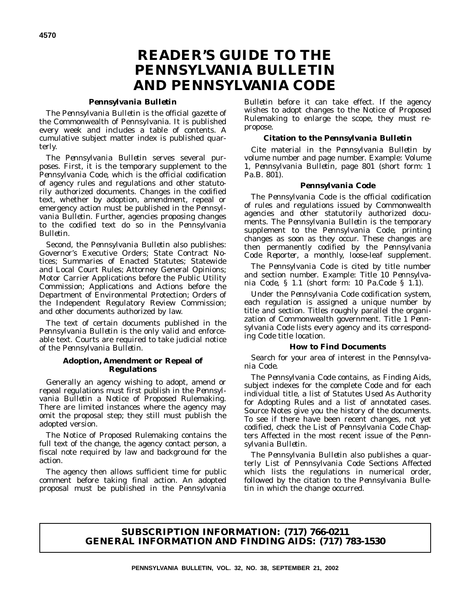# **READER'S GUIDE TO THE** *PENNSYLVANIA BULLETIN* **AND** *PENNSYLVANIA CODE*

## *Pennsylvania Bulletin*

The *Pennsylvania Bulletin* is the official gazette of the Commonwealth of Pennsylvania. It is published every week and includes a table of contents. A cumulative subject matter index is published quarterly.

The *Pennsylvania Bulletin* serves several purposes. First, it is the temporary supplement to the *Pennsylvania Code*, which is the official codification of agency rules and regulations and other statutorily authorized documents. Changes in the codified text, whether by adoption, amendment, repeal or emergency action must be published in the *Pennsylvania Bulletin*. Further, agencies proposing changes to the codified text do so in the *Pennsylvania Bulletin*.

Second, the *Pennsylvania Bulletin* also publishes: Governor's Executive Orders; State Contract Notices; Summaries of Enacted Statutes; Statewide and Local Court Rules; Attorney General Opinions; Motor Carrier Applications before the Public Utility Commission; Applications and Actions before the Department of Environmental Protection; Orders of the Independent Regulatory Review Commission; and other documents authorized by law.

The text of certain documents published in the *Pennsylvania Bulletin* is the only valid and enforceable text. Courts are required to take judicial notice of the *Pennsylvania Bulletin*.

# **Adoption, Amendment or Repeal of Regulations**

Generally an agency wishing to adopt, amend or repeal regulations must first publish in the *Pennsylvania Bulletin* a Notice of Proposed Rulemaking. There are limited instances where the agency may omit the proposal step; they still must publish the adopted version.

The Notice of Proposed Rulemaking contains the full text of the change, the agency contact person, a fiscal note required by law and background for the action.

The agency then allows sufficient time for public comment before taking final action. An adopted proposal must be published in the *Pennsylvania*

*Bulletin* before it can take effect. If the agency wishes to adopt changes to the Notice of Proposed Rulemaking to enlarge the scope, they must repropose.

## **Citation to the** *Pennsylvania Bulletin*

Cite material in the *Pennsylvania Bulletin* by volume number and page number. Example: Volume 1, *Pennsylvania Bulletin*, page 801 (short form: 1 Pa.B. 801).

## *Pennsylvania Code*

The *Pennsylvania Code* is the official codification of rules and regulations issued by Commonwealth agencies and other statutorily authorized documents. The *Pennsylvania Bulletin* is the temporary supplement to the *Pennsylvania Code*, printing changes as soon as they occur. These changes are then permanently codified by the *Pennsylvania Code Reporter*, a monthly, loose-leaf supplement.

The *Pennsylvania Code* is cited by title number and section number. Example: Title 10 *Pennsylvania Code*, § 1.1 (short form: 10 Pa.Code § 1.1).

Under the *Pennsylvania Code* codification system, each regulation is assigned a unique number by title and section. Titles roughly parallel the organization of Commonwealth government. Title 1 *Pennsylvania Code* lists every agency and its corresponding *Code* title location.

#### **How to Find Documents**

Search for your area of interest in the *Pennsylvania Code*.

The *Pennsylvania Code* contains, as Finding Aids, subject indexes for the complete *Code* and for each individual title, a list of Statutes Used As Authority for Adopting Rules and a list of annotated cases. Source Notes give you the history of the documents. To see if there have been recent changes, not yet codified, check the List of *Pennsylvania Code* Chapters Affected in the most recent issue of the *Pennsylvania Bulletin*.

The *Pennsylvania Bulletin* also publishes a quarterly List of Pennsylvania Code Sections Affected which lists the regulations in numerical order, followed by the citation to the *Pennsylvania Bulletin* in which the change occurred.

# **SUBSCRIPTION INFORMATION: (717) 766-0211 GENERAL INFORMATION AND FINDING AIDS: (717) 783-1530**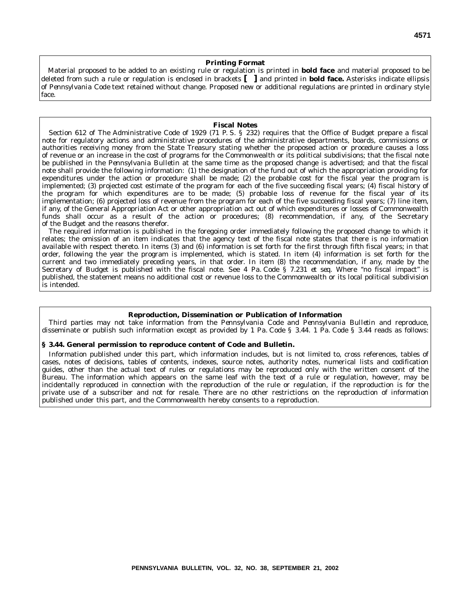#### **Printing Format**

Material proposed to be added to an existing rule or regulation is printed in **bold face** and material proposed to be deleted from such a rule or regulation is enclosed in brackets **[ ]** and printed in **bold face.** Asterisks indicate ellipsis of *Pennsylvania Code* text retained without change. Proposed new or additional regulations are printed in ordinary style face.

## **Fiscal Notes**

Section 612 of The Administrative Code of 1929 (71 P. S. § 232) requires that the Office of Budget prepare a fiscal note for regulatory actions and administrative procedures of the administrative departments, boards, commissions or authorities receiving money from the State Treasury stating whether the proposed action or procedure causes a loss of revenue or an increase in the cost of programs for the Commonwealth or its political subdivisions; that the fiscal note be published in the *Pennsylvania Bulletin* at the same time as the proposed change is advertised; and that the fiscal note shall provide the following information: (1) the designation of the fund out of which the appropriation providing for expenditures under the action or procedure shall be made; (2) the probable cost for the fiscal year the program is implemented; (3) projected cost estimate of the program for each of the five succeeding fiscal years; (4) fiscal history of the program for which expenditures are to be made; (5) probable loss of revenue for the fiscal year of its implementation; (6) projected loss of revenue from the program for each of the five succeeding fiscal years; (7) line item, if any, of the General Appropriation Act or other appropriation act out of which expenditures or losses of Commonwealth funds shall occur as a result of the action or procedures; (8) recommendation, if any, of the Secretary of the Budget and the reasons therefor.

The required information is published in the foregoing order immediately following the proposed change to which it relates; the omission of an item indicates that the agency text of the fiscal note states that there is no information available with respect thereto. In items (3) and (6) information is set forth for the first through fifth fiscal years; in that order, following the year the program is implemented, which is stated. In item (4) information is set forth for the current and two immediately preceding years, in that order. In item (8) the recommendation, if any, made by the Secretary of Budget is published with the fiscal note. See 4 Pa. Code § 7.231 *et seq.* Where ''no fiscal impact'' is published, the statement means no additional cost or revenue loss to the Commonwealth or its local political subdivision is intended.

#### **Reproduction, Dissemination or Publication of Information**

Third parties may not take information from the *Pennsylvania Code* and *Pennsylvania Bulletin* and reproduce, disseminate or publish such information except as provided by 1 Pa. Code § 3.44. 1 Pa. Code § 3.44 reads as follows:

#### **§ 3.44. General permission to reproduce content of Code and Bulletin.**

Information published under this part, which information includes, but is not limited to, cross references, tables of cases, notes of decisions, tables of contents, indexes, source notes, authority notes, numerical lists and codification guides, other than the actual text of rules or regulations may be reproduced only with the written consent of the Bureau. The information which appears on the same leaf with the text of a rule or regulation, however, may be incidentally reproduced in connection with the reproduction of the rule or regulation, if the reproduction is for the private use of a subscriber and not for resale. There are no other restrictions on the reproduction of information published under this part, and the Commonwealth hereby consents to a reproduction.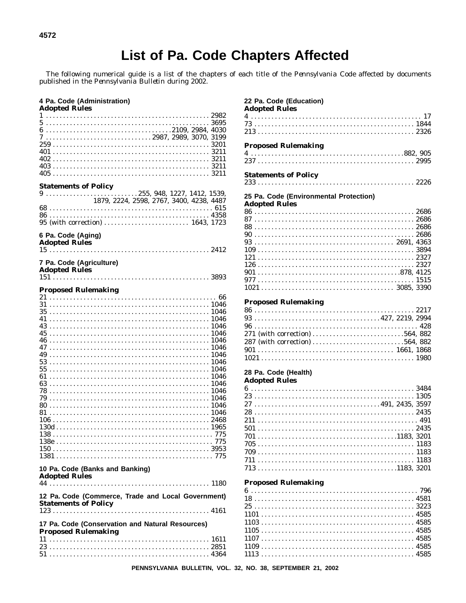# **List of Pa. Code Chapters Affected**

The following numerical guide is a list of the chapters of each title of the Pennsylvania Code affected by documents published in the Pennsylvania Bulletin during 2002.

## 4 Pa. Code (Administration) **Adopted Rules**  $5.............................................3695$ 7 ....................................2987, 2989, 3070, 3199  $405...$ **Statements of Policy**  $9 \ldots \ldots \ldots \ldots \ldots \ldots \ldots \ldots \ldots 255, 948, 1227, 1412, 1539,$ 1879, 2224, 2598, 2767, 3400, 4238, 4487 6 Pa. Code (Aging) **Adopted Rules** 7 Pa. Code (Agriculture) **Adopted Rules Proposed Rulemaking**  $31$  and  $1046$  $35.............................................1046$ 10 Pa. Code (Banks and Banking) **Adopted Rules** 12 Pa. Code (Commerce, Trade and Local Government) **Statements of Policy** 17 Pa. Code (Conservation and Natural Resources) **Proposed Rulemaking**

# 22 Pa. Code (Education) **Adopted Rules Proposed Rulemaking Statements of Policy** 25 Pa. Code (Environmental Protection) **Adopted Rules**  $1021.................................3085.3390$ **Proposed Rulemaking**  $93...$   $93...$  $1021..........................................1980$ 28 Pa. Code (Health) **Adopted Rules**  $6...$  3484 **Proposed Rulemaking**  $1101.......................................... 4585$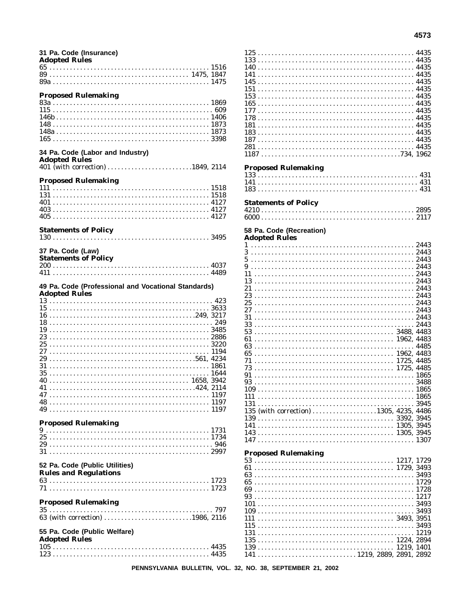| 31 Pa. Code (Insurance)<br><b>Adopted Rules</b>          |  |
|----------------------------------------------------------|--|
|                                                          |  |
|                                                          |  |
|                                                          |  |
|                                                          |  |
| <b>Proposed Rulemaking</b>                               |  |
|                                                          |  |
|                                                          |  |
|                                                          |  |
|                                                          |  |
|                                                          |  |
|                                                          |  |
| 34 Pa. Code (Labor and Industry)<br><b>Adopted Rules</b> |  |
| 401 (with correction) 1849, 2114                         |  |
|                                                          |  |
| <b>Proposed Rulemaking</b>                               |  |
|                                                          |  |
|                                                          |  |
|                                                          |  |
|                                                          |  |
|                                                          |  |
| <b>Statements of Policy</b>                              |  |
|                                                          |  |
|                                                          |  |
| 37 Pa. Code (Law)                                        |  |
| <b>Statements of Policy</b>                              |  |
|                                                          |  |
|                                                          |  |
| 49 Pa. Code (Professional and Vocational Standards)      |  |
| <b>Adopted Rules</b>                                     |  |
|                                                          |  |
|                                                          |  |
|                                                          |  |
| 16                                                       |  |
| 18                                                       |  |
| 19                                                       |  |
|                                                          |  |
|                                                          |  |
|                                                          |  |
| 29                                                       |  |
| 31                                                       |  |
| 35                                                       |  |
|                                                          |  |
|                                                          |  |
|                                                          |  |
|                                                          |  |
|                                                          |  |
| <b>Proposed Rulemaking</b>                               |  |
|                                                          |  |
|                                                          |  |
|                                                          |  |
|                                                          |  |
|                                                          |  |
| 52 Pa. Code (Public Utilities)                           |  |
| <b>Rules and Regulations</b>                             |  |
|                                                          |  |
|                                                          |  |
|                                                          |  |
| <b>Proposed Rulemaking</b>                               |  |
| 63 (with correction) 1986, 2116                          |  |
|                                                          |  |
| 55 Pa. Code (Public Welfare)                             |  |
| <b>Adopted Rules</b>                                     |  |
|                                                          |  |

 $165...$   $4435$  $177.............................................$  4435  $187.......................................... 4435$  $1187.......................................734, 1962$ **Proposed Rulemaking Statements of Policy** 58 Pa. Code (Recreation) **Adopted Rules**  $5.............................................2443$ 135 (with correction) ..................1305, 4235, 4486 **Proposed Rulemaking**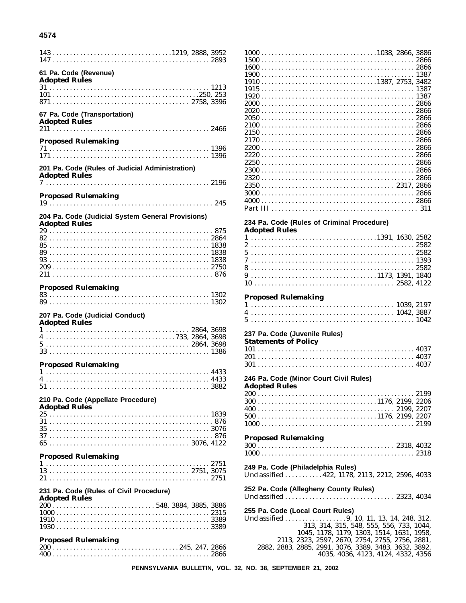# 4574

| $143 \ldots \ldots \ldots \ldots \ldots \ldots \ldots \ldots \ldots \ldots \ldots \ldots 1219, 2888, 3952$ |
|------------------------------------------------------------------------------------------------------------|
| 61 Pa. Code (Revenue)<br><b>Adopted Rules</b>                                                              |
|                                                                                                            |
|                                                                                                            |
|                                                                                                            |
|                                                                                                            |
| 67 Pa. Code (Transportation)<br><b>Adopted Rules</b>                                                       |
|                                                                                                            |
| <b>Proposed Rulemaking</b>                                                                                 |
|                                                                                                            |
| 201 Pa. Code (Rules of Judicial Administration)                                                            |
| <b>Adopted Rules</b>                                                                                       |
|                                                                                                            |
| <b>Proposed Rulemaking</b>                                                                                 |
|                                                                                                            |
| 204 Pa. Code (Judicial System General Provisions)<br><b>Adopted Rules</b>                                  |
|                                                                                                            |
|                                                                                                            |
|                                                                                                            |
|                                                                                                            |
|                                                                                                            |
|                                                                                                            |
|                                                                                                            |
| <b>Proposed Rulemaking</b>                                                                                 |
|                                                                                                            |
| 207 Pa. Code (Judicial Conduct)<br><b>Adopted Rules</b>                                                    |
|                                                                                                            |
|                                                                                                            |
|                                                                                                            |
|                                                                                                            |
|                                                                                                            |
| <b>Proposed Rulemaking</b>                                                                                 |
|                                                                                                            |
|                                                                                                            |
|                                                                                                            |
| 210 Pa. Code (Appellate Procedure)                                                                         |
| <b>Adopted Rules</b>                                                                                       |
|                                                                                                            |
|                                                                                                            |
|                                                                                                            |
|                                                                                                            |
|                                                                                                            |
| <b>Proposed Rulemaking</b>                                                                                 |
|                                                                                                            |
|                                                                                                            |
|                                                                                                            |
| 231 Pa. Code (Rules of Civil Procedure)<br><b>Adopted Rules</b>                                            |
|                                                                                                            |
|                                                                                                            |
|                                                                                                            |
|                                                                                                            |
| <b>Proposed Rulemaking</b>                                                                                 |
|                                                                                                            |
|                                                                                                            |

| 234 Pa. Code (Rules of Criminal Procedure)                                                                      |  |
|-----------------------------------------------------------------------------------------------------------------|--|
| <b>Adopted Rules</b>                                                                                            |  |
| $1 \ldots \ldots \ldots \ldots \ldots \ldots \ldots \ldots \ldots \ldots \ldots \ldots \ldots 1391, 1630, 2582$ |  |
|                                                                                                                 |  |
| $52582$                                                                                                         |  |
| 7                                                                                                               |  |
| 8                                                                                                               |  |
|                                                                                                                 |  |
|                                                                                                                 |  |
|                                                                                                                 |  |
| <b>Proposed Rulemaking</b>                                                                                      |  |
|                                                                                                                 |  |
|                                                                                                                 |  |
|                                                                                                                 |  |

# 237 Pa. Code (Juvenile Rules)

| Statements of Policy |  |  |
|----------------------|--|--|
|----------------------|--|--|

# 246 Pa. Code (Minor Court Civil Rules)

| Adopted Rules |  |
|---------------|--|
|               |  |
|               |  |
|               |  |
|               |  |
|               |  |

#### **Proposed Rulemaking**

# 249 Pa. Code (Philadelphia Rules)

Unclassified .......... 422, 1178, 2113, 2212, 2596, 4033

# 252 Pa. Code (Allegheny County Rules)

255 Pa. Code (Local Court Rules)

1045, 1178, 1179, 1303, 1514, 1631, 1958, 2113, 2323, 2597, 2670, 2754, 2755, 2756, 2881, 2882, 2883, 2885, 2991, 3076, 3389, 3483, 3632, 3892, 4035, 4036, 4123, 4124, 4332, 4356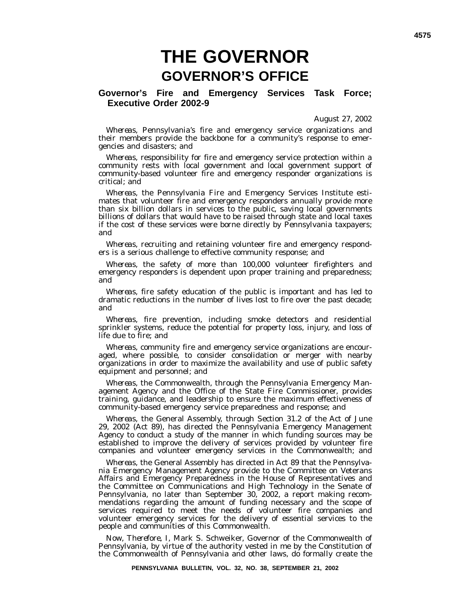# **THE GOVERNOR GOVERNOR'S OFFICE**

**Governor's Fire and Emergency Services Task Force; Executive Order 2002-9**

August 27, 2002

*Whereas*, Pennsylvania's fire and emergency service organizations and their members provide the backbone for a community's response to emergencies and disasters; and

*Whereas*, responsibility for fire and emergency service protection within a community rests with local government and local government support of community-based volunteer fire and emergency responder organizations is critical; and

*Whereas*, the Pennsylvania Fire and Emergency Services Institute estimates that volunteer fire and emergency responders annually provide more than six billion dollars in services to the public, saving local governments billions of dollars that would have to be raised through state and local taxes if the cost of these services were borne directly by Pennsylvania taxpayers; and

*Whereas*, recruiting and retaining volunteer fire and emergency responders is a serious challenge to effective community response; and

*Whereas*, the safety of more than 100,000 volunteer firefighters and emergency responders is dependent upon proper training and preparedness; and

*Whereas*, fire safety education of the public is important and has led to dramatic reductions in the number of lives lost to fire over the past decade; and

*Whereas*, fire prevention, including smoke detectors and residential sprinkler systems, reduce the potential for property loss, injury, and loss of life due to fire; and

*Whereas*, community fire and emergency service organizations are encouraged, where possible, to consider consolidation or merger with nearby organizations in order to maximize the availability and use of public safety equipment and personnel; and

*Whereas*, the Commonwealth, through the Pennsylvania Emergency Management Agency and the Office of the State Fire Commissioner, provides training, guidance, and leadership to ensure the maximum effectiveness of community-based emergency service preparedness and response; and

*Whereas*, the General Assembly, through Section 31.2 of the Act of June 29, 2002 (Act 89), has directed the Pennsylvania Emergency Management Agency to conduct a study of the manner in which funding sources may be established to improve the delivery of services provided by volunteer fire companies and volunteer emergency services in the Commonwealth; and

*Whereas*, the General Assembly has directed in Act 89 that the Pennsylvania Emergency Management Agency provide to the Committee on Veterans Affairs and Emergency Preparedness in the House of Representatives and the Committee on Communications and High Technology in the Senate of Pennsylvania, no later than September 30, 2002, a report making recommendations regarding the amount of funding necessary and the scope of services required to meet the needs of volunteer fire companies and volunteer emergency services for the delivery of essential services to the people and communities of this Commonwealth.

*Now, Therefore*, I, Mark S. Schweiker, Governor of the Commonwealth of Pennsylvania, by virtue of the authority vested in me by the Constitution of the Commonwealth of Pennsylvania and other laws, do formally create the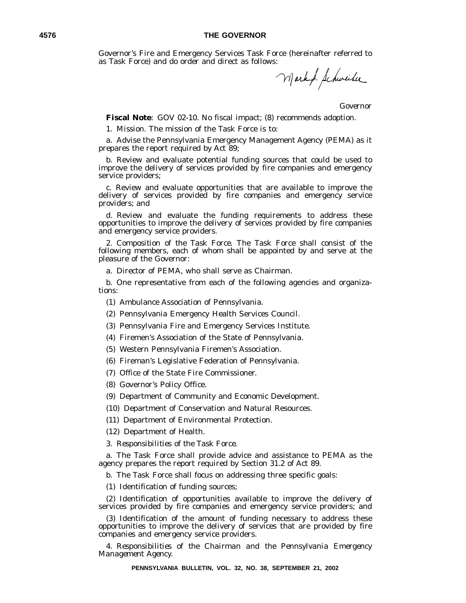Governor's Fire and Emergency Services Task Force (hereinafter referred to as Task Force) and do order and direct as follows:

Markf. Schweiher

*Governor*

**Fiscal Note**: GOV 02-10. No fiscal impact; (8) recommends adoption.

1. *Mission*. The mission of the Task Force is to:

a. Advise the Pennsylvania Emergency Management Agency (PEMA) as it prepares the report required by Act 89;

b. Review and evaluate potential funding sources that could be used to improve the delivery of services provided by fire companies and emergency service providers;

c. Review and evaluate opportunities that are available to improve the delivery of services provided by fire companies and emergency service providers; and

d. Review and evaluate the funding requirements to address these opportunities to improve the delivery of services provided by fire companies and emergency service providers.

2. *Composition of the Task Force*. The Task Force shall consist of the following members, each of whom shall be appointed by and serve at the pleasure of the Governor:

a. Director of PEMA, who shall serve as Chairman.

b. One representative from each of the following agencies and organizations:

(1) Ambulance Association of Pennsylvania.

(2) Pennsylvania Emergency Health Services Council.

(3) Pennsylvania Fire and Emergency Services Institute.

(4) Firemen's Association of the State of Pennsylvania.

(5) Western Pennsylvania Firemen's Association.

(6) Fireman's Legislative Federation of Pennsylvania.

(7) Office of the State Fire Commissioner.

- (8) Governor's Policy Office.
- (9) Department of Community and Economic Development.

(10) Department of Conservation and Natural Resources.

(11) Department of Environmental Protection.

(12) Department of Health.

3. *Responsibilities of the Task Force.*

a. The Task Force shall provide advice and assistance to PEMA as the agency prepares the report required by Section 31.2 of Act 89.

b. The Task Force shall focus on addressing three specific goals:

(1) Identification of funding sources;

(2) Identification of opportunities available to improve the delivery of services provided by fire companies and emergency service providers; and

(3) Identification of the amount of funding necessary to address these opportunities to improve the delivery of services that are provided by fire companies and emergency service providers.

4. *Responsibilities of the Chairman and the Pennsylvania Emergency Management Agency.*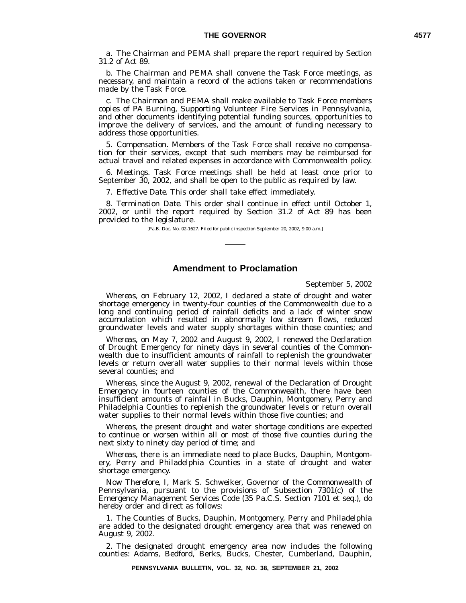a. The Chairman and PEMA shall prepare the report required by Section 31.2 of Act 89.

b. The Chairman and PEMA shall convene the Task Force meetings, as necessary, and maintain a record of the actions taken or recommendations made by the Task Force.

c. The Chairman and PEMA shall make available to Task Force members copies of PA Burning, Supporting Volunteer Fire Services in Pennsylvania, and other documents identifying potential funding sources, opportunities to improve the delivery of services, and the amount of funding necessary to address those opportunities.

5. *Compensation.* Members of the Task Force shall receive no compensation for their services, except that such members may be reimbursed for actual travel and related expenses in accordance with Commonwealth policy.

6. *Meetings.* Task Force meetings shall be held at least once prior to September 30, 2002, and shall be open to the public as required by law.

7. *Effective Date.* This order shall take effect immediately.

8. *Termination Date.* This order shall continue in effect until October 1, 2002, or until the report required by Section 31.2 of Act 89 has been provided to the legislature.

[Pa.B. Doc. No. 02-1627. Filed for public inspection September 20, 2002, 9:00 a.m.]

# **Amendment to Proclamation**

September 5, 2002

*Whereas*, on February 12, 2002, I declared a state of drought and water shortage emergency in twenty-four counties of the Commonwealth due to a long and continuing period of rainfall deficits and a lack of winter snow accumulation which resulted in abnormally low stream flows, reduced groundwater levels and water supply shortages within those counties; and

*Whereas*, on May 7, 2002 and August 9, 2002, I renewed the Declaration of Drought Emergency for ninety days in several counties of the Commonwealth due to insufficient amounts of rainfall to replenish the groundwater levels or return overall water supplies to their normal levels within those several counties; and

*Whereas*, since the August 9, 2002, renewal of the Declaration of Drought Emergency in fourteen counties of the Commonwealth, there have been insufficient amounts of rainfall in Bucks, Dauphin, Montgomery, Perry and Philadelphia Counties to replenish the groundwater levels or return overall water supplies to their normal levels within those five counties; and

*Whereas*, the present drought and water shortage conditions are expected to continue or worsen within all or most of those five counties during the next sixty to ninety day period of time; and

*Whereas*, there is an immediate need to place Bucks, Dauphin, Montgomery, Perry and Philadelphia Counties in a state of drought and water shortage emergency.

*Now Therefore*, I, Mark S. Schweiker, Governor of the Commonwealth of Pennsylvania, pursuant to the provisions of Subsection 7301(c) of the Emergency Management Services Code (35 Pa.C.S. Section 7101 et seq.), do hereby order and direct as follows:

1. The Counties of Bucks, Dauphin, Montgomery, Perry and Philadelphia are added to the designated drought emergency area that was renewed on August 9, 2002.

2. The designated drought emergency area now includes the following counties: Adams, Bedford, Berks, Bucks, Chester, Cumberland, Dauphin,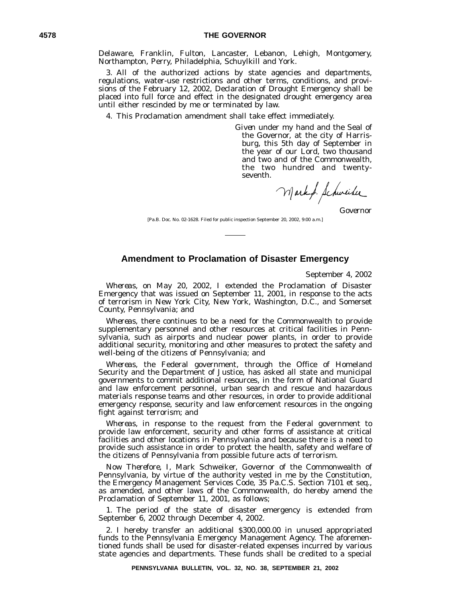Delaware, Franklin, Fulton, Lancaster, Lebanon, Lehigh, Montgomery, Northampton, Perry, Philadelphia, Schuylkill and York.

3. All of the authorized actions by state agencies and departments, regulations, water-use restrictions and other terms, conditions, and provisions of the February 12, 2002, Declaration of Drought Emergency shall be placed into full force and effect in the designated drought emergency area until either rescinded by me or terminated by law.

4. This Proclamation amendment shall take effect immediately.

*Given* under my hand and the Seal of the Governor, at the city of Harrisburg, this 5th day of September in the year of our Lord, two thousand and two and of the Commonwealth, the two hundred and twentyseventh.

Mark f. Schweiber

*Governor*

[Pa.B. Doc. No. 02-1628. Filed for public inspection September 20, 2002, 9:00 a.m.]

# **Amendment to Proclamation of Disaster Emergency**

September 4, 2002

*Whereas*, on May 20, 2002, I extended the Proclamation of Disaster Emergency that was issued on September 11, 2001, in response to the acts of terrorism in New York City, New York, Washington, D.C., and Somerset County, Pennsylvania; and

*Whereas*, there continues to be a need for the Commonwealth to provide supplementary personnel and other resources at critical facilities in Pennsylvania, such as airports and nuclear power plants, in order to provide additional security, monitoring and other measures to protect the safety and well-being of the citizens of Pennsylvania; and

*Whereas*, the Federal government, through the Office of Homeland Security and the Department of Justice, has asked all state and municipal governments to commit additional resources, in the form of National Guard and law enforcement personnel, urban search and rescue and hazardous materials response teams and other resources, in order to provide additional emergency response, security and law enforcement resources in the ongoing fight against terrorism; and

*Whereas*, in response to the request from the Federal government to provide law enforcement, security and other forms of assistance at critical facilities and other locations in Pennsylvania and because there is a need to provide such assistance in order to protect the health, safety and welfare of the citizens of Pennsylvania from possible future acts of terrorism.

*Now Therefore*, I, Mark Schweiker, Governor of the Commonwealth of Pennsylvania, by virtue of the authority vested in me by the Constitution, the Emergency Management Services Code, 35 Pa.C.S. Section 7101 et seq., as amended, and other laws of the Commonwealth, do hereby amend the Proclamation of September 11, 2001, as follows;

1. The period of the state of disaster emergency is extended from September 6, 2002 through December 4, 2002.

2. I hereby transfer an additional \$300,000.00 in unused appropriated funds to the Pennsylvania Emergency Management Agency. The aforementioned funds shall be used for disaster-related expenses incurred by various state agencies and departments. These funds shall be credited to a special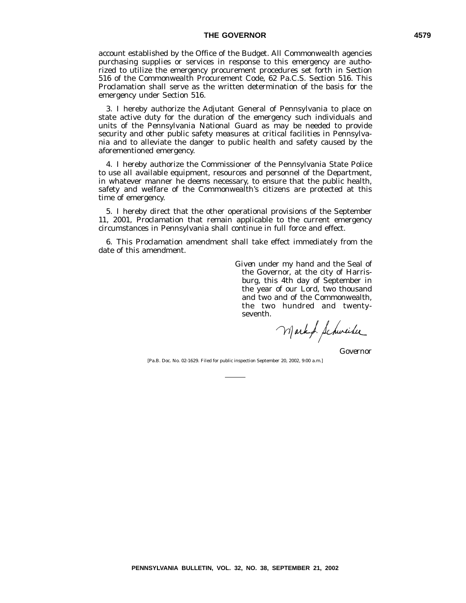## THE GOVERNOR 4579

account established by the Office of the Budget. All Commonwealth agencies purchasing supplies or services in response to this emergency are authorized to utilize the emergency procurement procedures set forth in Section 516 of the Commonwealth Procurement Code, 62 Pa.C.S. Section 516. This Proclamation shall serve as the written determination of the basis for the emergency under Section 516.

3. I hereby authorize the Adjutant General of Pennsylvania to place on state active duty for the duration of the emergency such individuals and units of the Pennsylvania National Guard as may be needed to provide security and other public safety measures at critical facilities in Pennsylvania and to alleviate the danger to public health and safety caused by the aforementioned emergency.

4. I hereby authorize the Commissioner of the Pennsylvania State Police to use all available equipment, resources and personnel of the Department, in whatever manner he deems necessary, to ensure that the public health, safety and welfare of the Commonwealth's citizens are protected at this time of emergency.

5. I hereby direct that the other operational provisions of the September 11, 2001, Proclamation that remain applicable to the current emergency circumstances in Pennsylvania shall continue in full force and effect.

6. This Proclamation amendment shall take effect immediately from the date of this amendment.

> *Given* under my hand and the Seal of the Governor, at the city of Harrisburg, this 4th day of September in the year of our Lord, two thousand and two and of the Commonwealth, the two hundred and twentyseventh.

Mark f. Schweiber

*Governor*

[Pa.B. Doc. No. 02-1629. Filed for public inspection September 20, 2002, 9:00 a.m.]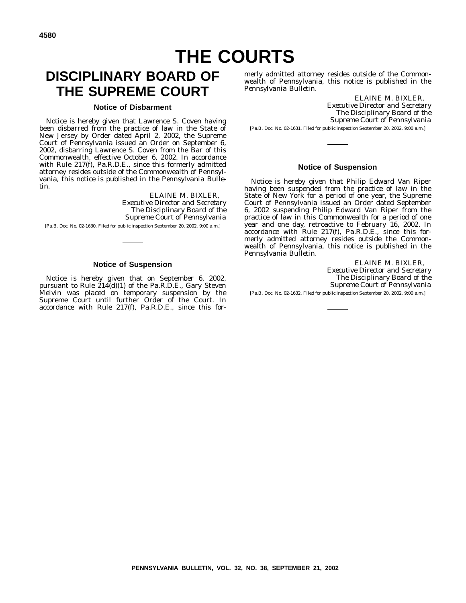# **THE COURTS**

# **DISCIPLINARY BOARD OF THE SUPREME COURT**

#### **Notice of Disbarment**

Notice is hereby given that Lawrence S. Coven having been disbarred from the practice of law in the State of New Jersey by Order dated April 2, 2002, the Supreme Court of Pennsylvania issued an Order on September 6, 2002, disbarring Lawrence S. Coven from the Bar of this Commonwealth, effective October 6, 2002. In accordance with Rule 217(f), Pa.R.D.E., since this formerly admitted attorney resides outside of the Commonwealth of Pennsylvania, this notice is published in the *Pennsylvania Bulletin*.

> ELAINE M. BIXLER, *Executive Director and Secretary The Disciplinary Board of the Supreme Court of Pennsylvania*

[Pa.B. Doc. No. 02-1630. Filed for public inspection September 20, 2002, 9:00 a.m.]

#### **Notice of Suspension**

Notice is hereby given that on September 6, 2002, pursuant to Rule  $\tilde{2}14(d)(1)$  of the Pa.R.D.E., Gary Steven Melvin was placed on temporary suspension by the Supreme Court until further Order of the Court. In accordance with Rule 217(f), Pa.R.D.E., since this formerly admitted attorney resides outside of the Commonwealth of Pennsylvania, this notice is published in the *Pennsylvania Bulletin*.

ELAINE M. BIXLER, *Executive Director and Secretary The Disciplinary Board of the Supreme Court of Pennsylvania* [Pa.B. Doc. No. 02-1631. Filed for public inspection September 20, 2002, 9:00 a.m.]

## **Notice of Suspension**

Notice is hereby given that Philip Edward Van Riper having been suspended from the practice of law in the State of New York for a period of one year, the Supreme Court of Pennsylvania issued an Order dated September 6, 2002 suspending Philip Edward Van Riper from the practice of law in this Commonwealth for a period of one year and one day, retroactive to February 16, 2002. In accordance with Rule 217(f), Pa.R.D.E., since this formerly admitted attorney resides outside the Commonwealth of Pennsylvania, this notice is published in the *Pennsylvania Bulletin*.

> ELAINE M. BIXLER, *Executive Director and Secretary The Disciplinary Board of the Supreme Court of Pennsylvania*

[Pa.B. Doc. No. 02-1632. Filed for public inspection September 20, 2002, 9:00 a.m.]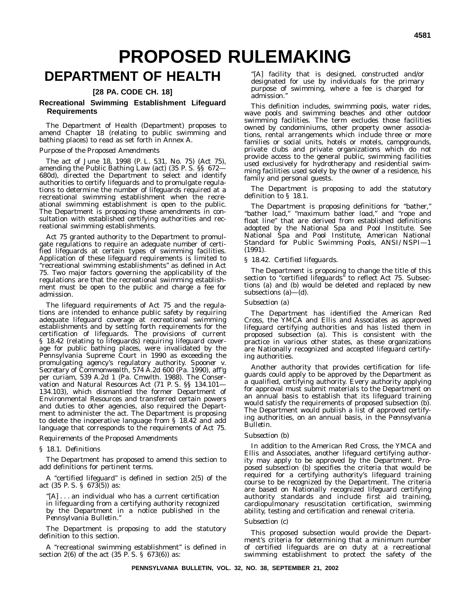# **PROPOSED RULEMAKING**

# **DEPARTMENT OF HEALTH**

# **[28 PA. CODE CH. 18]**

#### **Recreational Swimming Establishment Lifeguard Requirements**

The Department of Health (Department) proposes to amend Chapter 18 (relating to public swimming and bathing places) to read as set forth in Annex A.

#### *Purpose of the Proposed Amendments*

The act of June 18, 1998 (P. L. 531, No. 75) (Act 75), amending the Public Bathing Law (act) (35 P. S. §§ 672— 680d), directed the Department to select and identify authorities to certify lifeguards and to promulgate regulations to determine the number of lifeguards required at a recreational swimming establishment when the recreational swimming establishment is open to the public. The Department is proposing these amendments in consultation with established certifying authorities and recreational swimming establishments.

Act 75 granted authority to the Department to promulgate regulations to require an adequate number of certified lifeguards at certain types of swimming facilities. Application of these lifeguard requirements is limited to ''recreational swimming establishments'' as defined in Act 75. Two major factors governing the applicability of the regulations are that the recreational swimming establishment must be open to the public and charge a fee for admission.

The lifeguard requirements of Act 75 and the regulations are intended to enhance public safety by requiring adequate lifeguard coverage at recreational swimming establishments and by setting forth requirements for the certification of lifeguards. The provisions of current § 18.42 (relating to lifeguards) requiring lifeguard coverage for public bathing places, were invalidated by the Pennsylvania Supreme Court in 1990 as exceeding the promulgating agency's regulatory authority. *Spooner v. Secretary of Commonwealth*, 574 A.2d 600 (Pa. 1990), aff'g per curiam, 539 A.2d 1 (Pa. Cmwlth. 1988). The Conservation and Natural Resources Act (71 P. S. §§ 134.101— 134.103), which dismantled the former Department of Environmental Resources and transferred certain powers and duties to other agencies, also required the Department to administer the act. The Department is proposing to delete the inoperative language from § 18.42 and add language that corresponds to the requirements of Act 75.

# *Requirements of the Proposed Amendments*

#### § 18.1. *Definitions*

The Department has proposed to amend this section to add definitions for pertinent terms.

A ''certified lifeguard'' is defined in section 2(5) of the act (35 P. S. § 673(5)) as:

''[A] . . . an individual who has a current certification in lifeguarding from a certifying authority recognized by the Department in a notice published in the *Pennsylvania Bulletin*.''

The Department is proposing to add the statutory definition to this section.

A ''recreational swimming establishment'' is defined in section 2(6) of the act  $(35 \text{ P. S. } § 673(6))$  as:

''[A] facility that is designed, constructed and/or designated for use by individuals for the primary purpose of swimming, where a fee is charged for admission.''

This definition includes, swimming pools, water rides, wave pools and swimming beaches and other outdoor swimming facilities. The term excludes those facilities owned by condominiums, other property owner associations, rental arrangements which include three or more families or social units, hotels or motels, campgrounds, private clubs and private organizations which do not provide access to the general public, swimming facilities used exclusively for hydrotherapy and residential swimming facilities used solely by the owner of a residence, his family and personal guests.

The Department is proposing to add the statutory definition to § 18.1.

The Department is proposing definitions for "bather," "bather load," "maximum bather load," and "rope and float line" that are derived from established definitions adopted by the National Spa and Pool Institute. See National Spa and Pool Institute, *American National Standard for Public Swimming Pools, ANSI/NSPI—1 (1991).*

#### § 18.42. *Certified lifeguards*.

The Department is proposing to change the title of this section to "certified lifeguards" to reflect Act 75. Subsections (a) and (b) would be deleted and replaced by new subsections  $(a)$ — $(d)$ .

#### *Subsection (a)*

The Department has identified the American Red Cross, the YMCA and Ellis and Associates as approved lifeguard certifying authorities and has listed them in proposed subsection (a). This is consistent with the practice in various other states, as these organizations are Nationally recognized and accepted lifeguard certifying authorities.

Another authority that provides certification for lifeguards could apply to be approved by the Department as a qualified, certifying authority. Every authority applying for approval must submit materials to the Department on an annual basis to establish that its lifeguard training would satisfy the requirements of proposed subsection (b). The Department would publish a list of approved certifying authorities, on an annual basis, in the *Pennsylvania Bulletin*.

#### *Subsection (b)*

In addition to the American Red Cross, the YMCA and Ellis and Associates, another lifeguard certifying authority may apply to be approved by the Department. Proposed subsection (b) specifies the criteria that would be required for a certifying authority's lifeguard training course to be recognized by the Department. The criteria are based on Nationally recognized lifeguard certifying authority standards and include first aid training, cardiopulmonary resuscitation certification, swimming ability, testing and certification and renewal criteria.

#### *Subsection (c)*

This proposed subsection would provide the Department's criteria for determining that a minimum number of certified lifeguards are on duty at a recreational swimming establishment to protect the safety of the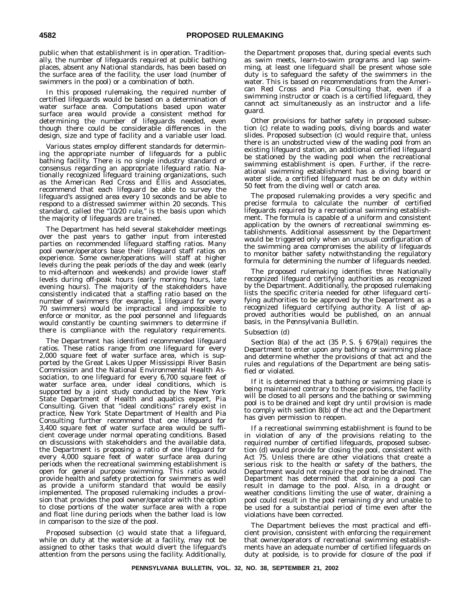public when that establishment is in operation. Traditionally, the number of lifeguards required at public bathing places, absent any National standards, has been based on the surface area of the facility, the user load (number of swimmers in the pool) or a combination of both.

In this proposed rulemaking, the required number of certified lifeguards would be based on a determination of water surface area. Computations based upon water surface area would provide a consistent method for determining the number of lifeguards needed, even though there could be considerable differences in the design, size and type of facility and a variable user load.

Various states employ different standards for determining the appropriate number of lifeguards for a public bathing facility. There is no single industry standard or consensus regarding an appropriate lifeguard ratio. Nationally recognized lifeguard training organizations, such as the American Red Cross and Ellis and Associates, recommend that each lifeguard be able to survey the lifeguard's assigned area every 10 seconds and be able to respond to a distressed swimmer within 20 seconds. This standard, called the "10/20 rule," is the basis upon which the majority of lifeguards are trained.

The Department has held several stakeholder meetings over the past years to gather input from interested parties on recommended lifeguard staffing ratios. Many pool owner/operators base their lifeguard staff ratios on experience. Some owner/operations will staff at higher levels during the peak periods of the day and week (early to mid-afternoon and weekends) and provide lower staff levels during off-peak hours (early morning hours, late evening hours). The majority of the stakeholders have consistently indicated that a staffing ratio based on the number of swimmers (for example, I lifeguard for every 70 swimmers) would be impractical and impossible to enforce or monitor, as the pool personnel and lifeguards would constantly be counting swimmers to determine if there is compliance with the regulatory requirements.

The Department has identified recommended lifeguard ratios. These ratios range from one lifeguard for every 2,000 square feet of water surface area, which is supported by the Great Lakes Upper Mississippi River Basin Commission and the National Environmental Health Association, to one lifeguard for every 6,700 square feet of water surface area, under ideal conditions, which is supported by a joint study conducted by the New York State Department of Health and aquatics expert, Pia Consulting. Given that "ideal conditions" rarely exist in practice, New York State Department of Health and Pia Consulting further recommend that one lifeguard for 3,400 square feet of water surface area would be sufficient coverage under normal operating conditions. Based on discussions with stakeholders and the available data, the Department is proposing a ratio of one lifeguard for every 4,000 square feet of water surface area during periods when the recreational swimming establishment is open for general purpose swimming. This ratio would provide health and safety protection for swimmers as well as provide a uniform standard that would be easily implemented. The proposed rulemaking includes a provision that provides the pool owner/operator with the option to close portions of the water surface area with a rope and float line during periods when the bather load is low in comparison to the size of the pool.

Proposed subsection (c) would state that a lifeguard, while on duty at the waterside at a facility, may not be assigned to other tasks that would divert the lifeguard's attention from the persons using the facility. Additionally, the Department proposes that, during special events such as swim meets, learn-to-swim programs and lap swimming, at least one lifeguard shall be present whose sole duty is to safeguard the safety of the swimmers in the water. This is based on recommendations from the American Red Cross and Pia Consulting that, even if a swimming instructor or coach is a certified lifeguard, they cannot act simultaneously as an instructor and a lifeguard.

Other provisions for bather safety in proposed subsection (c) relate to wading pools, diving boards and water slides. Proposed subsection (c) would require that, unless there is an unobstructed view of the wading pool from an existing lifeguard station, an additional certified lifeguard be stationed by the wading pool when the recreational swimming establishment is open. Further, if the recreational swimming establishment has a diving board or water slide, a certified lifeguard must be on duty within 50 feet from the diving well or catch area.

The proposed rulemaking provides a very specific and precise formula to calculate the number of certified lifeguards required by a recreational swimming establishment. The formula is capable of a uniform and consistent application by the owners of recreational swimming establishments. Additional assessment by the Department would be triggered only when an unusual configuration of the swimming area compromises the ability of lifeguards to monitor bather safety notwithstanding the regulatory formula for determining the number of lifeguards needed.

The proposed rulemaking identifies three Nationally recognized lifeguard certifying authorities as recognized by the Department. Additionally, the proposed rulemaking lists the specific criteria needed for other lifeguard certifying authorities to be approved by the Department as a recognized lifeguard certifying authority. A list of approved authorities would be published, on an annual basis, in the *Pennsylvania Bulletin*.

#### *Subsection (d)*

Section 8(a) of the act (35 P. S. § 679(a)) requires the Department to enter upon any bathing or swimming place and determine whether the provisions of that act and the rules and regulations of the Department are being satisfied or violated.

If it is determined that a bathing or swimming place is being maintained contrary to those provisions, the facility will be closed to all persons and the bathing or swimming pool is to be drained and kept dry until provision is made to comply with section 8(b) of the act and the Department has given permission to reopen.

If a recreational swimming establishment is found to be in violation of any of the provisions relating to the required number of certified lifeguards, proposed subsection (d) would provide for closing the pool, consistent with Act 75. Unless there are other violations that create a serious risk to the health or safety of the bathers, the Department would not require the pool to be drained. The Department has determined that draining a pool can result in damage to the pool. Also, in a drought or weather conditions limiting the use of water, draining a pool could result in the pool remaining dry and unable to be used for a substantial period of time even after the violations have been corrected.

The Department believes the most practical and efficient provision, consistent with enforcing the requirement that owner/operators of recreational swimming establishments have an adequate number of certified lifeguards on duty at poolside, is to provide for closure of the pool if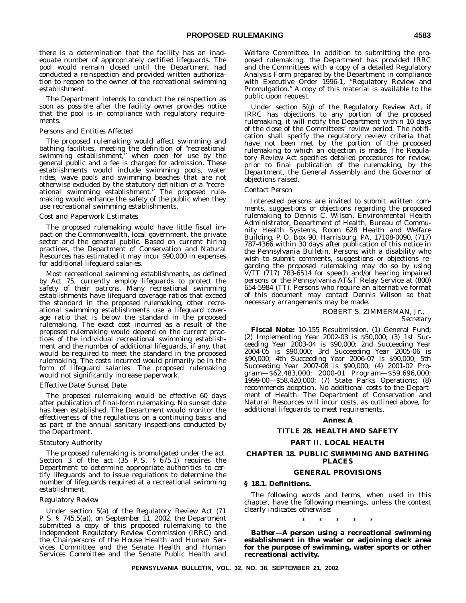there is a determination that the facility has an inadequate number of appropriately certified lifeguards. The pool would remain closed until the Department had conducted a reinspection and provided written authorization to reopen to the owner of the recreational swimming establishment.

The Department intends to conduct the reinspection as soon as possible after the facility owner provides notice that the pool is in compliance with regulatory requirements.

#### *Persons and Entities Affected*

The proposed rulemaking would affect swimming and bathing facilities, meeting the definition of "recreational swimming establishment," when open for use by the general public and a fee is charged for admission. These establishments would include swimming pools, water rides, wave pools and swimming beaches that are not otherwise excluded by the statutory definition of a "recreational swimming establishment." The proposed rulemaking would enhance the safety of the public when they use recreational swimming establishments.

#### *Cost and Paperwork Estimates*

The proposed rulemaking would have little fiscal impact on the Commonwealth, local government, the private sector and the general public. Based on current hiring practices, the Department of Conservation and Natural Resources has estimated it may incur \$90,000 in expenses for additional lifeguard salaries.

Most recreational swimming establishments, as defined by Act 75, currently employ lifeguards to protect the safety of their patrons. Many recreational swimming establishments have lifeguard coverage ratios that exceed the standard in the proposed rulemaking; other recreational swimming establishments use a lifeguard coverage ratio that is below the standard in the proposed rulemaking. The exact cost incurred as a result of the proposed rulemaking would depend on the current practices of the individual recreational swimming establishment and the number of additional lifeguards, if any, that would be required to meet the standard in the proposed rulemaking. The costs incurred would primarily be in the form of lifeguard salaries. The proposed rulemaking would not significantly increase paperwork.

#### *Effective Date/Sunset Date*

The proposed rulemaking would be effective 60 days after publication of final-form rulemaking. No sunset date has been established. The Department would monitor the effectiveness of the regulations on a continuing basis and as part of the annual sanitary inspections conducted by the Department.

#### *Statutory Authority*

The proposed rulemaking is promulgated under the act. Section  $3$  of the act  $(35 \text{ P.S. } \text{S} \ 675.1)$  requires the Department to determine appropriate authorities to certify lifeguards and to issue regulations to determine the number of lifeguards required at a recreational swimming establishment.

#### *Regulatory Review*

Under section 5(a) of the Regulatory Review Act (71 P. S. § 745.5(a)), on September  $11$ , 2002, the Department submitted a copy of this proposed rulemaking to the Independent Regulatory Review Commission (IRRC) and the Chairpersons of the House Health and Human Services Committee and the Senate Health and Human Services Committee and the Senate Public Health and Welfare Committee. In addition to submitting the proposed rulemaking, the Department has provided IRRC and the Committees with a copy of a detailed Regulatory Analysis Form prepared by the Department in compliance with Executive Order 1996-1, "Regulatory Review and Promulgation." A copy of this material is available to the public upon request.

Under section 5(g) of the Regulatory Review Act, if IRRC has objections to any portion of the proposed rulemaking, it will notify the Department within 10 days of the close of the Committees' review period. The notification shall specify the regulatory review criteria that have not been met by the portion of the proposed rulemaking to which an objection is made. The Regulatory Review Act specifies detailed procedures for review, prior to final publication of the rulemaking, by the Department, the General Assembly and the Governor of objections raised.

#### *Contact Person*

Interested persons are invited to submit written comments, suggestions or objections regarding the proposed rulemaking to Dennis C. Wilson, Environmental Health Administrator, Department of Health, Bureau of Community Health Systems, Room 628 Health and Welfare Building, P. O. Box 90, Harrisburg, PA, 17108-0090, (717) 787-4366 within 30 days after publication of this notice in the *Pennsylvania Bulletin*. Persons with a disability who wish to submit comments, suggestions or objections regarding the proposed rulemaking may do so by using V/TT (717) 783-6514 for speech and/or hearing impaired persons or the Pennsylvania AT&T Relay Service at (800) 654-5984 (TT). Persons who require an alternative format of this document may contact Dennis Wilson so that necessary arrangements may be made.

#### ROBERT S. ZIMMERMAN, Jr.,

*Secretary*

**Fiscal Note:** 10-155 Resubmission. (1) General Fund; (2) Implementing Year 2002-03 is \$50,000; (3) 1st Succeeding Year 2003-04 is \$90,000; 2nd Succeeding Year 2004-05 is \$90,000; 3rd Succeeding Year 2005-06 is \$90,000; 4th Succeeding Year 2006-07 is \$90,000; 5th Succeeding Year 2007-08 is \$90,000; (4) 2001-02 Program—\$62,483,000; 2000-01 Program—\$59,696,000; 1999-00—\$58,420,000; (7) State Parks Operations; (8) recommends adoption. No additional costs to the Department of Health. The Department of Conservation and Natural Resources will incur costs, as outlined above, for additional lifeguards to meet requirements.

#### **Annex A**

#### **TITLE 28. HEALTH AND SAFETY**

#### **PART II. LOCAL HEALTH**

#### **CHAPTER 18. PUBLIC SWIMMING AND BATHING PLACES**

#### **GENERAL PROVISIONS**

#### **§ 18.1. Definitions.**

The following words and terms, when used in this chapter, have the following meanings, unless the context clearly indicates otherwise:

\*\*\*\*\*

*Bather***—A person using a recreational swimming establishment in the water or adjoining deck area for the purpose of swimming, water sports or other recreational activity.**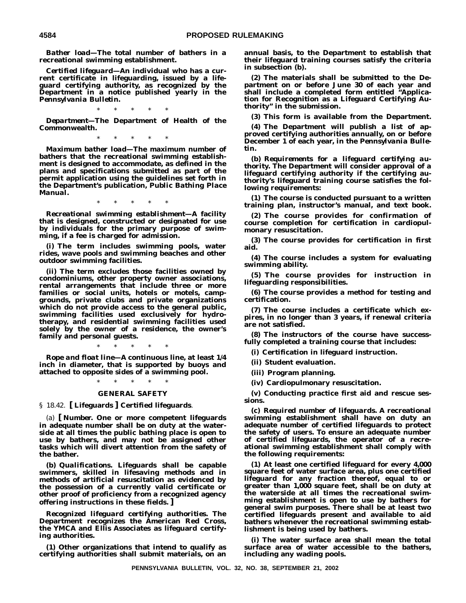*Bather load***—The total number of bathers in a recreational swimming establishment.**

*Certified lifeguard***—An individual who has a current certificate in lifeguarding, issued by a lifeguard certifying authority, as recognized by the Department in a notice published yearly in the** *Pennsylvania Bulletin***.**

\*\*\*\*\*

*Department***—The Department of Health of the Commonwealth.**

\*\*\*\*\*

*Maximum bather load***—The maximum number of bathers that the recreational swimming establishment is designed to accommodate, as defined in the plans and specifications submitted as part of the permit application using the guidelines set forth in the Department's publication,** *Public Bathing Place Manual.*

\*\*\*\*\*

*Recreational swimming establishment***—A facility that is designed, constructed or designated for use by individuals for the primary purpose of swimming, if a fee is charged for admission.**

**(i) The term includes swimming pools, water rides, wave pools and swimming beaches and other outdoor swimming facilities.**

**(ii) The term excludes those facilities owned by condominiums, other property owner associations, rental arrangements that include three or more families or social units, hotels or motels, campgrounds, private clubs and private organizations which do not provide access to the general public, swimming facilities used exclusively for hydrotherapy, and residential swimming facilities used solely by the owner of a residence, the owner's family and personal guests.**

\*\*\*\*\* *Rope and float line***—A continuous line, at least 1/4 inch in diameter, that is supported by buoys and attached to opposite sides of a swimming pool.**

# \*\*\*\*\* **GENERAL SAFETY**

§ 18.42. **[ Lifeguards ] Certified lifeguards**.

(a) **[** *Number.* **One or more competent lifeguards in adequate number shall be on duty at the waterside at all times the public bathing place is open to use by bathers, and may not be assigned other tasks which will divert attention from the safety of the bather.**

**(b)** *Qualifications.* **Lifeguards shall be capable swimmers, skilled in lifesaving methods and in methods of artificial resuscitation as evidenced by the possession of a currently valid certificate or other proof of proficiency from a recognized agency offering instructions in these fields. ]**

*Recognized lifeguard certifying authorities.* **The Department recognizes the American Red Cross, the YMCA and Ellis Associates as lifeguard certifying authorities.**

**(1) Other organizations that intend to qualify as certifying authorities shall submit materials, on an** **annual basis, to the Department to establish that their lifeguard training courses satisfy the criteria in subsection (b).**

**(2) The materials shall be submitted to the Department on or before June 30 of each year and shall include a completed form entitled "Application for Recognition as a Lifeguard Certifying Authority" in the submission.**

**(3) This form is available from the Department.**

**(4) The Department will publish a list of approved certifying authorities annually, on or before December 1 of each year, in the** *Pennsylvania Bulletin.*

**(b)** *Requirements for a lifeguard certifying authority***. The Department will consider approval of a lifeguard certifying authority if the certifying authority's lifeguard training course satisfies the following requirements:**

**(1) The course is conducted pursuant to a written training plan, instructor's manual, and text book.**

**(2) The course provides for confirmation of course completion for certification in cardiopulmonary resuscitation.**

**(3) The course provides for certification in first aid.**

**(4) The course includes a system for evaluating swimming ability.**

**(5) The course provides for instruction in lifeguarding responsibilities.**

**(6) The course provides a method for testing and certification.**

**(7) The course includes a certificate which expires, in no longer than 3 years, if renewal criteria are not satisfied.**

**(8) The instructors of the course have successfully completed a training course that includes:**

**(i) Certification in lifeguard instruction.**

**(ii) Student evaluation.**

**(iii) Program planning.**

**(iv) Cardiopulmonary resuscitation.**

**(v) Conducting practice first aid and rescue sessions.**

**(c)** *Required number of lifeguards***. A recreational swimming establishment shall have on duty an adequate number of certified lifeguards to protect the safety of users. To ensure an adequate number of certified lifeguards, the operator of a recreational swimming establishment shall comply with the following requirements:**

**(1) At least one certified lifeguard for every 4,000 square feet of water surface area, plus one certified lifeguard for any fraction thereof, equal to or greater than 1,000 square feet, shall be on duty at the waterside at all times the recreational swimming establishment is open to use by bathers for general swim purposes. There shall be at least two certified lifeguards present and available to aid bathers whenever the recreational swimming establishment is being used by bathers.**

**(i) The water surface area shall mean the total surface area of water accessible to the bathers, including any wading pools.**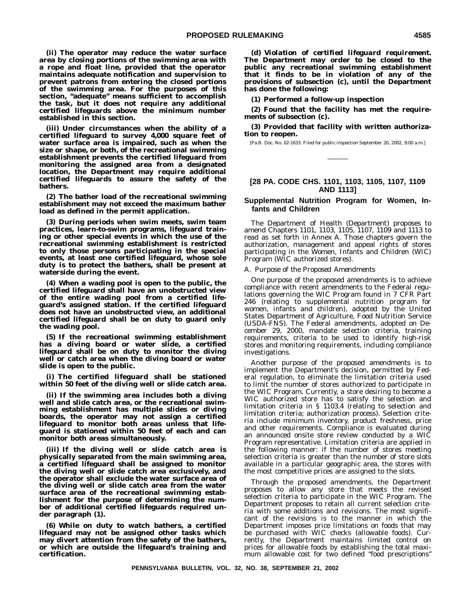**(ii) The operator may reduce the water surface area by closing portions of the swimming area with a rope and float line, provided that the operator maintains adequate notification and supervision to prevent patrons from entering the closed portions of the swimming area. For the purposes of this section, "adequate" means sufficient to accomplish the task, but it does not require any additional certified lifeguards above the minimum number established in this section.**

**(iii) Under circumstances when the ability of a certified lifeguard to survey 4,000 square feet of water surface area is impaired, such as when the size or shape, or both, of the recreational swimming establishment prevents the certified lifeguard from monitoring the assigned area from a designated location, the Department may require additional certified lifeguards to assure the safety of the bathers.**

**(2) The bather load of the recreational swimming establishment may not exceed the maximum bather load as defined in the permit application.**

**(3) During periods when swim meets, swim team practices, learn-to-swim programs, lifeguard training or other special events in which the use of the recreational swimming establishment is restricted to only those persons participating in the special events, at least one certified lifeguard, whose sole duty is to protect the bathers, shall be present at waterside during the event.**

**(4) When a wading pool is open to the public, the certified lifeguard shall have an unobstructed view of the entire wading pool from a certified lifeguard's assigned station. If the certified lifeguard does not have an unobstructed view, an additional certified lifeguard shall be on duty to guard only the wading pool.**

**(5) If the recreational swimming establishment has a diving board or water slide, a certified lifeguard shall be on duty to monitor the diving well or catch area when the diving board or water slide is open to the public.**

**(i) The certified lifeguard shall be stationed within 50 feet of the diving well or slide catch area.**

**(ii) If the swimming area includes both a diving well and slide catch area, or the recreational swimming establishment has multiple slides or diving boards, the operator may not assign a certified lifeguard to monitor both areas unless that lifeguard is stationed within 50 feet of each and can monitor both areas simultaneously.**

**(iii) If the diving well or slide catch area is physically separated from the main swimming area, a certified lifeguard shall be assigned to monitor the diving well or slide catch area exclusively, and the operator shall exclude the water surface area of the diving well or slide catch area from the water surface area of the recreational swimming establishment for the purpose of determining the number of additional certified lifeguards required under paragraph (1).**

**(6) While on duty to watch bathers, a certified lifeguard may not be assigned other tasks which may divert attention from the safety of the bathers, or which are outside the lifeguard's training and certification.**

**(d)** *Violation of certified lifeguard requirement***. The Department may order to be closed to the public any recreational swimming establishment that it finds to be in violation of any of the provisions of subsection (c), until the Department has done the following:**

**(1) Performed a follow-up inspection**

**(2) Found that the facility has met the requirements of subsection (c).**

**(3) Provided that facility with written authorization to reopen.**

[Pa.B. Doc. No. 02-1633. Filed for public inspection September 20, 2002, 9:00 a.m.]

# **[28 PA. CODE CHS. 1101, 1103, 1105, 1107, 1109 AND 1113]**

#### **Supplemental Nutrition Program for Women, Infants and Children**

The Department of Health (Department) proposes to amend Chapters 1101, 1103, 1105, 1107, 1109 and 1113 to read as set forth in Annex A. Those chapters govern the authorization, management and appeal rights of stores participating in the Women, Infants and Children (WIC) Program (WIC authorized stores).

#### A. *Purpose of the Proposed Amendments*

One purpose of the proposed amendments is to achieve compliance with recent amendments to the Federal regulations governing the WIC Program found in 7 CFR Part 246 (relating to supplemental nutrition program for women, infants and children), adopted by the United States Department of Agriculture, Food Nutrition Service (USDA-FNS). The Federal amendments, adopted on December 29, 2000, mandate selection criteria, training requirements, criteria to be used to identify high-risk stores and monitoring requirements, including compliance investigations.

Another purpose of the proposed amendments is to implement the Department's decision, permitted by Federal regulation, to eliminate the limitation criteria used to limit the number of stores authorized to participate in the WIC Program. Currently, a store desiring to become a WIC authorized store has to satisfy the selection and limitation criteria in § 1103.4 (relating to selection and limitation criteria; authorization process). Selection criteria include minimum inventory, product freshness, price and other requirements. Compliance is evaluated during an announced onsite store review conducted by a WIC Program representative. Limitation criteria are applied in the following manner: if the number of stores meeting selection criteria is greater than the number of store slots available in a particular geographic area, the stores with the most competitive prices are assigned to the slots.

Through the proposed amendments, the Department proposes to allow any store that meets the revised selection criteria to participate in the WIC Program. The Department proposes to retain all current selection criteria with some additions and revisions. The most significant of the revisions is to the manner in which the Department imposes price limitations on foods that may be purchased with WIC checks (allowable foods). Currently, the Department maintains limited control on prices for allowable foods by establishing the total maximum allowable cost for two defined "food prescriptions"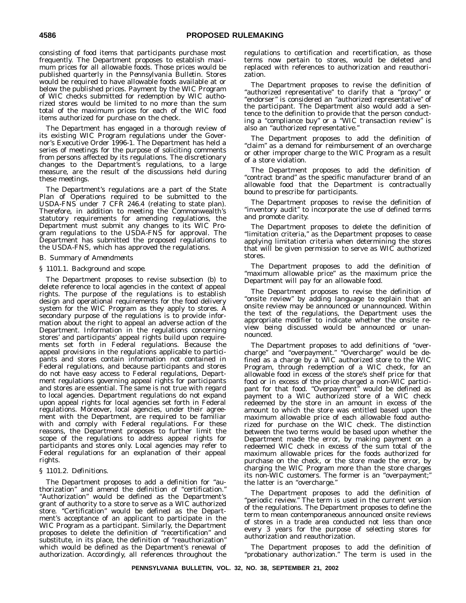consisting of food items that participants purchase most frequently. The Department proposes to establish maximum prices for all allowable foods. Those prices would be published quarterly in the *Pennsylvania Bulletin*. Stores would be required to have allowable foods available at or below the published prices. Payment by the WIC Program of WIC checks submitted for redemption by WIC authorized stores would be limited to no more than the sum total of the maximum prices for each of the WIC food items authorized for purchase on the check.

The Department has engaged in a thorough review of its existing WIC Program regulations under the Governor's Executive Order 1996-1. The Department has held a series of meetings for the purpose of soliciting comments from persons affected by its regulations. The discretionary changes to the Department's regulations, to a large measure, are the result of the discussions held during these meetings.

The Department's regulations are a part of the State Plan of Operations required to be submitted to the USDA-FNS under 7 CFR 246.4 (relating to state plan). Therefore, in addition to meeting the Commonwealth's statutory requirements for amending regulations, the Department must submit any changes to its WIC Program regulations to the USDA-FNS for approval. The Department has submitted the proposed regulations to the USDA-FNS, which has approved the regulations.

#### B. *Summary of Amendments*

#### *§ 1101.1. Background and scope.*

The Department proposes to revise subsection (b) to delete reference to local agencies in the context of appeal rights. The purpose of the regulations is to establish design and operational requirements for the food delivery system for the WIC Program as they apply to stores. A secondary purpose of the regulations is to provide information about the right to appeal an adverse action of the Department. Information in the regulations concerning stores' and participants' appeal rights build upon requirements set forth in Federal regulations. Because the appeal provisions in the regulations applicable to participants and stores contain information not contained in Federal regulations, and because participants and stores do not have easy access to Federal regulations, Department regulations governing appeal rights for participants and stores are essential. The same is not true with regard to local agencies. Department regulations do not expand upon appeal rights for local agencies set forth in Federal regulations. Moreover, local agencies, under their agreement with the Department, are required to be familiar with and comply with Federal regulations. For these reasons, the Department proposes to further limit the scope of the regulations to address appeal rights for participants and stores only. Local agencies may refer to Federal regulations for an explanation of their appeal rights.

#### *§ 1101.2. Definitions.*

The Department proposes to add a definition for ''authorization'' and amend the definition of ''certification.'' ''Authorization'' would be defined as the Department's grant of authority to a store to serve as a WIC authorized store. "Certification" would be defined as the Department's acceptance of an applicant to participate in the WIC Program as a participant. Similarly, the Department proposes to delete the definition of ''recertification'' and substitute, in its place, the definition of ''reauthorization'' which would be defined as the Department's renewal of authorization. Accordingly, all references throughout the

regulations to certification and recertification, as those terms now pertain to stores, would be deleted and replaced with references to authorization and reauthorization.

The Department proposes to revise the definition of ''authorized representative'' to clarify that a ''proxy'' or ''endorser'' is considered an ''authorized representative'' of the participant. The Department also would add a sentence to the definition to provide that the person conducting a ''compliance buy'' or a ''WIC transaction review'' is also an ''authorized representative.''

The Department proposes to add the definition of "claim" as a demand for reimbursement of an overcharge or other improper charge to the WIC Program as a result of a store violation.

The Department proposes to add the definition of ''contract brand'' as the specific manufacturer brand of an allowable food that the Department is contractually bound to prescribe for participants.

The Department proposes to revise the definition of "inventory audit" to incorporate the use of defined terms and promote clarity.

The Department proposes to delete the definition of "limitation criteria," as the Department proposes to cease applying limitation criteria when determining the stores that will be given permission to serve as WIC authorized stores.

The Department proposes to add the definition of "maximum allowable price" as the maximum price the Department will pay for an allowable food.

The Department proposes to revise the definition of ''onsite review'' by adding language to explain that an onsite review may be announced or unannounced. Within the text of the regulations, the Department uses the appropriate modifier to indicate whether the onsite review being discussed would be announced or unannounced.

The Department proposes to add definitions of ''overcharge'' and ''overpayment.'' ''Overcharge'' would be defined as a charge by a WIC authorized store to the WIC Program, through redemption of a WIC check, for an allowable food in excess of the store's shelf price for that food or in excess of the price charged a non-WIC participant for that food. ''Overpayment'' would be defined as payment to a WIC authorized store of a WIC check redeemed by the store in an amount in excess of the amount to which the store was entitled based upon the maximum allowable price of each allowable food authorized for purchase on the WIC check. The distinction between the two terms would be based upon whether the Department made the error, by making payment on a redeemed WIC check in excess of the sum total of the maximum allowable prices for the foods authorized for purchase on the check, or the store made the error, by charging the WIC Program more than the store charges its non-WIC customers. The former is an ''overpayment;'' the latter is an ''overcharge.''

The Department proposes to add the definition of "periodic review." The term is used in the current version of the regulations. The Department proposes to define the term to mean contemporaneous announced onsite reviews of stores in a trade area conducted not less than once every 3 years for the purpose of selecting stores for authorization and reauthorization.

The Department proposes to add the definition of ''probationary authorization.'' The term is used in the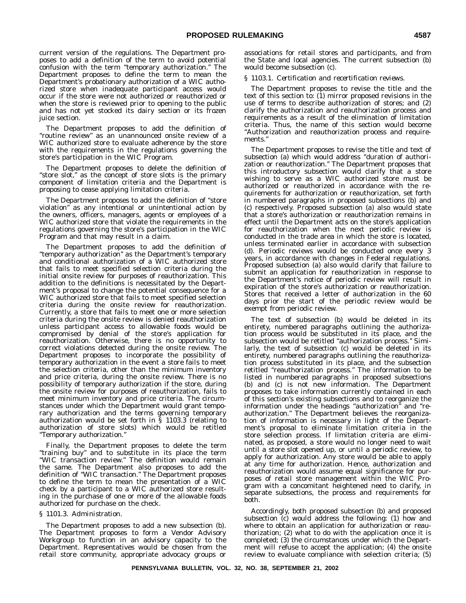current version of the regulations. The Department proposes to add a definition of the term to avoid potential confusion with the term ''temporary authorization.'' The Department proposes to define the term to mean the Department's probationary authorization of a WIC authorized store when inadequate participant access would occur if the store were not authorized or reauthorized or when the store is reviewed prior to opening to the public and has not yet stocked its dairy section or its frozen juice section.

The Department proposes to add the definition of "routine review" as an unannounced onsite review of a WIC authorized store to evaluate adherence by the store with the requirements in the regulations governing the store's participation in the WIC Program.

The Department proposes to delete the definition of "store slot," as the concept of store slots is the primary component of limitation criteria and the Department is proposing to cease applying limitation criteria.

The Department proposes to add the definition of ''store violation'' as any intentional or unintentional action by the owners, officers, managers, agents or employees of a WIC authorized store that violate the requirements in the regulations governing the store's participation in the WIC Program and that may result in a claim.

The Department proposes to add the definition of ''temporary authorization'' as the Department's temporary and conditional authorization of a WIC authorized store that fails to meet specified selection criteria during the initial onsite review for purposes of reauthorization. This addition to the definitions is necessitated by the Department's proposal to change the potential consequence for a WIC authorized store that fails to meet specified selection criteria during the onsite review for reauthorization. Currently, a store that fails to meet one or more selection criteria during the onsite review is denied reauthorization unless participant access to allowable foods would be compromised by denial of the store's application for reauthorization. Otherwise, there is no opportunity to correct violations detected during the onsite review. The Department proposes to incorporate the possibility of temporary authorization in the event a store fails to meet the selection criteria, other than the minimum inventory and price criteria, during the onsite review. There is no possibility of temporary authorization if the store, during the onsite review for purposes of reauthorization, fails to meet minimum inventory and price criteria. The circumstances under which the Department would grant temporary authorization and the terms governing temporary authorization would be set forth in § 1103.3 (relating to authorization of store slots) which would be retitled ''Temporary authorization.''

Finally, the Department proposes to delete the term ''training buy'' and to substitute in its place the term ''WIC transaction review.'' The definition would remain the same. The Department also proposes to add the definition of ''WIC transaction.'' The Department proposes to define the term to mean the presentation of a WIC check by a participant to a WIC authorized store resulting in the purchase of one or more of the allowable foods authorized for purchase on the check.

#### *§ 1101.3. Administration.*

The Department proposes to add a new subsection (b). The Department proposes to form a Vendor Advisory Workgroup to function in an advisory capacity to the Department. Representatives would be chosen from the retail store community, appropriate advocacy groups or associations for retail stores and participants, and from the State and local agencies. The current subsection (b) would become subsection (c).

#### *§ 1103.1. Certification and recertification reviews.*

The Department proposes to revise the title and the text of this section to: (1) mirror proposed revisions in the use of terms to describe authorization of stores; and (2) clarify the authorization and reauthorization process and requirements as a result of the elimination of limitation criteria. Thus, the name of this section would become ''Authorization and reauthorization process and requirements.''

The Department proposes to revise the title and text of subsection (a) which would address ''duration of authorization or reauthorization.'' The Department proposes that this introductory subsection would clarify that a store wishing to serve as a WIC authorized store must be authorized or reauthorized in accordance with the requirements for authorization or reauthorization, set forth in numbered paragraphs in proposed subsections (b) and (c) respectively. Proposed subsection (a) also would state that a store's authorization or reauthorization remains in effect until the Department acts on the store's application for reauthorization when the next periodic review is conducted in the trade area in which the store is located, unless terminated earlier in accordance with subsection (d). Periodic reviews would be conducted once every 3 years, in accordance with changes in Federal regulations. Proposed subsection (a) also would clarify that failure to submit an application for reauthorization in response to the Department's notice of periodic review will result in expiration of the store's authorization or reauthorization. Stores that received a letter of authorization in the 60 days prior the start of the periodic review would be exempt from periodic review.

The text of subsection (b) would be deleted in its entirety, numbered paragraphs outlining the authorization process would be substituted in its place, and the subsection would be retitled ''authorization process.'' Similarly, the text of subsection (c) would be deleted in its entirety, numbered paragraphs outlining the reauthorization process substituted in its place, and the subsection retitled ''reauthorization process.'' The information to be listed in numbered paragraphs in proposed subsections (b) and (c) is not new information. The Department proposes to take information currently contained in each of this section's existing subsections and to reorganize the information under the headings ''authorization'' and ''reauthorization.'' The Department believes the reorganization of information is necessary in light of the Department's proposal to eliminate limitation criteria in the store selection process. If limitation criteria are eliminated, as proposed, a store would no longer need to wait until a store slot opened up, or until a periodic review, to apply for authorization. Any store would be able to apply at any time for authorization. Hence, authorization and reauthorization would assume equal significance for purposes of retail store management within the WIC Program with a concomitant heightened need to clarify, in separate subsections, the process and requirements for both.

Accordingly, both proposed subsection (b) and proposed subsection (c) would address the following: (1) how and where to obtain an application for authorization or reauthorization; (2) what to do with the application once it is completed; (3) the circumstances under which the Department will refuse to accept the application; (4) the onsite review to evaluate compliance with selection criteria; (5)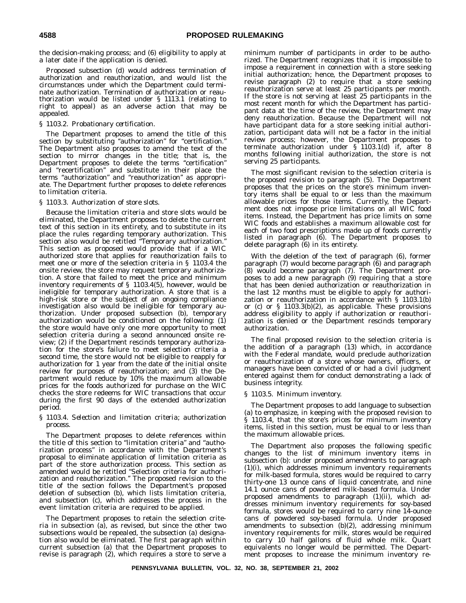the decision-making process; and (6) eligibility to apply at a later date if the application is denied.

Proposed subsection (d) would address termination of authorization and reauthorization, and would list the circumstances under which the Department could terminate authorization. Termination of authorization or reauthorization would be listed under § 1113.1 (relating to right to appeal) as an adverse action that may be appealed.

#### *§ 1103.2. Probationary certification.*

The Department proposes to amend the title of this section by substituting "authorization" for "certification." The Department also proposes to amend the text of the section to mirror changes in the title; that is, the Department proposes to delete the terms ''certification'' and ''recertification'' and substitute in their place the terms ''authorization'' and ''reauthorization'' as appropriate. The Department further proposes to delete references to limitation criteria.

#### *§ 1103.3. Authorization of store slots.*

Because the limitation criteria and store slots would be eliminated, the Department proposes to delete the current text of this section in its entirety, and to substitute in its place the rules regarding temporary authorization. This section also would be retitled "Temporary authorization." This section as proposed would provide that if a WIC authorized store that applies for reauthorization fails to meet one or more of the selection criteria in § 1103.4 the onsite review, the store may request temporary authorization. A store that failed to meet the price and minimum inventory requirements of § 1103.4(5), however, would be ineligible for temporary authorization. A store that is a high-risk store or the subject of an ongoing compliance investigation also would be ineligible for temporary authorization. Under proposed subsection (b), temporary authorization would be conditioned on the following: (1) the store would have only one more opportunity to meet selection criteria during a second announced onsite review; (2) if the Department rescinds temporary authorization for the store's failure to meet selection criteria a second time, the store would not be eligible to reapply for authorization for 1 year from the date of the initial onsite review for purposes of reauthorization; and (3) the Department would reduce by 10% the maximum allowable prices for the foods authorized for purchase on the WIC checks the store redeems for WIC transactions that occur during the first 90 days of the extended authorization period.

#### *§ 1103.4. Selection and limitation criteria; authorization process.*

The Department proposes to delete references within the title of this section to ''limitation criteria'' and ''authorization process'' in accordance with the Department's proposal to eliminate application of limitation criteria as part of the store authorization process. This section as amended would be retitled ''Selection criteria for authorization and reauthorization.'' The proposed revision to the title of the section follows the Department's proposed deletion of subsection (b), which lists limitation criteria, and subsection (c), which addresses the process in the event limitation criteria are required to be applied.

The Department proposes to retain the selection criteria in subsection (a), as revised, but since the other two subsections would be repealed, the subsection (a) designation also would be eliminated. The first paragraph within current subsection (a) that the Department proposes to revise is paragraph (2), which requires a store to serve a minimum number of participants in order to be authorized. The Department recognizes that it is impossible to impose a requirement in connection with a store seeking initial authorization; hence, the Department proposes to revise paragraph (2) to require that a store seeking reauthorization serve at least 25 participants per month. If the store is not serving at least 25 participants in the most recent month for which the Department has participant data at the time of the review, the Department may deny reauthorization. Because the Department will not have participant data for a store seeking initial authorization, participant data will not be a factor in the initial review process; however, the Department proposes to terminate authorization under § 1103.1(d) if, after 8 months following initial authorization, the store is not serving 25 participants.

The most significant revision to the selection criteria is the proposed revision to paragraph (5). The Department proposes that the prices on the store's minimum inventory items shall be equal to or less than the maximum allowable prices for those items. Currently, the Department does not impose price limitations on all WIC food items. Instead, the Department has price limits on some WIC foods and establishes a maximum allowable cost for each of two food prescriptions made up of foods currently listed in paragraph (6). The Department proposes to delete paragraph (6) in its entirety.

With the deletion of the text of paragraph (6), former paragraph (7) would become paragraph (6) and paragraph (8) would become paragraph (7). The Department proposes to add a new paragraph (9) requiring that a store that has been denied authorization or reauthorization in the last 12 months must be eligible to apply for authorization or reauthorization in accordance with § 1103.1(b) or (c) or § 1103.3(b)(2), as applicable. These provisions address eligibility to apply if authorization or reauthorization is denied or the Department rescinds temporary authorization.

The final proposed revision to the selection criteria is the addition of a paragraph (13) which, in accordance with the Federal mandate, would preclude authorization or reauthorization of a store whose owners, officers, or managers have been convicted of or had a civil judgment entered against them for conduct demonstrating a lack of business integrity.

#### *§ 1103.5. Minimum inventory.*

The Department proposes to add language to subsection (a) to emphasize, in keeping with the proposed revision to § 1103.4, that the store's prices for minimum inventory items, listed in this section, must be equal to or less than the maximum allowable prices.

The Department also proposes the following specific changes to the list of minimum inventory items in subsection (b): under proposed amendments to paragraph (1)(i), which addresses minimum inventory requirements for milk-based formula, stores would be required to carry thirty-one 13 ounce cans of liquid concentrate, and nine 14.1 ounce cans of powdered milk-based formula. Under proposed amendments to paragraph (1)(ii), which addresses minimum inventory requirements for soy-based formula, stores would be required to carry nine 14-ounce cans of powdered soy-based formula. Under proposed amendments to subsection (b)(2), addressing minimum inventory requirements for milk, stores would be required to carry 10 half gallons of fluid whole milk. Quart equivalents no longer would be permitted. The Department proposes to increase the minimum inventory re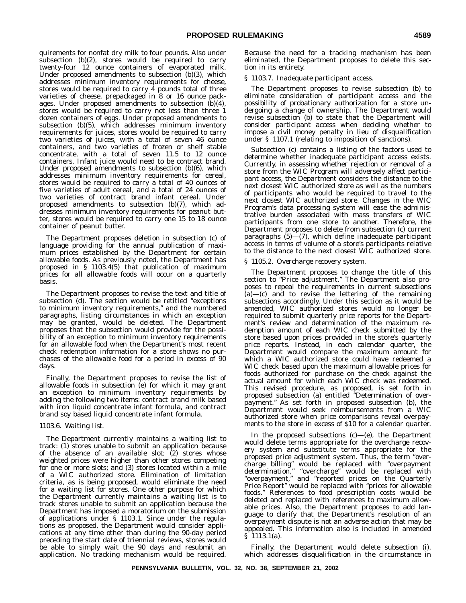quirements for nonfat dry milk to four pounds. Also under subsection (b)(2), stores would be required to carry twenty-four 12 ounce containers of evaporated milk. Under proposed amendments to subsection (b)(3), which addresses minimum inventory requirements for cheese, stores would be required to carry  $\hat{4}$  pounds total of three varieties of cheese, prepackaged in 8 or 16 ounce packages. Under proposed amendments to subsection  $(b)(4)$ , stores would be required to carry not less than three 1 dozen containers of eggs. Under proposed amendments to subsection (b)(5), which addresses minimum inventory requirements for juices, stores would be required to carry two varieties of juices, with a total of seven 46 ounce containers, and two varieties of frozen or shelf stable concentrate, with a total of seven 11.5 to 12 ounce containers. Infant juice would need to be contract brand. Under proposed amendments to subsection (b)(6), which addresses minimum inventory requirements for cereal, stores would be required to carry a total of 40 ounces of five varieties of adult cereal, and a total of 24 ounces of two varieties of contract brand infant cereal. Under proposed amendments to subsection (b)(7), which addresses minimum inventory requirements for peanut butter, stores would be required to carry one 15 to 18 ounce container of peanut butter.

The Department proposes deletion in subsection (c) of language providing for the annual publication of maximum prices established by the Department for certain allowable foods. As previously noted, the Department has proposed in § 1103.4(5) that publication of maximum prices for all allowable foods will occur on a quarterly basis.

The Department proposes to revise the text and title of subsection (d). The section would be retitled "exceptions to minimum inventory requirements,'' and the numbered paragraphs, listing circumstances in which an exception may be granted, would be deleted. The Department proposes that the subsection would provide for the possibility of an exception to minimum inventory requirements for an allowable food when the Department's most recent check redemption information for a store shows no purchases of the allowable food for a period in excess of 90 days.

Finally, the Department proposes to revise the list of allowable foods in subsection (e) for which it may grant an exception to minimum inventory requirements by adding the following two items: contract brand milk based with iron liquid concentrate infant formula, and contract brand soy based liquid concentrate infant formula.

#### *1103.6. Waiting list.*

The Department currently maintains a waiting list to track: (1) stores unable to submit an application because of the absence of an available slot; (2) stores whose weighted prices were higher than other stores competing for one or more slots; and (3) stores located within a mile of a WIC authorized store. Elimination of limitation criteria, as is being proposed, would eliminate the need for a waiting list for stores. One other purpose for which the Department currently maintains a waiting list is to track stores unable to submit an application because the Department has imposed a moratorium on the submission of applications under § 1103.1. Since under the regulations as proposed, the Department would consider applications at any time other than during the 90-day period preceding the start date of triennial reviews, stores would be able to simply wait the 90 days and resubmit an application. No tracking mechanism would be required.

Because the need for a tracking mechanism has been eliminated, the Department proposes to delete this section in its entirety.

#### *§ 1103.7. Inadequate participant access.*

The Department proposes to revise subsection (b) to eliminate consideration of participant access and the possibility of probationary authorization for a store undergoing a change of ownership. The Department would revise subsection (b) to state that the Department will consider participant access when deciding whether to impose a civil money penalty in lieu of disqualification under § 1107.1 (relating to imposition of sanctions).

Subsection (c) contains a listing of the factors used to determine whether inadequate participant access exists. Currently, in assessing whether rejection or removal of a store from the WIC Program will adversely affect participant access, the Department considers the distance to the next closest WIC authorized store as well as the numbers of participants who would be required to travel to the next closest WIC authorized store. Changes in the WIC Program's data processing system will ease the administrative burden associated with mass transfers of WIC participants from one store to another. Therefore, the Department proposes to delete from subsection (c) current paragraphs (5)—(7), which define inadequate participant access in terms of volume of a store's participants relative to the distance to the next closest WIC authorized store.

#### *§ 1105.2. Overcharge recovery system.*

The Department proposes to change the title of this section to "Price adjustment." The Department also proposes to repeal the requirements in current subsections  $(a)$ — $(c)$  and to revise the lettering of the remaining subsections accordingly. Under this section as it would be amended, WIC authorized stores would no longer be required to submit quarterly price reports for the Department's review and determination of the maximum redemption amount of each WIC check submitted by the store based upon prices provided in the store's quarterly price reports. Instead, in each calendar quarter, the Department would compare the maximum amount for which a WIC authorized store could have redeemed a WIC check based upon the maximum allowable prices for foods authorized for purchase on the check against the actual amount for which each WIC check was redeemed. This revised procedure, as proposed, is set forth in proposed subsection (a) entitled ''Determination of overpayment.'' As set forth in proposed subsection (b), the Department would seek reimbursements from a WIC authorized store when price comparisons reveal overpayments to the store in excess of \$10 for a calendar quarter.

In the proposed subsections  $(c)$ — $(e)$ , the Department would delete terms appropriate for the overcharge recovery system and substitute terms appropriate for the proposed price adjustment system. Thus, the term ''overcharge billing'' would be replaced with ''overpayment determination,'' ''overcharge'' would be replaced with ''overpayment,'' and ''reported prices on the Quarterly Price Report'' would be replaced with ''prices for allowable foods.'' References to food prescription costs would be deleted and replaced with references to maximum allowable prices. Also, the Department proposes to add language to clarify that the Department's resolution of an overpayment dispute is not an adverse action that may be appealed. This information also is included in amended § 1113.1(a).

Finally, the Department would delete subsection (i), which addresses disqualification in the circumstance in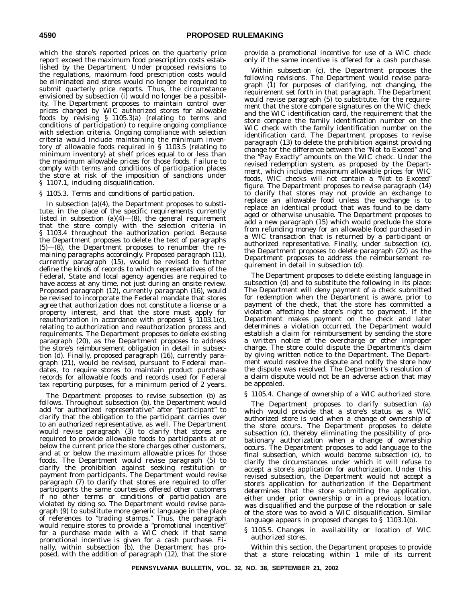which the store's reported prices on the quarterly price report exceed the maximum food prescription costs established by the Department. Under proposed revisions to the regulations, maximum food prescription costs would be eliminated and stores would no longer be required to submit quarterly price reports. Thus, the circumstance envisioned by subsection (i) would no longer be a possibility. The Department proposes to maintain control over prices charged by WIC authorized stores for allowable foods by revising § 1105.3(a) (relating to terms and conditions of participation) to require ongoing compliance with selection criteria. Ongoing compliance with selection criteria would include maintaining the minimum inventory of allowable foods required in § 1103.5 (relating to minimum inventory) at shelf prices equal to or less than the maximum allowable prices for those foods. Failure to comply with terms and conditions of participation places the store at risk of the imposition of sanctions under § 1107.1, including disqualification.

#### *§ 1105.3. Terms and conditions of participation.*

In subsection (a)(4), the Department proposes to substitute, in the place of the specific requirements currently listed in subsection  $(a)(4)$ — $(8)$ , the general requirement that the store comply with the selection criteria in § 1103.4 throughout the authorization period. Because the Department proposes to delete the text of paragraphs (5)—(8), the Department proposes to renumber the remaining paragraphs accordingly. Proposed paragraph (11), currently paragraph (15), would be revised to further define the kinds of records to which representatives of the Federal, State and local agency agencies are required to have access at any time, not just during an onsite review. Proposed paragraph (12), currently paragraph (16), would be revised to incorporate the Federal mandate that stores agree that authorization does not constitute a license or a property interest, and that the store must apply for reauthorization in accordance with proposed § 1103.1(c), relating to authorization and reauthorization process and requirements. The Department proposes to delete existing paragraph (20), as the Department proposes to address the store's reimbursement obligation in detail in subsection (d). Finally, proposed paragraph (16), currently paragraph (21), would be revised, pursuant to Federal mandates, to require stores to maintain product purchase records for allowable foods and records used for Federal tax reporting purposes, for a minimum period of 2 years.

The Department proposes to revise subsection (b) as follows. Throughout subsection (b), the Department would add ''or authorized representative'' after ''participant'' to clarify that the obligation to the participant carries over to an authorized representative, as well. The Department would revise paragraph (3) to clarify that stores are required to provide allowable foods to participants at or below the current price the store charges other customers, and at or below the maximum allowable prices for those foods. The Department would revise paragraph (5) to clarify the prohibition against seeking restitution or payment from participants. The Department would revise paragraph (7) to clarify that stores are required to offer participants the same courtesies offered other customers if no other terms or conditions of participation are violated by doing so. The Department would revise paragraph (9) to substitute more generic language in the place of references to ''trading stamps.'' Thus, the paragraph would require stores to provide a ''promotional incentive'' for a purchase made with a WIC check if that same promotional incentive is given for a cash purchase. Finally, within subsection (b), the Department has proposed, with the addition of paragraph (12), that the store

provide a promotional incentive for use of a WIC check only if the same incentive is offered for a cash purchase.

Within subsection (c), the Department proposes the following revisions. The Department would revise paragraph (1) for purposes of clarifying, not changing, the requirement set forth in that paragraph. The Department would revise paragraph (5) to substitute, for the requirement that the store compare signatures on the WIC check and the WIC identification card, the requirement that the store compare the family identification number on the WIC check with the family identification number on the identification card. The Department proposes to revise paragraph (13) to delete the prohibition against providing change for the difference between the ''Not to Exceed'' and the ''Pay Exactly'' amounts on the WIC check. Under the revised redemption system, as proposed by the Department, which includes maximum allowable prices for WIC foods, WIC checks will not contain a ''Not to Exceed'' figure. The Department proposes to revise paragraph (14) to clarify that stores may not provide an exchange to replace an allowable food unless the exchange is to replace an identical product that was found to be damaged or otherwise unusable. The Department proposes to add a new paragraph (15) which would preclude the store from refunding money for an allowable food purchased in a WIC transaction that is returned by a participant or authorized representative. Finally, under subsection (c), the Department proposes to delete paragraph (22) as the Department proposes to address the reimbursement requirement in detail in subsection (d).

The Department proposes to delete existing language in subsection (d) and to substitute the following in its place: The Department will deny payment of a check submitted for redemption when the Department is aware, prior to payment of the check, that the store has committed a violation affecting the store's right to payment. If the Department makes payment on the check and later determines a violation occurred, the Department would establish a claim for reimbursement by sending the store a written notice of the overcharge or other improper charge. The store could dispute the Department's claim by giving written notice to the Department. The Department would resolve the dispute and notify the store how the dispute was resolved. The Department's resolution of a claim dispute would not be an adverse action that may be appealed.

#### *§ 1105.4. Change of ownership of a WIC authorized store.*

The Department proposes to clarify subsection (a) which would provide that a store's status as a WIC authorized store is void when a change of ownership of the store occurs. The Department proposes to delete subsection (c), thereby eliminating the possibility of probationary authorization when a change of ownership occurs. The Department proposes to add language to the final subsection, which would become subsection (c), to clarify the circumstances under which it will refuse to accept a store's application for authorization. Under this revised subsection, the Department would not accept a store's application for authorization if the Department determines that the store submitting the application, either under prior ownership or in a previous location, was disqualified and the purpose of the relocation or sale of the store was to avoid a WIC disqualification. Similar language appears in proposed changes to § 1103.1(b).

#### *§ 1105.5. Changes in availability or location of WIC authorized stores.*

Within this section, the Department proposes to provide that a store relocating within 1 mile of its current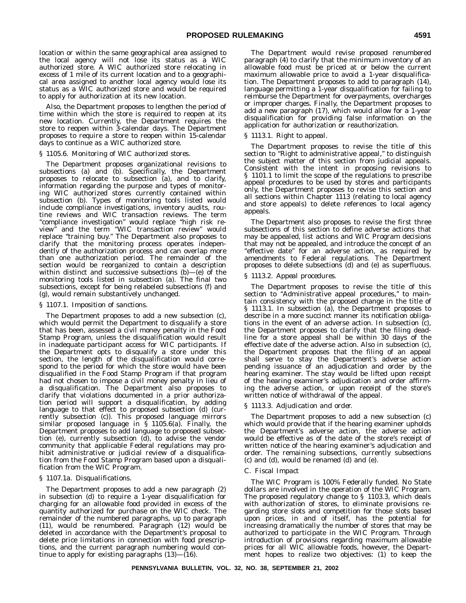location or within the same geographical area assigned to the local agency will not lose its status as a WIC authorized store. A WIC authorized store relocating in excess of 1 mile of its current location and to a geographical area assigned to another local agency would lose its status as a WIC authorized store and would be required to apply for authorization at its new location.

Also, the Department proposes to lengthen the period of time within which the store is required to reopen at its new location. Currently, the Department requires the store to reopen within 3-calendar days. The Department proposes to require a store to reopen within 15-calendar days to continue as a WIC authorized store.

#### *§ 1105.6. Monitoring of WIC authorized stores.*

The Department proposes organizational revisions to subsections (a) and (b). Specifically, the Department proposes to relocate to subsection (a), and to clarify, information regarding the purpose and types of monitoring WIC authorized stores currently contained within subsection (b). Types of monitoring tools listed would include compliance investigations, inventory audits, routine reviews and WIC transaction reviews. The term ''compliance investigation'' would replace ''high risk review'' and the term ''WIC transaction review'' would replace ''training buy.'' The Department also proposes to clarify that the monitoring process operates independently of the authorization process and can overlap more than one authorization period. The remainder of the section would be reorganized to contain a description within distinct and successive subsections (b)—(e) of the monitoring tools listed in subsection (a). The final two subsections, except for being relabeled subsections (f) and (g), would remain substantively unchanged.

#### *§ 1107.1. Imposition of sanctions.*

The Department proposes to add a new subsection (c), which would permit the Department to disqualify a store that has been, assessed a civil money penalty in the Food Stamp Program, unless the disqualification would result in inadequate participant access for WIC participants. If the Department opts to disqualify a store under this section, the length of the disqualification would correspond to the period for which the store would have been disqualified in the Food Stamp Program if that program had not chosen to impose a civil money penalty in lieu of a disqualification. The Department also proposes to clarify that violations documented in a prior authorization period will support a disqualification, by adding language to that effect to proposed subsection (d) (currently subsection (c)). This proposed language mirrors similar proposed language in  $\hat{S}$  1105.6(a). Finally, the Department proposes to add language to proposed subsection (e), currently subsection (d), to advise the vendor community that applicable Federal regulations may prohibit administrative or judicial review of a disqualification from the Food Stamp Program based upon a disqualification from the WIC Program.

#### *§ 1107.1a. Disqualifications.*

The Department proposes to add a new paragraph (2) in subsection (d) to require a 1-year disqualification for charging for an allowable food provided in excess of the quantity authorized for purchase on the WIC check. The remainder of the numbered paragraphs, up to paragraph (11), would be renumbered. Paragraph (12) would be deleted in accordance with the Department's proposal to delete price limitations in connection with food prescriptions, and the current paragraph numbering would continue to apply for existing paragraphs  $(13)$ — $(16)$ .

The Department would revise proposed renumbered paragraph (4) to clarify that the minimum inventory of an allowable food must be priced at or below the current maximum allowable price to avoid a 1-year disqualification. The Department proposes to add to paragraph (14), language permitting a 1-year disqualification for failing to reimburse the Department for overpayments, overcharges or improper charges. Finally, the Department proposes to add a new paragraph (17), which would allow for a 1-year disqualification for providing false information on the application for authorization or reauthorization.

#### *§ 1113.1. Right to appeal.*

The Department proposes to revise the title of this section to "Right to administrative appeal," to distinguish the subject matter of this section from judicial appeals. Consistent with the intent in proposing revisions to § 1101.1 to limit the scope of the regulations to prescribe appeal procedures to be used by stores and participants only, the Department proposes to revise this section and all sections within Chapter 1113 (relating to local agency and store appeals) to delete references to local agency appeals.

The Department also proposes to revise the first three subsections of this section to define adverse actions that may be appealed, list actions and WIC Program decisions that may not be appealed, and introduce the concept of an "effective date" for an adverse action, as required by amendments to Federal regulations. The Department proposes to delete subsections (d) and (e) as superfluous.

#### *§ 1113.2. Appeal procedures.*

The Department proposes to revise the title of this section to "Administrative appeal procedures," to maintain consistency with the proposed change in the title of § 1113.1. In subsection (a), the Department proposes to describe in a more succinct manner its notification obligations in the event of an adverse action. In subsection  $\overline{c}$ , the Department proposes to clarify that the filing deadline for a store appeal shall be within 30 days of the effective date of the adverse action. Also in subsection (c), the Department proposes that the filing of an appeal shall serve to stay the Department's adverse action pending issuance of an adjudication and order by the hearing examiner. The stay would be lifted upon receipt of the hearing examiner's adjudication and order affirming the adverse action, or upon receipt of the store's written notice of withdrawal of the appeal.

#### *§ 1113.3. Adjudication and order.*

The Department proposes to add a new subsection (c) which would provide that if the hearing examiner upholds the Department's adverse action, the adverse action would be effective as of the date of the store's receipt of written notice of the hearing examiner's adjudication and order. The remaining subsections, currently subsections (c) and (d), would be renamed (d) and (e).

#### C. *Fiscal Impact*

The WIC Program is 100% Federally funded. No State dollars are involved in the operation of the WIC Program. The proposed regulatory change to § 1103.3, which deals with authorization of stores, to eliminate provisions regarding store slots and competition for those slots based upon prices, in and of itself, has the potential for increasing dramatically the number of stores that may be authorized to participate in the WIC Program. Through introduction of provisions regarding maximum allowable prices for all WIC allowable foods, however, the Department hopes to realize two objectives: (1) to keep the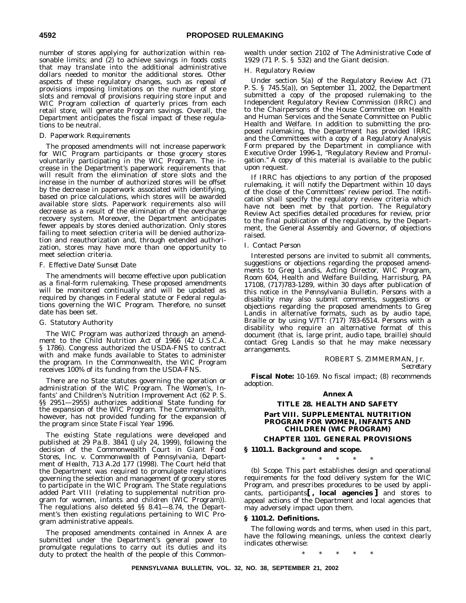number of stores applying for authorization within reasonable limits; and (2) to achieve savings in foods costs that may translate into the additional administrative dollars needed to monitor the additional stores. Other aspects of these regulatory changes, such as repeal of provisions imposing limitations on the number of store slots and removal of provisions requiring store input and WIC Program collection of quarterly prices from each retail store, will generate Program savings. Overall, the Department anticipates the fiscal impact of these regulations to be neutral.

#### D. *Paperwork Requirements*

The proposed amendments will not increase paperwork for WIC Program participants or those grocery stores voluntarily participating in the WIC Program. The increase in the Department's paperwork requirements that will result from the elimination of store slots and the increase in the number of authorized stores will be offset by the decrease in paperwork associated with identifying, based on price calculations, which stores will be awarded available store slots. Paperwork requirements also will decrease as a result of the elimination of the overcharge recovery system. Moreover, the Department anticipates fewer appeals by stores denied authorization. Only stores failing to meet selection criteria will be denied authorization and reauthorization and, through extended authorization, stores may have more than one opportunity to meet selection criteria.

#### F. *Effective Date/Sunset Date*

The amendments will become effective upon publication as a final-form rulemaking. These proposed amendments will be monitored continually and will be updated as required by changes in Federal statute or Federal regulations governing the WIC Program. Therefore, no sunset date has been set.

#### G. *Statutory Authority*

The WIC Program was authorized through an amendment to the Child Nutrition Act of 1966 (42 U.S.C.A. § 1786). Congress authorized the USDA-FNS to contract with and make funds available to States to administer the program. In the Commonwealth, the WIC Program receives 100% of its funding from the USDA-FNS.

There are no State statutes governing the operation or administration of the WIC Program. The Women's, Infants' and Children's Nutrition Improvement Act (62 P. S. §§ 2951—2955) authorizes additional State funding for the expansion of the WIC Program. The Commonwealth, however, has not provided funding for the expansion of the program since State Fiscal Year 1996.

The existing State regulations were developed and published at 29 Pa.B. 3841 (July 24, 1999), following the decision of the Commonwealth Court in *Giant Food Stores, Inc. v. Commonwealth of Pennsylvania, Department of Health*, 713 A.2d 177 (1998). The Court held that the Department was required to promulgate regulations governing the selection and management of grocery stores to participate in the WIC Program. The State regulations added Part VIII (relating to supplemental nutrition program for women, infants and children (WIC Program)). The regulations also deleted §§ 8.41—8.74, the Department's then existing regulations pertaining to WIC Program administrative appeals.

The proposed amendments contained in Annex A are submitted under the Department's general power to promulgate regulations to carry out its duties and its duty to protect the health of the people of this Commonwealth under section 2102 of The Administrative Code of 1929 (71 P. S. § 532) and the *Giant* decision.

#### H. *Regulatory Review*

Under section 5(a) of the Regulatory Review Act (71 P. S. § 745.5(a)), on September 11, 2002, the Department submitted a copy of the proposed rulemaking to the Independent Regulatory Review Commission (IRRC) and to the Chairpersons of the House Committee on Health and Human Services and the Senate Committee on Public Health and Welfare. In addition to submitting the proposed rulemaking, the Department has provided IRRC and the Committees with a copy of a Regulatory Analysis Form prepared by the Department in compliance with Executive Order 1996-1, ''Regulatory Review and Promulgation.'' A copy of this material is available to the public upon request.

If IRRC has objections to any portion of the proposed rulemaking, it will notify the Department within 10 days of the close of the Committees' review period. The notification shall specify the regulatory review criteria which have not been met by that portion. The Regulatory Review Act specifies detailed procedures for review, prior to the final publication of the regulations, by the Department, the General Assembly and Governor, of objections raised.

#### I. *Contact Person*

Interested persons are invited to submit all comments, suggestions or objections regarding the proposed amendments to Greg Landis, Acting Director, WIC Program, Room 604, Health and Welfare Building, Harrisburg, PA 17108, (717)783-1289, within 30 days after publication of this notice in the *Pennsylvania Bulletin*. Persons with a disability may also submit comments, suggestions or objections regarding the proposed amendments to Greg Landis in alternative formats, such as by audio tape, Braille or by using V/TT: (717) 783-6514. Persons with a disability who require an alternative format of this document (that is, large print, audio tape, braille) should contact Greg Landis so that he may make necessary arrangements.

#### ROBERT S. ZIMMERMAN, Jr.

*Secretary*

**Fiscal Note:** 10-169. No fiscal impact; (8) recommends adoption.

#### **Annex A**

#### **TITLE 28. HEALTH AND SAFETY**

#### **Part VIII. SUPPLEMENTAL NUTRITION PROGRAM FOR WOMEN, INFANTS AND CHILDREN (WIC PROGRAM)**

**CHAPTER 1101. GENERAL PROVISIONS**

**§ 1101.1. Background and scope.**

## \*\*\*\*\*

(b) *Scope.* This part establishes design and operational requirements for the food delivery system for the WIC Program, and prescribes procedures to be used by applicants, participants**[ , local agencies ]** and stores to appeal actions of the Department and local agencies that may adversely impact upon them.

#### **§ 1101.2. Definitions.**

The following words and terms, when used in this part, have the following meanings, unless the context clearly indicates otherwise:

\*\*\*\*\*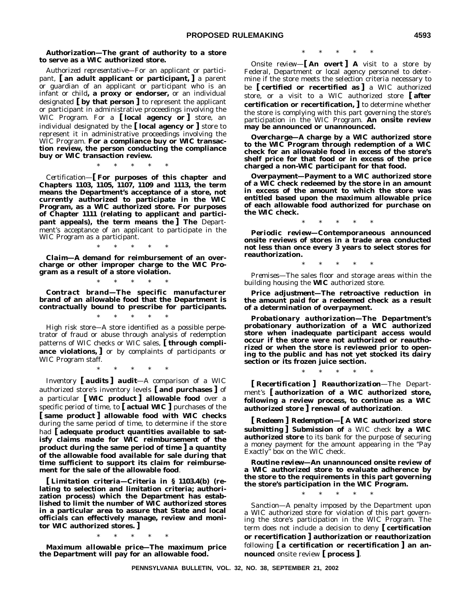#### *Authorization***—The grant of authority to a store to serve as a WIC authorized store.**

*Authorized representative*—For an applicant or participant, **[ an adult applicant or participant, ]** a parent or guardian of an applicant or participant who is an infant or child**, a proxy or endorser,** or an individual designated **[ by that person ]** to represent the applicant or participant in administrative proceedings involving the WIC Program. For a **[ local agency or ]** store, an individual designated by the **[ local agency or ]** store to represent it in administrative proceedings involving the WIC Program. **For a compliance buy or WIC transaction review, the person conducting the compliance buy or WIC transaction review.**

\*\*\*\*\*

*Certification—***[ For purposes of this chapter and Chapters 1103, 1105, 1107, 1109 and 1113, the term means the Department's acceptance of a store, not currently authorized to participate in the WIC Program, as a WIC authorized store. For purposes of Chapter 1111 (relating to applicant and participant appeals), the term means the ] The** Department's acceptance of an applicant to participate in the WIC Program as a participant.

*Claim***—A demand for reimbursement of an overcharge or other improper charge to the WIC Program as a result of a store violation.**

\*\*\*\*\*

\*\*\*\*\*

*Contract brand***—The specific manufacturer brand of an allowable food that the Department is contractually bound to prescribe for participants.**

\*\*\*\*\*

*High risk store*—A store identified as a possible perpetrator of fraud or abuse through analysis of redemption patterns of WIC checks or WIC sales, **[ through compliance violations, ]** or by complaints of participants or WIC Program staff.

\*\*\*\*\*

*Inventory* **[** *audits* **]** *audit*—A comparison of a WIC authorized store's inventory levels **[ and purchases ]** of a particular **[ WIC product ] allowable food** over a specific period of time, to **[ actual WIC ]** purchases of the **[ same product ] allowable food with WIC checks** during the same period of time, to determine if the store had **[ adequate product quantities available to satisfy claims made for WIC reimbursement of the product during the same period of time ] a quantity of the allowable food available for sale during that time sufficient to support its claim for reimbursement for the sale of the allowable food**.

**[** *Limitation criteria***—Criteria in § 1103.4(b) (relating to selection and limitation criteria; authorization process) which the Department has established to limit the number of WIC authorized stores in a particular area to assure that State and local officials can effectively manage, review and monitor WIC authorized stores. ]**

\*\*\*\*\*

*Maximum allowable price***—The maximum price the Department will pay for an allowable food.**

\*\*\*\*\*

*Onsite review—***[ An overt ] A** visit to a store by Federal, Department or local agency personnel to determine if the store meets the selection criteria necessary to be **[ certified or recertified as ]** a WIC authorized store, or a visit to a WIC authorized store **[ after certification or recertification, ]** to determine whether the store is complying with this part governing the store's participation in the WIC Program. **An onsite review may be announced or unannounced.**

*Overcharge***—A charge by a WIC authorized store to the WIC Program through redemption of a WIC check for an allowable food in excess of the store's shelf price for that food or in excess of the price charged a non-WIC participant for that food.**

*Overpayment***—Payment to a WIC authorized store of a WIC check redeemed by the store in an amount in excess of the amount to which the store was entitled based upon the maximum allowable price of each allowable food authorized for purchase on the WIC check.**

\*\*\*\*\*

*Periodic review***—Contemporaneous announced onsite reviews of stores in a trade area conducted not less than once every 3 years to select stores for reauthorization.**

\*\*\*\*\*

*Premises*—The sales floor and storage areas within the building housing the **WIC** authorized store.

*Price adjustment***—The retroactive reduction in the amount paid for a redeemed check as a result of a determination of overpayment.**

*Probationary authorization***—The Department's probationary authorization of a WIC authorized store when inadequate participant access would occur if the store were not authorized or reauthorized or when the store is reviewed prior to opening to the public and has not yet stocked its dairy section or its frozen juice section.**

\*\*\*\*\*

**[** *Recertification* **]** *Reauthorization*—The Department's **[ authorization of a WIC authorized store, following a review process, to continue as a WIC authorized store ] renewal of authorization**.

**[** *Redeem* **]** *Redemption***—[ A WIC authorized store submitting ] Submission of** a WIC check **by a WIC authorized store** to its bank for the purpose of securing a money payment for the amount appearing in the ''Pay Exactly'' box on the WIC check.

*Routine review***—An unannounced onsite review of a WIC authorized store to evaluate adherence by the store to the requirements in this part governing the store's participation in the WIC Program.**

\*\*\*\*\*

*Sanction*—A penalty imposed by the Department upon a WIC authorized store for violation of this part governing the store's participation in the WIC Program. The term does not include a decision to deny **[ certification or recertification ] authorization or reauthorization** following **[ a certification or recertification ] an announced** onsite review **[ process ]**.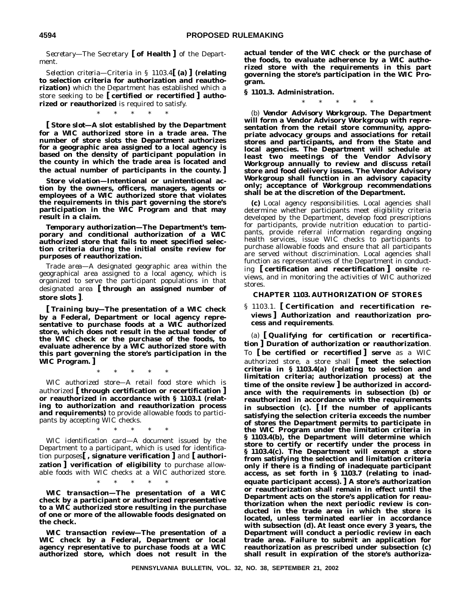*Secretary*—The Secretary **[ of Health ]** of the Department.

*Selection criteria*—Criteria in § 1103.4**[ (a) ] (relating to selection criteria for authorization and reauthorization)** which the Department has established which a store seeking to be **[ certified or recertified ] authorized or reauthorized** is required to satisfy.

\*\*\*\*\*

**[** *Store slot***—A slot established by the Department for a WIC authorized store in a trade area. The number of store slots the Department authorizes for a geographic area assigned to a local agency is based on the density of participant population in the county in which the trade area is located and the actual number of participants in the county. ]**

*Store violation***—Intentional or unintentional action by the owners, officers, managers, agents or employees of a WIC authorized store that violates the requirements in this part governing the store's participation in the WIC Program and that may result in a claim.**

*Temporary authorization***—The Department's temporary and conditional authorization of a WIC authorized store that fails to meet specified selection criteria during the initial onsite review for purposes of reauthorization.**

*Trade area*—A designated geographic area within the geographical area assigned to a local agency, which is organized to serve the participant populations in that designated area **[ through an assigned number of store slots ]**.

**[** *Training buy***—The presentation of a WIC check by a Federal, Department or local agency representative to purchase foods at a WIC authorized store, which does not result in the actual tender of the WIC check or the purchase of the foods, to evaluate adherence by a WIC authorized store with this part governing the store's participation in the WIC Program. ]**

\*\*\*\*\*

*WIC authorized store*—A retail food store which is authorized **[ through certification or recertification ] or reauthorized in accordance with § 1103.1 (relating to authorization and reauthorization process and requirements)** to provide allowable foods to participants by accepting WIC checks.

*WIC identification card*—A document issued by the Department to a participant, which is used for identification purposes**[ , signature verification ]** and **[ authorization ] verification of eligibility** to purchase allowable foods with WIC checks at a WIC authorized store.

\*\*\*\*\*

\*\*\*\*\*

*WIC transaction***—The presentation of a WIC check by a participant or authorized representative to a WIC authorized store resulting in the purchase of one or more of the allowable foods designated on the check.**

*WIC transaction review***—The presentation of a WIC check by a Federal, Department or local agency representative to purchase foods at a WIC authorized store, which does not result in the** **actual tender of the WIC check or the purchase of the foods, to evaluate adherence by a WIC authorized store with the requirements in this part governing the store's participation in the WIC Program.**

**§ 1101.3. Administration.**

\*\*\*\*\*

(b) *Vendor Advisory Workgroup.* **The Department will form a Vendor Advisory Workgroup with representation from the retail store community, appropriate advocacy groups and associations for retail stores and participants, and from the State and local agencies. The Department will schedule at least two meetings of the Vendor Advisory Workgroup annually to review and discuss retail store and food delivery issues. The Vendor Advisory Workgroup shall function in an advisory capacity only; acceptance of Workgroup recommendations shall be at the discretion of the Department.**

**(c)** *Local agency responsibilities.* Local agencies shall determine whether participants meet eligibility criteria developed by the Department, develop food prescriptions for participants, provide nutrition education to participants, provide referral information regarding ongoing health services, issue WIC checks to participants to purchase allowable foods and ensure that all participants are served without discrimination. Local agencies shall function as representatives of the Department in conducting **[ certification and recertification ] onsite** reviews, and in monitoring the activities of WIC authorized stores.

#### **CHAPTER 1103. AUTHORIZATION OF STORES**

§ 1103.1. **[ Certification and recertification reviews ] Authorization and reauthorization process and requirements**.

(a) **[** *Qualifying for certification or recertification* **]** *Duration of authorization or reauthorization*. To **[ be certified or recertified ] serve** as a WIC authorized store, a store shall **[ meet the selection criteria in § 1103.4(a) (relating to selection and limitation criteria; authorization process) at the time of the onsite review ] be authorized in accordance with the requirements in subsection (b) or reauthorized in accordance with the requirements in subsection (c). [ If the number of applicants satisfying the selection criteria exceeds the number of stores the Department permits to participate in the WIC Program under the limitation criteria in § 1103.4(b), the Department will determine which store to certify or recertify under the process in § 1103.4(c). The Department will exempt a store from satisfying the selection and limitation criteria only if there is a finding of inadequate participant access, as set forth in § 1103.7 (relating to inadequate participant access). ] A store's authorization or reauthorization shall remain in effect until the Department acts on the store's application for reauthorization when the next periodic review is conducted in the trade area in which the store is located, unless terminated earlier in accordance with subsection (d). At least once every 3 years, the Department will conduct a periodic review in each trade area. Failure to submit an application for reauthorization as prescribed under subsection (c) shall result in expiration of the store's authoriza-**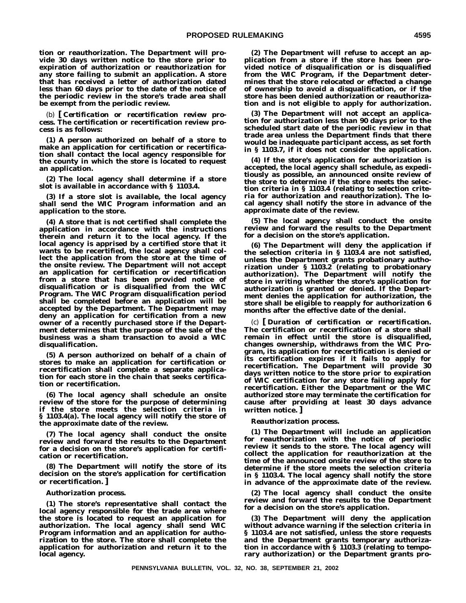**tion or reauthorization. The Department will provide 30 days written notice to the store prior to expiration of authorization or reauthorization for any store failing to submit an application. A store that has received a letter of authorization dated less than 60 days prior to the date of the notice of the periodic review in the store's trade area shall be exempt from the periodic review.**

(b) **[** *Certification or recertification review process.* **The certification or recertification review process is as follows:**

**(1) A person authorized on behalf of a store to make an application for certification or recertification shall contact the local agency responsible for the county in which the store is located to request an application.**

**(2) The local agency shall determine if a store slot is available in accordance with § 1103.4.**

**(3) If a store slot is available, the local agency shall send the WIC Program information and an application to the store.**

**(4) A store that is not certified shall complete the application in accordance with the instructions therein and return it to the local agency. If the local agency is apprised by a certified store that it wants to be recertified, the local agency shall collect the application from the store at the time of the onsite review. The Department will not accept an application for certification or recertification from a store that has been provided notice of disqualification or is disqualified from the WIC Program. The WIC Program disqualification period shall be completed before an application will be accepted by the Department. The Department may deny an application for certification from a new owner of a recently purchased store if the Department determines that the purpose of the sale of the business was a sham transaction to avoid a WIC disqualification.**

**(5) A person authorized on behalf of a chain of stores to make an application for certification or recertification shall complete a separate application for each store in the chain that seeks certification or recertification.**

**(6) The local agency shall schedule an onsite review of the store for the purpose of determining if the store meets the selection criteria in § 1103.4(a). The local agency will notify the store of the approximate date of the review.**

**(7) The local agency shall conduct the onsite review and forward the results to the Department for a decision on the store's application for certification or recertification.**

**(8) The Department will notify the store of its decision on the store's application for certification or recertification. ]**

#### *Authorization process.*

**(1) The store's representative shall contact the local agency responsible for the trade area where the store is located to request an application for authorization. The local agency shall send WIC Program information and an application for authorization to the store. The store shall complete the application for authorization and return it to the local agency.**

**(2) The Department will refuse to accept an application from a store if the store has been provided notice of disqualification or is disqualified from the WIC Program, if the Department determines that the store relocated or effected a change of ownership to avoid a disqualification, or if the store has been denied authorization or reauthorization and is not eligible to apply for authorization.**

**(3) The Department will not accept an application for authorization less than 90 days prior to the scheduled start date of the periodic review in that trade area unless the Department finds that there would be inadequate participant access, as set forth in § 1103.7, if it does not consider the application.**

**(4) If the store's application for authorization is accepted, the local agency shall schedule, as expeditiously as possible, an announced onsite review of the store to determine if the store meets the selection criteria in § 1103.4 (relating to selection criteria for authorization and reauthorization). The local agency shall notify the store in advance of the approximate date of the review.**

**(5) The local agency shall conduct the onsite review and forward the results to the Department for a decision on the store's application.**

**(6) The Department will deny the application if the selection criteria in § 1103.4 are not satisfied, unless the Department grants probationary authorization under § 1103.2 (relating to probationary authorization). The Department will notify the store in writing whether the store's application for authorization is granted or denied. If the Department denies the application for authorization, the store shall be eligible to reapply for authorization 6 months after the effective date of the denial.**

(c) **[** *Duration of certification or recertification.* **The certification or recertification of a store shall remain in effect until the store is disqualified, changes ownership, withdraws from the WIC Program, its application for recertification is denied or its certification expires if it fails to apply for recertification. The Department will provide 30 days written notice to the store prior to expiration of WIC certification for any store failing apply for recertification. Either the Department or the WIC authorized store may terminate the certification for cause after providing at least 30 days advance written notice. ]**

#### *Reauthorization process.*

**(1) The Department will include an application for reauthorization with the notice of periodic review it sends to the store. The local agency will collect the application for reauthorization at the time of the announced onsite review of the store to determine if the store meets the selection criteria in § 1103.4. The local agency shall notify the store in advance of the approximate date of the review.**

**(2) The local agency shall conduct the onsite review and forward the results to the Department for a decision on the store's application.**

**(3) The Department will deny the application without advance warning if the selection criteria in § 1103.4 are not satisfied, unless the store requests and the Department grants temporary authorization in accordance with § 1103.3 (relating to temporary authorization) or the Department grants pro-**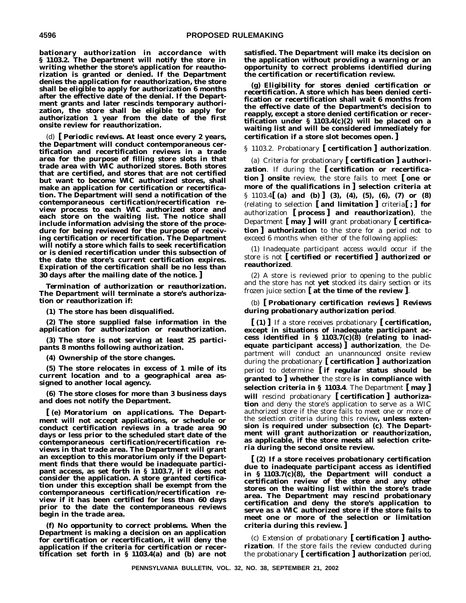**bationary authorization in accordance with § 1103.2. The Department will notify the store in writing whether the store's application for reauthorization is granted or denied. If the Department denies the application for reauthorization, the store shall be eligible to apply for authorization 6 months after the effective date of the denial. If the Department grants and later rescinds temporary authorization, the store shall be eligible to apply for authorization 1 year from the date of the first onsite review for reauthorization.**

(d) **[** *Periodic reviews.* **At least once every 2 years, the Department will conduct contemporaneous certification and recertification reviews in a trade area for the purpose of filling store slots in that trade area with WIC authorized stores. Both stores that are certified, and stores that are not certified but want to become WIC authorized stores, shall make an application for certification or recertification. The Department will send a notification of the contemporaneous certification/recertification review process to each WIC authorized store and each store on the waiting list. The notice shall include information advising the store of the procedure for being reviewed for the purpose of receiving certification or recertification. The Department will notify a store which fails to seek recertification or is denied recertification under this subsection of the date the store's current certification expires. Expiration of the certification shall be no less than 30 days after the mailing date of the notice. ]**

*Termination of authorization or reauthorization.* **The Department will terminate a store's authorization or reauthorization if:**

**(1) The store has been disqualified.**

**(2) The store supplied false information in the application for authorization or reauthorization.**

**(3) The store is not serving at least 25 participants 8 months following authorization.**

**(4) Ownership of the store changes.**

**(5) The store relocates in excess of 1 mile of its current location and to a geographical area assigned to another local agency.**

**(6) The store closes for more than 3 business days and does not notify the Department.**

**[ (e)** *Moratorium on applications.* **The Department will not accept applications, or schedule or conduct certification reviews in a trade area 90 days or less prior to the scheduled start date of the contemporaneous certification/recertification reviews in that trade area. The Department will grant an exception to this moratorium only if the Department finds that there would be inadequate participant access, as set forth in § 1103.7, if it does not consider the application. A store granted certification under this exception shall be exempt from the contemporaneous certification/recertification review if it has been certified for less than 60 days prior to the date the contemporaneous reviews begin in the trade area.**

**(f)** *No opportunity to correct problems.* **When the Department is making a decision on an application for certification or recertification, it will deny the application if the criteria for certification or recertification set forth in § 1103.4(a) and (b) are not**

**satisfied. The Department will make its decision on the application without providing a warning or an opportunity to correct problems identified during the certification or recertification review.**

**(g)** *Eligibility for stores denied certification or recertification.* **A store which has been denied certification or recertification shall wait 6 months from the effective date of the Department's decision to reapply, except a store denied certification or recertification under § 1103.4(c)(2) will be placed on a waiting list and will be considered immediately for certification if a store slot becomes open. ]**

§ 1103.2. Probationary **[ certification ] authorization**.

(a) *Criteria for probationary* **[** *certification* **]** *authorization*. If during the **[ certification or recertification ] onsite** review, the store fails to meet **[ one or more of the qualifications in ] selection criteria at** § 1103.4**[ (a) and (b) ] (3), (4), (5), (6), (7) or (8)** (relating to selection **[ and limitation ]** criteria**[ ; ] for** authorization **[ process ] and reauthorization)**, the Department **[ may ] will** grant probationary **[ certification ] authorization** to the store for a period not to exceed 6 months when either of the following applies:

(1) Inadequate participant access would occur if the store is not **[ certified or recertified ] authorized or reauthorized**.

(2) A store is reviewed prior to opening to the public and the store has not **yet** stocked its dairy section or its frozen juice section **[ at the time of the review ]**.

## (b) **[** *Probationary certification reviews* **]** *Reviews during probationary authorization period*.

**[ (1) ]** If a store receives probationary **[ certification, except in situations of inadequate participant access identified in § 1103.7(c)(8) (relating to inadequate participant access) ] authorization**, the Department will conduct an unannounced onsite review during the probationary **[ certification ] authorization** period to determine **[ if regular status should be granted to ] whether** the store **is in compliance with selection criteria in § 1103.4**. The Department **[ may ] will** rescind probationary **[ certification ] authorization** and deny the store's application to serve as a WIC authorized store if the store fails to meet one or more of the selection criteria during this review**, unless extension is required under subsection (c)**. **The Department will grant authorization or reauthorization, as applicable, if the store meets all selection criteria during the second onsite review.**

**[ (2) If a store receives probationary certification due to inadequate participant access as identified in § 1103.7(c)(8), the Department will conduct a certification review of the store and any other stores on the waiting list within the store's trade area. The Department may rescind probationary certification and deny the store's application to serve as a WIC authorized store if the store fails to meet one or more of the selection or limitation criteria during this review. ]**

(c) *Extension of probationary* **[** *certification* **]** *authorization*. If the store fails the review conducted during the probationary **[ certification ] authorization** period,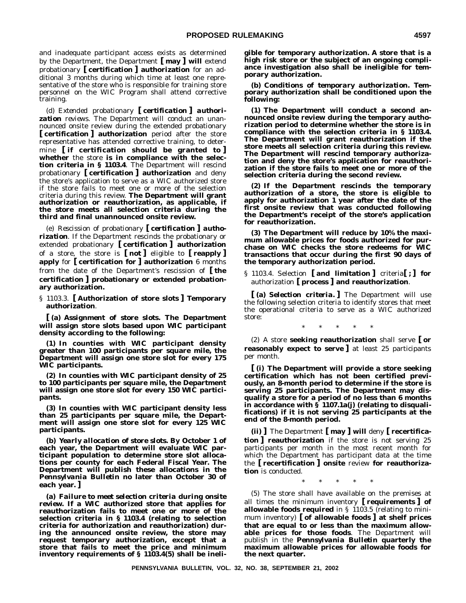and inadequate participant access exists as determined by the Department, the Department **[ may ] will** extend probationary **[ certification ] authorization** for an additional 3 months during which time at least one representative of the store who is responsible for training store personnel on the WIC Program shall attend corrective training.

(d) *Extended probationary* **[** *certification* **]** *authorization reviews*. The Department will conduct an unannounced onsite review during the extended probationary **[ certification ] authorization** period after the store representative has attended corrective training, to determine **[ if certification should be granted to ] whether** the store **is in compliance with the selection criteria in § 1103.4**. The Department will rescind probationary **[ certification ] authorization** and deny the store's application to serve as a WIC authorized store if the store fails to meet one or more of the selection criteria during this review. **The Department will grant authorization or reauthorization, as applicable, if the store meets all selection criteria during the third and final unannounced onsite review.**

(e) *Rescission of probationary* **[** *certification* **]** *authorization*. If the Department rescinds the probationary or extended probationary **[ certification ] authorization** of a store, the store is **[ not ]** eligible to **[ reapply ] apply** for **[ certification for ] authorization** 6 months from the date of the Department's rescission of **[ the certification ] probationary or extended probationary authorization.**

§ 1103.3. **[ Authorization of store slots ] Temporary authorization**.

**[ (a)** *Assignment of store slots.* **The Department will assign store slots based upon WIC participant density according to the following:**

**(1) In counties with WIC participant density greater than 100 participants per square mile, the Department will assign one store slot for every 175 WIC participants.**

**(2) In counties with WIC participant density of 25 to 100 participants per square mile, the Department will assign one store slot for every 150 WIC participants.**

**(3) In counties with WIC participant density less than 25 participants per square mile, the Department will assign one store slot for every 125 WIC participants.**

**(b)** *Yearly allocation of store slots.* **By October 1 of each year, the Department will evaluate WIC participant population to determine store slot allocations per county for each Federal Fiscal Year. The Department will publish these allocations in the** *Pennsylvania Bulletin* **no later than October 30 of each year. ]**

**(a)** *Failure to meet selection criteria during onsite review.* **If a WIC authorized store that applies for reauthorization fails to meet one or more of the selection criteria in § 1103.4 (relating to selection criteria for authorization and reauthorization) during the announced onsite review, the store may request temporary authorization, except that a store that fails to meet the price and minimum inventory requirements of § 1103.4(5) shall be ineli-** **gible for temporary authorization. A store that is a high risk store or the subject of an ongoing compliance investigation also shall be ineligible for temporary authorization.**

**(b)** *Conditions of temporary authorization.* **Temporary authorization shall be conditioned upon the following:**

**(1) The Department will conduct a second announced onsite review during the temporary authorization period to determine whether the store is in compliance with the selection criteria in § 1103.4. The Department will grant reauthorization if the store meets all selection criteria during this review. The Department will rescind temporary authorization and deny the store's application for reauthorization if the store fails to meet one or more of the selection criteria during the second review.**

**(2) If the Department rescinds the temporary authorization of a store, the store is eligible to apply for authorization 1 year after the date of the first onsite review that was conducted following the Department's receipt of the store's application for reauthorization.**

**(3) The Department will reduce by 10% the maximum allowable prices for foods authorized for purchase on WIC checks the store redeems for WIC transactions that occur during the first 90 days of the temporary authorization period.**

§ 1103.4. Selection **[ and limitation ]** criteria**[ ; ] for** authorization **[ process ] and reauthorization**.

**[ (a)** *Selection criteria.* **]** The Department will use the following selection criteria to identify stores that meet the operational criteria to serve as a WIC authorized store:

\*\*\*\*\*

(2) A store **seeking reauthorization** shall serve **[ or reasonably expect to serve ]** at least 25 participants per month.

**[ (i) The Department will provide a store seeking certification which has not been certified previously, an 8-month period to determine if the store is serving 25 participants. The Department may disqualify a store for a period of no less than 6 months in accordance with § 1107.1a(j) (relating to disqualifications) if it is not serving 25 participants at the end of the 8-month period.**

**(ii) ]** The Department **[ may ] will** deny **[ recertification ] reauthorization** if the store is not serving 25 participants per month in the most recent month for which the Department has participant data at the time the **[ recertification ] onsite** review **for reauthorization** is conducted.

\*\*\*\*\*

(5) The store shall have available on the premises at all times the minimum inventory **[ requirements ] of allowable foods required** in § 1103.5 (relating to minimum inventory) **[ of allowable foods ] at shelf prices that are equal to or less than the maximum allowable prices for those foods**. The Department will publish in the *Pennsylvania Bulletin* **quarterly the maximum allowable prices for allowable foods for the next quarter.**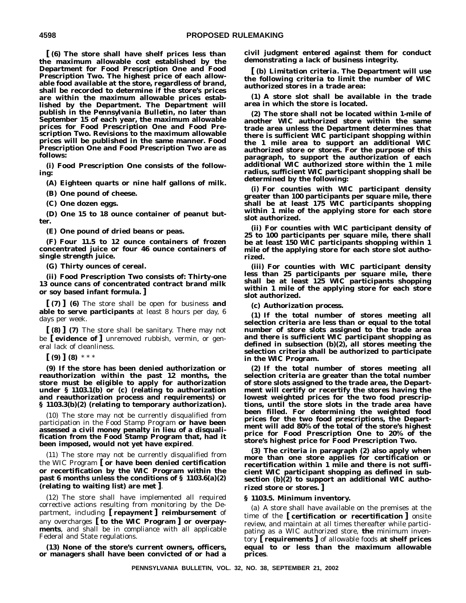**[ (6) The store shall have shelf prices less than the maximum allowable cost established by the Department for Food Prescription One and Food Prescription Two. The highest price of each allowable food available at the store, regardless of brand, shall be recorded to determine if the store's prices are within the maximum allowable prices established by the Department. The Department will publish in the** *Pennsylvania Bulletin***, no later than September 15 of each year, the maximum allowable prices for Food Prescription One and Food Prescription Two. Revisions to the maximum allowable prices will be published in the same manner. Food Prescription One and Food Prescription Two are as follows:**

**(i) Food Prescription One consists of the following:**

**(A) Eighteen quarts or nine half gallons of milk.**

**(B) One pound of cheese.**

**(C) One dozen eggs.**

**(D) One 15 to 18 ounce container of peanut butter.**

**(E) One pound of dried beans or peas.**

**(F) Four 11.5 to 12 ounce containers of frozen concentrated juice or four 46 ounce containers of single strength juice.**

**(G) Thirty ounces of cereal.**

**(ii) Food Prescription Two consists of: Thirty-one 13 ounce cans of concentrated contract brand milk or soy based infant formula. ]**

**[ (7) ] (6)** The store shall be open for business **and able to serve participants** at least 8 hours per day, 6 days per week.

**[ (8) ] (7)** The store shall be sanitary. There may not be **[ evidence of ]** unremoved rubbish, vermin, or general lack of cleanliness.

**[ (9) ] (8)** \*\*\*

**(9) If the store has been denied authorization or reauthorization within the past 12 months, the store must be eligible to apply for authorization under § 1103.1(b) or (c) (relating to authorization and reauthorization process and requirements) or § 1103.3(b)(2) (relating to temporary authorization).**

(10) The store may not be currently disqualified from participation in the Food Stamp Program **or have been assessed a civil money penalty in lieu of a disqualification from the Food Stamp Program that, had it been imposed, would not yet have expired**.

(11) The store may not be currently disqualified from the WIC Program **[ or have been denied certification or recertification by the WIC Program within the past 6 months unless the conditions of § 1103.6(a)(2) (relating to waiting list) are met ]**.

(12) The store shall have implemented all required corrective actions resulting from monitoring by the Department, including **[ repayment ] reimbursement** of any overcharges **[ to the WIC Program ] or overpayments**, and shall be in compliance with all applicable Federal and State regulations.

**(13) None of the store's current owners, officers, or managers shall have been convicted of or had a** **civil judgment entered against them for conduct demonstrating a lack of business integrity.**

**[ (b)** *Limitation criteria.* **The Department will use the following criteria to limit the number of WIC authorized stores in a trade area:**

**(1) A store slot shall be available in the trade area in which the store is located.**

**(2) The store shall not be located within 1-mile of another WIC authorized store within the same trade area unless the Department determines that there is sufficient WIC participant shopping within the 1 mile area to support an additional WIC authorized store or stores. For the purpose of this paragraph, to support the authorization of each additional WIC authorized store within the 1 mile radius, sufficient WIC participant shopping shall be determined by the following:**

**(i) For counties with WIC participant density greater than 100 participants per square mile, there shall be at least 175 WIC participants shopping within 1 mile of the applying store for each store slot authorized.**

**(ii) For counties with WIC participant density of 25 to 100 participants per square mile, there shall be at least 150 WIC participants shopping within 1 mile of the applying store for each store slot authorized.**

**(iii) For counties with WIC participant density less than 25 participants per square mile, there shall be at least 125 WIC participants shopping within 1 mile of the applying store for each store slot authorized.**

**(c)** *Authorization process.*

**(1) If the total number of stores meeting all selection criteria are less than or equal to the total number of store slots assigned to the trade area and there is sufficient WIC participant shopping as defined in subsection (b)(2), all stores meeting the selection criteria shall be authorized to participate in the WIC Program.**

**(2) If the total number of stores meeting all selection criteria are greater than the total number of store slots assigned to the trade area, the Department will certify or recertify the stores having the lowest weighted prices for the two food prescriptions, until the store slots in the trade area have been filled. For determining the weighted food prices for the two food prescriptions, the Department will add 80% of the total of the store's highest price for Food Prescription One to 20% of the store's highest price for Food Prescription Two.**

**(3) The criteria in paragraph (2) also apply when more than one store applies for certification or recertification within 1 mile and there is not sufficient WIC participant shopping as defined in subsection (b)(2) to support an additional WIC authorized store or stores. ]**

#### **§ 1103.5. Minimum inventory.**

(a) A store shall have available on the premises at the time of the **[ certification or recertification ]** onsite review, and maintain at all times thereafter while participating as a WIC authorized store, **the** minimum inventory **[ requirements ]** of allowable foods **at shelf prices equal to or less than the maximum allowable prices**.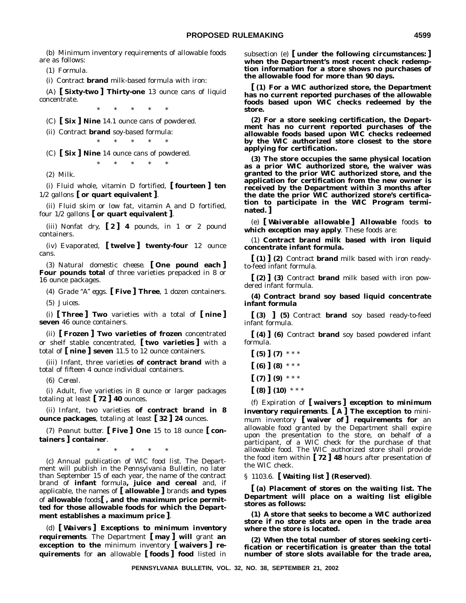(b) Minimum inventory requirements of allowable foods are as follows:

(1) *Formula.*

(i) Contract **brand** milk-based formula with iron:

(A) **[ Sixty-two ] Thirty-one** 13 ounce cans of liquid concentrate.  $*$ 

(C) **[ Six ] Nine** 14.1 ounce cans of powdered.

(ii) Contract **brand** soy-based formula:

\*\*\*\*\*

(C) **[ Six ] Nine** 14 ounce cans of powdered. \*\*\*\*\*

(2) *Milk.*

(i) Fluid whole, vitamin D fortified, **[ fourteen ] ten** 1/2 gallons **[ or quart equivalent ]**.

(ii) Fluid skim or low fat, vitamin A and D fortified, four 1/2 gallons **[ or quart equivalent ]**.

(iii) Nonfat dry, **[ 2 ] 4** pounds, in 1 or 2 pound containers.

(iv) Evaporated, **[ twelve ] twenty-four** 12 ounce cans.

(3) *Natural domestic cheese.* **[ One pound each ] Four pounds total** of three varieties prepacked in 8 or 16 ounce packages.

(4) *Grade ''A'' eggs.* **[ Five ] Three**, 1 dozen containers.

(5) *Juices.*

(i) **[ Three ] Two** varieties with a total of **[ nine ] seven** 46 ounce containers.

(ii) **[ Frozen ] Two varieties of frozen** concentrated or shelf stable concentrated, **[ two varieties ]** with a total of **[ nine ] seven** 11.5 to 12 ounce containers.

(iii) Infant, three varieties **of contract brand** with a total of fifteen 4 ounce individual containers.

(6) *Cereal.*

(i) Adult, five varieties in 8 ounce or larger packages totaling at least **[ 72 ] 40** ounces.

(ii) Infant, two varieties **of contract brand in 8 ounce packages**, totaling at least **[ 32 ] 24** ounces.

(7) *Peanut butter.* **[ Five ] One** 15 to 18 ounce **[ containers ] container**.

\*\*\*\*\*

(c) *Annual publication of WlC food list.* The Department will publish in the *Pennsylvania Bulletin*, no later than September 15 of each year, the name of the contract brand of **infant** formula**, juice and cereal** and, if applicable, the names of **[ allowable ]** brands **and types** of **allowable** foods**[ , and the maximum price permitted for those allowable foods for which the Department establishes a maximum price ]**.

(d) **[** *Waivers* **]** *Exceptions to minimum inventory requirements*. The Department **[ may ] will** grant **an exception to the** minimum inventory **[ waivers ] requirements** for **an** allowable **[ foods ] food** listed in

subsection (e) **[ under the following circumstances: ] when the Department's most recent check redemption information for a store shows no purchases of the allowable food for more than 90 days.**

**[ (1) For a WIC authorized store, the Department has no current reported purchases of the allowable foods based upon WIC checks redeemed by the store.**

**(2) For a store seeking certification, the Department has no current reported purchases of the allowable foods based upon WIC checks redeemed by the WIC authorized store closest to the store applying for certification.**

**(3) The store occupies the same physical location as a prior WIC authorized store, the waiver was granted to the prior WIC authorized store, and the application for certification from the new owner is received by the Department within 3 months after the date the prior WIC authorized store's certification to participate in the WIC Program terminated. ]**

(e) **[** *Waiverable allowable* **]** *Allowable foods to which exception may apply*. These foods are:

(1) **Contract brand milk based with iron liquid concentrate infant formula.**

**[ (1) ] (2)** Contract **brand** milk based with iron readyto-feed infant formula.

**[ (2) ] (3)** Contract **brand** milk based with iron powdered infant formula.

**(4) Contract brand soy based liquid concentrate infant formula**

**[ (3) ] (5)** Contract **brand** soy based ready-to-feed infant formula.

**[ (4) ] (6)** Contract **brand** soy based powdered infant formula.

 $\lceil (5) \rceil$  (7) \*\*\*  $(6)$   $(8)$  \*\*\*  $\left[ (7) \right] (9)$  \*\*\*  $(8)$   $(10)$  \*\*\*

(f) *Expiration of* **[** *waivers* **]** *exception to minimum inventory requirements*. **[ A ] The exception to** minimum inventory **[ waiver of ] requirements for** an allowable food granted by the Department shall expire upon the presentation to the store, on behalf of a participant, of a WIC check for the purchase of that allowable food. The WIC authorized store shall provide the food item within **[ 72 ] 48** hours after presentation of the WIC check.

§ 1103.6. **[ Waiting list ] (Reserved)**.

**[ (a)** *Placement of stores on the waiting list.* **The Department will place on a waiting list eligible stores as follows:**

**(1) A store that seeks to become a WIC authorized store if no store slots are open in the trade area where the store is located.**

**(2) When the total number of stores seeking certification or recertification is greater than the total number of store slots available for the trade area,**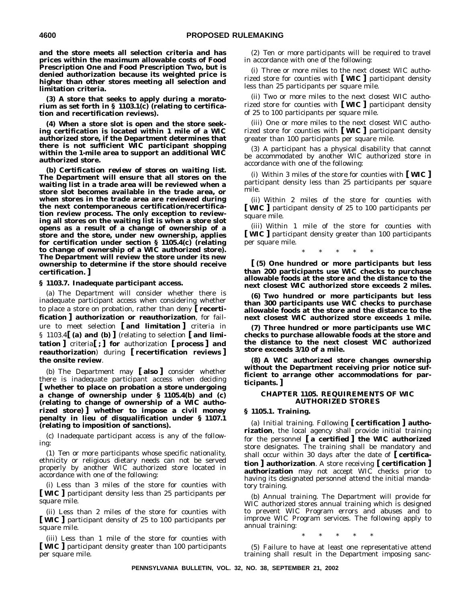**and the store meets all selection criteria and has prices within the maximum allowable costs of Food Prescription One and Food Prescription Two, but is denied authorization because its weighted price is higher than other stores meeting all selection and limitation criteria.**

**(3) A store that seeks to apply during a moratorium as set forth in § 1103.1(c) (relating to certification and recertification reviews).**

**(4) When a store slot is open and the store seeking certification is located within 1 mile of a WIC authorized store, if the Department determines that there is not sufficient WIC participant shopping within the 1-mile area to support an additional WIC authorized store.**

**(b)** *Certification review of stores on waiting list.* **The Department will ensure that all stores on the waiting list in a trade area will be reviewed when a store slot becomes available in the trade area, or when stores in the trade area are reviewed during the next contemporaneous certification/recertification review process. The only exception to reviewing all stores on the waiting list is when a store slot opens as a result of a change of ownership of a store and the store, under new ownership, applies for certification under section § 1105.4(c) (relating to change of ownership of a WIC authorized store). The Department will review the store under its new ownership to determine if the store should receive certification. ]**

**§ 1103.7. Inadequate participant access.**

(a) The Department will consider whether there is inadequate participant access when considering whether to place a store on probation, rather than deny **[ recertification ] authorization or reauthorization**, for failure to meet selection **[ and limitation ]** criteria in § 1103.4**[ (a) and (b) ]** (relating to selection **[ and limitation ]** criteria**[ ; ] for** authorization **[ process ] and reauthorization**) during **[ recertification reviews ] the onsite review**.

(b) The Department may **[ also ]** consider whether there is inadequate participant access when deciding **[ whether to place on probation a store undergoing a change of ownership under § 1105.4(b) and (c) (relating to change of ownership of a WIC authorized store) ] whether to impose a civil money penalty in lieu of disqualification under § 1107.1 (relating to imposition of sanctions).**

(c) Inadequate participant access is any of the following:

(1) Ten or more participants whose specific nationality, ethnicity or religious dietary needs can not be served properly by another WIC authorized store located in accordance with one of the following:

(i) Less than 3 miles of the store for counties with **[ WIC ]** participant density less than 25 participants per square mile.

(ii) Less than 2 miles of the store for counties with **[ WIC ]** participant density of 25 to 100 participants per square mile.

(iii) Less than 1 mile of the store for counties with **[ WIC ]** participant density greater than 100 participants per square mile.

(2) Ten or more participants will be required to travel in accordance with one of the following:

(i) Three or more miles to the next closest WIC authorized store for counties with **[ WIC ]** participant density less than 25 participants per square mile.

(ii) Two or more miles to the next closest WIC authorized store for counties with **[ WIC ]** participant density of 25 to 100 participants per square mile.

(iii) One or more miles to the next closest WIC authorized store for counties with **[ WIC ]** participant density greater than 100 participants per square mile.

(3) A participant has a physical disability that cannot be accommodated by another WIC authorized store in accordance with one of the following:

(i) Within 3 miles of the store for counties with **[ WIC ]** participant density less than 25 participants per square mile.

(ii) Within 2 miles of the store for counties with **[ WIC ]** participant density of 25 to 100 participants per square mile.

(iii) Within 1 mile of the store for counties with **[ WIC ]** participant density greater than 100 participants per square mile.

\*\*\*\*\*

**[ (5) One hundred or more participants but less than 200 participants use WIC checks to purchase allowable foods at the store and the distance to the next closest WIC authorized store exceeds 2 miles.**

**(6) Two hundred or more participants but less than 300 participants use WIC checks to purchase allowable foods at the store and the distance to the next closest WIC authorized store exceeds 1 mile.**

**(7) Three hundred or more participants use WIC checks to purchase allowable foods at the store and the distance to the next closest WIC authorized store exceeds 3/10 of a mile.**

**(8) A WIC authorized store changes ownership without the Department receiving prior notice sufficient to arrange other accommodations for participants. ]**

#### **CHAPTER 1105. REQUIREMENTS OF WIC AUTHORIZED STORES**

#### **§ 1105.1. Training.**

(a) *Initial training.* Following **[ certification ] authorization**, the local agency shall provide initial training for the personnel **[ a certified ] the WIC authorized** store designates. The training shall be mandatory and shall occur within 30 days after the date of **[ certification ] authorization**. A store receiving **[ certification ] authorization** may not accept WIC checks prior to having its designated personnel attend the initial mandatory training.

(b) *Annual training.* The Department will provide for WIC authorized stores annual training which is designed to prevent WIC Program errors and abuses and to improve WIC Program services. The following apply to annual training:

\*\*\*\*\*

(5) Failure to have at least one representative attend training shall result in the Department imposing sanc-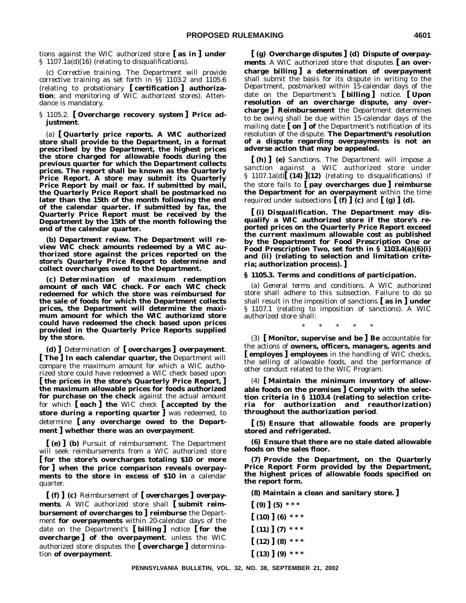tions against the WIC authorized store **[ as in ] under** § 1107.1a(d)(16) (relating to disqualifications).

(c) *Corrective training.* The Department will provide corrective training as set forth in §§ 1103.2 and 1105.6 (relating to probationary **[ certification ] authorization**; and monitoring of WIC authorized stores). Attendance is mandatory.

§ 1105.2. **[ Overcharge recovery system ] Price adjustment**.

(a) **[** *Quarterly price reports***. A WIC authorized store shall provide to the Department, in a format prescribed by the Department, the highest prices the store charged for allowable foods during the previous quarter for which the Department collects prices. The report shall be known as the Quarterly Price Report. A store may submit its Quarterly Price Report by mail or fax. If submitted by mail, the Quarterly Price Report shall be postmarked no later than the 15th of the month following the end of the calendar quarter. If submitted by fax, the Quarterly Price Report must be received by the Department by the 15th of the month following the end of the calendar quarter.**

**(b)** *Department review.* **The Department will review WIC check amounts redeemed by a WIC authorized store against the prices reported on the store's Quarterly Price Report to determine and collect overcharges owed to the Department.**

**(c)** *Determination of maximum redemption amount of each WIC check.* **For each WIC check redeemed for which the store was reimbursed for the sale of foods for which the Department collects prices, the Department will determine the maximum amount for which the WIC authorized store could have redeemed the check based upon prices provided in the Quarterly Price Reports supplied by the store.**

**(d) ]** *Determination of* **[** *overcharges* **]** *overpayment*. **[ The ] In each calendar quarter, the** Department will compare the maximum amount for which a WIC authorized store could have redeemed a WIC check based upon **[ the prices in the store's Quarterly Price Report, ] the maximum allowable prices for foods authorized for purchase on the check** against the actual amount for which **[ each ] the** WIC check **[ accepted by the store during a reporting quarter ]** was redeemed, to determine **[ any overcharge owed to the Department ] whether there was an overpayment**.

**[ (e) ] (b)** *Pursuit of reimbursement.* The Department will seek reimbursements from a WIC authorized store **[ for the store's overcharges totaling \$10 or more for ] when the price comparison reveals overpayments to the store in excess of \$10 in** a calendar quarter.

**[ (f) ] (c)** *Reimbursement of* **[** *overcharges* **]** *overpayments*. A WIC authorized store shall **[ submit reimbursement of overcharges to ] reimburse** the Department **for overpayments** within 20-calendar days of the date on the Department's **[ billing ]** notice **[ for the overcharge ] of the overpayment**, unless the WIC authorized store disputes the **[ overcharge ]** determination **of overpayment**.

**[ (g)** *Overcharge disputes* **] (d)** *Dispute of overpayments*. A WIC authorized store that disputes **[ an overcharge billing ] a determination of overpayment** shall submit the basis for its dispute in writing to the Department, postmarked within 15-calendar days of the date on the Department's **[ billing ]** notice. **[ Upon resolution of an overcharge dispute, any overcharge ] Reimbursement** the Department determines to be owing shall be due within 15-calendar days of the mailing date **[ on ] of** the Department's notification of its resolution of the dispute. **The Department's resolution of a dispute regarding overpayments is not an adverse action that may be appealed.**

**[ (h) ] (e)** *Sanctions.* The Department will impose a sanction against a WIC authorized store under § 1107.1a(d)**[ (14) ](12)** (relating to disqualifications) if the store fails to **[ pay overcharges due ] reimburse the Department for an overpayment** within the time required under subsections  $[(f) \cdot \phi]$  (c) and  $[(g) \cdot \phi]$  (d).

**[ (i)** *Disqualification.* **The Department may disqualify a WIC authorized store if the store's reported prices on the Quarterly Price Report exceed the current maximum allowable cost as published by the Department for Food Prescription One or Food Prescription Two, set forth in § 1103.4(a)(6)(i) and (ii) (relating to selection and limitation criteria; authorization process). ]**

#### **§ 1105.3. Terms and conditions of participation.**

(a) *General terms and conditions.* A WIC authorized store shall adhere to this subsection. Failure to do so shall result in the imposition of sanctions **[ as in ] under** § 1107.1 (relating to imposition of sanctions). A WIC authorized store shall:

\*\*\*\*\*

(3) **[ Monitor, supervise and be ] Be** accountable for the actions of **owners, officers, managers, agents and [ employes ] employees** in the handling of WIC checks, the selling of allowable foods, and the performance of other conduct related to the WIC Program.

(4) **[ Maintain the minimum inventory of allowable foods on the premises ] Comply with the selection criteria in § 1103.4 (relating to selection criteria for authorization and reauthorization) throughout the authorization period**.

**[ (5) Ensure that allowable foods are properly stored and refrigerated.**

**(6) Ensure that there are no stale dated allowable foods on the sales floor.**

**(7) Provide the Department, on the Quarterly Price Report Form provided by the Department, the highest prices of allowable foods specified on the report form.**

**(8) Maintain a clean and sanitary store. ]**

**[ (9) ] (5) \* \* \* [ (10) ] (6) \* \* \* [ (11) ] (7) \* \* \* [ (12) ] (8) \* \* \* [ (13) ] (9) \* \* \***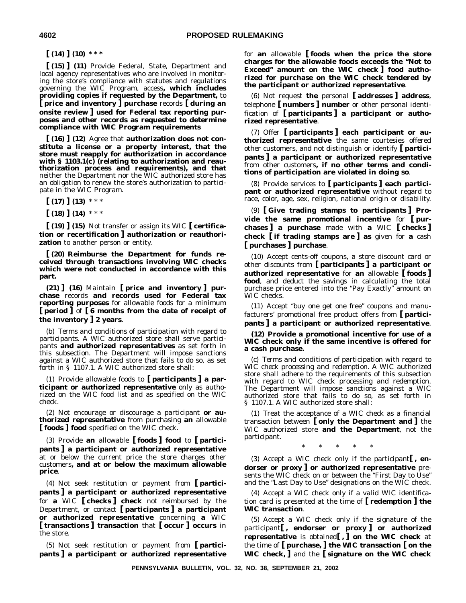**[ (14) ] (10) \* \* \***

**[ (15) ] (11)** Provide Federal, State, Department and local agency representatives who are involved in monitoring the store's compliance with statutes and regulations governing the WIC Program, access**, which includes providing copies if requested by the Department,** to **[ price and inventory ] purchase** records **[ during an onsite review ] used for Federal tax reporting purposes and other records as requested to determine compliance with WIC Program requirements**

**[ (16) ] (12)** Agree that **authorization does not constitute a license or a property interest, that the store must reapply for authorization in accordance with § 1103.1(c) (relating to authorization and reauthorization process and requirements), and that** neither the Department nor the WIC authorized store has an obligation to renew the store's authorization to participate in the WIC Program.

 $\lceil (17) \rceil (13)$  \*\*\*

**[ (18) ] (14)** \*\*\*

**[ (19) ] (15)** Not transfer or assign its WIC **[ certification or recertification ] authorization or reauthorization** to another person or entity.

**[ (20) Reimburse the Department for funds received through transactions involving WIC checks which were not conducted in accordance with this part.**

**(21) ] (16)** Maintain **[ price and inventory ] purchase** records **and records used for Federal tax reporting purposes** for allowable foods for a minimum **[ period ]** of **[ 6 months from the date of receipt of the inventory ] 2 years**.

(b) *Terms and conditions of participation with regard to participants.* A WIC authorized store shall serve participants **and authorized representatives** as set forth in this subsection. The Department will impose sanctions against a WIC authorized store that fails to do so, as set forth in § 1107.1. A WIC authorized store shall:

(1) Provide allowable foods to **[ participants ] a participant or authorized representative** only as authorized on the WIC food list and as specified on the WIC check.

(2) Not encourage or discourage a participant **or authorized representative** from purchasing **an** allowable **[ foods ] food** specified on the WIC check.

(3) Provide **an** allowable **[ foods ] food** to **[ participants ] a participant or authorized representative** at or below the current price the store charges other customers**, and at or below the maximum allowable price**.

(4) Not seek restitution or payment from **[ participants ] a participant or authorized representative** for **a** WIC **[ checks ] check** not reimbursed by the Department, or contact **[ participants ] a participant or authorized representative** concerning **a** WIC **[ transactions ] transaction** that **[ occur ] occurs** in the store.

(5) Not seek restitution or payment from **[ participants ] a participant or authorized representative** for **an** allowable **[ foods when the price the store charges for the allowable foods exceeds the ''Not to Exceed'' amount on the WIC check ] food authorized for purchase on the WIC check tendered by the participant or authorized representative**.

(6) Not request **the** personal **[ addresses ] address**, telephone **[ numbers ] number** or other personal identification of **[ participants ] a participant or authorized representative**.

(7) Offer **[ participants ] each participant or authorized representative** the same courtesies offered other customers, and not distinguish or identify **[ participants ] a participant or authorized representative** from other customers**, if no other terms and conditions of participation are violated in doing so**.

(8) Provide services to **[ participants ] each participant or authorized representative** without regard to race, color, age, sex, religion, national origin or disability.

(9) **[ Give trading stamps to participants ] Provide the same promotional incentive** for **[ purchases ] a purchase** made with **a** WIC **[ checks ] check [ if trading stamps are ] as** given for **a** cash **[ purchases ] purchase**.

(10) Accept cents-off coupons, a store discount card or other discounts from **[ participants ] a participant or authorized representative** for **an** allowable **[ foods ] food**, and deduct the savings in calculating the total purchase price entered into the ''Pay Exactly'' amount on WIC checks.

(11) Accept ''buy one get one free'' coupons and manufacturers' promotional free product offers from **[ participants ] a participant or authorized representative**.

**(12) Provide a promotional incentive for use of a WIC check only if the same incentive is offered for a cash purchase.**

(c) *Terms and conditions of participation with regard to WIC check processing and redemption*. A WIC authorized store shall adhere to the requirements of this subsection with regard to WIC check processing and redemption. The Department will impose sanctions against a WIC authorized store that fails to do so, as set forth in § 1107.1. A WIC authorized store shall:

(1) Treat the acceptance of a WIC check as a financial transaction between **[ only the Department and ]** the WIC authorized store **and the Department**, not the participant.

\*\*\*\*\*

(3) Accept a WIC check only if the participant**[ , endorser or proxy ] or authorized representative** presents the WIC check on or between the "First Day to Use" and the "Last Day to Use" designations on the WIC check.

(4) Accept a WIC check only if a valid WIC identification card is presented at the time of **[ redemption ] the WIC transaction**.

(5) Accept a WIC check only if the signature of the participant**[ , endorser or proxy ] or authorized representative** is obtained**[ , ] on the WIC check** at the time of **[ purchase, ] the WIC transaction [ on the WIC check, ]** and the **[ signature on the WIC check**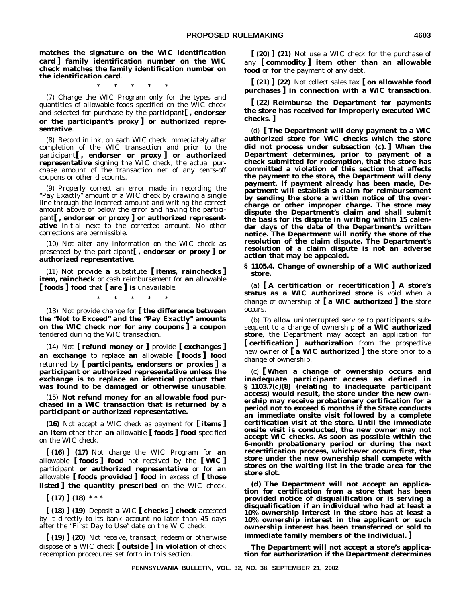**matches the signature on the WIC identification card ] family identification number on the WIC check matches the family identification number on the identification card**.

\*\*\*\*\*

(7) Charge the WIC Program only for the types and quantities of allowable foods specified on the WIC check and selected for purchase by the participant**[ , endorser or the participant's proxy ] or authorized representative**.

(8) Record in ink, on each WIC check immediately after completion of the WIC transaction and prior to the participant**[ , endorser or proxy ] or authorized representative** signing the WIC check, the actual purchase amount of the transaction net of any cents-off coupons or other discounts.

(9) Properly correct an error made in recording the "Pay Exactly" amount of a WIC check by drawing a single line through the incorrect amount and writing the correct amount above or below the error and having the participant**[ , endorser or proxy ] or authorized representative** initial next to the corrected amount. No other corrections are permissible.

(10) Not alter any information on the WIC check as presented by the participant**[ , endorser or proxy ] or authorized representative**.

(11) Not provide **a** substitute **[ items, rainchecks ] item, raincheck** or cash reimbursement for **an** allowable **[ foods ] food** that **[ are ] is** unavailable.

\*\*\*\*\*

(13) Not provide change for **[ the difference between the ''Not to Exceed'' and the ''Pay Exactly'' amounts on the WIC check nor for any coupons ] a coupon** tendered during the WIC transaction.

(14) Not **[ refund money or ]** provide **[ exchanges ] an exchange** to replace **an** allowable **[ foods ] food** returned by **[ participants, endorsers or proxies ] a participant or authorized representative unless the exchange is to replace an identical product that was found to be damaged or otherwise unusable**.

(15) **Not refund money for an allowable food purchased in a WIC transaction that is returned by a participant or authorized representative.**

**(16)** Not accept a WIC check as payment for **[ items ] an item** other than **an** allowable **[ foods ] food** specified on the WIC check.

**[ (16) ] (17)** Not charge the WIC Program for **an** allowable **[ foods ] food** not received by the **[ WIC ]** participant **or authorized representative** or for **an** allowable **[ foods provided ] food** in excess of **[ those listed ] the quantity prescribed** on the WIC check.

**[ (17) ] (18)** \*\*\*

**[ (18) ] (19)** Deposit **a** WIC **[ checks ] check** accepted by it directly to its bank account no later than 45 days after the "First Day to Use" date on the WIC check.

**[ (19) ] (20)** Not receive, transact, redeem or otherwise dispose of a WIC check **[ outside ] in violation** of check redemption procedures set forth in this section.

**[ (20) ] (21)** Not use a WIC check for the purchase of any **[ commodity ] item other than an allowable food** or **for** the payment of any debt.

**[ (21) ] (22)** Not collect sales tax **[ on allowable food purchases ] in connection with a WIC transaction**.

**[ (22) Reimburse the Department for payments the store has received for improperly executed WIC checks. ]**

(d) **[ The Department will deny payment to a WIC authorized store for WIC checks which the store did not process under subsection (c). ] When the Department determines, prior to payment of a check submitted for redemption, that the store has committed a violation of this section that affects the payment to the store, the Department will deny payment. If payment already has been made, Department will establish a claim for reimbursement by sending the store a written notice of the overcharge or other improper charge. The store may dispute the Department's claim and shall submit the basis for its dispute in writing within 15 calendar days of the date of the Department's written notice. The Department will notify the store of the resolution of the claim dispute. The Department's resolution of a claim dispute is not an adverse action that may be appealed.**

**§ 1105.4. Change of ownership of a WIC authorized store.**

(a) **[ A certification or recertification ] A store's status as a WIC authorized store** is void when a change of ownership of **[ a WIC authorized ] the** store occurs.

(b) To allow uninterrupted service to participants subsequent to a change of ownership **of a WIC authorized store**, the Department may accept an application for **[ certification ] authorization** from the prospective new owner of **[ a WIC authorized ] the** store prior to a change of ownership.

(c) **[ When a change of ownership occurs and inadequate participant access as defined in § 1103.7(c)(8) (relating to inadequate participant access) would result, the store under the new ownership may receive probationary certification for a period not to exceed 6 months if the State conducts an immediate onsite visit followed by a complete certification visit at the store. Until the immediate onsite visit is conducted, the new owner may not accept WIC checks. As soon as possible within the 6-month probationary period or during the next recertification process, whichever occurs first, the store under the new ownership shall compete with stores on the waiting list in the trade area for the store slot.**

**(d) The Department will not accept an application for certification from a store that has been provided notice of disqualification or is serving a disqualification if an individual who had at least a 10% ownership interest in the store has at least a 10% ownership interest in the applicant or such ownership interest has been transferred or sold to immediate family members of the individual. ]**

**The Department will not accept a store's application for authorization if the Department determines**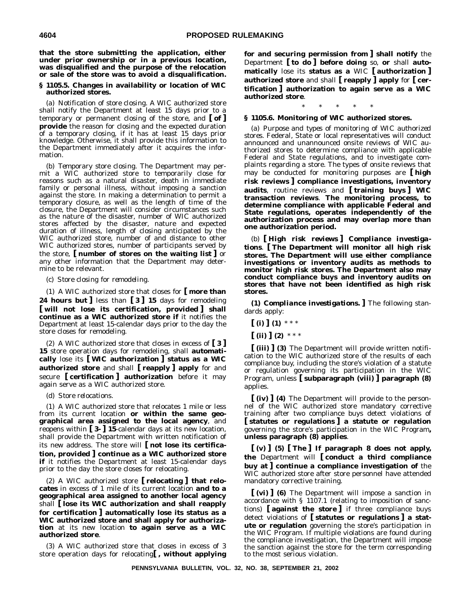**that the store submitting the application, either under prior ownership or in a previous location, was disqualified and the purpose of the relocation or sale of the store was to avoid a disqualification.**

#### **§ 1105.5. Changes in availability or location of WIC authorized stores.**

(a) *Notification of store closing.* A WIC authorized store shall notify the Department at least 15 days prior to a temporary or permanent closing of the store, and **[ of ] provide** the reason for closing and the expected duration of a temporary closing, if it has at least 15 days prior knowledge. Otherwise, it shall provide this information to the Department immediately after it acquires the information.

(b) *Temporary store closing.* The Department may permit a WIC authorized store to temporarily close for reasons such as a natural disaster, death in immediate family or personal illness, without imposing a sanction against the store. In making a determination to permit a temporary closure, as well as the length of time of the closure, the Department will consider circumstances such as the nature of the disaster, number of WIC authorized stores affected by the disaster, nature and expected duration of illness, length of closing anticipated by the WIC authorized store, number of and distance to other WIC authorized stores, number of participants served by the store, **[ number of stores on the waiting list ]** or any other information that the Department may determine to be relevant.

#### (c) *Store closing for remodeling.*

(1) A WIC authorized store that closes for **[ more than 24 hours but ]** less than **[ 3 ] 15** days for remodeling **[ will not lose its certification, provided ] shall continue as a WIC authorized store if** it notifies the Department at least 15-calendar days prior to the day the store closes for remodeling.

(2) A WIC authorized store that closes in excess of **[ 3 ] 15** store operation days for remodeling, shall **automatically** lose its **[ WIC authorization ] status as a WIC authorized store** and shall **[ reapply ] apply** for and secure **[ certification ] authorization** before it may again serve as a WIC authorized store.

#### (d) *Store relocations.*

(1) A WIC authorized store that relocates 1 mile or less from its current location **or within the same geographical area assigned to the local agency**, and reopens within **[ 3- ] 15**-calendar days at its new location, shall provide the Department with written notification of its new address. The store will **[ not lose its certification, provided ] continue as a WIC authorized store if** it notifies the Department at least 15-calendar days prior to the day the store closes for relocating.

(2) A WIC authorized store **[ relocating ] that relocates** in excess of 1 mile of its current location **and to a geographical area assigned to another local agency** shall **[ lose its WIC authorization and shall reapply for certification ] automatically lose its status as a WIC authorized store and shall apply for authorization** at its new location **to again serve as a WIC authorized store**.

(3) A WIC authorized store that closes in excess of 3 store operation days for relocating**[ , without applying** **for and securing permission from ] shall notify** the Department **[ to do ] before doing** so, **or** shall **automatically** lose its **status as a** WIC **[ authorization ] authorized store** and shall **[ reapply ] apply** for **[ certification ] authorization to again serve as a WIC authorized store**.

#### \*\*\*\*\*

#### **§ 1105.6. Monitoring of WIC authorized stores.**

(a) *Purpose and types of monitoring of WIC authorized stores.* Federal, State or local representatives will conduct announced and unannounced onsite reviews of WIC authorized stores to determine compliance with applicable Federal and State regulations, and to investigate complaints regarding a store. The types of onsite reviews that may be conducted for monitoring purposes are **[ high risk reviews ] compliance investigations, inventory audits**, routine reviews and **[ training buys ] WIC transaction reviews**. **The monitoring process, to determine compliance with applicable Federal and State regulations, operates independently of the authorization process and may overlap more than one authorization period.**

(b) **[** *High risk reviews* **]** *Compliance investigations*. **[ The Department will monitor all high risk stores. The Department will use either compliance investigations or inventory audits as methods to monitor high risk stores. The Department also may conduct compliance buys and inventory audits on stores that have not been identified as high risk stores.**

**(1)** *Compliance investigations.* **]** The following standards apply:

- **[ (i) ] (1)** \*\*\*
- $\left[ \text{ (ii) } (2) \; * \; * \; * \right]$

**[ (iii) ] (3)** The Department will provide written notification to the WIC authorized store of the results of each compliance buy, including the store's violation of a statute or regulation governing its participation in the WIC Program, unless **[ subparagraph (viii) ] paragraph (8)** applies.

**[ (iv) ] (4)** The Department will provide to the personnel of the WIC authorized store mandatory corrective training after two compliance buys detect violations of **[ statutes or regulations ] a statute or regulation** governing the store's participation in the WIC Program**, unless paragraph (8) applies**.

**[ (v) ] (5) [ The ] If paragraph 8 does not apply, the** Department will **[ conduct a third compliance buy at ] continue a compliance investigation of** the WIC authorized store after store personnel have attended mandatory corrective training.

**[ (vi) ] (6)** The Department will impose a sanction in accordance with § 1107.1 (relating to imposition of sanctions) **[ against the store ]** if three compliance buys detect violations of **[ statutes or regulations ] a statute or regulation** governing the store's participation in the WIC Program. If multiple violations are found during the compliance investigation, the Department will impose the sanction against the store for the term corresponding to the most serious violation.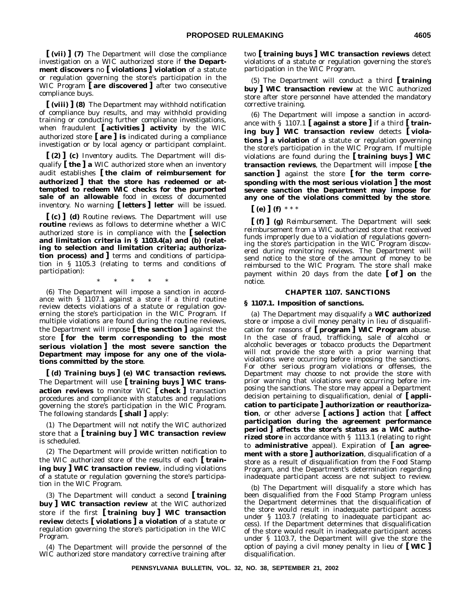**[ (vii) ] (7)** The Department will close the compliance investigation on a WIC authorized store if **the Department discovers** no **[ violations ] violation** of a statute or regulation governing the store's participation in the WIC Program **[ are discovered ]** after two consecutive compliance buys.

**[ (viii) ] (8)** The Department may withhold notification of compliance buy results, and may withhold providing training or conducting further compliance investigations, when fraudulent **[ activities ] activity** by the WIC authorized store **[ are ] is** indicated during a compliance investigation or by local agency or participant complaint.

**[ (2) ] (c)** *Inventory audits.* The Department will disqualify **[ the ] a** WIC authorized store when an inventory audit establishes **[ the claim of reimbursement for authorized ] that the store has redeemed or attempted to redeem WIC checks for the purported sale of an allowable** food in excess of documented inventory. No warning **[ letters ] letter** will be issued.

**[ (c) ] (d)** *Routine reviews.* The Department will use **routine** reviews as follows to determine whether a WIC authorized store is in compliance with the **[ selection and limitation criteria in § 1103.4(a) and (b) (relating to selection and limitation criteria; authorization process) and ]** terms and conditions of participation in § 1105.3 (relating to terms and conditions of participation):

\*\*\*\*\*

(6) The Department will impose a sanction in accordance with § 1107.1 against a store if a third routine review detects violations of a statute or regulation governing the store's participation in the WIC Program. If multiple violations are found during the routine reviews, the Department will impose **[ the sanction ]** against the store **[ for the term corresponding to the most serious violation ] the most severe sanction the Department may impose for any one of the violations committed by the store**.

**[ (d)** *Training buys* **] (e)** *WIC transaction reviews.* The Department will use **[ training buys ] WIC transaction reviews** to monitor WIC **[ check ]** transaction procedures and compliance with statutes and regulations governing the store's participation in the WIC Program. The following standards **[ shall ]** apply:

(1) The Department will not notify the WIC authorized store that a **[ training buy ] WIC transaction review** is scheduled.

(2) The Department will provide written notification to the WIC authorized store of the results of each **[ training buy ] WIC transaction review**, including violations of a statute or regulation governing the store's participation in the WIC Program.

(3) The Department will conduct a second **[ training buy ] WIC transaction review** at the WIC authorized store if the first **[ training buy ] WIC transaction review** detects **[ violations ] a violation** of a statute or regulation governing the store's participation in the WIC Program.

(4) The Department will provide the personnel of the WIC authorized store mandatory corrective training after two **[ training buys ] WIC transaction reviews** detect violations of a statute or regulation governing the store's participation in the WIC Program.

(5) The Department will conduct a third **[ training buy ] WIC transaction review** at the WIC authorized store after store personnel have attended the mandatory corrective training.

(6) The Department will impose a sanction in accordance with § 1107.1 **[ against a store ]** if a third **[ training buy ] WIC transaction review** detects **[ violations ] a violation** of a statute or regulation governing the store's participation in the WIC Program. If multiple violations are found during the **[ training buys ] WIC transaction reviews**, the Department will impose **[ the sanction ]** against the store **[ for the term corresponding with the most serious violation ] the most severe sanction the Department may impose for any one of the violations committed by the store**.

**[ (e) ] (f)** \*\*\*

**[ (f) ] (g)** *Reimbursement.* The Department will seek reimbursement from a WIC authorized store that received funds improperly due to a violation of regulations governing the store's participation in the WIC Program discovered during monitoring reviews. The Department will send notice to the store of the amount of money to be reimbursed to the WIC Program. The store shall make payment within 20 days from the date **[ of ] on** the notice.

#### **CHAPTER 1107. SANCTIONS**

#### **§ 1107.1. Imposition of sanctions.**

(a) The Department may disqualify a **WIC authorized** store or impose a civil money penalty in lieu of disqualification for reasons of **[ program ] WIC Program** abuse. In the case of fraud, trafficking, sale of alcohol or alcoholic beverages or tobacco products the Department will not provide the store with a prior warning that violations were occurring before imposing the sanctions. For other serious program violations or offenses, the Department may choose to not provide the store with prior warning that violations were occurring before imposing the sanctions. The store may appeal a Department decision pertaining to disqualification, denial of **[ application to participate ] authorization or reauthorization**, or other adverse **[ actions ] action** that **[ affect participation during the agreement performance period ] affects the store's status as a WIC authorized store** in accordance with § 1113.1 (relating to right to **administrative** appeal). Expiration of **[ an agreement with a store ] authorization**, disqualification of a store as a result of disqualification from the Food Stamp Program, and the Department's determination regarding inadequate participant access are not subject to review.

(b) The Department will disqualify a store which has been disqualified from the Food Stamp Program unless the Department determines that the disqualification of the store would result in inadequate participant access under § 1103.7 (relating to inadequate participant access). If the Department determines that disqualification of the store would result in inadequate participant access under § 1103.7, the Department will give the store the option of paying a civil money penalty in lieu of **[ WIC ]** disqualification.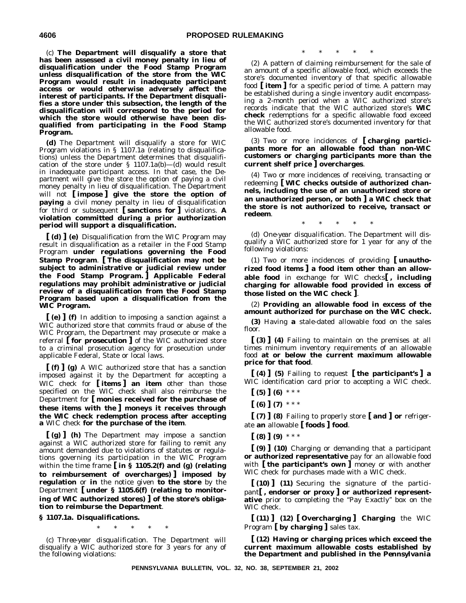(c) **The Department will disqualify a store that has been assessed a civil money penalty in lieu of disqualification under the Food Stamp Program unless disqualification of the store from the WIC Program would result in inadequate participant access or would otherwise adversely affect the interest of participants. If the Department disqualifies a store under this subsection, the length of the disqualification will correspond to the period for which the store would otherwise have been disqualified from participating in the Food Stamp Program.**

**(d)** The Department will disqualify a store for WIC Program violations in § 1107.1a (relating to disqualifications) unless the Department determines that disqualification of the store under  $\S$  1107.1a(b)-(d) would result in inadequate participant access. In that case, the Department will give the store the option of paying a civil money penalty in lieu of disqualification. The Department will not **[ impose ] give the store the option of paying** a civil money penalty in lieu of disqualification for third or subsequent **[ sanctions for ]** violations. **A violation committed during a prior authorization period will support a disqualification.**

**[ (d) ] (e)** Disqualification from the WIC Program may result in disqualification as a retailer in the Food Stamp Program **under regulations governing the Food Stamp Program**. **[ The disqualification may not be subject to administrative or judicial review under the Food Stamp Program. ] Applicable Federal regulations may prohibit administrative or judicial review of a disqualification from the Food Stamp Program based upon a disqualification from the WIC Program.**

**[ (e) ] (f)** In addition to imposing a sanction against a WIC authorized store that commits fraud or abuse of the WIC Program, the Department may prosecute or make a referral **[ for prosecution ]** of the WIC authorized store to a criminal prosecution agency for prosecution under applicable Federal, State or local laws.

**[ (f) ] (g)** A WIC authorized store that has a sanction imposed against it by the Department for accepting a WIC check for **[ items ] an item** other than those specified on the WIC check shall also reimburse the Department for **[ monies received for the purchase of these items with the ] moneys it receives through the WIC check redemption process after accepting a** WIC check **for the purchase of the item**.

**[ (g) ] (h)** The Department may impose a sanction against a WIC authorized store for failing to remit any amount demanded due to violations of statutes or regulations governing its participation in the WIC Program within the time frame **[ in § 1105.2(f) and (g) (relating to reimbursement of overcharges) ] imposed by regulation** or **in** the notice given **to the store** by the Department **[ under § 1105.6(f) (relating to monitoring of WIC authorized stores) ] of the store's obligation to reimburse the Department**.

#### **§ 1107.1a. Disqualifications.**

\*\*\*\*\*

(c) *Three-year disqualification.* The Department will disqualify a WIC authorized store for 3 years for any of the following violations:

\*\*\*\*\*

(2) A pattern of claiming reimbursement for the sale of an amount of a specific allowable food, which exceeds the store's documented inventory of that specific allowable food **[ item ]** for a specific period of time. A pattern may be established during a single inventory audit encompassing a 2-month period when a WIC authorized store's records indicate that the WIC authorized store's **WIC check** redemptions for a specific allowable food exceed the WIC authorized store's documented inventory for that allowable food.

(3) Two or more incidences of **[ charging participants more for an allowable food than non-WIC customers or charging participants more than the current shelf price ] overcharges**.

(4) Two or more incidences of receiving, transacting or redeeming **[ WIC checks outside of authorized channels, including the use of an unauthorized store or an unauthorized person, or both ] a WIC check that the store is not authorized to receive, transact or redeem**.

\*\*\*\*\*

(d) *One-year disqualification.* The Department will disqualify a WIC authorized store for 1 year for any of the following violations:

(1) Two or more incidences of providing **[ unauthorized food items ] a food item other than an allowable food** in exchange for WIC checks**[ , including charging for allowable food provided in excess of those listed on the WIC check ]**.

(2) **Providing an allowable food in excess of the amount authorized for purchase on the WIC check.**

**(3)** Having **a** stale-dated allowable food on the sales floor.

**[ (3) ] (4)** Failing to maintain on the premises at all times minimum inventory requirements of an allowable food **at or below the current maximum allowable price for that food**.

**[ (4) ] (5)** Failing to request **[ the participant's ] a** WIC identification card prior to accepting a WIC check.

- $\left[ (5) \right] (6)$  \*\*\*
- $[(6)]$   $(7)$  \*\*\*

**[ (7) ] (8)** Failing to properly store **[ and ] or** refrigerate **an** allowable **[ foods ] food**.

 $(8)$   $(9)$  \*\*\*

**[ (9) ] (10)** Charging or demanding that a participant **or authorized representative** pay for an allowable food with **[ the participant's own ]** money or with another WIC check for purchases made with a WIC check.

**[ (10) ] (11)** Securing the signature of the participant**[ , endorser or proxy ] or authorized representative** prior to completing the "Pay Exactly" box on the WIC check.

**[ (11) ] (12) [ Overcharging ] Charging** the WIC Program **[ by charging ]** sales tax.

**[ (12) Having or charging prices which exceed the current maximum allowable costs established by the Department and published in the** *Pennsylvania*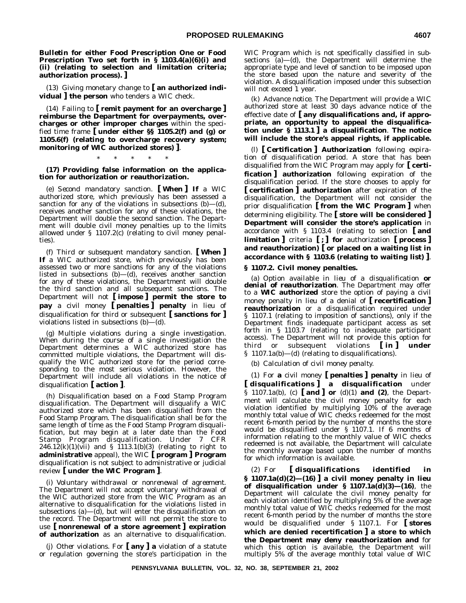*Bulletin* **for either Food Prescription One or Food Prescription Two set forth in § 1103.4(a)(6)(i) and (ii) (relating to selection and limitation criteria; authorization process). ]**

(13) Giving monetary change to **[ an authorized individual ] the person** who tenders a WIC check.

(14) Failing to **[ remit payment for an overcharge ] reimburse the Department for overpayments, overcharges or other improper charges** within the specified time frame **[ under either §§ 1105.2(f) and (g) or 1105.6(f) (relating to overcharge recovery system; monitoring of WIC authorized stores) ]**.

#### \*\*\*\*\*

**(17) Providing false information on the application for authorization or reauthorization.**

(e) *Second mandatory sanction.* **[ When ] If** a WIC authorized store, which previously has been assessed a sanction for any of the violations in subsections  $(b)$ — $(d)$ , receives another sanction for any of these violations, the Department will double the second sanction. The Department will double civil money penalties up to the limits allowed under § 1107.2(c) (relating to civil money penalties).

(f) *Third or subsequent mandatory sanction.* **[ When ] If** a WIC authorized store, which previously has been assessed two or more sanctions for any of the violations listed in subsections (b)—(d), receives another sanction for any of these violations, the Department will double the third sanction and all subsequent sanctions. The Department will not **[ impose ] permit the store to pay** a civil money **[ penalties ] penalty** in lieu of disqualification for third or subsequent **[ sanctions for ]** violations listed in subsections (b)—(d).

(g) *Multiple violations during a single investigation.* When during the course of a single investigation the Department determines a WIC authorized store has committed multiple violations, the Department will disqualify the WIC authorized store for the period corresponding to the most serious violation. However, the Department will include all violations in the notice of disqualification **[ action ]**.

(h) *Disqualification based on a Food Stamp Program disqualification.* The Department will disqualify a WIC authorized store which has been disqualified from the Food Stamp Program. The disqualification shall be for the same length of time as the Food Stamp Program disqualification, but may begin at a later date than the Food Stamp Program disqualification. Under 7 CFR  $246.12(k)(1)(vii)$  and § 1113.1(b)(3) (relating to right to **administrative** appeal), the WIC **[ program ] Program** disqualification is not subject to administrative or judicial review **[ under the WIC Program ]**.

(i) *Voluntary withdrawal or nonrenewal of agreement.* The Department will not accept voluntary withdrawal of the WIC authorized store from the WIC Program as an alternative to disqualification for the violations listed in subsections  $(a)$ — $(d)$ , but will enter the disqualification on the record. The Department will not permit the store to use **[ nonrenewal of a store agreement ] expiration of authorization** as an alternative to disqualification.

(j) *Other violations.* For **[ any ] a** violation of a statute or regulation governing the store's participation in the WIC Program which is not specifically classified in subsections (a)—(d), the Department will determine the appropriate type and level of sanction to be imposed upon the store based upon the nature and severity of the violation. A disqualification imposed under this subsection will not exceed 1 year.

(k) *Advance notice.* The Department will provide a WIC authorized store at least 30 days advance notice of the effective date of **[ any disqualifications and, if appropriate, an opportunity to appeal the disqualification under § 1113.1 ] a disqualification**. **The notice will include the store's appeal rights, if applicable.**

(l) **[** *Certification* **]** *Authorization following expiration of disqualification period.* A store that has been disqualified from the WIC Program may apply for **[ certification ] authorization** following expiration of the disqualification period. If the store chooses to apply for **[ certification ] authorization** after expiration of the disqualification, the Department will not consider the prior disqualification **[ from the WIC Program ]** when determining eligibility. The **[ store will be considered ] Department will consider the store's application** in accordance with § 1103.4 (relating to selection **[ and limitation ]** criteria **[ ; ] for** authorization **[ process ] and reauthorization) [ or placed on a waiting list in accordance with § 1103.6 (relating to waiting list) ]**.

#### **§ 1107.2. Civil money penalties.**

(a) *Option available in lieu of a disqualification or denial of reauthorization*. The Department may offer to a **WIC authorized** store the option of paying a civil money penalty in lieu of a denial of **[ recertification ] reauthorization** or a disqualification required under § 1107.1 (relating to imposition of sanctions), only if the Department finds inadequate participant access as set forth in § 1103.7 (relating to inadequate participant access). The Department will not provide this option for third or subsequent violations **[ in ] under** § 1107.1a(b)—(d) (relating to disqualifications).

(b) *Calculation of civil money penalty.*

(1) For **a** civil money **[ penalties ] penalty** in lieu of **[ disqualifications ] a disqualification** under § 1107.1a(b), (c) **[ and ] or** (d)(1) **and (2)**, the Department will calculate the civil money penalty for each violation identified by multiplying 10% of the average monthly total value of WIC checks redeemed for the most recent 6-month period by the number of months the store would be disqualified under § 1107.1. If 6 months of information relating to the monthly value of WIC checks redeemed is not available, the Department will calculate the monthly average based upon the number of months for which information is available.

(2) For **[ disqualifications identified in § 1107.1a(d)(2)—(16) ] a civil money penalty in lieu of disqualification under § 1107.1a(d)(3)—(16)**, the Department will calculate the civil money penalty for each violation identified by multiplying 5% of the average monthly total value of WIC checks redeemed for the most recent 6-month period by the number of months the store would be disqualified under § 1107.1. For **[ stores which are denied recertification ] a store to which the Department may deny reauthorization and** for which this option is available, the Department will multiply 5% of the average monthly total value of WIC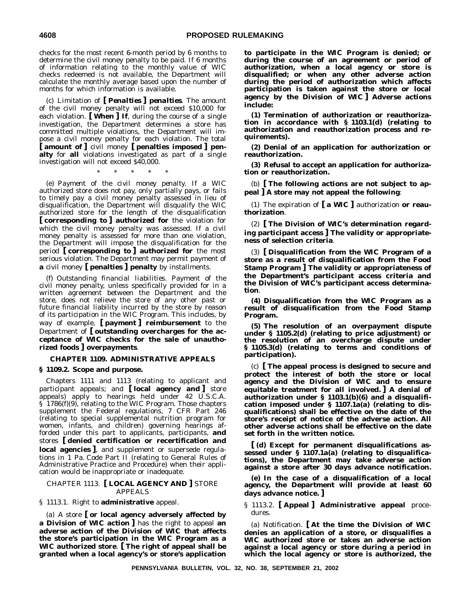checks for the most recent 6-month period by 6 months to determine the civil money penalty to be paid. If 6 months of information relating to the monthly value of WIC checks redeemed is not available, the Department will calculate the monthly average based upon the number of months for which information is available.

(c) *Limitation of* **[** *Penalties* **]** *penalties*. The amount of the civil money penalty will not exceed \$10,000 for each violation. **[ When ] If**, during the course of a single investigation, the Department determines a store has committed multiple violations, the Department will impose a civil money penalty for each violation. The total **[ amount of ]** civil money **[ penalties imposed ] penalty** for **all** violations investigated as part of a single investigation will not exceed \$40,000.

\*\*\*\*\*

(e) *Payment of the civil money penalty.* If a WIC authorized store does not pay, only partially pays, or fails to timely pay a civil money penalty assessed in lieu of disqualification, the Department will disqualify the WIC authorized store for the length of the disqualification **[ corresponding to ] authorized for** the violation for which the civil money penalty was assessed. If a civil money penalty is assessed for more than one violation, the Department will impose the disqualification for the period **[ corresponding to ] authorized for** the most serious violation. The Department may permit payment of **a** civil money **[ penalties ] penalty** by installments.

(f) *Outstanding financial liabilities.* Payment of the civil money penalty, unless specifically provided for in a written agreement between the Department and the store, does not relieve the store of any other past or future financial liability incurred by the store by reason of its participation in the WIC Program. This includes, by way of example, **[ payment ] reimbursement** to the Department of **[ outstanding overcharges for the acceptance of WIC checks for the sale of unauthorized foods ] overpayments**.

#### **CHAPTER 1109. ADMINISTRATIVE APPEALS**

#### **§ 1109.2. Scope and purpose.**

Chapters 1111 and 1113 (relating to applicant and participant appeals; and **[ local agency and ]** store appeals) apply to hearings held under 42 U.S.C.A. § 1786(f)(9), relating to the WIC Program. Those chapters supplement the Federal regulations, 7 CFR Part 246 (relating to special supplemental nutrition program for women, infants, and children) governing hearings afforded under this part to applicants, participants, **and** stores **[ denied certification or recertification and local agencies ]**, and supplement or supersede regulations in 1 Pa. Code Part II (relating to General Rules of Administrative Practice and Procedure) when their application would be inappropriate or inadequate.

#### CHAPTER 1113. **[ LOCAL AGENCY AND ]** STORE APPEALS

#### § 1113.1. Right to **administrative** appeal.

(a) A store **[ or local agency adversely affected by a Division of WIC action ]** has the right to appeal **an adverse action of the Division of WIC that affects the store's participation in the WIC Program as a WIC authorized store**. **[ The right of appeal shall be granted when a local agency's or store's application** **to participate in the WIC Program is denied; or during the course of an agreement or period of authorization, when a local agency or store is disqualified; or when any other adverse action during the period of authorization which affects participation is taken against the store or local agency by the Division of WIC ] Adverse actions include:**

**(1) Termination of authorization or reauthorization in accordance with § 1103.1(d) (relating to authorization and reauthorization process and requirements).**

**(2) Denial of an application for authorization or reauthorization.**

**(3) Refusal to accept an application for authorization or reauthorization.**

(b) **[ The following actions are not subject to appeal ] A store may not appeal the following**:

(1) The expiration of **[ a WIC ]** authorization **or reauthorization**.

(2) **[ The Division of WIC's determination regarding participant access ] The validity or appropriateness of selection criteria**.

(3) **[ Disqualification from the WIC Program of a store as a result of disqualification from the Food Stamp Program ] The validity or appropriateness of the Department's participant access criteria and the Division of WIC's participant access determination**.

**(4) Disqualification from the WIC Program as a result of disqualification from the Food Stamp Program.**

**(5) The resolution of an overpayment dispute under § 1105.2(d) (relating to price adjustment) or the resolution of an overcharge dispute under § 1105.3(d) (relating to terms and conditions of participation).**

(c) **[ The appeal process is designed to secure and protect the interest of both the store or local agency and the Division of WIC and to ensure equitable treatment for all involved. ] A denial of authorization under § 1103.1(b)(6) and a disqualification imposed under § 1107.1a(a) (relating to disqualifications) shall be effective on the date of the store's receipt of notice of the adverse action. All other adverse actions shall be effective on the date set forth in the written notice.**

**[ (d) Except for permanent disqualifications assessed under § 1107.1a(a) (relating to disqualifications), the Department may take adverse action against a store after 30 days advance notification.**

**(e) In the case of a disqualification of a local agency, the Department will provide at least 60 days advance notice. ]**

§ 1113.2. **[ Appeal ] Administrative appeal** procedures.

(a) *Notification.* **[ At the time the Division of WIC denies an application of a store, or disqualifies a WIC authorized store or takes an adverse action against a local agency or store during a period in which the local agency or store is authorized, the**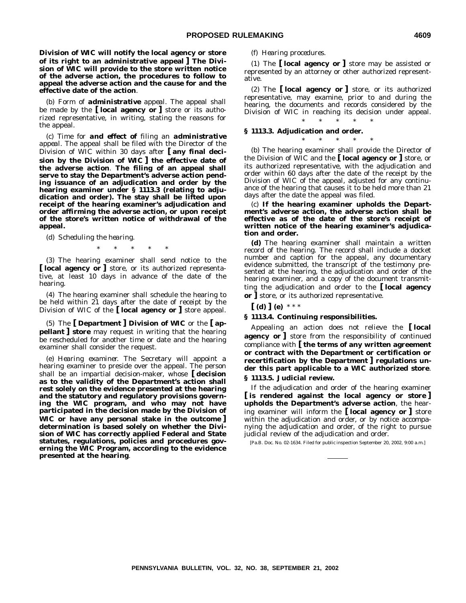**Division of WIC will notify the local agency or store of its right to an administrative appeal ] The Division of WIC will provide to the store written notice of the adverse action, the procedures to follow to appeal the adverse action and the cause for and the effective date of the action**.

(b) *Form of administrative appeal*. The appeal shall be made by the **[ local agency or ]** store or its authorized representative, in writing, stating the reasons for the appeal.

(c) *Time for and effect of filing an administrative appeal*. The appeal shall be filed with the Director of the Division of WIC within 30 days after **[ any final decision by the Division of WIC ] the effective date of the adverse action**. **The filing of an appeal shall serve to stay the Department's adverse action pending issuance of an adjudication and order by the hearing examiner under § 1113.3 (relating to adjudication and order). The stay shall be lifted upon receipt of the hearing examiner's adjudication and order affirming the adverse action, or upon receipt of the store's written notice of withdrawal of the appeal.**

(d) *Scheduling the hearing.*

\*\*\*\*\*

(3) The hearing examiner shall send notice to the **[ local agency or ]** store, or its authorized representative, at least 10 days in advance of the date of the hearing.

(4) The hearing examiner shall schedule the hearing to be held within 21 days after the date of receipt by the Division of WIC of the **[ local agency or ]** store appeal.

(5) The **[ Department ] Division of WIC** or the **[ appellant ] store** may request in writing that the hearing be rescheduled for another time or date and the hearing examiner shall consider the request.

(e) *Hearing examiner.* The Secretary will appoint a hearing examiner to preside over the appeal. The person shall be an impartial decision-maker, whose **[ decision as to the validity of the Department's action shall rest solely on the evidence presented at the hearing and the statutory and regulatory provisions governing the WIC program, and who may not have participated in the decision made by the Division of WIC or have any personal stake in the outcome ] determination is based solely on whether the Division of WIC has correctly applied Federal and State statutes, regulations, policies and procedures governing the WIC Program, according to the evidence presented at the hearing**.

#### (f) *Hearing procedures.*

(1) The **[ local agency or ]** store may be assisted or represented by an attorney or other authorized representative.

(2) The **[ local agency or ]** store, or its authorized representative, may examine, prior to and during the hearing, the documents and records considered by the Division of WIC in reaching its decision under appeal.

\*\*\*\*\*

\*\*\*\*\*

#### **§ 1113.3. Adjudication and order.**

(b) The hearing examiner shall provide the Director of the Division of WIC and the **[ local agency or ]** store, or its authorized representative, with the adjudication and order within 60 days after the date of the receipt by the Division of WIC of the appeal, adjusted for any continuance of the hearing that causes it to be held more than 21 days after the date the appeal was filed.

(c) **If the hearing examiner upholds the Department's adverse action, the adverse action shall be effective as of the date of the store's receipt of written notice of the hearing examiner's adjudication and order.**

**(d)** The hearing examiner shall maintain a written record of the hearing. The record shall include a docket number and caption for the appeal, any documentary evidence submitted, the transcript of the testimony presented at the hearing, the adjudication and order of the hearing examiner, and a copy of the document transmitting the adjudication and order to the **[ local agency or ]** store, or its authorized representative.

**[ (d) ] (e)** \*\*\*

#### **§ 1113.4. Continuing responsibilities.**

Appealing an action does not relieve the **[ local agency or ]** store from the responsibility of continued compliance with **[ the terms of any written agreement or contract with the Department or certification or recertification by the Department ] regulations under this part applicable to a WIC authorized store**. **§ 1113.5. Judicial review.**

If the adjudication and order of the hearing examiner **[ is rendered against the local agency or store ] upholds the Department's adverse action**, the hearing examiner will inform the **[ local agency or ]** store within the adjudication and order, or by notice accompanying the adjudication and order, of the right to pursue judicial review of the adjudication and order.

[Pa.B. Doc. No. 02-1634. Filed for public inspection September 20, 2002, 9:00 a.m.]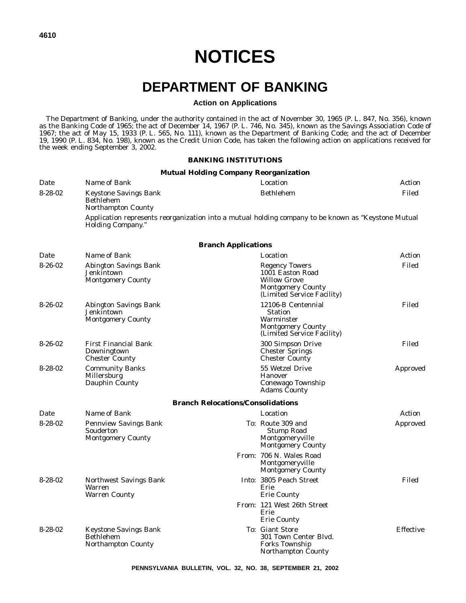# **DEPARTMENT OF BANKING**

# **Action on Applications**

The Department of Banking, under the authority contained in the act of November 30, 1965 (P. L. 847, No. 356), known as the Banking Code of 1965; the act of December 14, 1967 (P. L. 746, No. 345), known as the Savings Association Code of 1967; the act of May 15, 1933 (P. L. 565, No. 111), known as the Department of Banking Code; and the act of December 19, 1990 (P. L. 834, No. 198), known as the Credit Union Code, has taken the following action on applications received for the week ending September 3, 2002.

#### **BANKING INSTITUTIONS**

### **Mutual Holding Company Reorganization**

| Date          | Name of Bank                                                           |                                                                                                                            | Location                                                                                                     | Action           |
|---------------|------------------------------------------------------------------------|----------------------------------------------------------------------------------------------------------------------------|--------------------------------------------------------------------------------------------------------------|------------------|
| $8 - 28 - 02$ | Keystone Savings Bank<br><b>Bethlehem</b><br><b>Northampton County</b> |                                                                                                                            | <b>Bethlehem</b>                                                                                             | Filed            |
|               | <b>Holding Company.</b> "                                              |                                                                                                                            | Application represents reorganization into a mutual holding company to be known as "Keystone Mutual          |                  |
|               |                                                                        | <b>Branch Applications</b>                                                                                                 |                                                                                                              |                  |
| Date          | Name of Bank                                                           |                                                                                                                            | Location                                                                                                     | Action           |
| $8-26-02$     | Abington Savings Bank<br>Jenkintown<br><b>Montgomery County</b>        | <b>Regency Towers</b><br>1001 Easton Road<br><b>Willow Grove</b><br><b>Montgomery County</b><br>(Limited Service Facility) |                                                                                                              | Filed            |
| $8-26-02$     | Abington Savings Bank<br>Jenkintown<br><b>Montgomery County</b>        |                                                                                                                            | 12106-B Centennial<br><b>Station</b><br>Warminster<br><b>Montgomery County</b><br>(Limited Service Facility) | Filed            |
| $8-26-02$     | <b>First Financial Bank</b><br>Downingtown<br><b>Chester County</b>    |                                                                                                                            | 300 Simpson Drive<br><b>Chester Springs</b><br><b>Chester County</b>                                         | Filed            |
| $8 - 28 - 02$ | <b>Community Banks</b><br>Millersburg<br>Dauphin County                |                                                                                                                            | 55 Wetzel Drive<br><b>Hanover</b><br>Conewago Township<br><b>Adams County</b>                                | Approved         |
|               |                                                                        | <b>Branch Relocations/Consolidations</b>                                                                                   |                                                                                                              |                  |
| Date          | Name of Bank                                                           |                                                                                                                            | Location                                                                                                     | Action           |
| $8 - 28 - 02$ | <b>Pennview Savings Bank</b><br>Souderton<br><b>Montgomery County</b>  |                                                                                                                            | To: Route 309 and<br><b>Stump Road</b><br>Montgomeryville<br><b>Montgomery County</b>                        | Approved         |
|               |                                                                        |                                                                                                                            | From: 706 N. Wales Road<br>Montgomeryville<br><b>Montgomery County</b>                                       |                  |
| $8 - 28 - 02$ | Northwest Savings Bank<br>Warren<br><b>Warren County</b>               |                                                                                                                            | Into: 3805 Peach Street<br>Erie<br><b>Erie County</b>                                                        | Filed            |
|               |                                                                        |                                                                                                                            | From: 121 West 26th Street<br>Erie<br><b>Erie County</b>                                                     |                  |
| $8 - 28 - 02$ | Keystone Savings Bank<br><b>Bethlehem</b><br><b>Northampton County</b> |                                                                                                                            | To: Giant Store<br>301 Town Center Blyd.<br><b>Forks Township</b><br>Northampton County                      | <b>Effective</b> |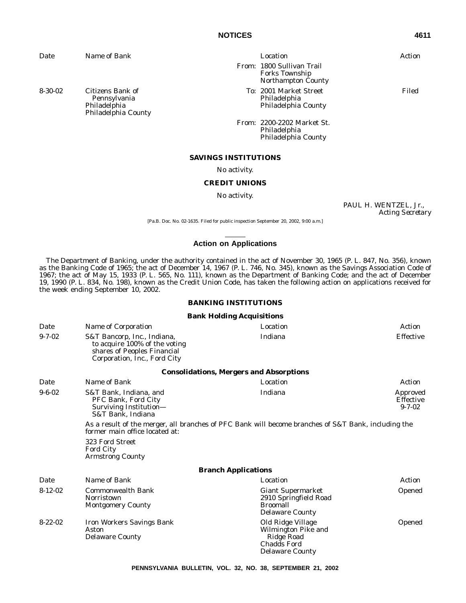| Date          | Name of Bank                                                                                                                                                                                                                                                                              |                                  | Location                                                                            | Action                                           |
|---------------|-------------------------------------------------------------------------------------------------------------------------------------------------------------------------------------------------------------------------------------------------------------------------------------------|----------------------------------|-------------------------------------------------------------------------------------|--------------------------------------------------|
|               |                                                                                                                                                                                                                                                                                           |                                  | From: 1800 Sullivan Trail<br><b>Forks Township</b><br>Northampton County            |                                                  |
| $8 - 30 - 02$ | Citizens Bank of<br>Pennsylvania<br>Philadelphia<br>Philadelphia County                                                                                                                                                                                                                   |                                  | <i>To:</i> 2001 Market Street<br>Philadelphia<br>Philadelphia County                | Filed                                            |
|               |                                                                                                                                                                                                                                                                                           |                                  | <i>From:</i> 2200-2202 Market St.<br>Philadelphia<br>Philadelphia County            |                                                  |
|               |                                                                                                                                                                                                                                                                                           | <b>SAVINGS INSTITUTIONS</b>      |                                                                                     |                                                  |
|               |                                                                                                                                                                                                                                                                                           | No activity.                     |                                                                                     |                                                  |
|               |                                                                                                                                                                                                                                                                                           | <b>CREDIT UNIONS</b>             |                                                                                     |                                                  |
|               |                                                                                                                                                                                                                                                                                           | No activity.                     |                                                                                     |                                                  |
|               |                                                                                                                                                                                                                                                                                           |                                  |                                                                                     | PAUL H. WENTZEL, Jr.,<br><b>Acting Secretary</b> |
|               |                                                                                                                                                                                                                                                                                           |                                  | [Pa.B. Doc. No. 02-1635. Filed for public inspection September 20, 2002, 9:00 a.m.] |                                                  |
|               |                                                                                                                                                                                                                                                                                           | <b>Action on Applications</b>    |                                                                                     |                                                  |
|               | 1967; the act of May 15, 1933 (P. L. 565, No. 111), known as the Department of Banking Code; and the act of December<br>19, 1990 (P. L. 834, No. 198), known as the Credit Union Code, has taken the following action on applications received for<br>the week ending September 10, 2002. | <b>BANKING INSTITUTIONS</b>      |                                                                                     |                                                  |
|               |                                                                                                                                                                                                                                                                                           | <b>Bank Holding Acquisitions</b> |                                                                                     |                                                  |
| Date          | Name of Corporation                                                                                                                                                                                                                                                                       |                                  | Location                                                                            | <b>Action</b>                                    |
| $9 - 7 - 02$  | S&T Bancorp, Inc., Indiana,<br>to acquire 100% of the voting<br>shares of Peoples Financial<br>Corporation, Inc., Ford City                                                                                                                                                               |                                  | Indiana                                                                             | Effective                                        |
|               |                                                                                                                                                                                                                                                                                           |                                  | <b>Consolidations, Mergers and Absorptions</b>                                      |                                                  |
| Date          | Name of Bank                                                                                                                                                                                                                                                                              |                                  | Location                                                                            | Action                                           |
| $9 - 6 - 02$  | S&T Bank, Indiana, and<br>PFC Bank, Ford City<br>Surviving Institution-<br>S&T Bank, Indiana                                                                                                                                                                                              |                                  | Indiana                                                                             | Approved<br>Effective<br>$9 - 7 - 02$            |
|               | As a result of the merger, all branches of PFC Bank will become branches of S&T Bank, including the<br>former main office located at:                                                                                                                                                     |                                  |                                                                                     |                                                  |
|               | 323 Ford Street<br><b>Ford City</b><br><b>Armstrong County</b>                                                                                                                                                                                                                            |                                  |                                                                                     |                                                  |
|               |                                                                                                                                                                                                                                                                                           | <b>Branch Applications</b>       |                                                                                     |                                                  |
| Date          | Name of Bank                                                                                                                                                                                                                                                                              |                                  | Location                                                                            | Action                                           |
| $8 - 12 - 02$ | <b>Commonwealth Bank</b>                                                                                                                                                                                                                                                                  |                                  | <b>Giant Supermarket</b>                                                            | Opened                                           |

| Date          | <i>Name of Bank</i>                                                 | <i>Location</i>                                                                                        | Action |
|---------------|---------------------------------------------------------------------|--------------------------------------------------------------------------------------------------------|--------|
| $8 - 12 - 02$ | <b>Commonwealth Bank</b><br>Norristown<br><b>Montgomery County</b>  | <b>Giant Supermarket</b><br>2910 Springfield Road<br><b>Broomall</b><br><b>Delaware County</b>         | Opened |
| $8 - 22 - 02$ | <b>Iron Workers Savings Bank</b><br>Aston<br><b>Delaware County</b> | Old Ridge Village<br>Wilmington Pike and<br>Ridge Road<br><b>Chadds Ford</b><br><b>Delaware County</b> | Opened |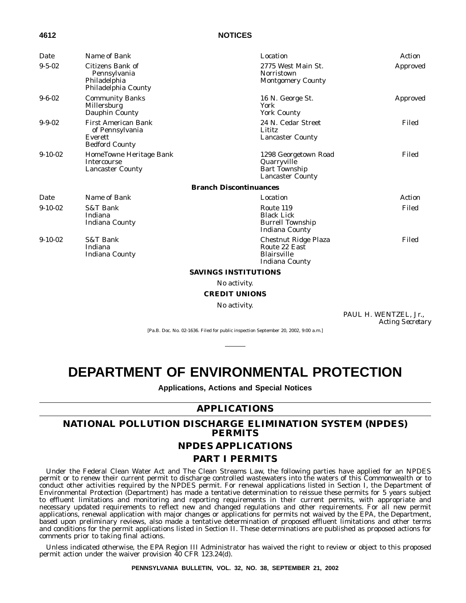| Date         | Name of Bank                                                                      | Location                                                                               | Action   |  |  |
|--------------|-----------------------------------------------------------------------------------|----------------------------------------------------------------------------------------|----------|--|--|
| $9 - 5 - 02$ | Citizens Bank of<br>Pennsylvania<br>Philadelphia<br>Philadelphia County           | 2775 West Main St.<br><b>Norristown</b><br><b>Montgomery County</b>                    | Approved |  |  |
| $9 - 6 - 02$ | <b>Community Banks</b><br>Millersburg<br>Dauphin County                           | 16 N. George St.<br>York<br><b>York County</b>                                         | Approved |  |  |
| $9 - 9 - 02$ | <b>First American Bank</b><br>of Pennsylvania<br>Everett<br><b>Bedford County</b> | 24 N. Cedar Street<br>Lititz<br><b>Lancaster County</b>                                | Filed    |  |  |
| $9-10-02$    | HomeTowne Heritage Bank<br><b>Intercourse</b><br><b>Lancaster County</b>          | 1298 Georgetown Road<br>Quarryville<br><b>Bart Township</b><br><b>Lancaster County</b> | Filed    |  |  |
|              |                                                                                   | <b>Branch Discontinuances</b>                                                          |          |  |  |
| Date         | Name of Bank                                                                      | Location                                                                               | Action   |  |  |
| $9-10-02$    | <b>S&amp;T Bank</b><br>Indiana<br>Indiana County                                  | Route 119<br><b>Black Lick</b><br><b>Burrell Township</b><br>Indiana County            | Filed    |  |  |
| $9-10-02$    | S&T Bank<br>Indiana<br>Indiana County                                             | Chestnut Ridge Plaza<br>Route 22 East<br><b>Blairsville</b><br><b>Indiana County</b>   | Filed    |  |  |
|              | <b>SAVINGS INSTITUTIONS</b>                                                       |                                                                                        |          |  |  |

No activity.

#### **CREDIT UNIONS**

No activity.

PAUL H. WENTZEL, Jr., *Acting Secretary*

[Pa.B. Doc. No. 02-1636. Filed for public inspection September 20, 2002, 9:00 a.m.]

# **DEPARTMENT OF ENVIRONMENTAL PROTECTION**

**Applications, Actions and Special Notices**

# **APPLICATIONS**

# **NATIONAL POLLUTION DISCHARGE ELIMINATION SYSTEM (NPDES) PERMITS**

# **NPDES APPLICATIONS**

## **PART I PERMITS**

Under the Federal Clean Water Act and The Clean Streams Law, the following parties have applied for an NPDES permit or to renew their current permit to discharge controlled wastewaters into the waters of this Commonwealth or to conduct other activities required by the NPDES permit. For renewal applications listed in Section I, the Department of Environmental Protection (Department) has made a tentative determination to reissue these permits for 5 years subject to effluent limitations and monitoring and reporting requirements in their current permits, with appropriate and necessary updated requirements to reflect new and changed regulations and other requirements. For all new permit applications, renewal application with major changes or applications for permits not waived by the EPA, the Department, based upon preliminary reviews, also made a tentative determination of proposed effluent limitations and other terms and conditions for the permit applications listed in Section II. These determinations are published as proposed actions for comments prior to taking final actions.

Unless indicated otherwise, the EPA Region III Administrator has waived the right to review or object to this proposed permit action under the waiver provision 40 CFR 123.24(d).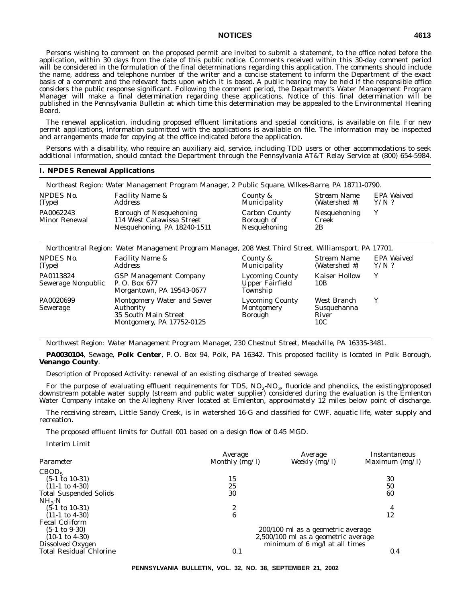Persons wishing to comment on the proposed permit are invited to submit a statement, to the office noted before the application, within 30 days from the date of this public notice. Comments received within this 30-day comment period will be considered in the formulation of the final determinations regarding this application. The comments should include the name, address and telephone number of the writer and a concise statement to inform the Department of the exact basis of a comment and the relevant facts upon which it is based. A public hearing may be held if the responsible office considers the public response significant. Following the comment period, the Department's Water Management Program Manager will make a final determination regarding these applications. Notice of this final determination will be published in the *Pennsylvania Bulletin* at which time this determination may be appealed to the Environmental Hearing Board.

The renewal application, including proposed effluent limitations and special conditions, is available on file. For new permit applications, information submitted with the applications is available on file. The information may be inspected and arrangements made for copying at the office indicated before the application.

Persons with a disability, who require an auxiliary aid, service, including TDD users or other accommodations to seek additional information, should contact the Department through the Pennsylvania AT&T Relay Service at (800) 654-5984.

#### **I. NPDES Renewal Applications**

|                                   | Northeast Region: Water Management Program Manager, 2 Public Square, Wilkes-Barre, PA 18711-0790. |                                                    |                              |                       |
|-----------------------------------|---------------------------------------------------------------------------------------------------|----------------------------------------------------|------------------------------|-----------------------|
| NPDES No.<br>(Type)               | <i>Facility Name &amp;</i><br>Address                                                             | County &<br><i>Municipality</i>                    | Stream Name<br>(Watershed #) | EPA Waived<br>$Y/N$ ? |
| PA0062243<br><b>Minor Renewal</b> | <b>Borough of Nesquehoning</b><br>114 West Catawissa Street<br>Nesquehoning, PA 18240-1511        | <b>Carbon County</b><br>Borough of<br>Nesquehoning | Nesquehoning<br>Creek<br>2B  |                       |

|                                 | Northcentral Region: Water Management Program Manager, 208 West Third Street, Williamsport, PA 17701. |                                                              |                                            |                       |
|---------------------------------|-------------------------------------------------------------------------------------------------------|--------------------------------------------------------------|--------------------------------------------|-----------------------|
| NPDES No.<br>(Type)             | <b>Facility Name &amp;</b><br><i>Address</i>                                                          | County &<br>Municipality                                     | Stream Name<br>(Watershed #)               | EPA Waived<br>$Y/N$ ? |
| PA0113824<br>Sewerage Nonpublic | <b>GSP Management Company</b><br>P.O. Box 677<br>Morgantown, PA 19543-0677                            | <b>Lycoming County</b><br><b>Upper Fairfield</b><br>Township | <b>Kaiser Hollow</b><br>10B                | Y                     |
| PA0020699<br>Sewerage           | Montgomery Water and Sewer<br>Authority<br>35 South Main Street<br>Montgomery, PA 17752-0125          | <b>Lycoming County</b><br>Montgomery<br>Borough              | West Branch<br>Susquehanna<br>River<br>10C | Y                     |

*Northwest Region: Water Management Program Manager, 230 Chestnut Street, Meadville, PA 16335-3481.*

**PA0030104**, Sewage, **Polk Center**, P. O. Box 94, Polk, PA 16342. This proposed facility is located in Polk Borough, **Venango County**.

Description of Proposed Activity: renewal of an existing discharge of treated sewage.

For the purpose of evaluating effluent requirements for TDS,  $NO_2\text{-}NO_3$ , fluoride and phenolics, the existing/proposed downstream potable water supply (stream and public water supplier) considered during the evaluation is the Emlenton Water Company intake on the Allegheny River located at Emlenton, approximately 12 miles below point of discharge.

The receiving stream, Little Sandy Creek, is in watershed 16-G and classified for CWF, aquatic life, water supply and recreation.

The proposed effluent limits for Outfall 001 based on a design flow of 0.45 MGD.

*Interim Limit*

|                                | Average        | Average                                  | Instantaneous  |
|--------------------------------|----------------|------------------------------------------|----------------|
| Parameter                      | Monthly (mg/l) | Weekly $(mg/l)$                          | Maximum (mg/l) |
| CBOD <sub>5</sub>              |                |                                          |                |
| $(5-1 \text{ to } 10-31)$      | 15             |                                          | 30             |
| $(11-1 \text{ to } 4-30)$      | 25             |                                          | 50             |
| <b>Total Suspended Solids</b>  | 30             |                                          | 60             |
| $NH_{3}-N$                     |                |                                          |                |
| $(5-1 \text{ to } 10-31)$      | 2              |                                          | 4              |
| $(11-1 \text{ to } 4-30)$      | 6              |                                          | 12             |
| <b>Fecal Coliform</b>          |                |                                          |                |
| $(5-1 \text{ to } 9-30)$       |                | 200/100 ml as a geometric average        |                |
| $(10-1 \text{ to } 4-30)$      |                | 2,500/100 ml as a geometric average      |                |
| Dissolved Oxygen               |                | minimum of $6 \text{ mg/l}$ at all times |                |
| <b>Total Residual Chlorine</b> | 0.1            |                                          | 0.4            |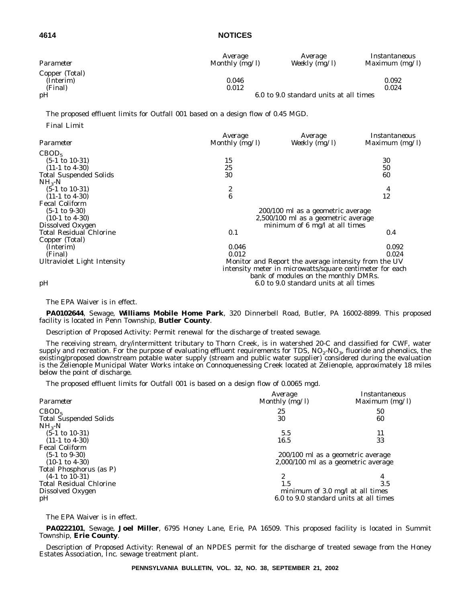| Parameter                              | Average<br>Monthly (mg/l) | Average<br>Weekly $(mg/l)$             | Instantaneous<br>Maximum $(mg/l)$ |
|----------------------------------------|---------------------------|----------------------------------------|-----------------------------------|
| Copper (Total)<br>(Interim)<br>(Final) | 0.046<br>0.012            |                                        | 0.092<br>0.024                    |
| pH                                     |                           | 6.0 to 9.0 standard units at all times |                                   |

The proposed effluent limits for Outfall 001 based on a design flow of 0.45 MGD.

*Final Limit*

|                                | Average                                                  | Average                                              | Instantaneous    |  |
|--------------------------------|----------------------------------------------------------|------------------------------------------------------|------------------|--|
| Parameter                      | Monthly $(mg/l)$                                         | Weekly $(\overline{mg}/l)$                           | Maximum $(mg/l)$ |  |
| CBOD <sub>5</sub>              |                                                          |                                                      |                  |  |
| $(5-1 \text{ to } 10-31)$      | 15                                                       |                                                      | 30               |  |
| $(11-1 \text{ to } 4-30)$      | 25                                                       |                                                      | 50               |  |
| <b>Total Suspended Solids</b>  | 30                                                       |                                                      | 60               |  |
| $NH3-N$                        |                                                          |                                                      |                  |  |
| $(5-1 \text{ to } 10-31)$      | 2                                                        |                                                      | 4                |  |
| $(11-1 \text{ to } 4-30)$      | $\boldsymbol{6}$                                         |                                                      | 12               |  |
| <b>Fecal Coliform</b>          |                                                          |                                                      |                  |  |
| $(5-1 \text{ to } 9-30)$       |                                                          | 200/100 ml as a geometric average                    |                  |  |
| $(10-1 \text{ to } 4-30)$      | $2,500/100$ ml as a geometric average                    |                                                      |                  |  |
| Dissolved Oxygen               |                                                          | minimum of $6 \text{ mg}/1$ at all times             |                  |  |
| <b>Total Residual Chlorine</b> | 0.1                                                      |                                                      | $0.4\,$          |  |
| Copper (Total)                 |                                                          |                                                      |                  |  |
| (Interim)                      | 0.046                                                    |                                                      | 0.092            |  |
| (Final)                        | 0.012                                                    |                                                      | 0.024            |  |
| Ultraviolet Light Intensity    |                                                          | Monitor and Report the average intensity from the UV |                  |  |
|                                | intensity meter in microwatts/square centimeter for each |                                                      |                  |  |
|                                |                                                          | bank of modules on the monthly DMRs.                 |                  |  |
| pH                             |                                                          | 6.0 to 9.0 standard units at all times               |                  |  |

#### The EPA Waiver is in effect.

**PA0102644**, Sewage, **Williams Mobile Home Park**, 320 Dinnerbell Road, Butler, PA 16002-8899. This proposed facility is located in Penn Township, **Butler County**.

Description of Proposed Activity: Permit renewal for the discharge of treated sewage.

The receiving stream, dry/intermittent tributary to Thorn Creek, is in watershed 20-C and classified for CWF, water supply and recreation. For the purpose of evaluating effluent requirements for TDS,  $NO<sub>2</sub>-NO<sub>3</sub>$ , fluoride and phenolics, the existing/proposed downstream potable water supply (stream and public water supplier) considered during the evaluation is the Zelienople Municipal Water Works intake on Connoquenessing Creek located at Zelienople, approximately 18 miles below the point of discharge.

The proposed effluent limits for Outfall 001 is based on a design flow of 0.0065 mgd.

| Parameter                      | Average<br>Monthly $\overline{(mg/l)}$ | Instantaneous<br>Maximum (mg/l)            |
|--------------------------------|----------------------------------------|--------------------------------------------|
| CBOD <sub>5</sub>              | 25                                     | 50                                         |
| <b>Total Suspended Solids</b>  | 30                                     | 60                                         |
| $NH_{3}-N$                     |                                        |                                            |
| $(5-1 \text{ to } 10-31)$      | 5.5                                    | 11                                         |
| $(11-1 \text{ to } 4-30)$      | 16.5                                   | 33                                         |
| <b>Fecal Coliform</b>          |                                        |                                            |
| $(5-1 \text{ to } 9-30)$       |                                        | 200/100 ml as a geometric average          |
| $(10-1 \text{ to } 4-30)$      |                                        | 2,000/100 ml as a geometric average        |
| Total Phosphorus (as P)        |                                        |                                            |
| $(4-1 \text{ to } 10-31)$      |                                        | 4                                          |
| <b>Total Residual Chlorine</b> | 1.5                                    | 3.5                                        |
| Dissolved Oxygen               |                                        | minimum of $3.0 \text{ mg/l}$ at all times |
| pH                             |                                        | 6.0 to 9.0 standard units at all times     |

The EPA Waiver is in effect.

**PA0222101**, Sewage, **Joel Miller**, 6795 Honey Lane, Erie, PA 16509. This proposed facility is located in Summit Township, **Erie County**.

Description of Proposed Activity: Renewal of an NPDES permit for the discharge of treated sewage from the Honey Estates Association, Inc. sewage treatment plant.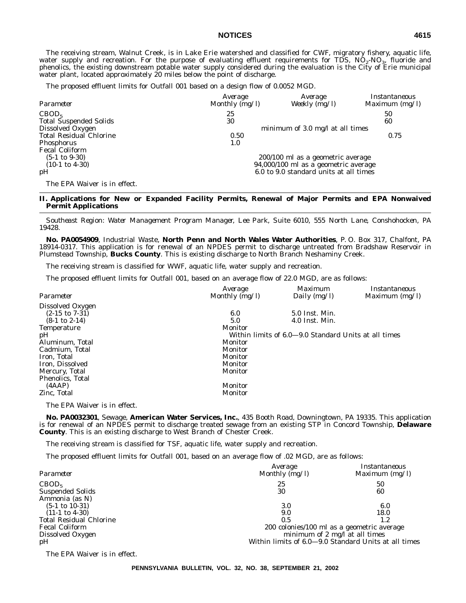The receiving stream, Walnut Creek, is in Lake Erie watershed and classified for CWF, migratory fishery, aquatic life, water supply and recreation. For the purpose of evaluating effluent requirements for TDS, NO<sub>2</sub>-NO<sub>3</sub>, fluoride and<br>phenolics, the existing downstream potable water supply considered during the evaluation is the City of Er water plant, located approximately 20 miles below the point of discharge.

The proposed effluent limits for Outfall 001 based on a design flow of 0.0052 MGD.

| Parameter                      | Average<br>Monthly $(mg/l)$ | Average<br>Weekly $(mg/l)$                 | <i>Instantaneous</i><br>Maximum $(mg/l)$ |
|--------------------------------|-----------------------------|--------------------------------------------|------------------------------------------|
| CBOD <sub>5</sub>              | 25                          |                                            | 50                                       |
| <b>Total Suspended Solids</b>  | 30                          |                                            | 60                                       |
| Dissolved Oxygen               |                             | minimum of $3.0 \text{ mg/l}$ at all times |                                          |
| <b>Total Residual Chlorine</b> | 0.50                        |                                            | 0.75                                     |
| <b>Phosphorus</b>              | 1.0                         |                                            |                                          |
| <b>Fecal Coliform</b>          |                             |                                            |                                          |
| $(5-1 \text{ to } 9-30)$       |                             | 200/100 ml as a geometric average          |                                          |
| $(10-1 \text{ to } 4-30)$      |                             | 94,000/100 ml as a geometric average       |                                          |
| pH                             |                             | 6.0 to 9.0 standard units at all times     |                                          |
| The EPA Waiver is in effect.   |                             |                                            |                                          |

#### **II. Applications for New or Expanded Facility Permits, Renewal of Major Permits and EPA Nonwaived Permit Applications**

*Southeast Region: Water Management Program Manager, Lee Park, Suite 6010, 555 North Lane, Conshohocken, PA 19428.*

**No. PA0054909**, Industrial Waste, **North Penn and North Wales Water Authorities**, P. O. Box 317, Chalfont, PA 18914-0317. This application is for renewal of an NPDES permit to discharge untreated from Bradshaw Reservoir in Plumstead Township, **Bucks County**. This is existing discharge to North Branch Neshaminy Creek.

The receiving stream is classified for WWF, aquatic life, water supply and recreation.

The proposed effluent limits for Outfall 001, based on an average flow of 22.0 MGD, are as follows:

|                          | Average          | Maximum                                              | Instantaneous    |
|--------------------------|------------------|------------------------------------------------------|------------------|
| Parameter                | Monthly $(mg/l)$ | Daily $(mg/l)$                                       | Maximum $(mg/l)$ |
| Dissolved Oxygen         |                  |                                                      |                  |
| $(2-15$ to $7-31)$       | 6.0              | 5.0 Inst. Min.                                       |                  |
| $(8-1 \text{ to } 2-14)$ | 5.0              | $4.0$ Inst. Min.                                     |                  |
| <b>Temperature</b>       | Monitor          |                                                      |                  |
| pH                       |                  | Within limits of 6.0–9.0 Standard Units at all times |                  |
| Aluminum, Total          | Monitor          |                                                      |                  |
| Cadmium, Total           | Monitor          |                                                      |                  |
| Iron, Total              | Monitor          |                                                      |                  |
| Iron, Dissolved          | Monitor          |                                                      |                  |
| Mercury, Total           | Monitor          |                                                      |                  |
| Phenolics, Total         |                  |                                                      |                  |
| (AAAP)                   | Monitor          |                                                      |                  |
| Zinc, Total              | Monitor          |                                                      |                  |
|                          |                  |                                                      |                  |

The EPA Waiver is in effect.

**No. PA0032301**, Sewage, **American Water Services, Inc.**, 435 Booth Road, Downingtown, PA 19335. This application is for renewal of an NPDES permit to discharge treated sewage from an existing STP in Concord Township, **Delaware County**. This is an existing discharge to West Branch of Chester Creek.

The receiving stream is classified for TSF, aquatic life, water supply and recreation.

The proposed effluent limits for Outfall 001, based on an average flow of .02 MGD, are as follows:

| Parameter                      | Average<br>Monthly $(mg/l)$                          | Instantaneous<br>Maximum $(mg/l)$ |
|--------------------------------|------------------------------------------------------|-----------------------------------|
| CBOD <sub>5</sub>              | 25                                                   | 50                                |
| <b>Suspended Solids</b>        | 30                                                   | 60                                |
| Ammonia (as N)                 |                                                      |                                   |
| $(5-1 \text{ to } 10-31)$      | 3.0                                                  | 6.0                               |
| $(11-1 \text{ to } 4-30)$      | 9.0                                                  | 18.0                              |
| <b>Total Residual Chlorine</b> | 0.5                                                  | 1.2                               |
| <b>Fecal Coliform</b>          | 200 colonies/100 ml as a geometric average           |                                   |
| Dissolved Oxygen               | minimum of 2 mg/l at all times                       |                                   |
| pH                             | Within limits of 6.0-9.0 Standard Units at all times |                                   |

The EPA Waiver is in effect.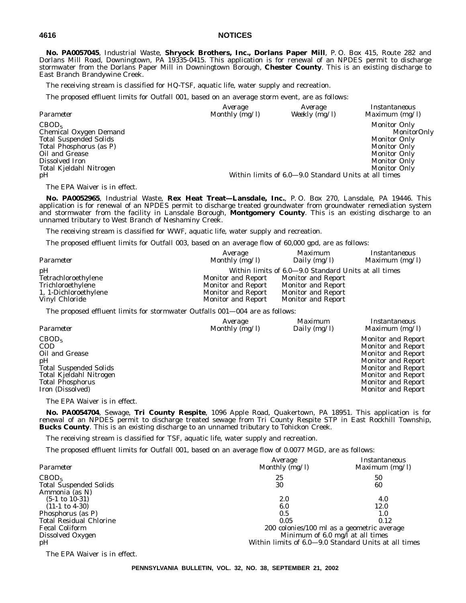**No. PA0057045**, Industrial Waste, **Shryock Brothers, Inc., Dorlans Paper Mill**, P. O. Box 415, Route 282 and Dorlans Mill Road, Downingtown, PA 19335-0415. This application is for renewal of an NPDES permit to discharge stormwater from the Dorlans Paper Mill in Downingtown Borough, **Chester County**. This is an existing discharge to East Branch Brandywine Creek.

The receiving stream is classified for HQ-TSF, aquatic life, water supply and recreation.

The proposed effluent limits for Outfall 001, based on an average storm event, are as follows:

| Parameter                                                                                                                                                                    | Average          | Average                                              | <i>Instantaneous</i>                                                                                                                                  |
|------------------------------------------------------------------------------------------------------------------------------------------------------------------------------|------------------|------------------------------------------------------|-------------------------------------------------------------------------------------------------------------------------------------------------------|
|                                                                                                                                                                              | Monthly $(mg/l)$ | Weekly $(mg/l)$                                      | Maximum $(mg/l)$                                                                                                                                      |
| CBOD <sub>5</sub><br>Chemical Oxygen Demand<br><b>Total Suspended Solids</b><br>Total Phosphorus (as P)<br>Oil and Grease<br>Dissolved Iron<br>Total Kjeldahl Nitrogen<br>pH |                  | Within limits of 6.0–9.0 Standard Units at all times | <b>Monitor Only</b><br>MonitorOnly<br><b>Monitor Only</b><br><b>Monitor Only</b><br><b>Monitor Only</b><br><b>Monitor Only</b><br><b>Monitor Only</b> |

The EPA Waiver is in effect.

**No. PA0052965**, Industrial Waste, **Rex Heat Treat—Lansdale, Inc.**, P. O. Box 270, Lansdale, PA 19446. This application is for renewal of an NPDES permit to discharge treated groundwater from groundwater remediation system and stormwater from the facility in Lansdale Borough, **Montgomery County**. This is an existing discharge to an unnamed tributary to West Branch of Neshaminy Creek.

The receiving stream is classified for WWF, aquatic life, water supply and recreation.

The proposed effluent limits for Outfall 003, based on an average flow of 60,000 gpd, are as follows:

| Parameter             | Average<br>Monthly (mg/l) | <i>Maximum</i><br>Daily (mg/l)                       | Instantaneous<br>Maximum $(mg/l)$ |
|-----------------------|---------------------------|------------------------------------------------------|-----------------------------------|
| pH                    |                           | Within limits of 6.0–9.0 Standard Units at all times |                                   |
| Tetrachloroethylene   | Monitor and Report        | <b>Monitor and Report</b>                            |                                   |
| Trichloroethylene     | <b>Monitor and Report</b> | Monitor and Report                                   |                                   |
| 1, 1-Dichloroethylene | Monitor and Report        | <b>Monitor and Report</b>                            |                                   |
| Vinyl Chloride        | Monitor and Report        | <b>Monitor and Report</b>                            |                                   |

The proposed effluent limits for stormwater Outfalls 001—004 are as follows:

| Parameter                                                                                                                                                          | Average          | Maximum        | Instantaneous                                                                                                                                                                                                          |
|--------------------------------------------------------------------------------------------------------------------------------------------------------------------|------------------|----------------|------------------------------------------------------------------------------------------------------------------------------------------------------------------------------------------------------------------------|
|                                                                                                                                                                    | Monthly $(mg/l)$ | Daily $(mg/l)$ | Maximum $(mg/l)$                                                                                                                                                                                                       |
| CBOD <sub>5</sub><br><b>COD</b><br>Oil and Grease<br>pH<br><b>Total Suspended Solids</b><br>Total Kjeldahl Nitrogen<br><b>Total Phosphorus</b><br>Iron (Dissolved) |                  |                | Monitor and Report<br><b>Monitor and Report</b><br><b>Monitor and Report</b><br><b>Monitor and Report</b><br><b>Monitor and Report</b><br><b>Monitor and Report</b><br><b>Monitor and Report</b><br>Monitor and Report |

The EPA Waiver is in effect.

**No. PA0054704**, Sewage, **Tri County Respite**, 1096 Apple Road, Quakertown, PA 18951. This application is for renewal of an NPDES permit to discharge treated sewage from Tri County Respite STP in East Rockhill Township, **Bucks County**. This is an existing discharge to an unnamed tributary to Tohickon Creek.

The receiving stream is classified for TSF, aquatic life, water supply and recreation.

The proposed effluent limits for Outfall 001, based on an average flow of 0.0077 MGD, are as follows:

| Parameter                      | Average<br>Monthly $(mg/l)$                          | Instantaneous<br>Maximum $(mg/l)$ |
|--------------------------------|------------------------------------------------------|-----------------------------------|
| CBOD <sub>5</sub>              | 25                                                   | 50                                |
| <b>Total Suspended Solids</b>  | 30                                                   | 60                                |
| Ammonia (as N)                 |                                                      |                                   |
| $(5-1 \text{ to } 10-31)$      | 2.0                                                  | 4.0                               |
| $(11-1 \text{ to } 4-30)$      | 6.0                                                  | 12.0                              |
| Phosphorus (as P)              | 0.5                                                  | $1.0\,$                           |
| <b>Total Residual Chlorine</b> | 0.05                                                 | 0.12                              |
| <b>Fecal Coliform</b>          | 200 colonies/100 ml as a geometric average           |                                   |
| Dissolved Oxygen               | Minimum of 6.0 mg/l at all times                     |                                   |
| pH                             | Within limits of 6.0-9.0 Standard Units at all times |                                   |

The EPA Waiver is in effect.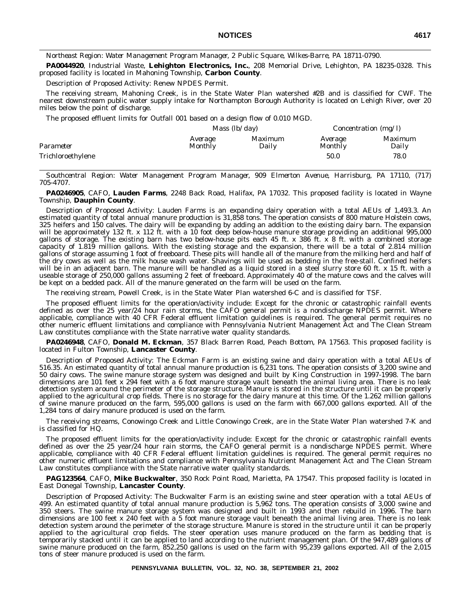*Northeast Region: Water Management Program Manager, 2 Public Square, Wilkes-Barre, PA 18711-0790.*

**PA0044920**, Industrial Waste, **Lehighton Electronics, Inc.**, 208 Memorial Drive, Lehighton, PA 18235-0328. This proposed facility is located in Mahoning Township, **Carbon County**.

Description of Proposed Activity: Renew NPDES Permit.

The receiving stream, Mahoning Creek, is in the State Water Plan watershed #2B and is classified for CWF. The nearest downstream public water supply intake for Northampton Borough Authority is located on Lehigh River, over 20 miles below the point of discharge.

The proposed effluent limits for Outfall 001 based on a design flow of 0.010 MGD.

|                   | <i>Mass</i> $(lb/day)$    |                         | <i>Concentration</i> ( $mg/l$ ) |                         |
|-------------------|---------------------------|-------------------------|---------------------------------|-------------------------|
| Parameter         | Average<br><b>Monthly</b> | <i>Maximum</i><br>Daily | Average<br>Monthly              | <i>Maximum</i><br>Daily |
| Trichloroethylene |                           |                         | 50.0                            | 78.0                    |

*Southcentral Region: Water Management Program Manager, 909 Elmerton Avenue, Harrisburg, PA 17110, (717) 705-4707.*

**PA0246905**, CAFO, **Lauden Farms**, 2248 Back Road, Halifax, PA 17032. This proposed facility is located in Wayne Township, **Dauphin County**.

Description of Proposed Activity: Lauden Farms is an expanding dairy operation with a total AEUs of 1,493.3. An estimated quantity of total annual manure production is 31,858 tons. The operation consists of 800 mature Holstein cows, 325 heifers and 150 calves. The dairy will be expanding by adding an addition to the existing dairy barn. The expansion will be approximately 132 ft. x 112 ft. with a 10 foot deep below-house manure storage providing an additional 995,000 gallons of storage. The existing barn has two below-house pits each 45 ft. x 386 ft. x 8 ft. with a combined storage capacity of 1.819 million gallons. With the existing storage and the expansion, there will be a total of 2.814 million gallons of storage assuming 1 foot of freeboard. These pits will handle all of the manure from the milking herd and half of the dry cows as well as the milk house wash water. Shavings will be used as bedding in the free-stall. Confined heifers will be in an adjacent barn. The manure will be handled as a liquid stored in a steel slurry store 60 ft. x 15 ft. with a useable storage of 250,000 gallons assuming 2 feet of freeboard. Approximately 40 of the mature cows and the calves will be kept on a bedded pack. All of the manure generated on the farm will be used on the farm.

The receiving stream, Powell Creek, is in the State Water Plan watershed 6-C and is classified for TSF.

The proposed effluent limits for the operation/activity include: Except for the chronic or catastrophic rainfall events defined as over the 25 year/24 hour rain storms, the CAFO general permit is a nondischarge NPDES permit. Where applicable, compliance with 40 CFR Federal effluent limitation guidelines is required. The general permit requires no other numeric effluent limitations and compliance with Pennsylvania Nutrient Management Act and The Clean Stream Law constitutes compliance with the State narrative water quality standards.

**PA0246948**, CAFO, **Donald M. Eckman**, 357 Black Barren Road, Peach Bottom, PA 17563. This proposed facility is located in Fulton Township, **Lancaster County**.

Description of Proposed Activity: The Eckman Farm is an existing swine and dairy operation with a total AEUs of 516.35. An estimated quantity of total annual manure production is 6,231 tons. The operation consists of 3,200 swine and 50 dairy cows. The swine manure storage system was designed and built by King Construction in 1997-1998. The barn dimensions are 101 feet x 294 feet with a 6 foot manure storage vault beneath the animal living area. There is no leak detection system around the perimeter of the storage structure. Manure is stored in the structure until it can be properly applied to the agricultural crop fields. There is no storage for the dairy manure at this time. Of the 1.262 million gallons of swine manure produced on the farm, 595,000 gallons is used on the farm with 667,000 gallons exported. All of the 1,284 tons of dairy manure produced is used on the farm.

The receiving streams, Conowingo Creek and Little Conowingo Creek, are in the State Water Plan watershed 7-K and is classified for HQ.

The proposed effluent limits for the operation/activity include: Except for the chronic or catastrophic rainfall events defined as over the 25 year/24 hour rain storms, the CAFO general permit is a nondischarge NPDES permit. Where applicable, compliance with 40 CFR Federal effluent limitation guidelines is required. The general permit requires no other numeric effluent limitations and compliance with Pennsylvania Nutrient Management Act and The Clean Stream Law constitutes compliance with the State narrative water quality standards.

**PAG123564**, CAFO, **Mike Buckwalter**, 350 Rock Point Road, Marietta, PA 17547. This proposed facility is located in East Donegal Township, **Lancaster County**.

Description of Proposed Activity: The Buckwalter Farm is an existing swine and steer operation with a total AEUs of 499. An estimated quantity of total annual manure production is 5,962 tons. The operation consists of 3,000 swine and 350 steers. The swine manure storage system was designed and built in 1993 and then rebuild in 1996. The barn dimensions are 100 feet x 240 feet with a 5 foot manure storage vault beneath the animal living area. There is no leak detection system around the perimeter of the storage structure. Manure is stored in the structure until it can be properly applied to the agricultural crop fields. The steer operation uses manure produced on the farm as bedding that is temporarily stacked until it can be applied to land according to the nutrient management plan. Of the 947,489 gallons of swine manure produced on the farm, 852,250 gallons is used on the farm with 95,239 gallons exported. All of the 2,015 tons of steer manure produced is used on the farm.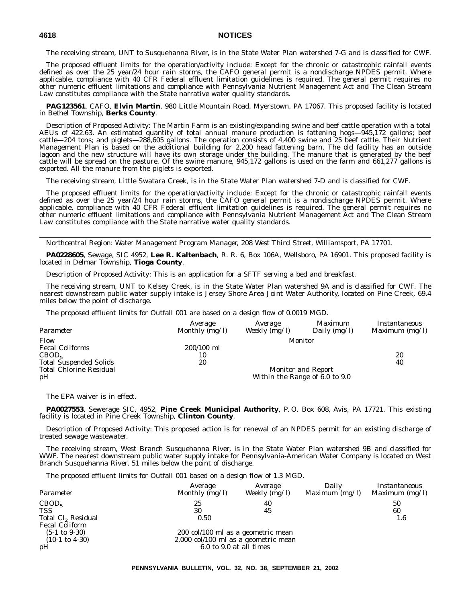The receiving stream, UNT to Susquehanna River, is in the State Water Plan watershed 7-G and is classified for CWF.

The proposed effluent limits for the operation/activity include: Except for the chronic or catastrophic rainfall events defined as over the 25 year/24 hour rain storms, the CAFO general permit is a nondischarge NPDES permit. Where applicable, compliance with 40 CFR Federal effluent limitation guidelines is required. The general permit requires no other numeric effluent limitations and compliance with Pennsylvania Nutrient Management Act and The Clean Stream Law constitutes compliance with the State narrative water quality standards.

**PAG123561**, CAFO, **Elvin Martin**, 980 Little Mountain Road, Myerstown, PA 17067. This proposed facility is located in Bethel Township, **Berks County**.

Description of Proposed Activity: The Martin Farm is an existing/expanding swine and beef cattle operation with a total AEUs of 422.63. An estimated quantity of total annual manure production is fattening hogs—945,172 gallons; beef cattle—204 tons; and piglets—288,605 gallons. The operation consists of 4,400 swine and 25 beef cattle. Their Nutrient Management Plan is based on the additional building for 2,200 head fattening barn. The old facility has an outside lagoon and the new structure will have its own storage under the building. The manure that is generated by the beef cattle will be spread on the pasture. Of the swine manure, 945,172 gallons is used on the farm and 661,277 gallons is exported. All the manure from the piglets is exported.

The receiving stream, Little Swatara Creek, is in the State Water Plan watershed 7-D and is classified for CWF.

The proposed effluent limits for the operation/activity include: Except for the chronic or catastrophic rainfall events defined as over the 25 year/24 hour rain storms, the CAFO general permit is a nondischarge NPDES permit. Where applicable, compliance with 40 CFR Federal effluent limitation guidelines is required. The general permit requires no other numeric effluent limitations and compliance with Pennsylvania Nutrient Management Act and The Clean Stream Law constitutes compliance with the State narrative water quality standards.

*Northcentral Region: Water Management Program Manager, 208 West Third Street, Williamsport, PA 17701.*

**PA0228605**, Sewage, SIC 4952, **Lee R. Kaltenbach**, R. R. 6, Box 106A, Wellsboro, PA 16901. This proposed facility is located in Delmar Township, **Tioga County**.

Description of Proposed Activity: This is an application for a SFTF serving a bed and breakfast.

The receiving stream, UNT to Kelsey Creek, is in the State Water Plan watershed 9A and is classified for CWF. The nearest downstream public water supply intake is Jersey Shore Area Joint Water Authority, located on Pine Creek, 69.4 miles below the point of discharge.

The proposed effluent limits for Outfall 001 are based on a design flow of 0.0019 MGD.

| Parameter                      | Average<br>Monthly $(mg/l)$ | Average<br>Weekly (mg/l) | Maximum<br>Daily (mg/l)        | Instantaneous<br>Maximum $(mg/l)$ |
|--------------------------------|-----------------------------|--------------------------|--------------------------------|-----------------------------------|
| Flow                           |                             |                          | Monitor                        |                                   |
| <b>Fecal Coliforms</b>         | $200/100$ ml                |                          |                                |                                   |
| CBOD <sub>5</sub>              | 10                          |                          |                                | 20                                |
| <b>Total Suspended Solids</b>  | 20                          |                          |                                | 40                                |
| <b>Total Chlorine Residual</b> |                             |                          | <b>Monitor and Report</b>      |                                   |
| pH                             |                             |                          | Within the Range of 6.0 to 9.0 |                                   |

The EPA waiver is in effect.

**PA0027553**, Sewerage SIC, 4952, **Pine Creek Municipal Authority**, P. O. Box 608, Avis, PA 17721. This existing facility is located in Pine Creek Township, **Clinton County**.

Description of Proposed Activity: This proposed action is for renewal of an NPDES permit for an existing discharge of treated sewage wastewater.

The receiving stream, West Branch Susquehanna River, is in the State Water Plan watershed 9B and classified for WWF. The nearest downstream public water supply intake for Pennsylvania-American Water Company is located on West Branch Susquehanna River, 51 miles below the point of discharge.

The proposed effluent limits for Outfall 001 based on a design flow of 1.3 MGD.

| Parameter                      | Average<br>Monthly $(mg/l)$          | Average<br>Weekly (mg/l) | Dailv<br>Maximum $(mg/l)$ | Instantaneous<br>Maximum $(mg/l)$ |
|--------------------------------|--------------------------------------|--------------------------|---------------------------|-----------------------------------|
| CBOD <sub>5</sub>              | 25                                   | 40                       |                           | 50                                |
| <b>TSS</b>                     | 30                                   | 45                       |                           | 60                                |
| Total Cl <sub>2</sub> Residual | 0.50                                 |                          |                           | 1.6                               |
| <b>Fecal Coliform</b>          |                                      |                          |                           |                                   |
| $(5-1 \text{ to } 9-30)$       | 200 col/100 ml as a geometric mean   |                          |                           |                                   |
| $(10-1 \text{ to } 4-30)$      | 2,000 col/100 ml as a geometric mean |                          |                           |                                   |
| pH                             | 6.0 to 9.0 at all times              |                          |                           |                                   |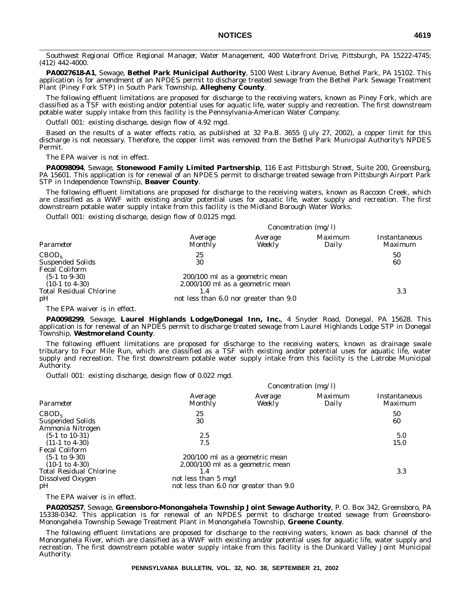*Southwest Regional Office: Regional Manager, Water Management, 400 Waterfront Drive, Pittsburgh, PA 15222-4745; (412) 442-4000.*

**PA0027618-A1**, Sewage, **Bethel Park Municipal Authority**, 5100 West Library Avenue, Bethel Park, PA 15102. This application is for amendment of an NPDES permit to discharge treated sewage from the Bethel Park Sewage Treatment Plant (Piney Fork STP) in South Park Township, **Allegheny County**.

The following effluent limitations are proposed for discharge to the receiving waters, known as Piney Fork, which are classified as a TSF with existing and/or potential uses for aquatic life, water supply and recreation. The first downstream potable water supply intake from this facility is the Pennsylvania-American Water Company.

*Outfall 001:* existing discharge, design flow of 4.92 mgd.

Based on the results of a water effects ratio, as published at 32 Pa.B. 3655 (July 27, 2002), a copper limit for this discharge is not necessary. Therefore, the copper limit was removed from the Bethel Park Municipal Authority's NPDES Permit.

The EPA waiver is not in effect.

**PA0098094**, Sewage, **Stonewood Family Limited Partnership**, 116 East Pittsburgh Street, Suite 200, Greensburg, PA 15601. This application is for renewal of an NPDES permit to discharge treated sewage from Pittsburgh Airport Park STP in Independence Township, **Beaver County**.

The following effluent limitations are proposed for discharge to the receiving waters, known as Raccoon Creek, which are classified as a WWF with existing and/or potential uses for aquatic life, water supply and recreation. The first downstream potable water supply intake from this facility is the Midland Borough Water Works.

*Outfall 001*: existing discharge, design flow of 0.0125 mgd.

|                                                                                               | Concentration (mg/l)                                                                                           |                   |                  |                          |
|-----------------------------------------------------------------------------------------------|----------------------------------------------------------------------------------------------------------------|-------------------|------------------|--------------------------|
| Parameter                                                                                     | Average<br>Monthly                                                                                             | Average<br>Weekly | Maximum<br>Daily | Instantaneous<br>Maximum |
| CBOD <sub>5</sub><br><b>Suspended Solids</b><br><b>Fecal Coliform</b>                         | 25<br>30                                                                                                       |                   |                  | 50<br>60                 |
| $(5-1 \text{ to } 9-30)$<br>$(10-1 \text{ to } 4-30)$<br><b>Total Residual Chlorine</b><br>pH | 200/100 ml as a geometric mean<br>$2,000/100$ ml as a geometric mean<br>not less than 6.0 nor greater than 9.0 |                   |                  | 3.3                      |

The EPA waiver is in effect.

**PA0098299**, Sewage, **Laurel Highlands Lodge/Donegal Inn, Inc.**, 4 Snyder Road, Donegal, PA 15628. This application is for renewal of an NPDES permit to discharge treated sewage from Laurel Highlands Lodge STP in Donegal Township, **Westmoreland County**.

The following effluent limitations are proposed for discharge to the receiving waters, known as drainage swale tributary to Four Mile Run, which are classified as a TSF with existing and/or potential uses for aquatic life, water supply and recreation. The first downstream potable water supply intake from this facility is the Latrobe Municipal Authority.

*Outfall 001*: existing discharge, design flow of 0.022 mgd.

|                                                                                                                                            |                                                                                                                                               | Concentration $(mg/l)$ |                  |                                 |
|--------------------------------------------------------------------------------------------------------------------------------------------|-----------------------------------------------------------------------------------------------------------------------------------------------|------------------------|------------------|---------------------------------|
| Parameter                                                                                                                                  | Average<br>Monthly                                                                                                                            | Average<br>Weekly      | Maximum<br>Daily | Instantaneous<br><i>Maximum</i> |
| CBOD <sub>5</sub><br><b>Suspended Solids</b><br>Ammonia Nitrogen                                                                           | 25<br>30                                                                                                                                      |                        |                  | 50<br>60                        |
| $(5-1 \text{ to } 10-31)$<br>$(11-1 \text{ to } 4-30)$                                                                                     | 2.5<br>7.5                                                                                                                                    |                        |                  | 5.0<br>15.0                     |
| <b>Fecal Coliform</b><br>$(5-1 \text{ to } 9-30)$<br>$(10-1 \text{ to } 4-30)$<br><b>Total Residual Chlorine</b><br>Dissolved Oxygen<br>pH | 200/100 ml as a geometric mean<br>$2,000/100$ ml as a geometric mean<br>1.4<br>not less than 5 mg/l<br>not less than 6.0 nor greater than 9.0 |                        |                  | 3.3                             |

The EPA waiver is in effect.

**PA0205257**, Sewage, **Greensboro-Monongahela Township Joint Sewage Authority**, P. O. Box 342, Greensboro, PA 15338-0342. This application is for renewal of an NPDES permit to discharge treated sewage from Greensboro-Monongahela Township Sewage Treatment Plant in Monongahela Township, **Greene County**.

The following effluent limitations are proposed for discharge to the receiving waters, known as back channel of the Monongahela River, which are classified as a WWF with existing and/or potential uses for aquatic life, water supply and recreation. The first downstream potable water supply intake from this facility is the Dunkard Valley Joint Municipal Authority.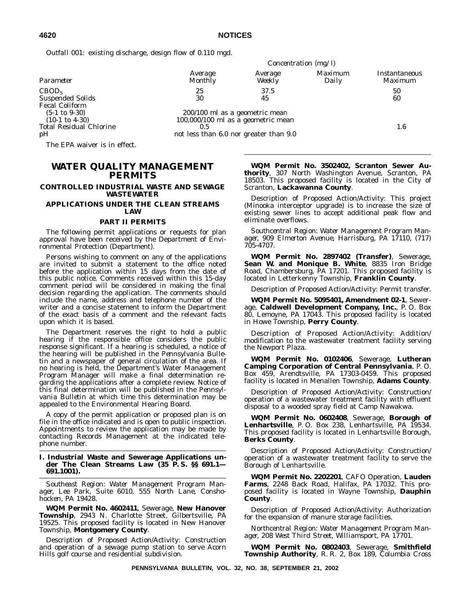*Outfall 001*: existing discharge, design flow of 0.110 mgd.

|                                                             |                                        |                                      | Concentration $(mg/l)$  |                                 |
|-------------------------------------------------------------|----------------------------------------|--------------------------------------|-------------------------|---------------------------------|
| Parameter                                                   | Average<br><b>Monthly</b>              | Average<br>Weekly                    | <i>Maximum</i><br>Daily | <i>Instantaneous</i><br>Maximum |
| CBOD <sub>5</sub>                                           | 25                                     | 37.5                                 |                         | 50                              |
| <b>Suspended Solids</b>                                     | 30                                     | 45                                   |                         | 60                              |
| <b>Fecal Coliform</b><br>$(5-1 \text{ to } 9-30)$           | 200/100 ml as a geometric mean         |                                      |                         |                                 |
| $(10-1 \text{ to } 4-30)$<br><b>Total Residual Chlorine</b> | 0.5                                    | $100,000/100$ ml as a geometric mean |                         | 1.6                             |
| pH                                                          | not less than 6.0 nor greater than 9.0 |                                      |                         |                                 |

The EPA waiver is in effect.

# **WATER QUALITY MANAGEMENT PERMITS**

#### **CONTROLLED INDUSTRIAL WASTE AND SEWAGE WASTEWATER**

#### **APPLICATIONS UNDER THE CLEAN STREAMS LAW**

#### **PART II PERMITS**

The following permit applications or requests for plan approval have been received by the Department of Environmental Protection (Department).

Persons wishing to comment on any of the applications are invited to submit a statement to the office noted before the application within 15 days from the date of this public notice. Comments received within this 15-day comment period will be considered in making the final decision regarding the application. The comments should include the name, address and telephone number of the writer and a concise statement to inform the Department of the exact basis of a comment and the relevant facts upon which it is based.

The Department reserves the right to hold a public hearing if the responsible office considers the public response significant. If a hearing is scheduled, a notice of the hearing will be published in the *Pennsylvania Bulletin* and a newspaper of general circulation of the area. If no hearing is held, the Department's Water Management Program Manager will make a final determination regarding the applications after a complete review. Notice of this final determination will be published in the *Pennsylvania Bulletin* at which time this determination may be appealed to the Environmental Hearing Board.

A copy of the permit application or proposed plan is on file in the office indicated and is open to public inspection. Appointments to review the application may be made by contacting Records Management at the indicated telephone number.

#### **I. Industrial Waste and Sewerage Applications under The Clean Streams Law (35 P. S. §§ 691.1— 691.1001).**

*Southeast Region: Water Management Program Manager, Lee Park, Suite 6010, 555 North Lane, Conshohocken, PA 19428.*

**WQM Permit No. 4602411**, Sewerage, **New Hanover Township**, 2943 N. Charlotte Street, Gilbertsville, PA 19525. This proposed facility is located in New Hanover Township, **Montgomery County**.

Description of Proposed Action/Activity: Construction and operation of a sewage pump station to serve Acorn Hills golf course and residential subdivision.

**WQM Permit No. 3502402, Scranton Sewer Authority**, 307 North Washington Avenue, Scranton, PA 18503. This proposed facility is located in the City of Scranton, **Lackawanna County**.

Description of Proposed Action/Activity: This project (Minooka interceptor upgrade) is to increase the size of existing sewer lines to accept additional peak flow and eliminate overflows.

*Southcentral Region: Water Management Program Manager, 909 Elmerton Avenue, Harrisburg, PA 17110, (717) 705-4707.*

**WQM Permit No. 2897402 (Transfer)**, Sewerage, Sean W. and Monique B. White, 8835 Iron Bridge Road, Chambersburg, PA 17201. This proposed facility is located in Letterkenny Township, **Franklin County**.

Description of Proposed Action/Activity: Permit transfer.

**WQM Permit No. 5095401, Amendment 02-1**, Sewerage, **Caldwell Development Company, Inc.**, P. O. Box 80, Lemoyne, PA 17043. This proposed facility is located in Howe Township, **Perry County**.

Description of Proposed Action/Activity: Addition/ modification to the wastewater treatment facility serving the Newport Plaza.

**WQM Permit No. 0102406**, Sewerage, **Lutheran Camping Corporation of Central Pennsylvania**, P. O. Box 459, Arendtsville, PA 17303-0459. This proposed facility is located in Menallen Township, **Adams County**.

Description of Proposed Action/Activity: Construction/ operation of a wastewater treatment facility with effluent disposal to a wooded spray field at Camp Nawakwa.

**WQM Permit No. 0602408**, Sewerage, **Borough of Lenhartsville**, P. O. Box 238, Lenhartsville, PA 19534. This proposed facility is located in Lenhartsville Borough, **Berks County**.

Description of Proposed Action/Activity: Construction/ operation of a wastewater treatment facility to serve the Borough of Lenhartsville.

**WQM Permit No. 2202201**, CAFO Operation, **Lauden Farms**, 2248 Back Road, Halifax, PA 17032. This proposed facility is located in Wayne Township, **Dauphin County**.

Description of Proposed Action/Activity: Authorization for the expansion of manure storage facilities.

*Northcentral Region: Water Management Program Manager, 208 West Third Street, Williamsport, PA 17701.*

**WQM Permit No. 0802403**, Sewerage, **Smithfield Township Authority**, R. R. 2, Box 189, Columbia Cross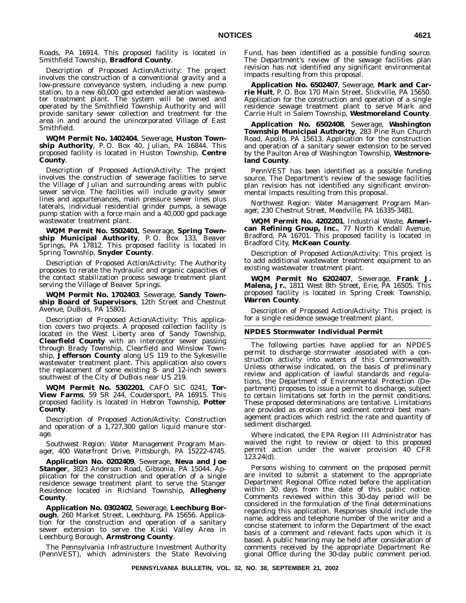Roads, PA 16914. This proposed facility is located in Smithfield Township, **Bradford County**.

Description of Proposed Action/Activity: The project involves the construction of a conventional gravity and a low-pressure conveyance system, including a new pump station, to a new 60,000 gpd extended aeration wastewater treatment plant. The system will be owned and operated by the Smithfield Township Authority and will provide sanitary sewer collection and treatment for the area in and around the unincorporated Village of East Smithfield.

**WQM Permit No. 1402404**, Sewerage, **Huston Township Authority**, P. O. Box 40, Julian, PA 16844. This proposed facility is located in Huston Township, **Centre County**.

Description of Proposed Action/Activity: The project involves the construction of sewerage facilities to serve the Village of Julian and surrounding areas with public sewer service. The facilities will include gravity sewer lines and appurtenances, main pressure sewer lines plus laterals, individual residential grinder pumps, a sewage pump station with a force main and a 40,000 gpd package wastewater treatment plant.

**WQM Permit No. 5502401**, Sewerage, **Spring Township Municipal Authority**, P. O. Box 133, Beaver Springs, PA 17812. This proposed facility is located in Spring Township, **Snyder County**.

Description of Proposed Action/Activity: The Authority proposes to rerate the hydraulic and organic capacities of the contact stabilization process sewage treatment plant serving the Village of Beaver Springs.

**WQM Permit No. 1702403**, Sewerage, **Sandy Township Board of Supervisors**, 12th Street and Chestnut Avenue, DuBois, PA 15801.

Description of Proposed Action/Activity: This application covers two projects. A proposed collection facility is located in the West Liberty area of Sandy Township, **Clearfield County** with an interceptor sewer passing through Brady Township, Clearfield and Winslow Township, **Jefferson County** along US 119 to the Sykesville wastewater treatment plant. This application also covers the replacement of some existing 8- and 12-inch sewers southwest of the City of DuBois near US 219.

**WQM Permit No. 5302201**, CAFO SIC 0241, **Tor-View Farms**, 59 SR 244, Coudersport, PA 16915. This proposed facility is located in Hebron Township, **Potter County**.

Description of Proposed Action/Activity: Construction and operation of a 1,727,300 gallon liquid manure storage.

*Southwest Region: Water Management Program Manager, 400 Waterfront Drive, Pittsburgh, PA 15222-4745.*

**Application No. 0202409**, Sewerage, **Neva and Joe Stanger**, 3823 Anderson Road, Gibsonia, PA 15044. Application for the construction and operation of a single residence sewage treatment plant to serve the Stanger Residence located in Richland Township, **Allegheny County**.

**Application No. 0302402**, Sewerage, **Leechburg Borough**, 260 Market Street, Leechburg, PA 15656. Application for the construction and operation of a sanitary sewer extension to serve the Kiski Valley Area in Leechburg Borough, **Armstrong County**.

The Pennsylvania Infrastructure Investment Authority (PennVEST), which administers the State Revolving Fund, has been identified as a possible funding source. The Department's review of the sewage facilities plan revision has not identified any significant environmental impacts resulting from this proposal.

**Application No. 6502407**, Sewerage, **Mark and Carrie Hult**, P. O. Box 170 Main Street, Slickville, PA 15650. Application for the construction and operation of a single residence sewage treatment plant to serve Mark and Carrie Hult in Salem Township, **Westmoreland County**.

**Application No. 6502408**, Sewerage, **Washington Township Municipal Authority**, 283 Pine Run Church Road, Apollo, PA 15613. Application for the construction and operation of a sanitary sewer extension to be served by the Paulton Area of Washington Township, **Westmoreland County**.

PennVEST has been identified as a possible funding source. The Department's review of the sewage facilities plan revision has not identified any significant environmental impacts resulting from this proposal.

*Northwest Region: Water Management Program Manager, 230 Chestnut Street, Meadville, PA 16335-3481.*

**WQM Permit No. 4202201**, Industrial Waste, **American Refining Group, Inc.**, 77 North Kendall Avenue, Bradford, PA 16701. This proposed facility is located in Bradford City, **McKean County**.

Description of Proposed Action/Activity: This project is to add additional wastewater treatment equipment to an existing wastewater treatment plant.

**WQM Permit No 6202407**, Sewerage, **Frank J. Malena, Jr.**, 1811 West 8th Street, Erie, PA 16505. This proposed facility is located in Spring Creek Township, **Warren County**.

Description of Proposed Action/Activity: This project is for a single residence sewage treatment plant.

#### **NPDES Stormwater Individual Permit**

The following parties have applied for an NPDES permit to discharge stormwater associated with a construction activity into waters of this Commonwealth. Unless otherwise indicated, on the basis of preliminary review and application of lawful standards and regulations, the Department of Environmental Protection (Department) proposes to issue a permit to discharge, subject to certain limitations set forth in the permit conditions. These proposed determinations are tentative. Limitations are provided as erosion and sediment control best management practices which restrict the rate and quantity of sediment discharged.

Where indicated, the EPA Region III Administrator has waived the right to review or object to this proposed permit action under the waiver provision 40 CFR 123.24(d).

Persons wishing to comment on the proposed permit are invited to submit a statement to the appropriate Department Regional Office noted before the application within 30 days from the date of this public notice. Comments reviewed within this 30-day period will be considered in the formulation of the final determinations regarding this application. Responses should include the name, address and telephone number of the writer and a concise statement to inform the Department of the exact basis of a comment and relevant facts upon which it is based. A public hearing may be held after consideration of comments received by the appropriate Department Regional Office during the 30-day public comment period.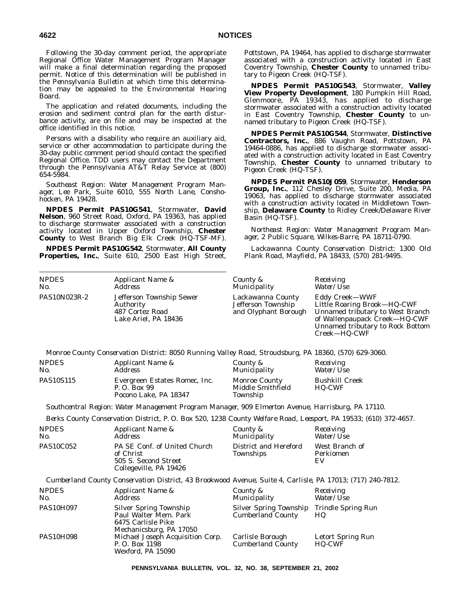Following the 30-day comment period, the appropriate Regional Office Water Management Program Manager will make a final determination regarding the proposed permit. Notice of this determination will be published in the *Pennsylvania Bulletin* at which time this determination may be appealed to the Environmental Hearing Board.

The application and related documents, including the erosion and sediment control plan for the earth disturbance activity, are on file and may be inspected at the office identified in this notice.

Persons with a disability who require an auxiliary aid, service or other accommodation to participate during the 30-day public comment period should contact the specified Regional Office. TDD users may contact the Department through the Pennsylvania AT&T Relay Service at (800) 654-5984.

*Southeast Region: Water Management Program Manager, Lee Park, Suite 6010, 555 North Lane, Conshohocken, PA 19428.*

**NPDES Permit PAS10G541**, Stormwater, **David Nelson**, 960 Street Road, Oxford, PA 19363, has applied to discharge stormwater associated with a construction activity located in Upper Oxford Township, **Chester County** to West Branch Big Elk Creek (HQ-TSF-MF).

**NPDES Permit PAS10G542**, Stormwater, **All County Properties, Inc.**, Suite 610, 2500 East High Street, Pottstown, PA 19464, has applied to discharge stormwater associated with a construction activity located in East Coventry Township, **Chester County** to unnamed tributary to Pigeon Creek (HQ-TSF).

**NPDES Permit PAS10G543**, Stormwater, **Valley View Property Development**, 180 Pumpkin Hill Road, Glenmoore, PA 19343, has applied to discharge stormwater associated with a construction activity located in East Coventry Township, **Chester County** to unnamed tributary to Pigeon Creek (HQ-TSF).

**NPDES Permit PAS10G544**, Stormwater, **Distinctive Contractors, Inc.**, 886 Vaughn Road, Pottstown, PA 19464-0886, has applied to discharge stormwater associated with a construction activity located in East Coventry Township, **Chester County** to unnamed tributary to Pigeon Creek (HQ-TSF).

**NPDES Permit PAS10J059**, Stormwater, **Henderson Group, Inc.**, 112 Chesley Drive, Suite 200, Media, PA 19063, has applied to discharge stormwater associated with a construction activity located in Middletown Township, **Delaware County** to Ridley Creek/Delaware River Basin (HQ-TSF).

*Northeast Region: Water Management Program Manager, 2 Public Square, Wilkes-Barre, PA 18711-0790.*

*Lackawanna County Conservation District: 1300 Old Plank Road, Mayfield, PA 18433, (570) 281-9495.*

| <b>NPDES</b><br>No. | Applicant Name &<br>Address                                                      | County &<br>Municipality                                        | Receiving<br><i>Water/Use</i>                                                                                                                                          |
|---------------------|----------------------------------------------------------------------------------|-----------------------------------------------------------------|------------------------------------------------------------------------------------------------------------------------------------------------------------------------|
| PAS10N023R-2        | Jefferson Township Sewer<br>Authority<br>487 Cortez Road<br>Lake Ariel, PA 18436 | Lackawanna County<br>Jefferson Township<br>and Olyphant Borough | Eddy Creek-WWF<br>Little Roaring Brook-HQ-CWF<br>Unnamed tributary to West Branch<br>of Wallenpaupack Creek-HQ-CWF<br>Unnamed tributary to Rock Bottom<br>Creek-HQ-CWF |

*Monroe County Conservation District: 8050 Running Valley Road, Stroudsburg, PA 18360, (570) 629-3060.*

| <b>NPDES</b>     | <i>Applicant Name &amp;</i>                                            | County &                                              | Receiving                              |
|------------------|------------------------------------------------------------------------|-------------------------------------------------------|----------------------------------------|
| No.              | Address                                                                | Municipality                                          | <i>Water/Use</i>                       |
| <b>PAS10S115</b> | Evergreen Estates Romec, Inc.<br>P. O. Box 99<br>Pocono Lake, PA 18347 | <b>Monroe County</b><br>Middle Smithfield<br>Township | <b>Bushkill Creek</b><br><b>HQ-CWF</b> |

*Southcentral Region: Water Management Program Manager, 909 Elmerton Avenue, Harrisburg, PA 17110.*

*Berks County Conservation District, P. O. Box 520, 1238 County Welfare Road, Leesport, PA 19533; (610) 372-4657.*

| <b>NPDES</b><br>No. | Applicant Name &<br>Address                                                                                | County &<br><i>Municipality</i>           | Receiving<br>Water/Use            |
|---------------------|------------------------------------------------------------------------------------------------------------|-------------------------------------------|-----------------------------------|
| <b>PAS10C052</b>    | PA SE Conf. of United Church<br>of Christ<br>505 S. Second Street<br>Collegeville, PA 19426                | District and Hereford<br><b>Townships</b> | West Branch of<br>Perkiomen<br>EV |
|                     | Cumberland County Conservation District, 43 Brookwood Avenue, Suite 4, Carlisle, PA 17013; (717) 240-7812. |                                           |                                   |
| <b>NPDES</b><br>No. | Applicant Name &<br><i>Address</i>                                                                         | County &<br>Municipality                  | Receiving<br>Water/Use            |
| <b>PAS10H097</b>    | <b>Silver Spring Township</b>                                                                              | Silver Spring Township Trindle Spring Run |                                   |

|                  | Paul Walter Mem. Park            | <b>Cumberland County</b> | HQ                |
|------------------|----------------------------------|--------------------------|-------------------|
|                  | 6475 Carlisle Pike               |                          |                   |
|                  | Mechanicsburg, PA 17050          |                          |                   |
| <b>PAS10H098</b> | Michael Joseph Acquisition Corp. | Carlisle Borough         | Letort Spring Run |
|                  | P. O. Box 1198                   | <b>Cumberland County</b> | <b>HQ-CWF</b>     |
|                  | Wexford, PA 15090                |                          |                   |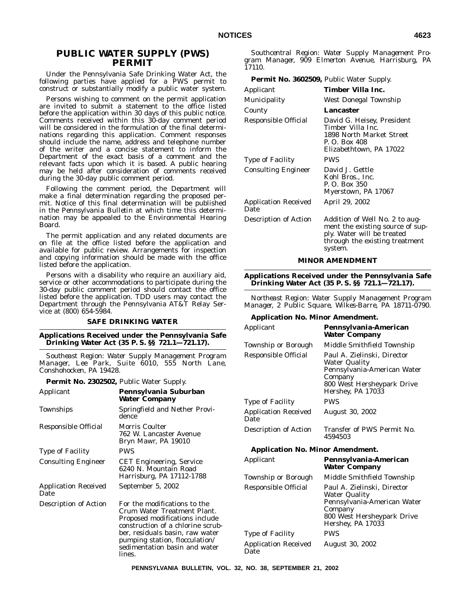# **PUBLIC WATER SUPPLY (PWS) PERMIT**

Under the Pennsylvania Safe Drinking Water Act, the following parties have applied for a PWS permit to construct or substantially modify a public water system.

Persons wishing to comment on the permit application are invited to submit a statement to the office listed before the application within 30 days of this public notice. Comments received within this 30-day comment period will be considered in the formulation of the final determinations regarding this application. Comment responses should include the name, address and telephone number of the writer and a concise statement to inform the Department of the exact basis of a comment and the relevant facts upon which it is based. A public hearing may be held after consideration of comments received during the 30-day public comment period.

Following the comment period, the Department will make a final determination regarding the proposed permit. Notice of this final determination will be published in the *Pennsylvania Bulletin* at which time this determination may be appealed to the Environmental Hearing Board.

The permit application and any related documents are on file at the office listed before the application and available for public review. Arrangements for inspection and copying information should be made with the office listed before the application.

Persons with a disability who require an auxiliary aid, service or other accommodations to participate during the 30-day public comment period should contact the office listed before the application. TDD users may contact the Department through the Pennsylvania AT&T Relay Service at (800) 654-5984.

#### **SAFE DRINKING WATER**

#### **Applications Received under the Pennsylvania Safe Drinking Water Act (35 P. S. §§ 721.1—721.17).**

*Southeast Region: Water Supply Management Program Manager, Lee Park, Suite 6010, 555 North Lane, Conshohocken, PA 19428.*

**Permit No. 2302502,** Public Water Supply.

| Applicant                           | Pennsylvania Suburban<br>Water Company                                                                                                                                                                                                             |
|-------------------------------------|----------------------------------------------------------------------------------------------------------------------------------------------------------------------------------------------------------------------------------------------------|
| Townships                           | Springfield and Nether Provi-<br>dence                                                                                                                                                                                                             |
| Responsible Official                | <b>Morris Coulter</b><br>762 W. Lancaster Avenue<br>Bryn Mawr, PA 19010                                                                                                                                                                            |
| Type of Facility                    | <b>PWS</b>                                                                                                                                                                                                                                         |
| <b>Consulting Engineer</b>          | <b>CET</b> Engineering, Service<br>6240 N. Mountain Road<br>Harrisburg, PA 17112-1788                                                                                                                                                              |
| <b>Application Received</b><br>Date | September 5, 2002                                                                                                                                                                                                                                  |
| Description of Action               | For the modifications to the<br>Crum Water Treatment Plant.<br>Proposed modifications include<br>construction of a chlorine scrub-<br>ber, residuals basin, raw water<br>pumping station, flocculation/<br>sedimentation basin and water<br>lines. |

*Southcentral Region: Water Supply Management Program Manager, 909 Elmerton Avenue, Harrisburg, PA 17110.*

| <b>Permit No. 3602509, Public Water Supply.</b> |                                                                                                                                               |
|-------------------------------------------------|-----------------------------------------------------------------------------------------------------------------------------------------------|
| Applicant                                       | Timber Villa Inc.                                                                                                                             |
| <b>Municipality</b>                             | <b>West Donegal Township</b>                                                                                                                  |
| County                                          | Lancaster                                                                                                                                     |
| Responsible Official                            | David G. Heisey, President<br>Timber Villa Inc.<br>1898 North Market Street<br>P. O. Box 408<br>Elizabethtown, PA 17022                       |
| Type of Facility                                | <b>PWS</b>                                                                                                                                    |
| <b>Consulting Engineer</b>                      | David J. Gettle<br>Kohl Bros., Inc.<br>P. O. Box 350<br>Myerstown, PA 17067                                                                   |
| <b>Application Received</b><br>Date             | April 29, 2002                                                                                                                                |
| Description of Action                           | Addition of Well No. 2 to aug-<br>ment the existing source of sup-<br>ply. Water will be treated<br>through the existing treatment<br>system. |

#### **MINOR AMENDMENT**

**Applications Received under the Pennsylvania Safe Drinking Water Act (35 P. S. §§ 721.1—721.17).**

*Northeast Region: Water Supply Management Program Manager, 2 Public Square, Wilkes-Barre, PA 18711-0790.*

#### **Application No. Minor Amendment.**

| Applicant                               | Pennsylvania-American<br><b>Water Company</b>                                                                                                    |
|-----------------------------------------|--------------------------------------------------------------------------------------------------------------------------------------------------|
| Township or Borough                     | Middle Smithfield Township                                                                                                                       |
| Responsible Official                    | Paul A. Zielinski, Director<br>Water Quality<br>Pennsylvania-American Water<br>Company<br>800 West Hersheypark Drive<br>Hershey, PA 17033        |
| <b>Type of Facility</b>                 | <b>PWS</b>                                                                                                                                       |
| <b>Application Received</b><br>Date     | August 30, 2002                                                                                                                                  |
| Description of Action                   | Transfer of PWS Permit No.<br>4594503                                                                                                            |
| <b>Application No. Minor Amendment.</b> |                                                                                                                                                  |
| Applicant                               | Pennsylvania-American<br><b>Water Company</b>                                                                                                    |
| Township or Borough                     | Middle Smithfield Township                                                                                                                       |
| Responsible Official                    | Paul A. Zielinski, Director<br><b>Water Quality</b><br>Pennsylvania-American Water<br>Company<br>800 West Hersheypark Drive<br>Hershey, PA 17033 |
| Type of Facility                        | PWS                                                                                                                                              |
| <b>Application Received</b><br>Date     | <b>August 30, 2002</b>                                                                                                                           |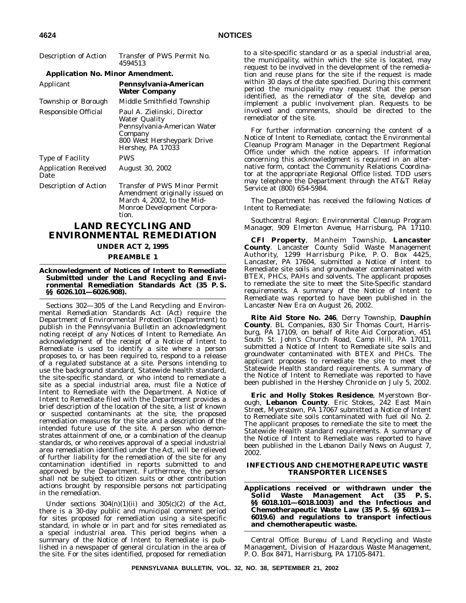| Description of Action                   | Transfer of PWS Permit No.<br>4594513                                                                                                     |
|-----------------------------------------|-------------------------------------------------------------------------------------------------------------------------------------------|
| <b>Application No. Minor Amendment.</b> |                                                                                                                                           |
| Applicant                               | Pennsylvania-American<br><b>Water Company</b>                                                                                             |
| Township or Borough                     | Middle Smithfield Township                                                                                                                |
| Responsible Official                    | Paul A. Zielinski, Director<br>Water Quality<br>Pennsylvania-American Water<br>Company<br>800 West Hersheypark Drive<br>Hershey, PA 17033 |
| <b>Type of Facility</b>                 | <b>PWS</b>                                                                                                                                |
| <b>Application Received</b><br>Date     | <b>August 30, 2002</b>                                                                                                                    |
| Description of Action                   | Transfer of PWS Minor Permit<br>Amendment originally issued on<br>March 4, 2002, to the Mid-<br>Monroe Development Corpora-<br>tion.      |
|                                         | <b>LAND RECYCLING AND</b><br>ENVIRONMENTAL REMEDIATION                                                                                    |

# **UNDER ACT 2, 1995**

#### **PREAMBLE 1**

#### **Acknowledgment of Notices of Intent to Remediate Submitted under the Land Recycling and Environmental Remediation Standards Act (35 P. S. §§ 6026.101—6026.908).**

Sections 302—305 of the Land Recycling and Environmental Remediation Standards Act (Act) require the Department of Environmental Protection (Department) to publish in the *Pennsylvania Bulletin* an acknowledgment noting receipt of any Notices of Intent to Remediate. An acknowledgment of the receipt of a Notice of Intent to Remediate is used to identify a site where a person proposes to, or has been required to, respond to a release of a regulated substance at a site. Persons intending to use the background standard, Statewide health standard, the site-specific standard, or who intend to remediate a site as a special industrial area, must file a Notice of Intent to Remediate with the Department. A Notice of Intent to Remediate filed with the Department provides a brief description of the location of the site, a list of known or suspected contaminants at the site, the proposed remediation measures for the site and a description of the intended future use of the site. A person who demonstrates attainment of one, or a combination of the cleanup standards, or who receives approval of a special industrial area remediation identified under the Act, will be relieved of further liability for the remediation of the site for any contamination identified in reports submitted to and approved by the Department. Furthermore, the person shall not be subject to citizen suits or other contribution actions brought by responsible persons not participating in the remediation.

Under sections  $304(n)(1)(ii)$  and  $305(c)(2)$  of the Act, there is a 30-day public and municipal comment period for sites proposed for remediation using a site-specific standard, in whole or in part and for sites remediated as a special industrial area. This period begins when a summary of the Notice of Intent to Remediate is published in a newspaper of general circulation in the area of the site. For the sites identified, proposed for remediation

to a site-specific standard or as a special industrial area, the municipality, within which the site is located, may request to be involved in the development of the remediation and reuse plans for the site if the request is made within 30 days of the date specified. During this comment period the municipality may request that the person identified, as the remediator of the site, develop and implement a public involvement plan. Requests to be involved and comments, should be directed to the remediator of the site.

For further information concerning the content of a Notice of Intent to Remediate, contact the Environmental Cleanup Program Manager in the Department Regional Office under which the notice appears. If information concerning this acknowledgment is required in an alternative form, contact the Community Relations Coordinator at the appropriate Regional Office listed. TDD users may telephone the Department through the AT&T Relay Service at (800) 654-5984.

The Department has received the following Notices of Intent to Remediate:

*Southcentral Region: Environmental Cleanup Program Manager, 909 Elmerton Avenue, Harrisburg, PA 17110.*

**CFI Property**, Manheim Township, **Lancaster County**. Lancaster County Solid Waste Management Authority, 1299 Harrisburg Pike, P. O. Box 4425, Lancaster, PA 17604, submitted a Notice of Intent to Remediate site soils and groundwater contaminated with BTEX, PHCs, PAHs and solvents. The applicant proposes to remediate the site to meet the Site-Specific standard requirements. A summary of the Notice of Intent to Remediate was reported to have been published in the *Lancaster New Era* on August 26, 2002.

**Rite Aid Store No. 246**, Derry Township, **Dauphin County**. BL Companies, 830 Sir Thomas Court, Harrisburg, PA 17109, on behalf of Rite Aid Corporation, 451 South St. John's Church Road, Camp Hill, PA 17011, submitted a Notice of Intent to Remediate site soils and groundwater contaminated with BTEX and PHCs. The applicant proposes to remediate the site to meet the Statewide Health standard requirements. A summary of the Notice of Intent to Remediate was reported to have been published in the *Hershey Chronicle* on July 5, 2002.

**Eric and Holly Stokes Residence**, Myerstown Borough, **Lebanon County**. Eric Stokes, 242 East Main Street, Myerstown, PA 17067 submitted a Notice of Intent to Remediate site soils contaminated with fuel oil No. 2. The applicant proposes to remediate the site to meet the Statewide Health standard requirements. A summary of the Notice of Intent to Remediate was reported to have been published in the *Lebanon Daily News* on August 7, 2002.

#### **INFECTIOUS AND CHEMOTHERAPEUTIC WASTE TRANSPORTER LICENSES**

**Applications received or withdrawn under the Solid Waste Management Act (35 §§ 6018.101—6018.1003) and the Infectious and Chemotherapeutic Waste Law (35 P. S. §§ 6019.1— 6019.6) and regulations to transport infectious and chemotherapeutic waste.**

*Central Office: Bureau of Land Recycling and Waste Management, Division of Hazardous Waste Management, P. O. Box 8471, Harrisburg, PA 17105-8471.*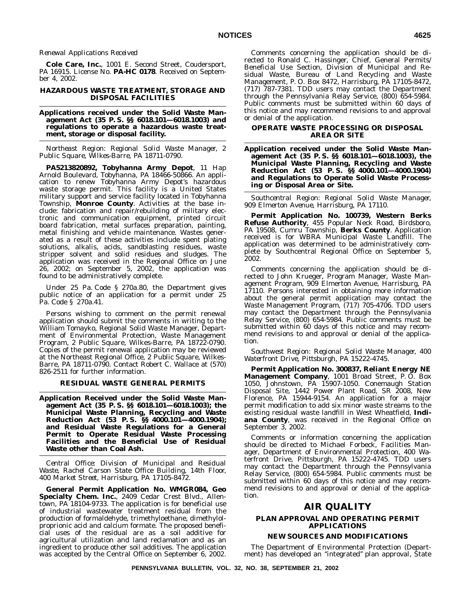#### *Renewal Applications Received*

**Cole Care, Inc.**, 1001 E. Second Street, Coudersport, PA 16915. License No. **PA-HC 0178**. Received on September 4, 2002.

#### **HAZARDOUS WASTE TREATMENT, STORAGE AND DISPOSAL FACILITIES**

#### **Applications received under the Solid Waste Management Act (35 P. S. §§ 6018.101—6018.1003) and regulations to operate a hazardous waste treatment, storage or disposal facility.**

*Northeast Region: Regional Solid Waste Manager, 2 Public Square, Wilkes-Barre, PA 18711-0790.*

**PA5213820892, Tobyhanna Army Depot**, 11 Hap Arnold Boulevard, Tobyhanna, PA 18466-50866. An application to renew Tobyhanna Army Depot's hazardous waste storage permit. This facility is a United States military support and service facility located in Tobyhanna Township, **Monroe County**. Activities at the base include: fabrication and repair/rebuilding of military electronic and communication equipment, printed circuit board fabrication, metal surfaces preparation, painting, metal finishing and vehicle maintenance. Wastes generated as a result of these activities include spent plating solutions, alkalis, acids, sandblasting residues, waste stripper solvent and solid residues and sludges. The application was received in the Regional Office on June 26, 2002; on September 5, 2002, the application was found to be administratively complete.

Under 25 Pa. Code § 270a.80, the Department gives public notice of an application for a permit under 25 Pa. Code § 270a.41.

Persons wishing to comment on the permit renewal application should submit the comments in writing to the William Tomayko, Regional Solid Waste Manager, Department of Environmental Protection, Waste Management Program, 2 Public Square, Wilkes-Barre, PA 18722-0790. Copies of the permit renewal application may be reviewed at the Northeast Regional Office, 2 Public Square, Wilkes-Barre, PA 18711-0790. Contact Robert C. Wallace at (570) 826-2511 for further information.

#### **RESIDUAL WASTE GENERAL PERMITS**

**Application Received under the Solid Waste Management Act (35 P. S. §§ 6018.101—6018.1003); the Municipal Waste Planning, Recycling and Waste Reduction Act (53 P. S. §§ 4000.101—4000.1904); and Residual Waste Regulations for a General Permit to Operate Residual Waste Processing Facilities and the Beneficial Use of Residual Waste other than Coal Ash.**

*Central Office: Division of Municipal and Residual Waste, Rachel Carson State Office Building, 14th Floor, 400 Market Street, Harrisburg, PA 17105-8472.*

**General Permit Application No. WMGR084, Geo** Specialty Chem. Inc., 2409 Cedar Crest Blvd., Allentown, PA 18104-9733. The application is for beneficial use of industrial wastewater treatment residual from the production of formaldehyde, trimethyloethane, dimethylolproprionic acid and calcium formate. The proposed beneficial uses of the residual are as a soil additive for agricultural utilization and land reclamation and as an ingredient to produce other soil additives. The application was accepted by the Central Office on September 6, 2002.

Comments concerning the application should be directed to Ronald C. Hassinger, Chief, General Permits/ Beneficial Use Section, Division of Municipal and Residual Waste, Bureau of Land Recycling and Waste Management, P. O. Box 8472, Harrisburg, PA 17105-8472, (717) 787-7381. TDD users may contact the Department through the Pennsylvania Relay Service, (800) 654-5984. Public comments must be submitted within 60 days of this notice and may recommend revisions to and approval or denial of the application.

#### **OPERATE WASTE PROCESSING OR DISPOSAL AREA OR SITE**

**Application received under the Solid Waste Management Act (35 P. S. §§ 6018.101—6018.1003), the Municipal Waste Planning, Recycling and Waste Reduction Act (53 P. S. §§ 4000.101—4000.1904) and Regulations to Operate Solid Waste Processing or Disposal Area or Site.**

*Southcentral Region: Regional Solid Waste Manager, 909 Elmerton Avenue, Harrisburg, PA 17110.*

**Permit Application No. 100739, Western Berks Refuse Authority**, 455 Popular Neck Road, Birdsboro, PA 19508, Cumru Township, **Berks County**. Application received is for WBRA Municipal Waste Landfill. The application was determined to be administratively complete by Southcentral Regional Office on September 5, 2002.

Comments concerning the application should be directed to John Krueger, Program Manager, Waste Management Program, 909 Elmerton Avenue, Harrisburg, PA 17110. Persons interested in obtaining more information about the general permit application may contact the Waste Management Program, (717) 705-4706. TDD users may contact the Department through the Pennsylvania Relay Service, (800) 654-5984. Public comments must be submitted within 60 days of this notice and may recommend revisions to and approval or denial of the application.

*Southwest Region: Regional Solid Waste Manager, 400 Waterfront Drive, Pittsburgh, PA 15222-4745.*

**Permit Application No. 300837, Reliant Energy NE Management Company**, 1001 Broad Street, P. O. Box 1050, Johnstown, PA 15907-1050. Conemaugh Station Disposal Site, 1442 Power Plant Road, SR 2008, New Florence, PA 15944-9154. An application for a major permit modification to add six minor waste streams to the existing residual waste landfill in West Wheatfield, **Indiana County**, was received in the Regional Office on September 3, 2002.

Comments or information concerning the application should be directed to Michael Forbeck, Facilities Manager, Department of Environmental Protection, 400 Waterfront Drive, Pittsburgh, PA 15222-4745. TDD users may contact the Department through the Pennsylvania Relay Service, (800) 654-5984. Public comments must be submitted within 60 days of this notice and may recommend revisions to and approval or denial of the application.

### **AIR QUALITY**

#### **PLAN APPROVAL AND OPERATING PERMIT APPLICATIONS**

#### **NEW SOURCES AND MODIFICATIONS**

The Department of Environmental Protection (Department) has developed an ''integrated'' plan approval, State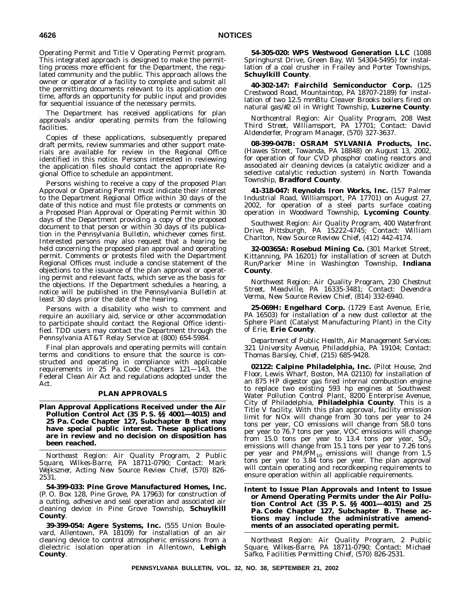Operating Permit and Title V Operating Permit program. This integrated approach is designed to make the permitting process more efficient for the Department, the regulated community and the public. This approach allows the owner or operator of a facility to complete and submit all the permitting documents relevant to its application one time, affords an opportunity for public input and provides for sequential issuance of the necessary permits.

The Department has received applications for plan approvals and/or operating permits from the following facilities.

Copies of these applications, subsequently prepared draft permits, review summaries and other support materials are available for review in the Regional Office identified in this notice. Persons interested in reviewing the application files should contact the appropriate Regional Office to schedule an appointment.

Persons wishing to receive a copy of the proposed Plan Approval or Operating Permit must indicate their interest to the Department Regional Office within 30 days of the date of this notice and must file protests or comments on a Proposed Plan Approval or Operating Permit within 30 days of the Department providing a copy of the proposed document to that person or within 30 days of its publication in the *Pennsylvania Bulletin*, whichever comes first. Interested persons may also request that a hearing be held concerning the proposed plan approval and operating permit. Comments or protests filed with the Department Regional Offices must include a concise statement of the objections to the issuance of the plan approval or operating permit and relevant facts, which serve as the basis for the objections. If the Department schedules a hearing, a notice will be published in the *Pennsylvania Bulletin* at least 30 days prior the date of the hearing.

Persons with a disability who wish to comment and require an auxiliary aid, service or other accommodation to participate should contact the Regional Office identified. TDD users may contact the Department through the Pennsylvania AT&T Relay Service at (800) 654-5984.

Final plan approvals and operating permits will contain terms and conditions to ensure that the source is constructed and operating in compliance with applicable requirements in 25 Pa. Code Chapters 121—143, the Federal Clean Air Act and regulations adopted under the Act.

#### **PLAN APPROVALS**

**Plan Approval Applications Received under the Air Pollution Control Act (35 P. S. §§ 4001—4015) and 25 Pa. Code Chapter 127, Subchapter B that may have special public interest. These applications are in review and no decision on disposition has been reached.**

*Northeast Region: Air Quality Program, 2 Public Square, Wilkes-Barre, PA 18711-0790; Contact: Mark Wejkszner, Acting New Source Review Chief, (570) 826- 2531.*

**54-399-033: Pine Grove Manufactured Homes, Inc.** (P. O. Box 128, Pine Grove, PA 17963) for construction of a cutting, adhesive and seal operation and associated air cleaning device in Pine Grove Township, **Schuylkill County**.

**39-399-054: Agere Systems, Inc.** (555 Union Boulevard, Allentown, PA 18109) for installation of an air cleaning device to control atmospheric emissions from a dielectric isolation operation in Allentown, **Lehigh County**.

**54-305-020: WPS Westwood Generation LLC** (1088 Springhurst Drive, Green Bay, WI 54304-5495) for installation of a coal crusher in Frailey and Porter Townships, **Schuylkill County**.

**40-302-147: Fairchild Semiconductor Corp.** (125 Crestwood Road, Mountaintop, PA 18707-2189) for installation of two 12.5 mmBtu Cleaver Brooks boilers fired on natural gas/#2 oil in Wright Township, **Luzerne County**.

*Northcentral Region: Air Quality Program, 208 West Third Street, Williamsport, PA 17701; Contact: David Aldenderfer, Program Manager, (570) 327-3637.*

**08-399-047B: OSRAM SYLVANIA Products, Inc.** (Hawes Street, Towanda, PA 18848) on August 13, 2002, for operation of four CVD phosphor coating reactors and associated air cleaning devices (a catalytic oxidizer and a selective catalytic reduction system) in North Towanda Township, **Bradford County**.

**41-318-047: Reynolds Iron Works, Inc.** (157 Palmer Industrial Road, Williamsport, PA 17701) on August 27, 2002, for operation of a steel parts surface coating operation in Woodward Township, **Lycoming County**.

*Southwest Region: Air Quality Program, 400 Waterfront Drive, Pittsburgh, PA 15222-4745; Contact: William Charlton, New Source Review Chief, (412) 442-4174.*

**32-00365A: Rosebud Mining Co.** (301 Market Street, Kittanning, PA 16201) for installation of screen at Dutch Run/Parker Mine in Washington Township, **Indiana County**.

*Northwest Region: Air Quality Program, 230 Chestnut Street, Meadville, PA 16335-3481; Contact: Devendra Verma, New Source Review Chief, (814) 332-6940.*

**25-069H: Engelhard Corp.** (1729 East Avenue, Erie, PA 16503) for installation of a new dust collector at the Sphere Plant (Catalyst Manufacturing Plant) in the City of Erie, **Erie County**.

*Department of Public Health, Air Management Services: 321 University Avenue, Philadelphia, PA 19104; Contact: Thomas Barsley, Chief, (215) 685-9428.*

**02122: Calpine Philadelphia, Inc.** (Pilot House, 2nd Floor, Lewis Wharf, Boston, MA 02110) for installation of an 875 HP digestor gas fired internal combustion engine to replace two existing 593 hp engines at Southwest Water Pollution Control Plant, 8200 Enterprise Avenue, City of Philadelphia, **Philadelphia County**. This is a Title V facility. With this plan approval, facility emission limit for NOx will change from 30 tons per year to 24 tons per year, CO emissions will change from 58.0 tons per year to 76.7 tons per year, VOC emissions will change from 15.0 tons per year to 13.4 tons per year,  $SO_2$  emissions will change from 15.1 tons per year to 7.26 tons per year and  $PM/\bar{P}M_{10}$  emissions will change from 1.5 tons per year to 3.84 tons per year. The plan approval will contain operating and recordkeeping requirements to ensure operation within all applicable requirements.

**Intent to Issue Plan Approvals and Intent to Issue or Amend Operating Permits under the Air Pollution Control Act (35 P. S. §§ 4001—4015) and 25 Pa. Code Chapter 127, Subchapter B. These actions may include the administrative amendments of an associated operating permit.**

*Northeast Region: Air Quality Program, 2 Public Square, Wilkes-Barre, PA 18711-0790; Contact: Michael Safko, Facilities Permitting Chief, (570) 826-2531.*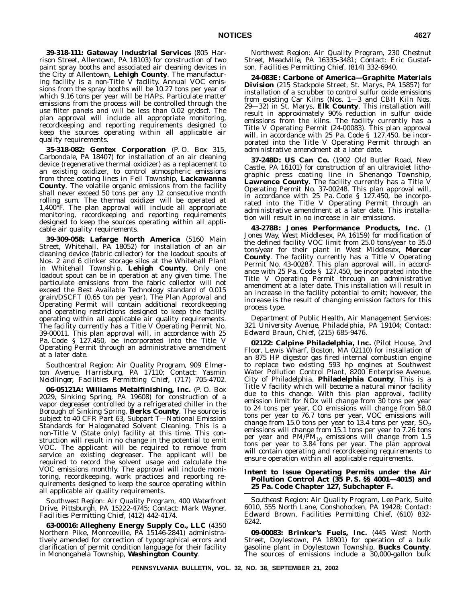**39-318-111: Gateway Industrial Services** (805 Harrison Street, Allentown, PA 18103) for construction of two paint spray booths and associated air cleaning devices in the City of Allentown, **Lehigh County**. The manufacturing facility is a non-Title V facility. Annual VOC emissions from the spray booths will be 10.27 tons per year of which 9.16 tons per year will be HAPs. Particulate matter emissions from the process will be controlled through the use filter panels and will be less than 0.02 gr/dscf. The plan approval will include all appropriate monitoring, recordkeeping and reporting requirements designed to keep the sources operating within all applicable air quality requirements.

**35-318-082: Gentex Corporation** (P. O. Box 315, Carbondale, PA 18407) for installation of an air cleaning device (regenerative thermal oxidizer) as a replacement to an existing oxidizer, to control atmospheric emissions from three coating lines in Fell Township, **Lackawanna County**. The volatile organic emissions from the facility shall never exceed 50 tons per any 12 consecutive month rolling sum. The thermal oxidizer will be operated at 1,400°F. The plan approval will include all appropriate monitoring, recordkeeping and reporting requirements designed to keep the sources operating within all applicable air quality requirements.

**39-309-058: Lafarge North America** (5160 Main Street, Whitehall, PA 18052) for installation of an air cleaning device (fabric collector) for the loadout spouts of Nos. 2 and 6 clinker storage silos at the Whitehall Plant in Whitehall Township, **Lehigh County**. Only one loadout spout can be in operation at any given time. The particulate emissions from the fabric collector will not exceed the Best Available Technology standard of 0.015 grain/DSCFT (0.65 ton per year). The Plan Approval and Operating Permit will contain additional recordkeeping and operating restrictions designed to keep the facility operating within all applicable air quality requirements. The facility currently has a Title V Operating Permit No. 39-00011. This plan approval will, in accordance with 25 Pa. Code § 127.450, be incorporated into the Title V Operating Permit through an administrative amendment at a later date.

*Southcentral Region: Air Quality Program, 909 Elmerton Avenue, Harrisburg, PA 17110; Contact: Yasmin Neidlinger, Facilities Permitting Chief, (717) 705-4702.*

**06-05121A: Williams Metalfinishing, Inc.** (P. O. Box 2029, Sinking Spring, PA 19608) for construction of a vapor degreaser controlled by a refrigerated chiller in the Borough of Sinking Spring, **Berks County**. The source is subject to 40 CFR Part 63, Subpart T—National Emission Standards for Halogenated Solvent Cleaning. This is a non-Title V (State only) facility at this time. This construction will result in no change in the potential to emit VOC. The applicant will be required to remove from service an existing degreaser. The applicant will be required to record the solvent usage and calculate the VOC emissions monthly. The approval will include monitoring, recordkeeping, work practices and reporting requirements designed to keep the source operating within all applicable air quality requirements.

*Southwest Region: Air Quality Program, 400 Waterfront Drive, Pittsburgh, PA 15222-4745; Contact: Mark Wayner, Facilities Permitting Chief, (412) 442-4174.*

**63-00016: Allegheny Energy Supply Co., LLC** (4350 Northern Pike, Monroeville, PA 15146-2841) administratively amended for correction of typographical errors and clarification of permit condition language for their facility in Monongahela Township, **Washington County**.

*Northwest Region: Air Quality Program, 230 Chestnut Street, Meadville, PA 16335-3481; Contact: Eric Gustafson, Facilities Permitting Chief, (814) 332-6940.*

**24-083E: Carbone of America—Graphite Materials Division** (215 Stackpole Street, St. Marys, PA 15857) for installation of a scrubber to control sulfur oxide emissions from existing Car Kilns (Nos. 1—3 and CBH Kiln Nos. 29—32) in St. Marys, **Elk County**. This installation will result in approximately 90% reduction in sulfur oxide emissions from the kilns. The facility currently has a Title V Operating Permit (24-00083). This plan approval will, in accordance with 25 Pa. Code § 127.450, be incorporated into the Title V Operating Permit through an administrative amendment at a later date.

**37-248D: US Can Co.** (1902 Old Butler Road, New Castle, PA 16101) for construction of an ultraviolet lithographic press coating line in Shenango Township, **Lawrence County**. The facility currently has a Title V Operating Permit No. 37-00248. This plan approval will, in accordance with 25 Pa. Code § 127.450, be incorporated into the Title V Operating Permit through an administrative amendment at a later date. This installation will result in no increase in air emissions.

**43-278B: Jones Performance Products, Inc.** (1 Jones Way, West Middlesex, PA 16159) for modification of the defined facility VOC limit from 25.0 tons/year to 35.0 tons/year for their plant in West Middlesex, **Mercer County**. The facility currently has a Title V Operating Permit No. 43-00287. This plan approval will, in accordance with 25 Pa. Code § 127.450, be incorporated into the Title V Operating Permit through an administrative amendment at a later date. This installation will result in an increase in the facility potential to emit; however, the increase is the result of changing emission factors for this process type.

*Department of Public Health, Air Management Services: 321 University Avenue, Philadelphia, PA 19104; Contact: Edward Braun, Chief, (215) 685-9476.*

**02122: Calpine Philadelphia, Inc.** (Pilot House, 2nd Floor, Lewis Wharf, Boston, MA 02110) for installation of an 875 HP digestor gas fired internal combustion engine to replace two existing 593 hp engines at Southwest Water Pollution Control Plant, 8200 Enterprise Avenue, City of Philadelphia, **Philadelphia County**. This is a Title V facility which will become a natural minor facility due to this change. With this plan approval, facility emission limit for NOx will change from 30 tons per year to 24 tons per year, CO emissions will change from 58.0 tons per year to 76.7 tons per year, VOC emissions will change from 15.0 tons per year to 13.4 tons per year,  $SO_2$ emissions will change from 15.1 tons per year to 7.26 tons per year and  $PM/PM_{10}$  emissions will change from 1.5 tons per year to 3.84 tons per year. The plan approval will contain operating and recordkeeping requirements to ensure operation within all applicable requirements.

#### **Intent to Issue Operating Permits under the Air Pollution Control Act (35 P. S. §§ 4001—4015) and 25 Pa. Code Chapter 127, Subchapter F.**

*Southeast Region: Air Quality Program, Lee Park, Suite 6010, 555 North Lane, Conshohocken, PA 19428; Contact: Edward Brown, Facilities Permitting Chief, (610) 832- 6242.*

**09-00083: Brinker's Fuels, Inc.** (445 West North Street, Doylestown, PA 18901) for operation of a bulk gasoline plant in Doylestown Township, **Bucks County**. The sources of emissions include a 30,000-gallon bulk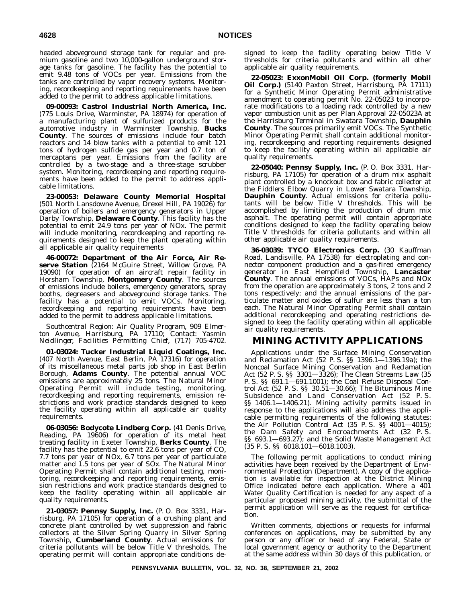headed aboveground storage tank for regular and premium gasoline and two 10,000-gallon underground storage tanks for gasoline. The facility has the potential to emit 9.48 tons of VOCs per year. Emissions from the tanks are controlled by vapor recovery systems. Monitoring, recordkeeping and reporting requirements have been added to the permit to address applicable limitations.

**09-00093: Castrol Industrial North America, Inc.** (775 Louis Drive, Warminster, PA 18974) for operation of a manufacturing plant of sulfurized products for the automotive industry in Warminster Township, **Bucks County**. The sources of emissions include four batch reactors and 14 blow tanks with a potential to emit 121 tons of hydrogen sulfide gas per year and 0.7 ton of mercaptans per year. Emissions from the facility are controlled by a two-stage and a three-stage scrubber system. Monitoring, recordkeeping and reporting requirements have been added to the permit to address applicable limitations.

**23-00053: Delaware County Memorial Hospital** (501 North Lansdowne Avenue, Drexel Hill, PA 19026) for operation of boilers and emergency generators in Upper Darby Township, **Delaware County**. This facility has the potential to emit 24.9 tons per year of NOx. The permit will include monitoring, recordkeeping and reporting requirements designed to keep the plant operating within all applicable air quality requirements

**46-00072: Department of the Air Force, Air Reserve Station** (2164 McGuire Street, Willow Grove, PA 19090) for operation of an aircraft repair facility in Horsham Township, **Montgomery County**. The sources of emissions include boilers, emergency generators, spray booths, degreasers and aboveground storage tanks. The facility has a potential to emit VOCs. Monitoring, recordkeeping and reporting requirements have been added to the permit to address applicable limitations.

*Southcentral Region: Air Quality Program, 909 Elmerton Avenue, Harrisburg, PA 17110; Contact: Yasmin Neidlinger, Facilities Permitting Chief, (717) 705-4702.*

**01-03024: Tucker Industrial Liquid Coatings, Inc.** (407 North Avenue, East Berlin, PA 17316) for operation of its miscellaneous metal parts job shop in East Berlin Borough, **Adams County**. The potential annual VOC emissions are approximately 25 tons. The Natural Minor Operating Permit will include testing, monitoring, recordkeeping and reporting requirements, emission restrictions and work practice standards designed to keep the facility operating within all applicable air quality requirements.

**06-03056: Bodycote Lindberg Corp.** (41 Denis Drive, Reading, PA 19606) for operation of its metal heat treating facility in Exeter Township, **Berks County**. The facility has the potential to emit 22.6 tons per year of CO, 7.7 tons per year of NOx, 6.7 tons per year of particulate matter and 1.5 tons per year of SOx. The Natural Minor Operating Permit shall contain additional testing, monitoring, recordkeeping and reporting requirements, emission restrictions and work practice standards designed to keep the facility operating within all applicable air quality requirements.

**21-03057: Pennsy Supply, Inc.** (P. O. Box 3331, Harrisburg, PA 17105) for operation of a crushing plant and concrete plant controlled by wet suppression and fabric collectors at the Silver Spring Quarry in Silver Spring Township, **Cumberland County**. Actual emissions for criteria pollutants will be below Title V thresholds. The operating permit will contain appropriate conditions designed to keep the facility operating below Title V thresholds for criteria pollutants and within all other applicable air quality requirements.

**22-05023: ExxonMobil Oil Corp. (formerly Mobil Oil Corp.)** (5140 Paxton Street, Harrisburg, PA 17111) for a Synthetic Minor Operating Permit administrative amendment to operating permit No. 22-05023 to incorporate modifications to a loading rack controlled by a new vapor combustion unit as per Plan Approval 22-05023A at the Harrisburg Terminal in Swatara Township, **Dauphin County**. The sources primarily emit VOCs. The Synthetic Minor Operating Permit shall contain additional monitoring, recordkeeping and reporting requirements designed to keep the facility operating within all applicable air quality requirements.

**22-05040: Pennsy Supply, Inc.** (P. O. Box 3331, Harrisburg, PA 17105) for operation of a drum mix asphalt plant controlled by a knockout box and fabric collector at the Fiddlers Elbow Quarry in Lower Swatara Township, **Dauphin County**. Actual emissions for criteria pollutants will be below Title V thresholds. This will be accomplished by limiting the production of drum mix asphalt. The operating permit will contain appropriate conditions designed to keep the facility operating below Title V thresholds for criteria pollutants and within all other applicable air quality requirements.

**36-03039: TYCO Electronics Corp.** (30 Kauffman Road, Landisville, PA 17538) for electroplating and connector component production and a gas-fired emergency generator in East Hempfield Township, **Lancaster County**. The annual emissions of VOCs, HAPs and NOx from the operation are approximately 3 tons, 2 tons and 2 tons respectively; and the annual emissions of the particulate matter and oxides of sulfur are less than a ton each. The Natural Minor Operating Permit shall contain additional recordkeeping and operating restrictions designed to keep the facility operating within all applicable air quality requirements.

## **MINING ACTIVITY APPLICATIONS**

Applications under the Surface Mining Conservation and Reclamation Act (52 P. S. §§ 1396.1—1396.19a); the Noncoal Surface Mining Conservation and Reclamation Act (52 P. S. §§ 3301—3326); The Clean Streams Law (35 P. S. §§ 691.1—691.1001); the Coal Refuse Disposal Control Act (52 P. S. §§ 30.51—30.66); The Bituminous Mine Subsidence and Land Conservation Act (52 P. S. §§ 1406.1—1406.21). Mining activity permits issued in response to the applications will also address the applicable permitting requirements of the following statutes: the Air Pollution Control Act (35 P. S. §§ 4001—4015); the Dam Safety and Encroachments Act (32 P. S. §§ 693.1-693.27); and the Solid Waste Management Act (35 P. S. §§ 6018.101—6018.1003).

The following permit applications to conduct mining activities have been received by the Department of Environmental Protection (Department). A copy of the application is available for inspection at the District Mining Office indicated before each application. Where a 401 Water Quality Certification is needed for any aspect of a particular proposed mining activity, the submittal of the permit application will serve as the request for certification.

Written comments, objections or requests for informal conferences on applications, may be submitted by any person or any officer or head of any Federal, State or local government agency or authority to the Department at the same address within 30 days of this publication, or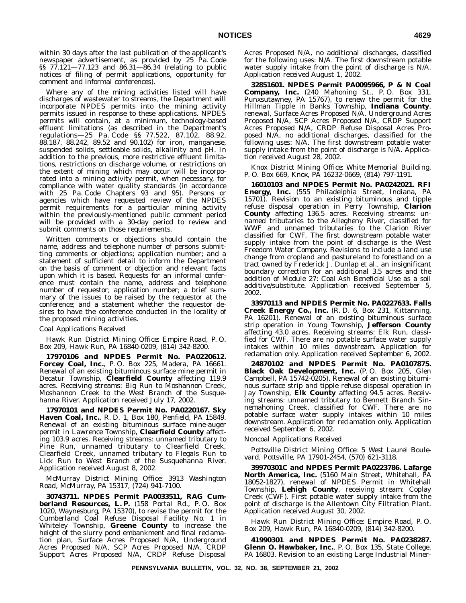within 30 days after the last publication of the applicant's newspaper advertisement, as provided by 25 Pa. Code §§ 77.121—77.123 and 86.31—86.34 (relating to public notices of filing of permit applications, opportunity for comment and informal conferences).

Where any of the mining activities listed will have discharges of wastewater to streams, the Department will incorporate NPDES permits into the mining activity permits issued in response to these applications. NPDES permits will contain, at a minimum, technology-based effluent limitations (as described in the Department's regulations—25 Pa. Code §§ 77.522, 87.102, 88.92, 88.187, 88.242, 89.52 and 90.102) for iron, manganese, suspended solids, settleable solids, alkalinity and pH. In addition to the previous, more restrictive effluent limitations, restrictions on discharge volume, or restrictions on the extent of mining which may occur will be incorporated into a mining activity permit, when necessary, for compliance with water quality standards (in accordance with 25 Pa. Code Chapters 93 and 95). Persons or agencies which have requested review of the NPDES permit requirements for a particular mining activity within the previously-mentioned public comment period will be provided with a 30-day period to review and submit comments on those requirements.

Written comments or objections should contain the name, address and telephone number of persons submitting comments or objections; application number; and a statement of sufficient detail to inform the Department on the basis of comment or objection and relevant facts upon which it is based. Requests for an informal conference must contain the name, address and telephone number of requestor; application number; a brief summary of the issues to be raised by the requestor at the conference; and a statement whether the requestor desires to have the conference conducted in the locality of the proposed mining activities.

#### *Coal Applications Received*

*Hawk Run District Mining Office: Empire Road, P. O. Box 209, Hawk Run, PA 16840-0209, (814) 342-8200.*

**17970106 and NPDES Permit No. PA0220612. Forcey Coal, Inc.**, P. O. Box 225, Madera, PA 16661. Renewal of an existing bituminous surface mine permit in Decatur Township, **Clearfield County** affecting 119.9 acres. Receiving streams: Big Run to Moshannon Creek, Moshannon Creek to the West Branch of the Susquehanna River. Application received July 17, 2002.

**17970101 and NPDES Permit No. PA0220167. Sky Haven Coal, Inc.**, R. D. 1, Box 180, Penfield, PA 15849. Renewal of an existing bituminous surface mine-auger permit in Lawrence Township, **Clearfield County** affecting 103.9 acres. Receiving streams: unnamed tributary to Pine Run, unnamed tributary to Clearfield Creek, Clearfield Creek, unnamed tributary to Flegals Run to Lick Run to West Branch of the Susquehanna River. Application received August 8, 2002.

*McMurray District Mining Office: 3913 Washington Road, McMurray, PA 15317, (724) 941-7100.*

**30743711. NPDES Permit PA0033511, RAG Cumberland Resources, L. P.** (158 Portal Rd., P. O. Box 1020, Waynesburg, PA 15370), to revise the permit for the Cumberland Coal Refuse Disposal Facility No. 1 in Whiteley Township, **Greene County** to increase the height of the slurry pond embankment and final reclamation plan, Surface Acres Proposed N/A, Underground Acres Proposed N/A, SCP Acres Proposed N/A, CRDP Support Acres Proposed N/A, CRDP Refuse Disposal

Acres Proposed N/A, no additional discharges, classified for the following uses: N/A. The first downstream potable water supply intake from the point of discharge is N/A. Application received August 1, 2002.

**32851601. NPDES Permit PA0095966, P & N Coal Company, Inc.** (240 Mahoning St., P. O. Box 331, Punxsutawney, PA 15767), to renew the permit for the Hillman Tipple in Banks Township, **Indiana County**, renewal, Surface Acres Proposed N/A, Underground Acres Proposed N/A, SCP Acres Proposed N/A, CRDP Support Acres Proposed N/A, CRDP Refuse Disposal Acres Proposed N/A, no additional discharges, classified for the following uses: N/A. The first downstream potable water supply intake from the point of discharge is N/A. Application received August 28, 2002.

*Knox District Mining Office: White Memorial Building, P. O. Box 669, Knox, PA 16232-0669, (814) 797-1191.*

**16010103 and NPDES Permit No. PA0242021. RFI Energy, Inc.** (555 Philadelphia Street, Indiana, PA 15701). Revision to an existing bituminous and tipple refuse disposal operation in Perry Township, **Clarion County** affecting 136.5 acres. Receiving streams: unnamed tributaries to the Allegheny River, classified for WWF and unnamed tributaries to the Clarion River classified for CWF. The first downstream potable water supply intake from the point of discharge is the West Freedom Water Company. Revisions to include a land use change from cropland and pastureland to forestland on a tract owned by Frederick J. Dunlap et al., an insignificant boundary correction for an additional 3.5 acres and the addition of Module 27: Coal Ash Beneficial Use as a soil additive/substitute. Application received September 5, 2002.

**33970113 and NPDES Permit No. PA0227633. Falls Creek Energy Co., Inc.** (R. D. 6, Box 231, Kittanning, PA 16201). Renewal of an existing bituminous surface strip operation in Young Township, **Jefferson County** affecting 43.0 acres. Receiving streams: Elk Run, classified for CWF. There are no potable surface water supply intakes within 10 miles downstream. Application for reclamation only. Application received September 6, 2002.

**24870102 and NPDES Permit No. PA0107875. Black Oak Development, Inc.** (P. O. Box 205, Glen Campbell, PA 15742-0205). Renewal of an existing bituminous surface strip and tipple refuse disposal operation in Jay Township, **Elk County** affecting 94.5 acres. Receiving streams: unnamed tributary to Bennett Branch Sinnemahoning Creek, classified for CWF. There are no potable surface water supply intakes within 10 miles downstream. Application for reclamation only. Application received September 6, 2002.

#### *Noncoal Applications Received*

*Pottsville District Mining Office: 5 West Laurel Boulevard, Pottsville, PA 17901-2454, (570) 621-3118.*

**39970301C and NPDES Permit PA0223786. Lafarge North America, Inc.** (5160 Main Street, Whitehall, PA 18052-1827), renewal of NPDES Permit in Whitehall Township, **Lehigh County**, receiving stream: Coplay Creek (CWF). First potable water supply intake from the point of discharge is the Allentown City Filtration Plant. Application received August 30, 2002.

*Hawk Run District Mining Office: Empire Road, P. O. Box 209, Hawk Run, PA 16840-0209, (814) 342-8200.*

**41990301 and NPDES Permit No. PA0238287. Glenn O. Hawbaker, Inc.**, P. O. Box 135, State College, PA 16803. Revision to an existing Large Industrial Miner-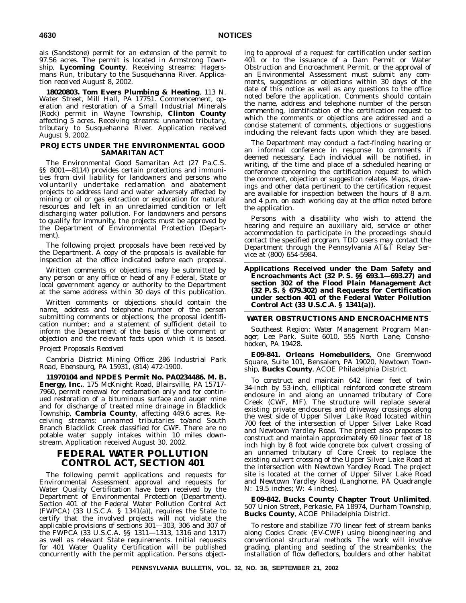als (Sandstone) permit for an extension of the permit to 97.56 acres. The permit is located in Armstrong Township, **Lycoming County**. Receiving streams: Hagersmans Run, tributary to the Susquehanna River. Application received August 8, 2002.

**18020803. Tom Evers Plumbing & Heating**, 113 N. Water Street, Mill Hall, PA 17751. Commencement, operation and restoration of a Small Industrial Minerals (Rock) permit in Wayne Township, **Clinton County** affecting 5 acres. Receiving streams: unnamed tributary, tributary to Susquehanna River. Application received August 9, 2002.

#### **PROJECTS UNDER THE ENVIRONMENTAL GOOD SAMARITAN ACT**

The Environmental Good Samaritan Act (27 Pa.C.S. §§ 8001—8114) provides certain protections and immunities from civil liability for landowners and persons who voluntarily undertake reclamation and abatement projects to address land and water adversely affected by mining or oil or gas extraction or exploration for natural resources and left in an unreclaimed condition or left discharging water pollution. For landowners and persons to qualify for immunity, the projects must be approved by the Department of Environmental Protection (Department).

The following project proposals have been received by the Department. A copy of the proposals is available for inspection at the office indicated before each proposal.

Written comments or objections may be submitted by any person or any office or head of any Federal, State or local government agency or authority to the Department at the same address within 30 days of this publication.

Written comments or objections should contain the name, address and telephone number of the person submitting comments or objections; the proposal identification number; and a statement of sufficient detail to inform the Department of the basis of the comment or objection and the relevant facts upon which it is based.

#### *Project Proposals Received*

*Cambria District Mining Office: 286 Industrial Park Road, Ebensburg, PA 15931, (814) 472-1900.*

**11970104 and NPDES Permit No. PA0234486. M. B. Energy, Inc.**, 175 McKnight Road, Blairsville, PA 15717- 7960, permit renewal for reclamation only and for continued restoration of a bituminous surface and auger mine and for discharge of treated mine drainage in Blacklick Township, **Cambria County**, affecting 449.6 acres. Receiving streams: unnamed tributaries to/and South Branch Blacklick Creek classified for CWF. There are no potable water supply intakes within 10 miles downstream. Application received August 30, 2002.

# **FEDERAL WATER POLLUTION CONTROL ACT, SECTION 401**

The following permit applications and requests for Environmental Assessment approval and requests for Water Quality Certification have been received by the Department of Environmental Protection (Department). Section 401 of the Federal Water Pollution Control Act (FWPCA) (33 U.S.C.A. § 1341(a)), requires the State to certify that the involved projects will not violate the applicable provisions of sections 301—303, 306 and 307 of the FWPCA (33 U.S.C.A. §§ 1311—1313, 1316 and 1317) as well as relevant State requirements. Initial requests for 401 Water Quality Certification will be published concurrently with the permit application. Persons objecting to approval of a request for certification under section 401 or to the issuance of a Dam Permit or Water Obstruction and Encroachment Permit, or the approval of an Environmental Assessment must submit any comments, suggestions or objections within 30 days of the date of this notice as well as any questions to the office noted before the application. Comments should contain the name, address and telephone number of the person commenting, identification of the certification request to which the comments or objections are addressed and a concise statement of comments, objections or suggestions including the relevant facts upon which they are based.

The Department may conduct a fact-finding hearing or an informal conference in response to comments if deemed necessary. Each individual will be notified, in writing, of the time and place of a scheduled hearing or conference concerning the certification request to which the comment, objection or suggestion relates. Maps, drawings and other data pertinent to the certification request are available for inspection between the hours of 8 a.m. and 4 p.m. on each working day at the office noted before the application.

Persons with a disability who wish to attend the hearing and require an auxiliary aid, service or other accommodation to participate in the proceedings should contact the specified program. TDD users may contact the Department through the Pennsylvania AT&T Relay Service at (800) 654-5984.

**Applications Received under the Dam Safety and Encroachments Act (32 P. S. §§ 693.1—693.27) and section 302 of the Flood Plain Management Act (32 P. S. § 679.302) and Requests for Certification under section 401 of the Federal Water Pollution Control Act (33 U.S.C.A. § 1341(a)).**

#### **WATER OBSTRUCTIONS AND ENCROACHMENTS**

*Southeast Region: Water Management Program Manager, Lee Park, Suite 6010, 555 North Lane, Conshohocken, PA 19428.*

**E09-841. Orleans Homebuilders**, One Greenwood Square, Suite 101, Bensalem, PA 19020, Newtown Township, **Bucks County**, ACOE Philadelphia District.

To construct and maintain 642 linear feet of twin 34-inch by 53-inch, elliptical reinforced concrete stream enclosure in and along an unnamed tributary of Core Creek (CWF, MF). The structure will replace several existing private enclosures and driveway crossings along the west side of Upper Silver Lake Road located within 700 feet of the intersection of Upper Silver Lake Road and Newtown Yardley Road. The project also proposes to construct and maintain approximately 69 linear feet of 18 inch high by 8 foot wide concrete box culvert crossing of an unnamed tributary of Core Creek to replace the existing culvert crossing of the Upper Silver Lake Road at the intersection with Newtown Yardley Road. The project site is located at the corner of Upper Silver Lake Road and Newtown Yardley Road (Langhorne, PA Quadrangle N: 19.5 inches; W: 4 inches).

**E09-842. Bucks County Chapter Trout Unlimited**, 507 Union Street, Perkasie, PA 18974, Durham Township, **Bucks County**, ACOE Philadelphia District.

To restore and stabilize 770 linear feet of stream banks along Cooks Creek (EV-CWF) using bioengineering and conventional structural methods. The work will involve grading, planting and seeding of the streambanks; the installation of flow deflectors, boulders and other habitat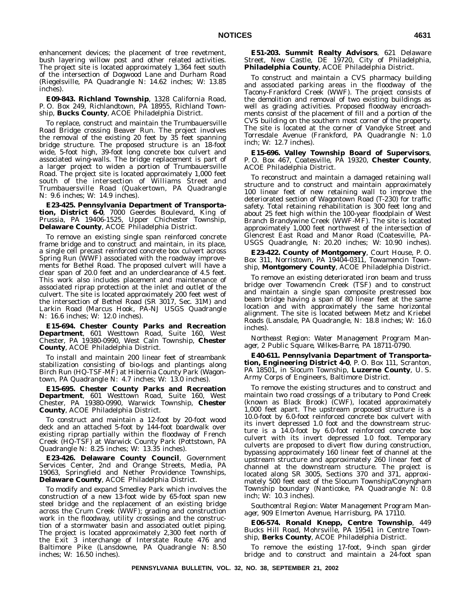enhancement devices; the placement of tree revetment, bush layering willow post and other related activities. The project site is located approximately 1,364 feet south of the intersection of Dogwood Lane and Durham Road (Riegelsville, PA Quadrangle N: 14.62 inches; W: 13.85 inches).

**E09-843. Richland Township**, 1328 California Road, P. O. Box 249, Richlandtown, PA 18955, Richland Township, **Bucks County**, ACOE Philadelphia District.

To replace, construct and maintain the Trumbauersville Road Bridge crossing Beaver Run. The project involves the removal of the existing 20 feet by 35 feet spanning bridge structure. The proposed structure is an 18-foot wide, 5-foot high, 39-foot long concrete box culvert and associated wing-walls. The bridge replacement is part of a larger project to widen a portion of Trumbauersville Road. The project site is located approximately 1,000 feet south of the intersection of Williams Street and Trumbauersville Road (Quakertown, PA Quadrangle N: 9.6 inches; W: 14.9 inches).

**E23-425. Pennsylvania Department of Transportation, District 6-0**, 7000 Geerdes Boulevard, King of Prussia, PA 19406-1525, Upper Chichester Township, **Delaware County**, ACOE Philadelphia District.

To remove an existing single span reinforced concrete frame bridge and to construct and maintain, in its place, a single cell precast reinforced concrete box culvert across Spring Run (WWF) associated with the roadway improvements for Bethel Road. The proposed culvert will have a clear span of 20.0 feet and an underclearance of 4.5 feet. This work also includes placement and maintenance of associated riprap protection at the inlet and outlet of the culvert. The site is located approximately 200 feet west of the intersection of Bethel Road (SR 3017, Sec. 31M) and Larkin Road (Marcus Hook, PA-NJ USGS Quadrangle N: 16.6 inches; W: 12.0 inches).

**E15-694. Chester County Parks and Recreation Department**, 601 Westtown Road, Suite 160, West Chester, PA 19380-0990, West Caln Township, **Chester County**, ACOE Philadelphia District.

To install and maintain 200 linear feet of streambank stabilization consisting of bio-logs and plantings along Birch Run (HQ-TSF-MF) at Hibernia County Park (Wagontown, PA Quadrangle N: 4.7 inches; W: 13.0 inches).

**E15-695. Chester County Parks and Recreation Department**, 601 Westtown Road, Suite 160, West Chester, PA 19380-0990, Warwick Township, **Chester County**, ACOE Philadelphia District.

To construct and maintain a 12-foot by 20-foot wood deck and an attached 5-foot by 144-foot boardwalk over existing riprap partially within the floodway of French Creek (HQ-TSF) at Warwick County Park (Pottstown, PA Quadrangle N: 8.25 inches; W: 13.35 inches).

**E23-426. Delaware County Council**, Government Services Center, 2nd and Orange Streets, Media, PA 19063, Springfield and Nether Providence Townships, **Delaware County**, ACOE Philadelphia District.

To modify and expand Smedley Park which involves the construction of a new 13-foot wide by 65-foot span new steel bridge and the replacement of an existing bridge across the Crum Creek (WWF); grading and construction work in the floodway, utility crossings and the construction of a stormwater basin and associated outlet piping. The project is located approximately 2,300 feet north of the Exit 3 interchange of Interstate Route 476 and Baltimore Pike (Lansdowne, PA Quadrangle N: 8.50 inches; W: 16.50 inches).

**E51-203. Summit Realty Advisors**, 621 Delaware Street, New Castle, DE 19720, City of Philadelphia, **Philadelphia County**, ACOE Philadelphia District.

To construct and maintain a CVS pharmacy building and associated parking areas in the floodway of the Tacony-Frankford Creek (WWF). The project consists of the demolition and removal of two existing buildings as well as grading activities. Proposed floodway encroachments consist of the placement of fill and a portion of the CVS building on the southern most corner of the property. The site is located at the corner of Vandyke Street and Torresdale Avenue (Frankford, PA Quadrangle N: 1.0 inch; W: 12.7 inches).

**E15-696. Valley Township Board of Supervisors**, P. O. Box 467, Coatesville, PA 19320, **Chester County**, ACOE Philadelphia District.

To reconstruct and maintain a damaged retaining wall structure and to construct and maintain approximately 100 linear feet of new retaining wall to improve the deteriorated section of Wagontown Road (T-230) for traffic safety. Total retaining rehabilitation is 300 feet long and about 25 feet high within the 100-year floodplain of West Branch Brandywine Creek (WWF-MF). The site is located approximately 1,000 feet northwest of the intersection of Glencrest East Road and Manor Road (Coatesville, PA-USGS Quadrangle, N: 20.20 inches; W: 10.90 inches).

**E23-422. County of Montgomery**, Court House, P. O. Box 311, Norristown, PA 19404-0311, Towamencin Township, **Montgomery County**, ACOE Philadelphia District.

To remove an existing deteriorated iron beam and truss bridge over Towamencin Creek (TSF) and to construct and maintain a single span composite prestressed box beam bridge having a span of 80 linear feet at the same location and with approximately the same horizontal alignment. The site is located between Metz and Kriebel Roads (Lansdale, PA Quadrangle, N: 18.8 inches; W: 16.0 inches).

*Northeast Region: Water Management Program Manager, 2 Public Square, Wilkes-Barre, PA 18711-0790.*

**E40-611. Pennsylvania Department of Transportation, Engineering District 4-0**, P. O. Box 111, Scranton, PA 18501, in Slocum Township, **Luzerne County**, U. S. Army Corps of Engineers, Baltimore District.

To remove the existing structures and to construct and maintain two road crossings of a tributary to Pond Creek (known as Black Brook) (CWF), located approximately 1,000 feet apart. The upstream proposed structure is a 10.0-foot by 6.0-foot reinforced concrete box culvert with its invert depressed 1.0 foot and the downstream structure is a 14.0-foot by 6.0-foot reinforced concrete box culvert with its invert depressed 1.0 foot. Temporary culverts are proposed to divert flow during construction, bypassing approximately 160 linear feet of channel at the upstream structure and approximately 260 linear feet of channel at the downstream structure. The project is located along SR 3005, Sections 370 and 371, approximately 500 feet east of the Slocum Township/Conyngham Township boundary (Nanticoke, PA Quadrangle N: 0.8 inch; W: 10.3 inches).

*Southcentral Region: Water Management Program Manager, 909 Elmerton Avenue, Harrisburg, PA 17110.*

**E06-574. Ronald Knepp, Centre Township**, 449 Bucks Hill Road, Mohrsville, PA 19541 in Centre Township, **Berks County**, ACOE Philadelphia District.

To remove the existing 17-foot, 9-inch span girder bridge and to construct and maintain a 24-foot span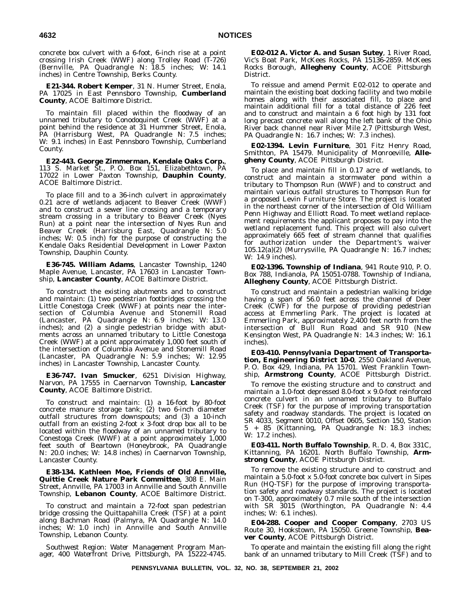concrete box culvert with a 6-foot, 6-inch rise at a point crossing Irish Creek (WWF) along Trolley Road (T-726) (Bernville, PA Quadrangle N: 18.5 inches; W: 14.1 inches) in Centre Township, Berks County.

**E21-344. Robert Kemper**, 31 N. Humer Street, Enola, PA 17025 in East Pennsboro Township, **Cumberland County**, ACOE Baltimore District.

To maintain fill placed within the floodway of an unnamed tributary to Conodoquinet Creek (WWF) at a point behind the residence at 31 Hummer Street, Enola, PA (Harrisburg West, PA Quadrangle N: 7.5 inches; W: 9.1 inches) in East Pennsboro Township, Cumberland County.

**E22-443. George Zimmerman, Kendale Oaks Corp.**, 113 S. Market St., P. O. Box 151, Elizabethtown, PA 17022 in Lower Paxton Township, **Dauphin County**, ACOE Baltimore District.

To place fill and to a 36-inch culvert in approximately 0.21 acre of wetlands adjacent to Beaver Creek (WWF) and to construct a sewer line crossing and a temporary stream crossing in a tributary to Beaver Creek (Nyes Run) at a point near the intersection of Nyes Run and Beaver Creek (Harrisburg East, Quadrangle N: 5.0 inches; W: 0.5 inch) for the purpose of constructing the Kendale Oaks Residential Development in Lower Paxton Township, Dauphin County.

**E36-745. William Adams**, Lancaster Township, 1240 Maple Avenue, Lancaster, PA 17603 in Lancaster Township, **Lancaster County**, ACOE Baltimore District.

To construct the existing abutments and to construct and maintain: (1) two pedestrian footbridges crossing the Little Conestoga Creek (WWF) at points near the intersection of Columbia Avenue and Stonemill Road (Lancaster, PA Quadrangle N: 6.9 inches; W: 13.0 inches); and (2) a single pedestrian bridge with abutments across an unnamed tributary to Little Conestoga Creek (WWF) at a point approximately 1,000 feet south of the intersection of Columbia Avenue and Stonemill Road (Lancaster, PA Quadrangle N: 5.9 inches; W: 12.95 inches) in Lancaster Township, Lancaster County.

**E36-747. Ivan Smucker**, 6251 Division Highway, Narvon, PA 17555 in Caernarvon Township, **Lancaster County**, ACOE Baltimore District.

To construct and maintain: (1) a 16-foot by 80-foot concrete manure storage tank; (2) two 6-inch diameter outfall structures from downspouts; and (3) a 10-inch outfall from an existing 2-foot  $\overline{x}$  3-foot drop box all to be located within the floodway of an unnamed tributary to Conestoga Creek (WWF) at a point approximately 1,000 feet south of Beartown (Honeybrook, PA Quadrangle N: 20.0 inches; W: 14.8 inches) in Caernarvon Township, Lancaster County.

**E38-134. Kathleen Moe, Friends of Old Annville, Quittie Creek Nature Park Committee**, 308 E. Main Street, Annville, PA 17003 in Annville and South Annville Township, **Lebanon County**, ACOE Baltimore District.

To construct and maintain a 72-foot span pedestrian bridge crossing the Quittapahilla Creek (TSF) at a point along Bachman Road (Palmyra, PA Quadrangle N: 14.0 inches; W: 1.0 inch) in Annville and South Annville Township, Lebanon County.

*Southwest Region: Water Management Program Manager, 400 Waterfront Drive, Pittsburgh, PA 15222-4745.*

**E02-012 A. Victor A. and Susan Sutey**, 1 River Road, Vic's Boat Park, McKees Rocks, PA 15136-2859. McKees Rocks Borough, **Allegheny County**, ACOE Pittsburgh District.

To reissue and amend Permit E02-012 to operate and maintain the existing boat docking facility and two mobile homes along with their associated fill, to place and maintain additional fill for a total distance of 226 feet and to construct and maintain a 6 foot high by 131 foot long precast concrete wall along the left bank of the Ohio River back channel near River Mile 2.7 (Pittsburgh West, PA Quadrangle N: 16.7 inches; W: 7.3 inches).

**E02-1394. Levin Furniture**, 301 Fitz Henry Road, Smithton, PA 15479. Municipality of Monroeville, **Allegheny County**, ACOE Pittsburgh District.

To place and maintain fill in 0.17 acre of wetlands, to construct and maintain a stormwater pond within a tributary to Thompson Run (WWF) and to construct and maintain various outfall structures to Thompson Run for a proposed Levin Furniture Store. The project is located in the northeast corner of the intersection of Old William Penn Highway and Elliott Road. To meet wetland replacement requirements the applicant proposes to pay into the wetland replacement fund. This project will also culvert approximately 665 feet of stream channel that qualifies for authorization under the Department's waiver 105.12(a)(2) (Murrysville, PA Quadrangle N: 16.7 inches; W: 14.9 inches).

**E02-1396. Township of Indiana**, 941 Route 910, P. O. Box 788, Indianola, PA 15051-0788. Township of Indiana, **Allegheny County**, ACOE Pittsburgh District.

To construct and maintain a pedestrian walking bridge having a span of 56.0 feet across the channel of Deer Creek (CWF) for the purpose of providing pedestrian access at Emmerling Park. The project is located at Emmerling Park, approximately 2,400 feet north from the intersection of Bull Run Road and SR 910 (New Kensington West, PA Quadrangle N: 14.3 inches; W: 16.1 inches).

**E03-410. Pennsylvania Department of Transportation, Engineering District 10-0**, 2550 Oakland Avenue, P. O. Box 429, Indiana, PA 15701. West Franklin Township, **Armstrong County**, ACOE Pittsburgh District.

To remove the existing structure and to construct and maintain a 1.0-foot depressed 8.0-foot x 9.0-foot reinforced concrete culvert in an unnamed tributary to Buffalo Creek (TSF) for the purpose of improving transportation safety and roadway standards. The project is located on SR 4033, Segment 0010, Offset 0605, Section 150, Station 5 + 85 (Kittanning, PA Quadrangle N: 18.3 inches; W: 17.2 inches).

**E03-411. North Buffalo Township**, R. D. 4, Box 331C, Kittanning, PA 16201. North Buffalo Township, **Armstrong County**, ACOE Pittsburgh District.

To remove the existing structure and to construct and maintain a 5.0-foot x 5.0-foot concrete box culvert in Sipes Run (HQ-TSF) for the purpose of improving transportation safety and roadway standards. The project is located on T-300, approximately 0.7 mile south of the intersection with SR 3015 (Worthington, PA Quadrangle N: 4.4 inches; W: 6.1 inches).

**E04-288. Cooper and Cooper Company**, 2703 US Route 30, Hookstown, PA 15050. Greene Township, **Beaver County**, ACOE Pittsburgh District.

To operate and maintain the existing fill along the right bank of an unnamed tributary to Mill Creek (TSF) and to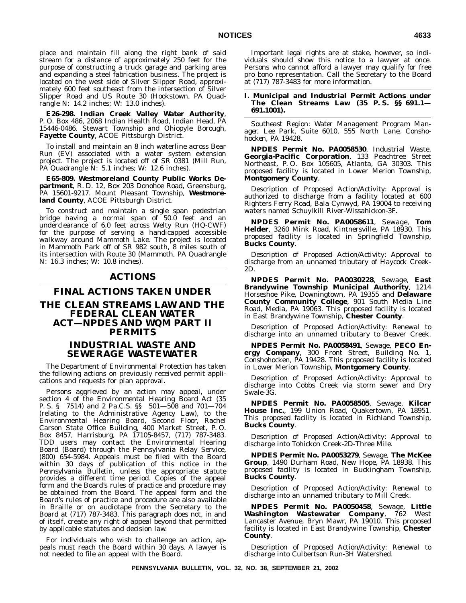place and maintain fill along the right bank of said stream for a distance of approximately 250 feet for the purpose of constructing a truck garage and parking area and expanding a steel fabrication business. The project is located on the west side of Silver Slipper Road, approximately 600 feet southeast from the intersection of Silver Slipper Road and US Route 30 (Hookstown, PA Quadrangle N: 14.2 inches; W: 13.0 inches).

**E26-298. Indian Creek Valley Water Authority**, P. O. Box 486, 2068 Indian Health Road, Indian Head, PA 15446-0486. Stewart Township and Ohiopyle Borough, **Fayette County**, ACOE Pittsburgh District.

To install and maintain an 8 inch waterline across Bear Run (EV) associated with a water system extension project. The project is located off of SR 0381 (Mill Run, PA Quadrangle N: 5.1 inches; W: 12.6 inches).

**E65-809. Westmoreland County Public Works Department**, R. D. 12, Box 203 Donohoe Road, Greensburg, PA 15601-9217. Mount Pleasant Township, **Westmoreland County**, ACOE Pittsburgh District.

To construct and maintain a single span pedestrian bridge having a normal span of 50.0 feet and an underclearance of 6.0 feet across Welty Run (HQ-CWF) for the purpose of serving a handicapped accessible walkway around Mammoth Lake. The project is located in Mammoth Park off of SR 982 south, 8 miles south of its intersection with Route 30 (Mammoth, PA Quadrangle N: 16.3 inches; W: 10.8 inches).

# **ACTIONS**

# **FINAL ACTIONS TAKEN UNDER THE CLEAN STREAMS LAW AND THE FEDERAL CLEAN WATER ACT—NPDES AND WQM PART II PERMITS**

# **INDUSTRIAL WASTE AND SEWERAGE WASTEWATER**

The Department of Environmental Protection has taken the following actions on previously received permit applications and requests for plan approval.

Persons aggrieved by an action may appeal, under section 4 of the Environmental Hearing Board Act (35 P. S. § 7514) and 2 Pa.C.S. §§ 501—508 and 701—704 (relating to the Administrative Agency Law), to the Environmental Hearing Board, Second Floor, Rachel Carson State Office Building, 400 Market Street, P. O. Box 8457, Harrisburg, PA 17105-8457, (717) 787-3483. TDD users may contact the Environmental Hearing Board (Board) through the Pennsylvania Relay Service, (800) 654-5984. Appeals must be filed with the Board within 30 days of publication of this notice in the *Pennsylvania Bulletin*, unless the appropriate statute provides a different time period. Copies of the appeal form and the Board's rules of practice and procedure may be obtained from the Board. The appeal form and the Board's rules of practice and procedure are also available in Braille or on audiotape from the Secretary to the Board at (717) 787-3483. This paragraph does not, in and of itself, create any right of appeal beyond that permitted by applicable statutes and decision law.

For individuals who wish to challenge an action, appeals must reach the Board within 30 days. A lawyer is not needed to file an appeal with the Board.

Important legal rights are at stake, however, so individuals should show this notice to a lawyer at once. Persons who cannot afford a lawyer may qualify for free pro bono representation. Call the Secretary to the Board at (717) 787-3483 for more information.

#### **I. Municipal and Industrial Permit Actions under The Clean Streams Law (35 P. S. §§ 691.1— 691.1001).**

*Southeast Region: Water Management Program Manager, Lee Park, Suite 6010, 555 North Lane, Conshohocken, PA 19428.*

**NPDES Permit No. PA0058530**, Industrial Waste, **Georgia-Pacific Corporation**, 133 Peachtree Street Northeast, P. O. Box 105605, Atlanta, GA 30303. This proposed facility is located in Lower Merion Township, **Montgomery County**.

Description of Proposed Action/Activity: Approval is authorized to discharge from a facility located at 600 Righters Ferry Road, Bala Cynwyd, PA 19004 to receiving waters named Schuylkill River-Wissahickon-3F.

**NPDES Permit No. PA0058611**, Sewage, **Tom Helder**, 3260 Mink Road, Kintnersville, PA 18930. This proposed facility is located in Springfield Township, **Bucks County**.

Description of Proposed Action/Activity: Approval to discharge from an unnamed tributary of Haycock Creek-2D.

**NPDES Permit No. PA0030228**, Sewage, **East Brandywine Township Municipal Authority**, 1214 Horseshoe Pike, Downingtown, PA 19355 and **Delaware County Community College**, 901 South Media Line Road, Media, PA 19063. This proposed facility is located in East Brandywine Township, **Chester County**.

Description of Proposed Action/Activity: Renewal to discharge into an unnamed tributary to Beaver Creek.

**NPDES Permit No. PA0058491**, Sewage, **PECO Energy Company**, 300 Front Street, Building No. 1, Conshohocken, PA 19428. This proposed facility is located in Lower Merion Township, **Montgomery County**.

Description of Proposed Action/Activity: Approval to discharge into Cobbs Creek via storm sewer and Dry Swale-3G.

**NPDES Permit No. PA0058505**, Sewage, **Kilcar House Inc.**, 199 Union Road, Quakertown, PA 18951. This proposed facility is located in Richland Township, **Bucks County**.

Description of Proposed Action/Activity: Approval to discharge into Tohickon Creek-2D-Three Mile.

**NPDES Permit No. PA0053279**, Sewage, **The McKee Group**, 1490 Durham Road, New Hope, PA 18938. This proposed facility is located in Buckingham Township, **Bucks County**.

Description of Proposed Action/Activity: Renewal to discharge into an unnamed tributary to Mill Creek.

**NPDES Permit No. PA0050458**, Sewage, **Little Washington Wastewater Company**, 762 West Lancaster Avenue, Bryn Mawr, PA 19010. This proposed facility is located in East Brandywine Township, **Chester County**.

Description of Proposed Action/Activity: Renewal to discharge into Culbertson Run-3H Watershed.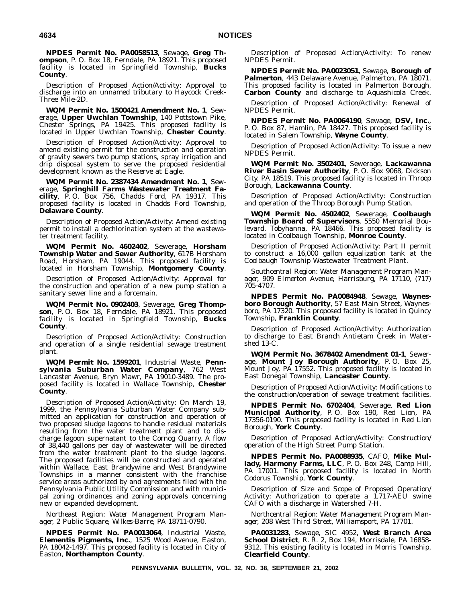**NPDES Permit No. PA0058513**, Sewage, **Greg Thompson**, P. O. Box 18, Ferndale, PA 18921. This proposed facility is located in Springfield Township, **Bucks County**.

Description of Proposed Action/Activity: Approval to discharge into an unnamed tributary to Haycock Creek-Three Mile-2D.

**WQM Permit No. 1500421 Amendment No. 1**, Sewerage, **Upper Uwchlan Township**, 140 Pottstown Pike, Chester Springs, PA 19425. This proposed facility is located in Upper Uwchlan Township, **Chester County**.

Description of Proposed Action/Activity: Approval to amend existing permit for the construction and operation of gravity sewers two pump stations, spray irrigation and drip disposal system to serve the proposed residential development known as the Reserve at Eagle.

**WQM Permit No. 2387434 Amendment No. 1**, Sewerage, **Springhill Farms Wastewater Treatment Facility**, P. O. Box 756, Chadds Ford, PA 19317. This proposed facility is located in Chadds Ford Township, **Delaware County**.

Description of Proposed Action/Activity: Amend existing permit to install a dechlorination system at the wastewater treatment facility.

**WQM Permit No. 4602402**, Sewerage, **Horsham Township Water and Sewer Authority**, 617B Horsham Road, Horsham, PA 19044. This proposed facility is located in Horsham Township, **Montgomery County**.

Description of Proposed Action/Activity: Approval for the construction and operation of a new pump station a sanitary sewer line and a forcemain.

**WQM Permit No. 0902403**, Sewerage, **Greg Thomp**son, P.O. Box 18, Ferndale, PA 18921. This proposed facility is located in Springfield Township, **Bucks County**.

Description of Proposed Action/Activity: Construction and operation of a single residential sewage treatment plant.

**WQM Permit No. 1599201**, Industrial Waste, **Pennsylvania Suburban Water Company**, 762 West Lancaster Avenue, Bryn Mawr, PA 19010-3489. The proposed facility is located in Wallace Township, **Chester County**.

Description of Proposed Action/Activity: On March 19, 1999, the Pennsylvania Suburban Water Company submitted an application for construction and operation of two proposed sludge lagoons to handle residual materials resulting from the water treatment plant and to discharge lagoon supernatant to the Cornog Quarry. A flow of 38,440 gallons per day of wastewater will be directed from the water treatment plant to the sludge lagoons. The proposed facilities will be constructed and operated within Wallace, East Brandywine and West Brandywine Townships in a manner consistent with the franchise service areas authorized by and agreements filed with the Pennsylvania Public Utility Commission and with municipal zoning ordinances and zoning approvals concerning new or expanded development.

*Northeast Region: Water Management Program Manager, 2 Public Square, Wilkes-Barre, PA 18711-0790.*

**NPDES Permit No. PA0013064**, Industrial Waste, **Elementis Pigments, Inc.**, 1525 Wood Avenue, Easton, PA 18042-1497. This proposed facility is located in City of Easton, **Northampton County**.

Description of Proposed Action/Activity: To renew NPDES Permit.

**NPDES Permit No. PA0023051**, Sewage, **Borough of Palmerton**, 443 Delaware Avenue, Palmerton, PA 18071. This proposed facility is located in Palmerton Borough, **Carbon County** and discharge to Aquashicola Creek.

Description of Proposed Action/Activity: Renewal of NPDES Permit.

**NPDES Permit No. PA0064190**, Sewage, **DSV, Inc.**, P. O. Box 87, Hamlin, PA 18427. This proposed facility is located in Salem Township, **Wayne County**.

Description of Proposed Action/Activity: To issue a new NPDES Permit.

**WQM Permit No. 3502401**, Sewerage, **Lackawanna River Basin Sewer Authority**, P. O. Box 9068, Dickson City, PA 18519. This proposed facility is located in Throop Borough, **Lackawanna County**.

Description of Proposed Action/Activity: Construction and operation of the Throop Borough Pump Station.

**WQM Permit No. 4502402**, Sewerage, **Coolbaugh Township Board of Supervisors**, 5550 Memorial Boulevard, Tobyhanna, PA 18466. This proposed facility is located in Coolbaugh Township, **Monroe County**.

Description of Proposed Action/Activity: Part II permit to construct a 16,000 gallon equalization tank at the Coolbaugh Township Wastewater Treatment Plant.

*Southcentral Region: Water Management Program Manager, 909 Elmerton Avenue, Harrisburg, PA 17110, (717) 705-4707.*

**NPDES Permit No. PA0084948**, Sewage, **Waynesboro Borough Authority**, 57 East Main Street, Waynesboro, PA 17320. This proposed facility is located in Quincy Township, **Franklin County**.

Description of Proposed Action/Activity: Authorization to discharge to East Branch Antietam Creek in Watershed 13-C.

**WQM Permit No. 3678402 Amendment 01-1**, Sewerage, **Mount Joy Borough Authority**, P. O. Box 25, Mount Joy, PA 17552. This proposed facility is located in East Donegal Township, **Lancaster County**.

Description of Proposed Action/Activity: Modifications to the construction/operation of sewage treatment facilities.

**NPDES Permit No. 6702404**, Sewerage, **Red Lion Municipal Authority**, P. O. Box 190, Red Lion, PA 17356-0190. This proposed facility is located in Red Lion Borough, **York County**.

Description of Proposed Action/Activity: Construction/ operation of the High Street Pump Station.

**NPDES Permit No. PA0088935**, CAFO, **Mike Mullady, Harmony Farms, LLC**, P. O. Box 248, Camp Hill, PA 17001. This proposed facility is located in North Codorus Township, **York County**.

Description of Size and Scope of Proposed Operation/ Activity: Authorization to operate a 1,717-AEU swine CAFO with a discharge in Watershed 7-H.

*Northcentral Region: Water Management Program Manager, 208 West Third Street, Williamsport, PA 17701.*

**PA0031283**, Sewage, SIC 4952, **West Branch Area School District**, R. R. 2, Box 194, Morrisdale, PA 16858- 9312. This existing facility is located in Morris Township, **Clearfield County**.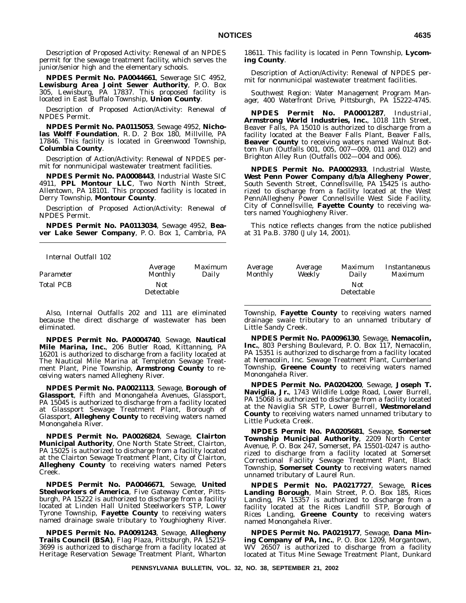Description of Proposed Activity: Renewal of an NPDES permit for the sewage treatment facility, which serves the junior/senior high and the elementary schools.

**NPDES Permit No. PA0044661**, Sewerage SIC 4952, **Lewisburg Area Joint Sewer Authority**, P. O. Box 305, Lewisburg, PA 17837. This proposed facility is located in East Buffalo Township, **Union County**.

Description of Proposed Action/Activity: Renewal of NPDES Permit.

**NPDES Permit No. PA0115053**, Sewage 4952, **Nicholas Wolff Foundation**, R. D. 2 Box 180, Millville, PA 17846. This facility is located in Greenwood Township, **Columbia County**.

Description of Action/Activity: Renewal of NPDES permit for nonmunicipal wastewater treatment facilities.

**NPDES Permit No. PA0008443**, Industrial Waste SIC 4911, **PPL Montour LLC**, Two North Ninth Street, Allentown, PA 18101. This proposed facility is located in Derry Township, **Montour County**.

Description of Proposed Action/Activity: Renewal of NPDES Permit.

**NPDES Permit No. PA0113034**, Sewage 4952, **Beaver Lake Sewer Company**, P. O. Box 1, Cambria, PA

*Internal Outfall 102*

| Parameter | Average                  | <i>Maximum</i> | <i>Average</i> | <i>Average</i> | Maximum           | Instantaneo |
|-----------|--------------------------|----------------|----------------|----------------|-------------------|-------------|
|           | Monthly                  | Dailv          | Monthly        | Weekly         | Dailv             | Maximum     |
| Total PCB | Not<br><b>Detectable</b> |                |                |                | Not<br>Detectable |             |

Also, Internal Outfalls 202 and 111 are eliminated because the direct discharge of wastewater has been eliminated.

**NPDES Permit No. PA0004740**, Sewage, **Nautical Mile Marina, Inc.**, 206 Butler Road, Kittanning, PA 16201 is authorized to discharge from a facility located at The Nautical Mile Marina at Templeton Sewage Treatment Plant, Pine Township, **Armstrong County** to receiving waters named Allegheny River.

**NPDES Permit No. PA0021113**, Sewage, **Borough of Glassport**, Fifth and Monongahela Avenues, Glassport, PA 15045 is authorized to discharge from a facility located at Glassport Sewage Treatment Plant, Borough of Glassport, **Allegheny County** to receiving waters named Monongahela River.

**NPDES Permit No. PA0026824**, Sewage, **Clairton Municipal Authority**, One North State Street, Clairton, PA 15025 is authorized to discharge from a facility located at the Clairton Sewage Treatment Plant, City of Clairton, **Allegheny County** to receiving waters named Peters Creek.

**NPDES Permit No. PA0046671**, Sewage, **United Steelworkers of America**, Five Gateway Center, Pittsburgh, PA 15222 is authorized to discharge from a facility located at Linden Hall United Steelworkers STP, Lower Tyrone Township, **Fayette County** to receiving waters named drainage swale tributary to Youghiogheny River.

**NPDES Permit No. PA0091243**, Sewage, **Allegheny Trails Council (BSA)**, Flag Plaza, Pittsburgh, PA 15219- 3699 is authorized to discharge from a facility located at Heritage Reservation Sewage Treatment Plant, Wharton

18611. This facility is located in Penn Township, **Lycoming County**.

Description of Action/Activity: Renewal of NPDES permit for nonmunicipal wastewater treatment facilities.

*Southwest Region: Water Management Program Manager, 400 Waterfront Drive, Pittsburgh, PA 15222-4745.*

**NPDES Permit No. PA0001287**, Industrial, **Armstrong World Industries, Inc.**, 1018 11th Street, Beaver Falls, PA 15010 is authorized to discharge from a facility located at the Beaver Falls Plant, Beaver Falls, **Beaver County** to receiving waters named Walnut Bottom Run (Outfalls 001, 005, 007—009, 011 and 012) and Brighton Alley Run (Outfalls 002—004 and 006).

**NPDES Permit No. PA0002933**, Industrial Waste, **West Penn Power Company d/b/a Allegheny Power**, South Seventh Street, Connellsville, PA 15425 is authorized to discharge from a facility located at the West Penn/Allegheny Power Connellsville West Side Facility, City of Connellsville, **Fayette County** to receiving waters named Youghiogheny River.

This notice reflects changes from the notice published at 31 Pa.B. 3780 (July 14, 2001).

| Average                  | <i>Maximum</i> | Average | Average | <i>Maximum</i>    | Instantaneous  |
|--------------------------|----------------|---------|---------|-------------------|----------------|
| Monthly                  | Daily          | Monthly | Weekly  | Daily             | <i>Maximum</i> |
| <b>Not</b><br>etectable) |                |         |         | Not<br>Detectable |                |

Township, **Fayette County** to receiving waters named drainage swale tributary to an unnamed tributary of Little Sandy Creek.

**NPDES Permit No. PA0096130**, Sewage, **Nemacolin, Inc.**, 803 Pershing Boulevard, P. O. Box 117, Nemacolin, PA 15351 is authorized to discharge from a facility located at Nemacolin, Inc. Sewage Treatment Plant, Cumberland Township, **Greene County** to receiving waters named Monongahela River.

**NPDES Permit No. PA0204200**, Sewage, **Joseph T. Naviglia, Jr.**, 1743 Wildlife Lodge Road, Lower Burrell, PA 15068 is authorized to discharge from a facility located at the Naviglia SR STP, Lower Burrell, **Westmoreland County** to receiving waters named unnamed tributary to Little Pucketa Creek.

**NPDES Permit No. PA0205681**, Sewage, **Somerset Township Municipal Authority**, 2209 North Center Avenue, P. O. Box 247, Somerset, PA 15501-0247 is authorized to discharge from a facility located at Somerset Correctional Facility Sewage Treatment Plant, Black Township, **Somerset County** to receiving waters named unnamed tributary of Laurel Run.

**NPDES Permit No. PA0217727**, Sewage, **Rices Landing Borough**, Main Street, P. O. Box 185, Rices Landing, PA 15357 is authorized to discharge from a facility located at the Rices Landfill STP, Borough of Rices Landing, **Greene County** to receiving waters named Monongahela River.

**NPDES Permit No. PA0219177**, Sewage, **Dana Mining Company of PA, Inc.**, P. O. Box 1209, Morgantown, WV 26507 is authorized to discharge from a facility located at Titus Mine Sewage Treatment Plant, Dunkard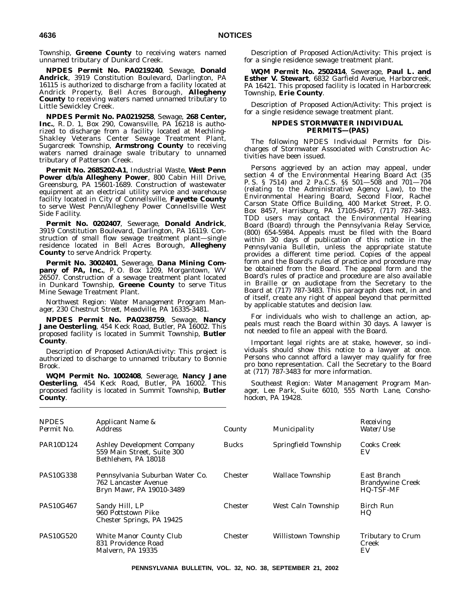Township, **Greene County** to receiving waters named unnamed tributary of Dunkard Creek.

**NPDES Permit No. PA0219240**, Sewage, **Donald Andrick**, 3919 Constitution Boulevard, Darlington, PA 16115 is authorized to discharge from a facility located at Andrick Property, Bell Acres Borough, **Allegheny County** to receiving waters named unnamed tributary to Little Sewickley Creek.

**NPDES Permit No. PA0219258**, Sewage, **268 Center, Inc.**, R. D. 1, Box 290, Cowansville, PA 16218 is authorized to discharge from a facility located at Mechling-Shakley Veterans Center Sewage Treatment Plant, Sugarcreek Township, **Armstrong County** to receiving waters named drainage swale tributary to unnamed tributary of Patterson Creek.

**Permit No. 2685202-A1**, Industrial Waste, **West Penn Power d/b/a Allegheny Power**, 800 Cabin Hill Drive, Greensburg, PA 15601-1689. Construction of wastewater equipment at an electrical utility service and warehouse facility located in City of Connellsville, **Fayette County** to serve West Penn/Allegheny Power Connellsville West Side Facility.

**Permit No. 0202407**, Sewerage, **Donald Andrick**, 3919 Constitution Boulevard, Darlington, PA 16119. Construction of small flow sewage treatment plant—single residence located in Bell Acres Borough, **Allegheny County** to serve Andrick Property.

**Permit No. 3002401**, Sewerage, **Dana Mining Com**pany of PA, Inc., P.O. Box 1209, Morgantown, WV 26507. Construction of a sewage treatment plant located in Dunkard Township, **Greene County** to serve Titus Mine Sewage Treatment Plant.

*Northwest Region: Water Management Program Manager, 230 Chestnut Street, Meadville, PA 16335-3481.*

**NPDES Permit No. PA0238759**, Sewage, **Nancy Jane Oesterling**, 454 Keck Road, Butler, PA 16002. This proposed facility is located in Summit Township, **Butler County**.

Description of Proposed Action/Activity: This project is authorized to discharge to unnamed tributary to Bonnie Brook.

**WQM Permit No. 1002408**, Sewerage, **Nancy Jane Oesterling**, 454 Keck Road, Butler, PA 16002. This proposed facility is located in Summit Township, **Butler County**.

Description of Proposed Action/Activity: This project is for a single residence sewage treatment plant.

**WQM Permit No. 2502414**, Sewerage, **Paul L. and Esther V. Stewart**, 6832 Garfield Avenue, Harborcreek, PA 16421. This proposed facility is located in Harborcreek Township, **Erie County**.

Description of Proposed Action/Activity: This project is for a single residence sewage treatment plant.

#### **NPDES STORMWATER INDIVIDUAL PERMITS—(PAS)**

The following NPDES Individual Permits for Discharges of Stormwater Associated with Construction Activities have been issued.

Persons aggrieved by an action may appeal, under section 4 of the Environmental Hearing Board Act (35 P. S. § 7514) and 2 Pa.C.S. §§ 501—508 and 701—704 (relating to the Administrative Agency Law), to the Environmental Hearing Board, Second Floor, Rachel Carson State Office Building, 400 Market Street, P. O. Box 8457, Harrisburg, PA 17105-8457, (717) 787-3483. TDD users may contact the Environmental Hearing Board (Board) through the Pennsylvania Relay Service, (800) 654-5984. Appeals must be filed with the Board within 30 days of publication of this notice in the *Pennsylvania Bulletin*, unless the appropriate statute provides a different time period. Copies of the appeal form and the Board's rules of practice and procedure may be obtained from the Board. The appeal form and the Board's rules of practice and procedure are also available in Braille or on audiotape from the Secretary to the Board at (717) 787-3483. This paragraph does not, in and of itself, create any right of appeal beyond that permitted by applicable statutes and decision law.

For individuals who wish to challenge an action, appeals must reach the Board within 30 days. A lawyer is not needed to file an appeal with the Board.

Important legal rights are at stake, however, so individuals should show this notice to a lawyer at once. Persons who cannot afford a lawyer may qualify for free pro bono representation. Call the Secretary to the Board at (717) 787-3483 for more information.

*Southeast Region: Water Management Program Manager, Lee Park, Suite 6010, 555 North Lane, Conshohocken, PA 19428.*

| <b>NPDES</b><br>Permit No. | Applicant Name &<br><b>Address</b>                                                     | County         | Municipality               | Receiving<br><i>Water/Use</i>                       |
|----------------------------|----------------------------------------------------------------------------------------|----------------|----------------------------|-----------------------------------------------------|
| <b>PAR10D124</b>           | <b>Ashley Development Company</b><br>559 Main Street, Suite 300<br>Bethlehem, PA 18018 | <b>Bucks</b>   | Springfield Township       | Cooks Creek<br>EV                                   |
| <b>PAS10G338</b>           | Pennsylvania Suburban Water Co.<br>762 Lancaster Avenue<br>Bryn Mawr, PA 19010-3489    | <b>Chester</b> | <b>Wallace Township</b>    | East Branch<br><b>Brandywine Creek</b><br>HQ-TSF-MF |
| <b>PAS10G467</b>           | Sandy Hill, LP<br>960 Pottstown Pike<br>Chester Springs, PA 19425                      | <b>Chester</b> | West Caln Township         | <b>Birch Run</b><br>HQ                              |
| <b>PAS10G520</b>           | White Manor County Club<br>831 Providence Road<br>Malvern, PA 19335                    | Chester        | <b>Willistown Township</b> | Tributary to Crum<br>Creek<br>EV                    |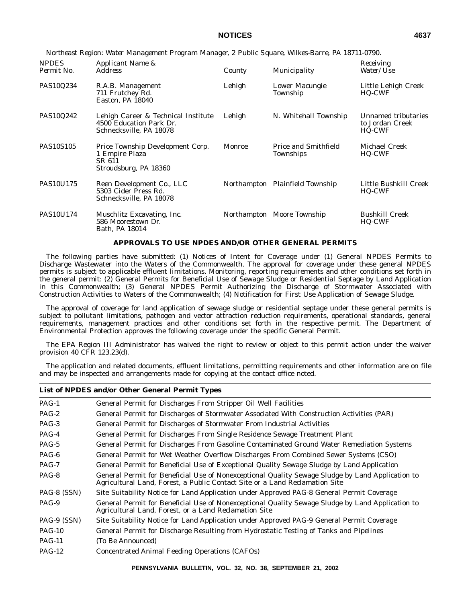*NPDES Applicant Name & County Municipality Receiving*<br>Permit No. Address *Receiving County Municipality Water/Use Municipality* PAS10Q234 R.A.B. Management 711 Frutchey Rd. Easton, PA 18040 Lehigh Lower Macungie Township Little Lehigh Creek HQ-CWF PAS10Q242 Lehigh Career & Technical Institute 4500 Education Park Dr. Schnecksville, PA 18078 Lehigh N. Whitehall Township Unnamed tributaries to Jordan Creek HQ-CWF PAS10S105 Price Township Development Corp. 1 Empire Plaza SR 611 Stroudsburg, PA 18360 Monroe Price and Smithfield Townships Michael Creek HQ-CWF PAS10U175 Reen Development Co., LLC 5303 Cider Press Rd. Schnecksville, PA 18078 Northampton Plainfield Township Little Bushkill Creek HQ-CWF PAS10U174 Muschlitz Excavating, Inc. 586 Moorestown Dr. Bath, PA 18014 Northampton Moore Township Bushkill Creek HQ-CWF

*Northeast Region: Water Management Program Manager, 2 Public Square, Wilkes-Barre, PA 18711-0790.*

#### **APPROVALS TO USE NPDES AND/OR OTHER GENERAL PERMITS**

The following parties have submitted: (1) Notices of Intent for Coverage under (1) General NPDES Permits to Discharge Wastewater into the Waters of the Commonwealth. The approval for coverage under these general NPDES permits is subject to applicable effluent limitations. Monitoring, reporting requirements and other conditions set forth in the general permit: (2) General Permits for Beneficial Use of Sewage Sludge or Residential Septage by Land Application in this Commonwealth; (3) General NPDES Permit Authorizing the Discharge of Stormwater Associated with Construction Activities to Waters of the Commonwealth; (4) Notification for First Use Application of Sewage Sludge.

The approval of coverage for land application of sewage sludge or residential septage under these general permits is subject to pollutant limitations, pathogen and vector attraction reduction requirements, operational standards, general requirements, management practices and other conditions set forth in the respective permit. The Department of Environmental Protection approves the following coverage under the specific General Permit.

The EPA Region III Administrator has waived the right to review or object to this permit action under the waiver provision 40 CFR 123.23(d).

The application and related documents, effluent limitations, permitting requirements and other information are on file and may be inspected and arrangements made for copying at the contact office noted.

|               | LIST OF INT DES ANG/OF OTHER GENERAL FULNIT TYPES                                                                                                                               |
|---------------|---------------------------------------------------------------------------------------------------------------------------------------------------------------------------------|
| $PAG-1$       | General Permit for Discharges From Stripper Oil Well Facilities                                                                                                                 |
| PAG-2         | General Permit for Discharges of Stormwater Associated With Construction Activities (PAR)                                                                                       |
| PAG-3         | General Permit for Discharges of Stormwater From Industrial Activities                                                                                                          |
| $PAG-4$       | General Permit for Discharges From Single Residence Sewage Treatment Plant                                                                                                      |
| $PAG-5$       | General Permit for Discharges From Gasoline Contaminated Ground Water Remediation Systems                                                                                       |
| $PAG-6$       | General Permit for Wet Weather Overflow Discharges From Combined Sewer Systems (CSO)                                                                                            |
| $PAG-7$       | General Permit for Beneficial Use of Exceptional Quality Sewage Sludge by Land Application                                                                                      |
| PAG-8         | General Permit for Beneficial Use of Nonexceptional Quality Sewage Sludge by Land Application to<br>Agricultural Land, Forest, a Public Contact Site or a Land Reclamation Site |
| PAG-8 (SSN)   | Site Suitability Notice for Land Application under Approved PAG-8 General Permit Coverage                                                                                       |
| $PAG-9$       | General Permit for Beneficial Use of Nonexceptional Quality Sewage Sludge by Land Application to<br>Agricultural Land, Forest, or a Land Reclamation Site                       |
| PAG-9 (SSN)   | Site Suitability Notice for Land Application under Approved PAG-9 General Permit Coverage                                                                                       |
| <b>PAG-10</b> | General Permit for Discharge Resulting from Hydrostatic Testing of Tanks and Pipelines                                                                                          |
| <b>PAG-11</b> | (To Be Announced)                                                                                                                                                               |
| $PAG-12$      | <b>Concentrated Animal Feeding Operations (CAFOs)</b>                                                                                                                           |

# **List of NPDES and/or Other General Permit Types**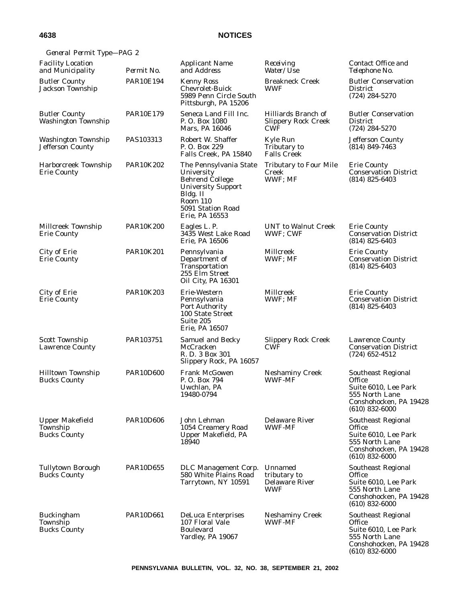| General Permit Type-PAG 2                                 |                  |                                                                                                                                                            |                                                                 |                                                                                                                             |
|-----------------------------------------------------------|------------------|------------------------------------------------------------------------------------------------------------------------------------------------------------|-----------------------------------------------------------------|-----------------------------------------------------------------------------------------------------------------------------|
| <b>Facility Location</b><br>and Municipality              | Permit No.       | <b>Applicant Name</b><br>and Address                                                                                                                       | Receiving<br>Water/Use                                          | Contact Office and<br>Telephone No.                                                                                         |
| <b>Butler County</b><br>Jackson Township                  | <b>PAR10E194</b> | <b>Kenny Ross</b><br><b>Chevrolet-Buick</b><br>5989 Penn Circle South<br>Pittsburgh, PA 15206                                                              | <b>Breakneck Creek</b><br><b>WWF</b>                            | <b>Butler Conservation</b><br><b>District</b><br>$(724) 284 - 5270$                                                         |
| <b>Butler County</b><br>Washington Township               | <b>PAR10E179</b> | Seneca Land Fill Inc.<br>P.O. Box 1080<br>Mars, PA 16046                                                                                                   | Hilliards Branch of<br><b>Slippery Rock Creek</b><br><b>CWF</b> | <b>Butler Conservation</b><br><b>District</b><br>(724) 284-5270                                                             |
| <b>Washington Township</b><br><b>Jefferson County</b>     | PAS103313        | Robert W. Shaffer<br>P.O. Box 229<br>Falls Creek, PA 15840                                                                                                 | Kyle Run<br>Tributary to<br><b>Falls Creek</b>                  | <b>Jefferson County</b><br>$(814) 849 - 7463$                                                                               |
| Harborcreek Township<br><b>Erie County</b>                | <b>PAR10K202</b> | The Pennsylvania State<br>University<br><b>Behrend College</b><br><b>University Support</b><br>Bldg. II<br>Room 110<br>5091 Station Road<br>Erie, PA 16553 | <b>Tributary to Four Mile</b><br>Creek<br>WWF; MF               | <b>Erie County</b><br><b>Conservation District</b><br>$(814)$ 825-6403                                                      |
| Millcreek Township<br><b>Erie County</b>                  | <b>PAR10K200</b> | Eagles L. P.<br>3435 West Lake Road<br>Erie, PA 16506                                                                                                      | <b>UNT</b> to Walnut Creek<br>WWF; CWF                          | <b>Erie County</b><br><b>Conservation District</b><br>$(814)$ 825-6403                                                      |
| City of Erie<br>Erie County                               | <b>PAR10K201</b> | Pennsylvania<br>Department of<br>Transportation<br>255 Elm Street<br>Oil City, PA 16301                                                                    | Millcreek<br>WWF; MF                                            | <b>Erie County</b><br><b>Conservation District</b><br>$(814)$ 825-6403                                                      |
| City of Erie<br><b>Erie County</b>                        | <b>PAR10K203</b> | Erie-Western<br>Pennsylvania<br><b>Port Authority</b><br>100 State Street<br>Suite 205<br>Erie, PA 16507                                                   | Millcreek<br>WWF; MF                                            | <b>Erie County</b><br><b>Conservation District</b><br>$(814)$ 825-6403                                                      |
| <b>Scott Township</b><br><b>Lawrence County</b>           | PAR103751        | <b>Samuel and Becky</b><br>McCracken<br>R. D. 3 Box 301<br>Slippery Rock, PA 16057                                                                         | <b>Slippery Rock Creek</b><br><b>CWF</b>                        | <b>Lawrence County</b><br><b>Conservation District</b><br>$(724)$ 652-4512                                                  |
| <b>Hilltown Township</b><br><b>Bucks County</b>           | <b>PAR10D600</b> | <b>Frank McGowen</b><br>P.O. Box 794<br>Uwchlan, PA<br>19480-0794                                                                                          | <b>Neshaminy Creek</b><br><b>WWF-MF</b>                         | Southeast Regional<br><b>Office</b><br>Suite 6010, Lee Park<br>555 North Lane<br>Conshohocken, PA 19428<br>$(610)$ 832-6000 |
| <b>Upper Makefield</b><br>Township<br><b>Bucks County</b> | <b>PAR10D606</b> | John Lehman<br>1054 Creamery Road<br>Upper Makefield, PA<br>18940                                                                                          | <b>Delaware River</b><br><b>WWF-MF</b>                          | Southeast Regional<br>Office<br>Suite 6010, Lee Park<br>555 North Lane<br>Conshohocken, PA 19428<br>$(610)$ 832-6000        |
| Tullytown Borough<br><b>Bucks County</b>                  | <b>PAR10D655</b> | DLC Management Corp.<br>580 White Plains Road<br>Tarrytown, NY 10591                                                                                       | Unnamed<br>tributary to<br><b>Delaware River</b><br><b>WWF</b>  | Southeast Regional<br>Office<br>Suite 6010, Lee Park<br>555 North Lane<br>Conshohocken, PA 19428<br>$(610)$ 832-6000        |
| <b>Buckingham</b><br>Township<br><b>Bucks County</b>      | PAR10D661        | <b>DeLuca Enterprises</b><br>107 Floral Vale<br><b>Boulevard</b><br>Yardley, PA 19067                                                                      | <b>Neshaminy Creek</b><br><b>WWF-MF</b>                         | Southeast Regional<br>Office<br>Suite 6010, Lee Park<br>555 North Lane<br>Conshohocken, PA 19428<br>$(610)$ 832-6000        |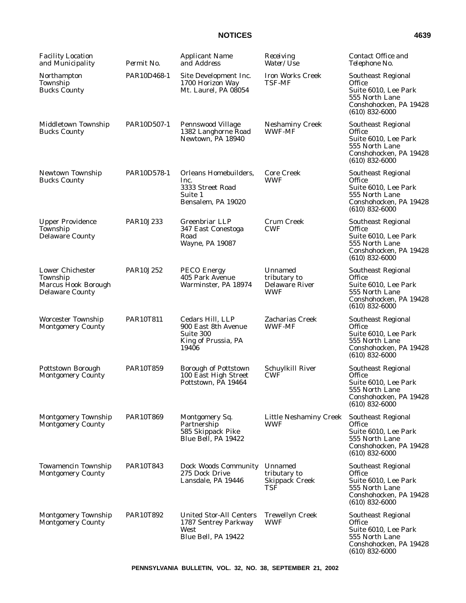| <b>Facility Location</b><br>and Municipality                                         | Permit No.  | <b>Applicant Name</b><br>and Address                                                  | Receiving<br>Water/ <i>Use</i>                                 | Contact Office and<br>Telephone No.                                                                                         |
|--------------------------------------------------------------------------------------|-------------|---------------------------------------------------------------------------------------|----------------------------------------------------------------|-----------------------------------------------------------------------------------------------------------------------------|
| Northampton<br>Township<br><b>Bucks County</b>                                       | PAR10D468-1 | Site Development Inc.<br>1700 Horizon Way<br>Mt. Laurel. PA 08054                     | <b>Iron Works Creek</b><br><b>TSF-MF</b>                       | <b>Southeast Regional</b><br>Office<br>Suite 6010, Lee Park<br>555 North Lane<br>Conshohocken, PA 19428<br>$(610)$ 832-6000 |
| Middletown Township<br><b>Bucks County</b>                                           | PAR10D507-1 | Pennswood Village<br>1382 Langhorne Road<br>Newtown, PA 18940                         | <b>Neshaminy Creek</b><br><b>WWF-MF</b>                        | Southeast Regional<br>Office<br>Suite 6010, Lee Park<br>555 North Lane<br>Conshohocken, PA 19428<br>$(610) 832 - 6000$      |
| Newtown Township<br><b>Bucks County</b>                                              | PAR10D578-1 | Orleans Homebuilders,<br>Inc.<br>3333 Street Road<br>Suite 1<br>Bensalem, PA 19020    | <b>Core Creek</b><br><b>WWF</b>                                | Southeast Regional<br>Office<br>Suite 6010, Lee Park<br>555 North Lane<br>Conshohocken, PA 19428<br>$(610)$ 832-6000        |
| <b>Upper Providence</b><br>Township<br><b>Delaware County</b>                        | PAR10J233   | <b>Greenbriar LLP</b><br>347 East Conestoga<br>Road<br>Wayne, PA 19087                | Crum Creek<br><b>CWF</b>                                       | Southeast Regional<br>Office<br>Suite 6010, Lee Park<br>555 North Lane<br>Conshohocken, PA 19428<br>$(610)$ 832-6000        |
| <b>Lower Chichester</b><br>Township<br>Marcus Hook Borough<br><b>Delaware County</b> | PAR10J252   | <b>PECO Energy</b><br>405 Park Avenue<br>Warminster, PA 18974                         | Unnamed<br>tributary to<br><b>Delaware River</b><br><b>WWF</b> | Southeast Regional<br>Office<br>Suite 6010, Lee Park<br>555 North Lane<br>Conshohocken, PA 19428<br>$(610)$ 832-6000        |
| <b>Worcester Township</b><br><b>Montgomery County</b>                                | PAR10T811   | Cedars Hill, LLP<br>900 East 8th Avenue<br>Suite 300<br>King of Prussia, PA<br>19406  | Zacharias Creek<br><b>WWF-MF</b>                               | <b>Southeast Regional</b><br>Office<br>Suite 6010, Lee Park<br>555 North Lane<br>Conshohocken, PA 19428<br>$(610)$ 832-6000 |
| <b>Pottstown Borough</b><br><b>Montgomery County</b>                                 | PAR10T859   | <b>Borough of Pottstown</b><br>100 East High Street<br>Pottstown, PA 19464            | Schuylkill River<br><b>CWF</b>                                 | Southeast Regional<br>Office<br>Suite 6010, Lee Park<br>555 North Lane<br>Conshohocken, PA 19428<br>$(610)$ 832-6000        |
| <b>Montgomery Township</b><br><b>Montgomery County</b>                               | PAR10T869   | Montgomery Sq.<br>Partnership<br>585 Skippack Pike<br>Blue Bell, PA 19422             | <b>Little Neshaminy Creek</b><br>WWF                           | Southeast Regional<br>Office<br>Suite 6010, Lee Park<br>555 North Lane<br>Conshohocken, PA 19428<br>$(610) 832 - 6000$      |
| <b>Towamencin Township</b><br><b>Montgomery County</b>                               | PAR10T843   | Dock Woods Community<br>275 Dock Drive<br>Lansdale, PA 19446                          | Unnamed<br>tributary to<br><b>Skippack Creek</b><br>TSF        | Southeast Regional<br>Office<br>Suite 6010, Lee Park<br>555 North Lane<br>Conshohocken, PA 19428<br>$(610)$ 832-6000        |
| <b>Montgomery Township</b><br><b>Montgomery County</b>                               | PAR10T892   | <b>United Stor-All Centers</b><br>1787 Sentrey Parkway<br>West<br>Blue Bell, PA 19422 | <b>Trewellyn Creek</b><br>WWF                                  | Southeast Regional<br><b>Office</b><br>Suite 6010, Lee Park<br>555 North Lane<br>Conshohocken, PA 19428<br>$(610)$ 832-6000 |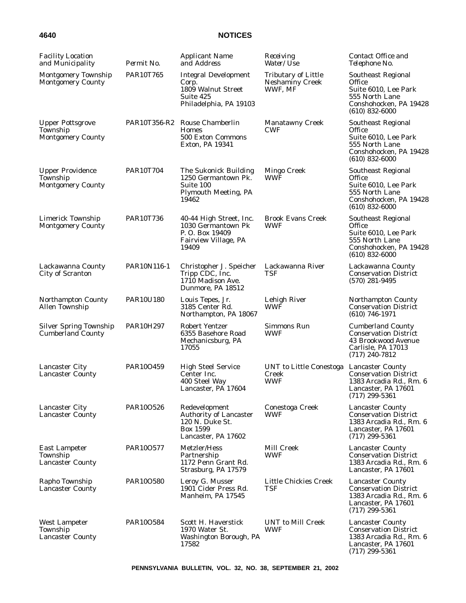| <b>Facility Location</b><br>and Municipality                    | Permit No.       | <b>Applicant Name</b><br>and Address                                                                 | Receiving<br>Water/Use                                          | Contact Office and<br>Telephone No.                                                                                           |
|-----------------------------------------------------------------|------------------|------------------------------------------------------------------------------------------------------|-----------------------------------------------------------------|-------------------------------------------------------------------------------------------------------------------------------|
| <b>Montgomery Township</b><br><b>Montgomery County</b>          | <b>PAR10T765</b> | <b>Integral Development</b><br>Corp.<br>1809 Walnut Street<br>Suite 425<br>Philadelphia, PA 19103    | <b>Tributary of Little</b><br><b>Neshaminy Creek</b><br>WWF, MF | Southeast Regional<br>Office<br>Suite 6010, Lee Park<br>555 North Lane<br>Conshohocken, PA 19428<br>$(610)$ 832-6000          |
| <b>Upper Pottsgrove</b><br>Township<br><b>Montgomery County</b> |                  | PAR10T356-R2 Rouse Chamberlin<br><b>Homes</b><br>500 Exton Commons<br>Exton, PA 19341                | <b>Manatawny Creek</b><br><b>CWF</b>                            | Southeast Regional<br>Office<br>Suite 6010, Lee Park<br>555 North Lane<br>Conshohocken, PA 19428<br>$(610)$ 832-6000          |
| <b>Upper Providence</b><br>Township<br><b>Montgomery County</b> | <b>PAR10T704</b> | The Sukonick Building<br>1250 Germantown Pk.<br>Suite 100<br><b>Plymouth Meeting, PA</b><br>19462    | Mingo Creek<br><b>WWF</b>                                       | Southeast Regional<br>Office<br>Suite 6010, Lee Park<br>555 North Lane<br>Conshohocken, PA 19428<br>$(610)$ 832-6000          |
| <b>Limerick Township</b><br><b>Montgomery County</b>            | <b>PAR10T736</b> | 40-44 High Street, Inc.<br>1030 Germantown Pk<br>P. O. Box 19409<br>Fairview Village, PA<br>19409    | <b>Brook Evans Creek</b><br><b>WWF</b>                          | Southeast Regional<br>Office<br>Suite 6010, Lee Park<br>555 North Lane<br>Conshohocken, PA 19428<br>$(610)$ 832-6000          |
| Lackawanna County<br>City of Scranton                           | PAR10N116-1      | Christopher J. Speicher<br>Tripp CDC, Inc.<br>1710 Madison Ave.<br>Dunmore, PA 18512                 | Lackawanna River<br>TSF                                         | Lackawanna County<br><b>Conservation District</b><br>$(570)$ 281-9495                                                         |
| <b>Northampton County</b><br><b>Allen Township</b>              | PAR10U180        | Louis Tepes, Jr.<br>3185 Center Rd.<br>Northampton, PA 18067                                         | Lehigh River<br>WWF                                             | <b>Northampton County</b><br><b>Conservation District</b><br>$(610)$ 746-1971                                                 |
| <b>Silver Spring Township</b><br><b>Cumberland County</b>       | PAR10H297        | <b>Robert Yentzer</b><br>6355 Basehore Road<br>Mechanicsburg, PA<br>17055                            | Simmons Run<br><b>WWF</b>                                       | <b>Cumberland County</b><br><b>Conservation District</b><br>43 Brookwood Avenue<br>Carlisle, PA 17013<br>$(717)$ 240-7812     |
| Lancaster City<br><b>Lancaster County</b>                       | PAR100459        | <b>High Steel Service</b><br>Center Inc.<br>400 Steel Way<br>Lancaster, PA 17604                     | UNT to Little Conestoga Lancaster County<br>Creek<br><b>WWF</b> | <b>Conservation District</b><br>1383 Arcadia Rd., Rm. 6<br>Lancaster, PA 17601<br>$(717)$ 299-5361                            |
| Lancaster City<br><b>Lancaster County</b>                       | PAR100526        | Redevelopment<br><b>Authority of Lancaster</b><br>120 N. Duke St.<br>Box 1599<br>Lancaster, PA 17602 | Conestoga Creek<br>WWF                                          | <b>Lancaster County</b><br><b>Conservation District</b><br>1383 Arcadia Rd., Rm. 6<br>Lancaster, PA 17601<br>$(717)$ 299-5361 |
| <b>East Lampeter</b><br>Township<br>Lancaster County            | PAR100577        | Metzler/Hess<br>Partnership<br>1172 Penn Grant Rd.<br>Strasburg, PA 17579                            | Mill Creek<br><b>WWF</b>                                        | <b>Lancaster County</b><br><b>Conservation District</b><br>1383 Arcadia Rd., Rm. 6<br>Lancaster, PA 17601                     |
| Rapho Township<br><b>Lancaster County</b>                       | PAR100580        | Leroy G. Musser<br>1901 Cider Press Rd.<br>Manheim, PA 17545                                         | Little Chickies Creek<br>TSF                                    | <b>Lancaster County</b><br><b>Conservation District</b><br>1383 Arcadia Rd., Rm. 6<br>Lancaster, PA 17601<br>$(717)$ 299-5361 |
| <b>West Lampeter</b><br>Township<br><b>Lancaster County</b>     | PAR100584        | Scott H. Haverstick<br>1970 Water St.<br>Washington Borough, PA<br>17582                             | <b>UNT</b> to Mill Creek<br><b>WWF</b>                          | <b>Lancaster County</b><br><b>Conservation District</b><br>1383 Arcadia Rd., Rm. 6<br>Lancaster, PA 17601<br>$(717)$ 299-5361 |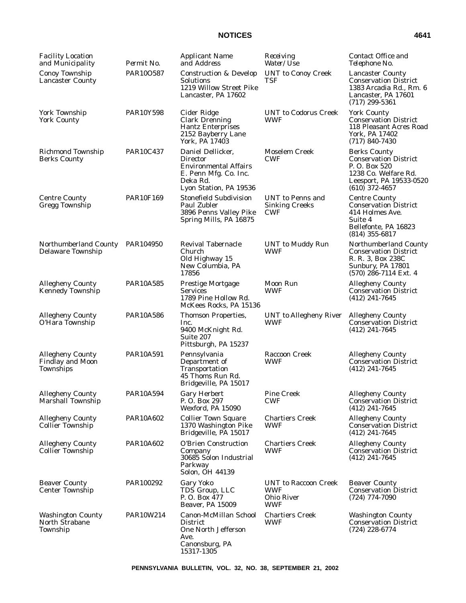| <b>Facility Location</b><br>and Municipality                           | Permit No.       | <b>Applicant Name</b><br>and Address                                                                                         | Receiving<br>Water/Use                                                | Contact Office and<br>Telephone No.                                                                                                        |
|------------------------------------------------------------------------|------------------|------------------------------------------------------------------------------------------------------------------------------|-----------------------------------------------------------------------|--------------------------------------------------------------------------------------------------------------------------------------------|
| Conoy Township<br><b>Lancaster County</b>                              | PAR10O587        | <b>Construction &amp; Develop</b><br>Solutions<br>1219 Willow Street Pike<br>Lancaster, PA 17602                             | <b>UNT</b> to Conoy Creek<br>TSF                                      | <b>Lancaster County</b><br><b>Conservation District</b><br>1383 Arcadia Rd., Rm. 6<br>Lancaster, PA 17601<br>$(717)$ 299-5361              |
| York Township<br><b>York County</b>                                    | <b>PAR10Y598</b> | Cider Ridge<br><b>Clark Drenning</b><br><b>Hantz Enterprises</b><br>2152 Bayberry Lane<br>York, PA 17403                     | <b>UNT</b> to Codorus Creek<br><b>WWF</b>                             | <b>York County</b><br><b>Conservation District</b><br>118 Pleasant Acres Road<br>York, PA 17402<br>$(717) 840 - 7430$                      |
| <b>Richmond Township</b><br><b>Berks County</b>                        | <b>PAR10C437</b> | Daniel Dellicker,<br>Director<br><b>Environmental Affairs</b><br>E. Penn Mfg. Co. Inc.<br>Deka Rd.<br>Lyon Station, PA 19536 | Moselem Creek<br><b>CWF</b>                                           | <b>Berks County</b><br><b>Conservation District</b><br>P.O. Box 520<br>1238 Co. Welfare Rd.<br>Leesport, PA 19533-0520<br>$(610)$ 372-4657 |
| <b>Centre County</b><br>Gregg Township                                 | <b>PAR10F169</b> | <b>Stonefield Subdivision</b><br>Paul Zubler<br>3896 Penns Valley Pike<br>Spring Mills, PA 16875                             | <b>UNT</b> to Penns and<br><b>Sinking Creeks</b><br><b>CWF</b>        | <b>Centre County</b><br><b>Conservation District</b><br>414 Holmes Ave.<br>Suite 4<br>Bellefonte, PA 16823<br>$(814)$ 355-6817             |
| Northumberland County<br>Delaware Township                             | PAR104950        | <b>Revival Tabernacle</b><br><b>Church</b><br>Old Highway 15<br>New Columbia, PA<br>17856                                    | <b>UNT</b> to Muddy Run<br><b>WWF</b>                                 | Northumberland County<br><b>Conservation District</b><br>R. R. 3, Box 238C<br>Sunbury, PA 17801<br>$(570)$ 286-7114 Ext. 4                 |
| <b>Allegheny County</b><br><b>Kennedy Township</b>                     | <b>PAR10A585</b> | <b>Prestige Mortgage</b><br><b>Services</b><br>1789 Pine Hollow Rd.<br>McKees Rocks, PA 15136                                | Moon Run<br><b>WWF</b>                                                | <b>Allegheny County</b><br><b>Conservation District</b><br>$(412)$ 241-7645                                                                |
| <b>Allegheny County</b><br>O'Hara Township                             | <b>PAR10A586</b> | <b>Thomson Properties,</b><br>Inc.<br>9400 McKnight Rd.<br>Suite 207<br>Pittsburgh, PA 15237                                 | <b>UNT</b> to Allegheny River<br><b>WWF</b>                           | <b>Allegheny County</b><br><b>Conservation District</b><br>$(412)$ 241-7645                                                                |
| <b>Allegheny County</b><br><b>Findlay and Moon</b><br><b>Townships</b> | <b>PAR10A591</b> | Pennsylvania<br>Department of<br>Transportation<br>45 Thoms Run Rd.<br>Bridgeville, PA 15017                                 | <b>Raccoon Creek</b><br><b>WWF</b>                                    | <b>Allegheny County</b><br><b>Conservation District</b><br>$(412)$ 241-7645                                                                |
| <b>Allegheny County</b><br><b>Marshall Township</b>                    | PAR10A594        | <b>Gary Herbert</b><br>P. O. Box 297<br>Wexford, PA 15090                                                                    | <b>Pine Creek</b><br><b>CWF</b>                                       | <b>Allegheny County</b><br><b>Conservation District</b><br>$(412)$ 241-7645                                                                |
| <b>Allegheny County</b><br><b>Collier Township</b>                     | PAR10A602        | <b>Collier Town Square</b><br>1370 Washington Pike<br>Bridgeville, PA 15017                                                  | <b>Chartiers Creek</b><br>WWF                                         | <b>Allegheny County</b><br><b>Conservation District</b><br>$(412)$ 241-7645                                                                |
| <b>Allegheny County</b><br><b>Collier Township</b>                     | PAR10A602        | <b>O'Brien Construction</b><br>Company<br>30685 Solon Industrial<br>Parkway<br>Solon, OH 44139                               | <b>Chartiers Creek</b><br>WWF                                         | <b>Allegheny County</b><br><b>Conservation District</b><br>$(412)$ 241-7645                                                                |
| <b>Beaver County</b><br><b>Center Township</b>                         | PAR100292        | Gary Yoko<br>TDS Group, LLC<br>P.O. Box 477<br>Beaver, PA 15009                                                              | UNT to Raccoon Creek<br><b>WWF</b><br><b>Ohio River</b><br><b>WWF</b> | <b>Beaver County</b><br><b>Conservation District</b><br>$(724)$ $774-7090$                                                                 |
| <b>Washington County</b><br><b>North Strabane</b><br>Township          | PAR10W214        | Canon-McMillan School<br><b>District</b><br>One North Jefferson<br>Ave.<br>Canonsburg, PA<br>15317-1305                      | <b>Chartiers Creek</b><br>WWF                                         | <b>Washington County</b><br><b>Conservation District</b><br>$(724)$ 228-6774                                                               |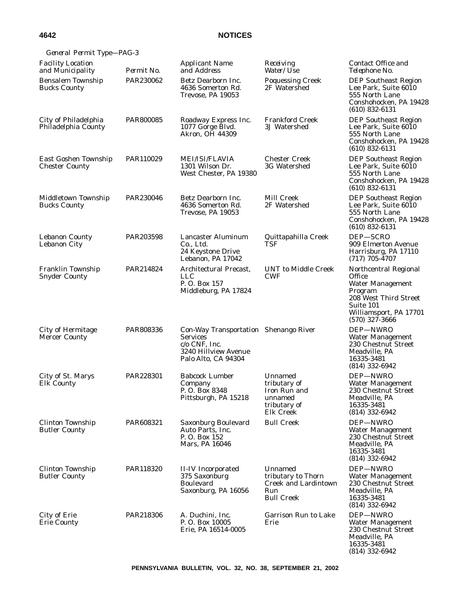| General Permit Type-PAG-3                        |            |                                                                                                                                 |                                                                                          |                                                                                                                                                                  |
|--------------------------------------------------|------------|---------------------------------------------------------------------------------------------------------------------------------|------------------------------------------------------------------------------------------|------------------------------------------------------------------------------------------------------------------------------------------------------------------|
| <b>Facility Location</b><br>and Municipality     | Permit No. | <b>Applicant Name</b><br>and Address                                                                                            | Receiving<br><i>Water/Use</i>                                                            | Contact Office and<br>Telephone No.                                                                                                                              |
| <b>Bensalem Township</b><br><b>Bucks County</b>  | PAR230062  | Betz Dearborn Inc.<br>4636 Somerton Rd.<br>Trevose, PA 19053                                                                    | <b>Poquessing Creek</b><br>2F Watershed                                                  | <b>DEP Southeast Region</b><br>Lee Park, Suite 6010<br>555 North Lane<br>Conshohocken, PA 19428<br>$(610)$ 832-6131                                              |
| City of Philadelphia<br>Philadelphia County      | PAR800085  | Roadway Express Inc.<br>1077 Gorge Blvd.<br><b>Akron. OH 44309</b>                                                              | <b>Frankford Creek</b><br>3J Watershed                                                   | <b>DEP Southeast Region</b><br>Lee Park, Suite 6010<br>555 North Lane<br>Conshohocken, PA 19428<br>$(610)$ 832-6131                                              |
| East Goshen Township<br><b>Chester County</b>    | PAR110029  | <b>MEI/ISI/FLAVIA</b><br>1301 Wilson Dr.<br>West Chester, PA 19380                                                              | <b>Chester Creek</b><br>3G Watershed                                                     | <b>DEP Southeast Region</b><br>Lee Park, Suite 6010<br>555 North Lane<br>Conshohocken, PA 19428<br>$(610)$ 832-6131                                              |
| Middletown Township<br><b>Bucks County</b>       | PAR230046  | Betz Dearborn Inc.<br>4636 Somerton Rd.<br>Trevose, PA 19053                                                                    | Mill Creek<br>2F Watershed                                                               | <b>DEP Southeast Region</b><br>Lee Park, Suite 6010<br>555 North Lane<br>Conshohocken, PA 19428<br>$(610)$ 832-6131                                              |
| <b>Lebanon County</b><br>Lebanon City            | PAR203598  | <b>Lancaster Aluminum</b><br>Co., Ltd.<br>24 Keystone Drive<br>Lebanon, PA 17042                                                | Quittapahilla Creek<br>TSF                                                               | DEP-SCRO<br>909 Elmerton Avenue<br>Harrisburg, PA 17110<br>$(717) 705 - 4707$                                                                                    |
| Franklin Township<br><b>Snyder County</b>        | PAR214824  | Architectural Precast,<br><b>LLC</b><br>P.O. Box 157<br>Middleburg, PA 17824                                                    | <b>UNT</b> to Middle Creek<br><b>CWF</b>                                                 | Northcentral Regional<br><b>Office</b><br><b>Water Management</b><br>Program<br>208 West Third Street<br>Suite 101<br>Williamsport, PA 17701<br>$(570)$ 327-3666 |
| <b>City of Hermitage</b><br><b>Mercer County</b> | PAR808336  | Con-Way Transportation Shenango River<br><b>Services</b><br>$c/\sigma$ CNF, Inc.<br>3240 Hillview Avenue<br>Palo Alto, CA 94304 |                                                                                          | DEP-NWRO<br>Water Management<br>230 Chestnut Street<br>Meadville. PA<br>16335-3481<br>$(814)$ 332-6942                                                           |
| City of St. Marys<br><b>Elk County</b>           | PAR228301  | <b>Babcock Lumber</b><br>Company<br>P.O. Box 8348<br>Pittsburgh, PA 15218                                                       | Unnamed<br>tributary of<br>Iron Run and<br>unnamed<br>tributary of<br>Elk Creek          | DEP-NWRO<br><b>Water Management</b><br>230 Chestnut Street<br>Meadville, PA<br>16335-3481<br>$(814)$ 332-6942                                                    |
| <b>Clinton Township</b><br><b>Butler County</b>  | PAR608321  | Saxonburg Boulevard<br>Auto Parts, Inc.<br>P.O. Box 152<br>Mars, PA 16046                                                       | <b>Bull Creek</b>                                                                        | DEP-NWRO<br><b>Water Management</b><br>230 Chestnut Street<br>Meadville, PA<br>16335-3481<br>$(814)$ 332-6942                                                    |
| Clinton Township<br><b>Butler County</b>         | PAR118320  | <b>II-IV</b> Incorporated<br>375 Saxonburg<br><b>Boulevard</b><br>Saxonburg, PA 16056                                           | Unnamed<br>tributary to Thorn<br><b>Creek and Lardintown</b><br>Run<br><b>Bull Creek</b> | DEP-NWRO<br><b>Water Management</b><br>230 Chestnut Street<br>Meadville, PA<br>16335-3481<br>$(814)$ 332-6942                                                    |
| City of Erie<br><b>Erie County</b>               | PAR218306  | A. Duchini, Inc.<br>P.O. Box 10005<br>Erie, PA 16514-0005                                                                       | Garrison Run to Lake<br>Erie                                                             | DEP-NWRO<br><b>Water Management</b><br>230 Chestnut Street<br>Meadville, PA<br>16335-3481<br>$(814)$ 332-6942                                                    |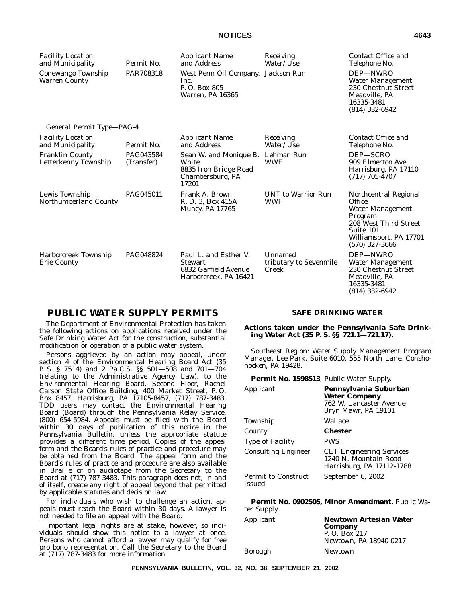| <b>Facility Location</b><br>and Municipality   | Permit No.              | <b>Applicant Name</b><br>and Address                                                             | Receiving<br>Water/Use                     | Contact Office and<br>Telephone No.                                                                                                                |
|------------------------------------------------|-------------------------|--------------------------------------------------------------------------------------------------|--------------------------------------------|----------------------------------------------------------------------------------------------------------------------------------------------------|
| Conewango Township<br><b>Warren County</b>     | PAR708318               | West Penn Oil Company, Jackson Run<br>Inc.<br>P. O. Box 805<br>Warren, PA 16365                  |                                            | DEP-NWRO<br>Water Management<br>230 Chestnut Street<br>Meadville, PA<br>16335-3481<br>$(814)$ 332-6942                                             |
| General Permit Type-PAG-4                      |                         |                                                                                                  |                                            |                                                                                                                                                    |
| <b>Facility Location</b><br>and Municipality   | Permit No.              | <b>Applicant Name</b><br>and Address                                                             | Receiving<br>Water/Use                     | Contact Office and<br>Telephone No.                                                                                                                |
| <b>Franklin County</b><br>Letterkenny Township | PAG043584<br>(Transfer) | Sean W. and Monique B. Lehman Run<br>White<br>8835 Iron Bridge Road<br>Chambersburg, PA<br>17201 | <b>WWF</b>                                 | DEP-SCRO<br>909 Elmerton Ave.<br>Harrisburg, PA 17110<br>$(717)$ 705-4707                                                                          |
| Lewis Township<br>Northumberland County        | PAG045011               | Frank A. Brown<br>R. D. 3, Box 415A<br><b>Muncy, PA 17765</b>                                    | <b>UNT</b> to Warrior Run<br><b>WWF</b>    | Northcentral Regional<br>Office<br>Water Management<br>Program<br>208 West Third Street<br>Suite 101<br>Williamsport, PA 17701<br>$(570)$ 327-3666 |
| Harborcreek Township<br><b>Erie County</b>     | PAG048824               | Paul L. and Esther V.<br><b>Stewart</b><br>6832 Garfield Avenue<br>Harborcreek, PA 16421         | Unnamed<br>tributary to Sevenmile<br>Creek | DEP-NWRO<br>Water Management<br>230 Chestnut Street<br>Meadville, PA<br>16335-3481<br>$(814)$ 332-6942                                             |

# **PUBLIC WATER SUPPLY PERMITS**

The Department of Environmental Protection has taken the following actions on applications received under the Safe Drinking Water Act for the construction, substantial modification or operation of a public water system.

Persons aggrieved by an action may appeal, under section 4 of the Environmental Hearing Board Act (35 P. S. § 7514) and 2 Pa.C.S. §§ 501—508 and 701—704 (relating to the Administrative Agency Law), to the Environmental Hearing Board, Second Floor, Rachel Carson State Office Building, 400 Market Street, P. O. Box 8457, Harrisburg, PA 17105-8457, (717) 787-3483. TDD users may contact the Environmental Hearing Board (Board) through the Pennsylvania Relay Service, (800) 654-5984. Appeals must be filed with the Board within 30 days of publication of this notice in the *Pennsylvania Bulletin*, unless the appropriate statute provides a different time period. Copies of the appeal form and the Board's rules of practice and procedure may be obtained from the Board. The appeal form and the Board's rules of practice and procedure are also available in Braille or on audiotape from the Secretary to the Board at (717) 787-3483. This paragraph does not, in and of itself, create any right of appeal beyond that permitted by applicable statutes and decision law.

For individuals who wish to challenge an action, appeals must reach the Board within 30 days. A lawyer is not needed to file an appeal with the Board.

Important legal rights are at stake, however, so individuals should show this notice to a lawyer at once. Persons who cannot afford a lawyer may qualify for free pro bono representation. Call the Secretary to the Board at (717) 787-3483 for more information.

#### **SAFE DRINKING WATER**

**Actions taken under the Pennsylvania Safe Drinking Water Act (35 P. S. §§ 721.1—721.17).**

*Southeast Region: Water Supply Management Program Manager, Lee Park, Suite 6010, 555 North Lane, Conshohocken, PA 19428.*

**Permit No. 1598513**, Public Water Supply.

| Applicant                                   | Pennsylvania Suburban<br><b>Water Company</b><br>762 W. Lancaster Avenue<br>Bryn Mawr, PA 19101 |
|---------------------------------------------|-------------------------------------------------------------------------------------------------|
| Township                                    | Wallace                                                                                         |
| County                                      | <b>Chester</b>                                                                                  |
| <b>Type of Facility</b>                     | <b>PWS</b>                                                                                      |
| <b>Consulting Engineer</b>                  | <b>CET Engineering Services</b><br>1240 N. Mountain Road<br>Harrisburg, PA 17112-1788           |
| <b>Permit to Construct</b><br><b>Issued</b> | September 6, 2002                                                                               |

**Permit No. 0902505, Minor Amendment.** Public Water Supply.

| Applicant | <b>Newtown Artesian Water</b> |
|-----------|-------------------------------|
|           | Company                       |
|           | P. O. Box 217                 |
|           | Newtown, PA 18940-0217        |
| Borough   | <b>Newtown</b>                |
|           |                               |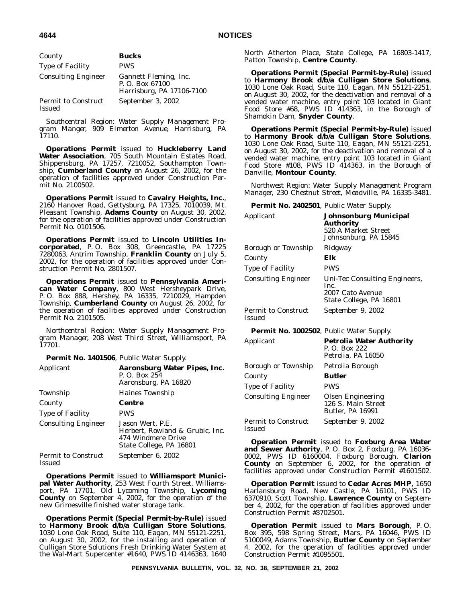| County                                      | <b>Bucks</b>                                                          |
|---------------------------------------------|-----------------------------------------------------------------------|
| <b>Type of Facility</b>                     | <b>PWS</b>                                                            |
| <b>Consulting Engineer</b>                  | Gannett Fleming, Inc.<br>P. O. Box 67100<br>Harrisburg, PA 17106-7100 |
| <b>Permit to Construct</b><br><b>Issued</b> | September 3, 2002                                                     |

*Southcentral Region: Water Supply Management Program Manger, 909 Elmerton Avenue, Harrisburg, PA 17110.*

**Operations Permit** issued to **Huckleberry Land Water Association**, 705 South Mountain Estates Road, Shippensburg, PA 17257, 7210052, Southampton Township, **Cumberland County** on August 26, 2002, for the operation of facilities approved under Construction Permit No. 2100502.

**Operations Permit** issued to **Cavalry Heights, Inc.**, 2160 Hanover Road, Gettysburg, PA 17325, 7010039, Mt. Pleasant Township, **Adams County** on August 30, 2002, for the operation of facilities approved under Construction Permit No. 0101506.

**Operations Permit** issued to **Lincoln Utilities Incorporated**, P. O. Box 308, Greencastle, PA 17225 7280063, Antrim Township, **Franklin County** on July 5, 2002, for the operation of facilities approved under Construction Permit No. 2801507.

**Operations Permit** issued to **Pennsylvania American Water Company**, 800 West Hersheypark Drive, P. O. Box 888, Hershey, PA 16335, 7210029, Hampden Township, **Cumberland County** on August 26, 2002, for the operation of facilities approved under Construction Permit No. 2101505.

*Northcentral Region: Water Supply Management Program Manager, 208 West Third Street, Williamsport, PA 17701.*

**Permit No. 1401506**, Public Water Supply.

| Applicant                            | Aaronsburg Water Pipes, Inc.<br>P. O. Box 254<br>Aaronsburg, PA 16820                                |
|--------------------------------------|------------------------------------------------------------------------------------------------------|
| Township                             | <b>Haines Township</b>                                                                               |
| County                               | Centre                                                                                               |
| <b>Type of Facility</b>              | <b>PWS</b>                                                                                           |
| <b>Consulting Engineer</b>           | Jason Wert, P.E.<br>Herbert, Rowland & Grubic, Inc.<br>474 Windmere Drive<br>State College, PA 16801 |
| <b>Permit to Construct</b><br>Issued | September 6, 2002                                                                                    |

**Operations Permit** issued to **Williamsport Municipal Water Authority**, 253 West Fourth Street, Williamsport, PA 17701, Old Lycoming Township, **Lycoming County** on September 4, 2002, for the operation of the new Grimesville finished water storage tank.

**Operations Permit (Special Permit-by-Rule)** issued to **Harmony Brook d/b/a Culligan Store Solutions**, 1030 Lone Oak Road, Suite 110, Eagan, MN 55121-2251, on August 30, 2002, for the installing and operation of Culligan Store Solutions Fresh Drinking Water System at the Wal-Mart Supercenter #1640, PWS ID 4146363, 1640

North Atherton Place, State College, PA 16803-1417, Patton Township, **Centre County**.

**Operations Permit (Special Permit-by-Rule)** issued to **Harmony Brook d/b/a Culligan Store Solutions**, 1030 Lone Oak Road, Suite 110, Eagan, MN 55121-2251, on August 30, 2002, for the deactivation and removal of a vended water machine, entry point 103 located in Giant Food Store #68, PWS ID 414363, in the Borough of Shamokin Dam, **Snyder County**.

**Operations Permit (Special Permit-by-Rule)** issued to **Harmony Brook d/b/a Culligan Store Solutions**, 1030 Lone Oak Road, Suite 110, Eagan, MN 55121-2251, on August 30, 2002, for the deactivation and removal of a vended water machine, entry point 103 located in Giant Food Store #108, PWS ID 414363, in the Borough of Danville, **Montour County**.

*Northwest Region: Water Supply Management Program Manager, 230 Chestnut Street, Meadville, PA 16335-3481.*

**Permit No. 2402501**, Public Water Supply.

| Applicant                                       | Johnsonburg Municipal<br>Authority<br>520 A Market Street<br>Johnsonburg, PA 15845   |
|-------------------------------------------------|--------------------------------------------------------------------------------------|
| Borough or Township                             | Ridgway                                                                              |
| County                                          | Elk                                                                                  |
| <b>Type of Facility</b>                         | <b>PWS</b>                                                                           |
| <b>Consulting Engineer</b>                      | Uni-Tec Consulting Engineers,<br>Inc.<br>2007 Cato Avenue<br>State College, PA 16801 |
| <b>Permit to Construct</b><br><b>Issued</b>     | September 9, 2002                                                                    |
| <b>Permit No. 1002502, Public Water Supply.</b> |                                                                                      |
| Applicant                                       | <b>Petrolia Water Authority</b><br>P. O. Box 222<br>Petrolia, PA 16050               |
| Borough or Township                             | Petrolia Borough                                                                     |
| County                                          | <b>Butler</b>                                                                        |
| Type of Facility                                | <b>PWS</b>                                                                           |
| <b>Consulting Engineer</b>                      | <b>Olsen Engineering</b><br>126 S. Main Street<br><b>Butler, PA 16991</b>            |
| <b>Permit to Construct</b><br><b>Issued</b>     | September 9, 2002                                                                    |

**Operation Permit** issued to **Foxburg Area Water and Sewer Authority**, P. O. Box 2, Foxburg, PA 16036- 0002, PWS ID 6160004, Foxburg Borough, **Clarion County** on September 6, 2002, for the operation of facilities approved under Construction Permit #1601502.

**Operation Permit** issued to **Cedar Acres MHP**, 1650 Harlansburg Road, New Castle, PA 16101, PWS ID 6370910, Scott Township, **Lawrence County** on September 4, 2002, for the operation of facilities approved under Construction Permit #3702501.

**Operation Permit** issued to **Mars Borough**, P. O. Box 395, 598 Spring Street, Mars, PA 16046, PWS ID 5100049, Adams Township, **Butler County** on September 4, 2002, for the operation of facilities approved under Construction Permit #1095501.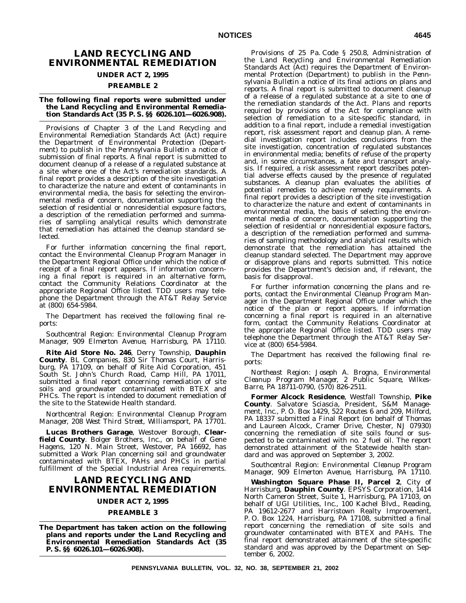# **LAND RECYCLING AND ENVIRONMENTAL REMEDIATION**

# **UNDER ACT 2, 1995**

#### **PREAMBLE 2**

#### **The following final reports were submitted under the Land Recycling and Environmental Remediation Standards Act (35 P. S. §§ 6026.101—6026.908).**

Provisions of Chapter 3 of the Land Recycling and Environmental Remediation Standards Act (Act) require the Department of Environmental Protection (Department) to publish in the *Pennsylvania Bulletin* a notice of submission of final reports. A final report is submitted to document cleanup of a release of a regulated substance at a site where one of the Act's remediation standards. A final report provides a description of the site investigation to characterize the nature and extent of contaminants in environmental media, the basis for selecting the environmental media of concern, documentation supporting the selection of residential or nonresidential exposure factors, a description of the remediation performed and summaries of sampling analytical results which demonstrate that remediation has attained the cleanup standard selected.

For further information concerning the final report, contact the Environmental Cleanup Program Manager in the Department Regional Office under which the notice of receipt of a final report appears. If information concerning a final report is required in an alternative form, contact the Community Relations Coordinator at the appropriate Regional Office listed. TDD users may telephone the Department through the AT&T Relay Service at (800) 654-5984.

The Department has received the following final reports:

*Southcentral Region: Environmental Cleanup Program Manager, 909 Elmerton Avenue, Harrisburg, PA 17110.*

**Rite Aid Store No. 246**, Derry Township, **Dauphin County**. BL Companies, 830 Sir Thomas Court, Harrisburg, PA 17109, on behalf of Rite Aid Corporation, 451 South St. John's Church Road, Camp Hill, PA 17011, submitted a final report concerning remediation of site soils and groundwater contaminated with BTEX and PHCs. The report is intended to document remediation of the site to the Statewide Health standard.

*Northcentral Region: Environmental Cleanup Program Manager, 208 West Third Street, Williamsport, PA 17701.*

**Lucas Brothers Garage**, Westover Borough, **Clearfield County**. Bolger Brothers, Inc., on behalf of Gene Hagens, 120 N. Main Street, Westover, PA 16692, has submitted a Work Plan concerning soil and groundwater contaminated with BTEX, PAHs and PHCs in partial fulfillment of the Special Industrial Area requirements.

# **LAND RECYCLING AND ENVIRONMENTAL REMEDIATION**

# **UNDER ACT 2, 1995**

## **PREAMBLE 3**

**The Department has taken action on the following plans and reports under the Land Recycling and Environmental Remediation Standards Act (35 P. S. §§ 6026.101—6026.908).**

Provisions of 25 Pa. Code § 250.8, Administration of the Land Recycling and Environmental Remediation Standards Act (Act) requires the Department of Environmental Protection (Department) to publish in the *Pennsylvania Bulletin* a notice of its final actions on plans and reports. A final report is submitted to document cleanup of a release of a regulated substance at a site to one of the remediation standards of the Act. Plans and reports required by provisions of the Act for compliance with selection of remediation to a site-specific standard, in addition to a final report, include a remedial investigation report, risk assessment report and cleanup plan. A remedial investigation report includes conclusions from the site investigation, concentration of regulated substances in environmental media; benefits of refuse of the property and, in some circumstances, a fate and transport analysis. If required, a risk assessment report describes potential adverse effects caused by the presence of regulated substances. A cleanup plan evaluates the abilities of potential remedies to achieve remedy requirements. A final report provides a description of the site investigation to characterize the nature and extent of contaminants in environmental media, the basis of selecting the environmental media of concern, documentation supporting the selection of residential or nonresidential exposure factors, a description of the remediation performed and summaries of sampling methodology and analytical results which demonstrate that the remediation has attained the cleanup standard selected. The Department may approve or disapprove plans and reports submitted. This notice provides the Department's decision and, if relevant, the basis for disapproval.

For further information concerning the plans and reports, contact the Environmental Cleanup Program Manager in the Department Regional Office under which the notice of the plan or report appears. If information concerning a final report is required in an alternative form, contact the Community Relations Coordinator at the appropriate Regional Office listed. TDD users may telephone the Department through the AT&T Relay Service at (800) 654-5984.

The Department has received the following final reports:

*Northeast Region: Joseph A. Brogna, Environmental Cleanup Program Manager, 2 Public Square, Wilkes-Barre, PA 18711-0790, (570) 826-2511.*

**Former Alcock Residence**, Westfall Township, **Pike County**. Salvatore Sciascia, President, S&M Management, Inc., P. O. Box 1429, 522 Routes 6 and 209, Milford, PA 18337 submitted a Final Report (on behalf of Thomas and Laureen Alcock, Cramer Drive, Chester, NJ 07930) concerning the remediation of site soils found or suspected to be contaminated with no. 2 fuel oil. The report demonstrated attainment of the Statewide health standard and was approved on September 3, 2002.

*Southcentral Region: Environmental Cleanup Program Manager, 909 Elmerton Avenue, Harrisburg, PA 17110.*

**Washington Square Phase II, Parcel 2**, City of Harrisburg, **Dauphin County**. EPSYS Corporation, 1414 North Cameron Street, Suite 1, Harrisburg, PA 17103, on behalf of UGI Utilities, Inc., 100 Kachel Blvd., Reading, PA 19612-2677 and Harristown Realty Improvement, P. O. Box 1224, Harrisburg, PA 17108, submitted a final report concerning the remediation of site soils and groundwater contaminated with BTEX and PAHs. The final report demonstrated attainment of the site-specific standard and was approved by the Department on September 6, 2002.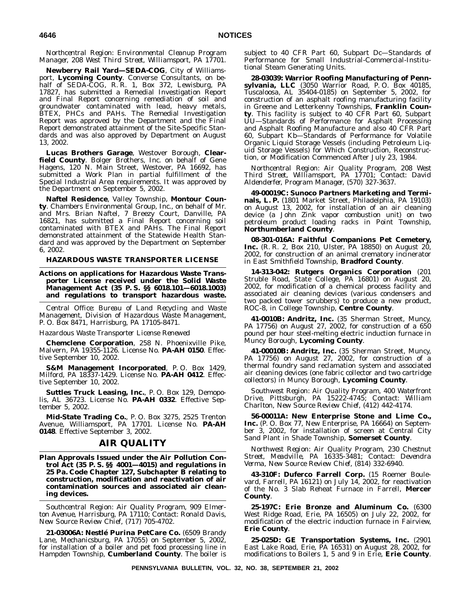*Northcentral Region: Environmental Cleanup Program Manager, 208 West Third Street, Williamsport, PA 17701.*

**Newberry Rail Yard—SEDA-COG**, City of Williamsport, **Lycoming County**. Converse Consultants, on behalf of SEDA-COG, R. R. 1, Box 372, Lewisburg, PA 17827, has submitted a Remedial Investigation Report and Final Report concerning remediation of soil and groundwater contaminated with lead, heavy metals, BTEX, PHCs and PAHs. The Remedial Investigation Report was approved by the Department and the Final Report demonstrated attainment of the Site-Specific Standards and was also approved by Department on August 13, 2002.

**Lucas Brothers Garage**, Westover Borough, **Clearfield County**. Bolger Brothers, Inc. on behalf of Gene Hagens, 120 N. Main Street, Westover, PA 16692, has submitted a Work Plan in partial fulfillment of the Special Industrial Area requirements. It was approved by the Department on September 5, 2002.

**Naftel Residence**, Valley Township, **Montour County**. Chambers Environmental Group, Inc., on behalf of Mr. and Mrs. Brian Naftel, 7 Breezy Court, Danville, PA 16821, has submitted a Final Report concerning soil contaminated with BTEX and PAHs. The Final Report demonstrated attainment of the Statewide Health Standard and was approved by the Department on September 6, 2002.

#### **HAZARDOUS WASTE TRANSPORTER LICENSE**

**Actions on applications for Hazardous Waste Transporter License received under the Solid Waste Management Act (35 P. S. §§ 6018.101—6018.1003) and regulations to transport hazardous waste.**

*Central Office: Bureau of Land Recycling and Waste Management, Division of Hazardous Waste Management, P. O. Box 8471, Harrisburg, PA 17105-8471.*

#### *Hazardous Waste Transporter License Renewed*

**Chemclene Corporation**, 258 N. Phoenixville Pike, Malvern, PA 19355-1126. License No. **PA-AH 0150**. Effective September 10, 2002.

**S&M Management Incorporated**, P. O. Box 1429, Milford, PA 18337-1429. License No. **PA-AH 0412**. Effective September 10, 2002.

**Suttles Truck Leasing, Inc.**, P. O. Box 129, Demopolis, AL 36723. License No. **PA-AH 0332**. Effective September 5, 2002.

**Mid-State Trading Co.**, P. O. Box 3275, 2525 Trenton Avenue, Williamsport, PA 17701. License No. **PA-AH 0148**. Effective September 3, 2002.

## **AIR QUALITY**

**Plan Approvals Issued under the Air Pollution Control Act (35 P. S. §§ 4001—4015) and regulations in 25 Pa. Code Chapter 127, Subchapter B relating to construction, modification and reactivation of air contamination sources and associated air cleaning devices.**

*Southcentral Region: Air Quality Program, 909 Elmerton Avenue, Harrisburg, PA 17110; Contact: Ronald Davis, New Source Review Chief, (717) 705-4702.*

**21-03006A: Nestle´ Purina PetCare Co.** (6509 Brandy Lane, Mechanicsburg, PA 17055) on September 5, 2002, for installation of a boiler and pet food processing line in Hampden Township, **Cumberland County**. The boiler is

subject to 40 CFR Part 60, Subpart Dc—Standards of Performance for Small Industrial-Commercial-Institutional Steam Generating Units.

**28-03039: Warrior Roofing Manufacturing of Pennsylvania, LLC** (3050 Warrior Road, P. O. Box 40185, Tuscaloosa, AL 35404-0185) on September 5, 2002, for construction of an asphalt roofing manufacturing facility in Greene and Letterkenny Townships, **Franklin County**. This facility is subject to 40 CFR Part 60, Subpart UU—Standards of Performance for Asphalt Processing and Asphalt Roofing Manufacture and also 40 CFR Part 60, Subpart Kb—Standards of Performance for Volatile Organic Liquid Storage Vessels (including Petroleum Liquid Storage Vessels) for Which Construction, Reconstruction, or Modification Commenced After July 23, 1984.

*Northcentral Region: Air Quality Program, 208 West Third Street, Williamsport, PA 17701; Contact: David Aldenderfer, Program Manager, (570) 327-3637.*

**49-00019C: Sunoco Partners Marketing and Terminals, L. P.** (1801 Market Street, Philadelphia, PA 19103) on August 13, 2002, for installation of an air cleaning device (a John Zink vapor combustion unit) on two petroleum product loading racks in Point Township, **Northumberland County**.

**08-301-016A: Faithful Companions Pet Cemetery, Inc.** (R. R. 2, Box 210, Ulster, PA 18850) on August 20, 2002, for construction of an animal crematory incinerator in East Smithfield Township, **Bradford County**.

**14-313-042: Rutgers Organics Corporation** (201 Struble Road, State College, PA 16801) on August 20, 2002, for modification of a chemical process facility and associated air cleaning devices (various condensers and two packed tower scrubbers) to produce a new product, ROC-8, in College Township, **Centre County**.

**41-0010B: Andritz, Inc.** (35 Sherman Street, Muncy, PA 17756) on August 27, 2002, for construction of a 650 pound per hour steel-melting electric induction furnace in Muncy Borough, **Lycoming County**.

**41-00010B: Andritz, Inc.** (35 Sherman Street, Muncy, PA 17756) on August 27, 2002, for construction of a thermal foundry sand reclamation system and associated air cleaning devices (one fabric collector and two cartridge collectors) in Muncy Borough, **Lycoming County**.

*Southwest Region: Air Quality Program, 400 Waterfront Drive, Pittsburgh, PA 15222-4745; Contact: William Charlton, New Source Review Chief, (412) 442-4174.*

**56-00011A: New Enterprise Stone and Lime Co., Inc.** (P. O. Box 77, New Enterprise, PA 16664) on September 3, 2002, for installation of screen at Central City Sand Plant in Shade Township, **Somerset County**.

*Northwest Region: Air Quality Program, 230 Chestnut Street, Meadville, PA 16335-3481; Contact: Devendra Verma, New Source Review Chief, (814) 332-6940.*

**43-310F: Duferco Farrell Corp.** (15 Roemer Boulevard, Farrell, PA 16121) on July 14, 2002, for reactivation of the No. 3 Slab Reheat Furnace in Farrell, **Mercer County**.

**25-197C: Erie Bronze and Aluminum Co.** (6300 West Ridge Road, Erie, PA 16505) on July 22, 2002, for modification of the electric induction furnace in Fairview, **Erie County**.

**25-025D: GE Transportation Systems, Inc.** (2901 East Lake Road, Erie, PA 16531) on August 28, 2002, for modifications to Boilers 1, 5 and 9 in Erie, **Erie County**.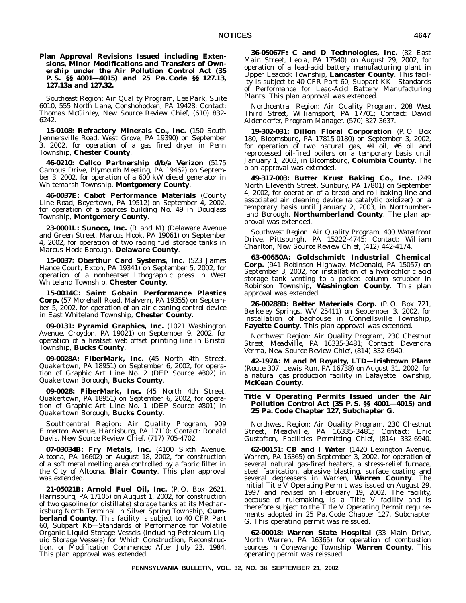#### **Plan Approval Revisions Issued including Extensions, Minor Modifications and Transfers of Ownership under the Air Pollution Control Act (35 P. S. §§ 4001—4015) and 25 Pa. Code §§ 127.13, 127.13a and 127.32.**

*Southeast Region: Air Quality Program, Lee Park, Suite 6010, 555 North Lane, Conshohocken, PA 19428; Contact: Thomas McGinley, New Source Review Chief, (610) 832- 6242.*

**15-0108: Refractory Minerals Co., Inc.** (150 South Jennersville Road, West Grove, PA 19390) on September 3, 2002, for operation of a gas fired dryer in Penn Township, **Chester County**.

**46-0210: Cellco Partnership d/b/a Verizon** (5175 Campus Drive, Plymouth Meeting, PA 19462) on September 3, 2002, for operation of a 600 kW diesel generator in Whitemarsh Township, **Montgomery County**.

**46-0037E: Cabot Performance Materials** (County Line Road, Boyertown, PA 19512) on September 4, 2002, for operation of a sources building No. 49 in Douglass Township, **Montgomery County**.

**23-0001L: Sunoco, Inc.** (R and M) (Delaware Avenue and Green Street, Marcus Hook, PA 19061) on September 4, 2002, for operation of two racing fuel storage tanks in Marcus Hook Borough, **Delaware County**.

**15-0037: Oberthur Card Systems, Inc.** (523 James Hance Court, Exton, PA 19341) on September 5, 2002, for operation of a nonheatset lithographic press in West Whiteland Township, **Chester County**.

**15-0014C: Saint Gobain Performance Plastics Corp.** (57 Morehall Road, Malvern, PA 19355) on September 5, 2002, for operation of an air cleaning control device in East Whiteland Township, **Chester County**.

**09-0131: Pyramid Graphics, Inc.** (1021 Washington Avenue, Croydon, PA 19021) on September 9, 2002, for operation of a heatset web offset printing line in Bristol Township, **Bucks County**.

**09-0028A: FiberMark, Inc.** (45 North 4th Street, Quakertown, PA 18951) on September 6, 2002, for operation of Graphic Art Line No. 2 (DEP Source #302) in Quakertown Borough, **Bucks County**.

**09-0028: FiberMark, Inc.** (45 North 4th Street, Quakertown, PA 18951) on September 6, 2002, for operation of Graphic Art Line No. 1 (DEP Source #301) in Quakertown Borough, **Bucks County**.

*Southcentral Region: Air Quality Program, 909 Elmerton Avenue, Harrisburg, PA 17110; Contact: Ronald Davis, New Source Review Chief, (717) 705-4702.*

**07-03034B: Fry Metals, Inc.** (4100 Sixth Avenue, Altoona, PA 16602) on August 18, 2002, for construction of a soft metal melting area controlled by a fabric filter in the City of Altoona, **Blair County**. This plan approval was extended.

**21-05021B: Arnold Fuel Oil, Inc.** (P. O. Box 2621, Harrisburg, PA 17105) on August 1, 2002, for construction of two gasoline (or distillate) storage tanks at its Mechanicsburg North Terminal in Silver Spring Township, **Cumberland County**. This facility is subject to 40 CFR Part 60, Subpart Kb—Standards of Performance for Volatile Organic Liquid Storage Vessels (including Petroleum Liquid Storage Vessels) for Which Construction, Reconstruction, or Modification Commenced After July 23, 1984. This plan approval was extended.

**36-05067F: C and D Technologies, Inc.** (82 East Main Street, Leola, PA 17540) on August 29, 2002, for operation of a lead-acid battery manufacturing plant in Upper Leacock Township, **Lancaster County**. This facility is subject to 40 CFR Part 60, Subpart KK—Standards of Performance for Lead-Acid Battery Manufacturing Plants. This plan approval was extended.

*Northcentral Region: Air Quality Program, 208 West Third Street, Williamsport, PA 17701; Contact: David Aldenderfer, Program Manager, (570) 327-3637.*

**19-302-031: Dillon Floral Corporation** (P. O. Box 180, Bloomsburg, PA 17815-0180) on September 3, 2002, for operation of two natural gas, #4 oil, #6 oil and reprocessed oil-fired boilers on a temporary basis until January 1, 2003, in Bloomsburg, **Columbia County**. The plan approval was extended.

**49-317-003: Butter Krust Baking Co., Inc.** (249 North Eleventh Street, Sunbury, PA 17801) on September 4, 2002, for operation of a bread and roll baking line and associated air cleaning device (a catalytic oxidizer) on a temporary basis until January 2, 2003, in Northumberland Borough, **Northumberland County**. The plan approval was extended.

*Southwest Region: Air Quality Program, 400 Waterfront Drive, Pittsburgh, PA 15222-4745; Contact: William Charlton, New Source Review Chief, (412) 442-4174.*

**63-00650A: Goldschmidt Industrial Chemical Corp.** (941 Robinson Highway, McDonald, PA 15057) on September 3, 2002, for installation of a hydrochloric acid storage tank venting to a packed column scrubber in Robinson Township, **Washington County**. This plan approval was extended.

**26-00288D: Better Materials Corp.** (P. O. Box 721, Berkeley Springs, WV 25411) on September 3, 2002, for installation of baghouse in Connellsville Township, **Fayette County**. This plan approval was extended.

*Northwest Region: Air Quality Program, 230 Chestnut Street, Meadville, PA 16335-3481; Contact: Devendra Verma, New Source Review Chief, (814) 332-6940.*

**42-197A: M and M Royalty, LTD—Irishtown Plant** (Route 307, Lewis Run, PA 16738) on August 31, 2002, for a natural gas production facility in Lafayette Township, **McKean County**.

**Title V Operating Permits Issued under the Air Pollution Control Act (35 P. S. §§ 4001—4015) and 25 Pa. Code Chapter 127, Subchapter G.**

*Northwest Region: Air Quality Program, 230 Chestnut Street, Meadville, PA 16335-3481; Contact: Eric Gustafson, Facilities Permitting Chief, (814) 332-6940.*

**62-00151: CB and I Water** (1420 Lexington Avenue, Warren, PA 16365) on September 3, 2002, for operation of several natural gas-fired heaters, a stress-relief furnace, steel fabrication, abrasive blasting, surface coating and several degreasers in Warren, **Warren County**. The initial Title V Operating Permit was issued on August 29, 1997 and revised on February 19, 2002. The facility, because of rulemaking, is a Title V facility and is therefore subject to the Title V Operating Permit requirements adopted in 25 Pa. Code Chapter 127, Subchapter G. This operating permit was reissued.

**62-00018: Warren State Hospital** (33 Main Drive, North Warren, PA 16365) for operation of combustion sources in Conewango Township, **Warren County**. This operating permit was reissued.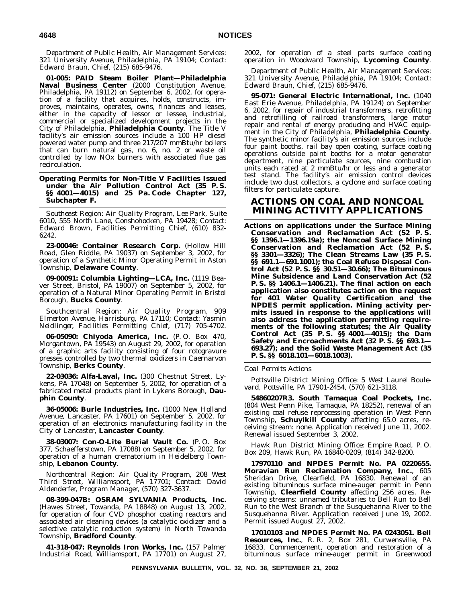*Department of Public Health, Air Management Services: 321 University Avenue, Philadelphia, PA 19104; Contact: Edward Braun, Chief, (215) 685-9476.*

**01-005: PAID Steam Boiler Plant—Philadelphia Naval Business Center** (2000 Constitution Avenue, Philadelphia, PA 19112) on September 6, 2002, for operation of a facility that acquires, holds, constructs, improves, maintains, operates, owns, finances and leases, either in the capacity of lessor or lessee, industrial, commercial or specialized development projects in the City of Philadelphia, **Philadelphia County**. The Title V facility's air emission sources include a 100 HP diesel powered water pump and three 217/207 mmBtu/hr boilers that can burn natural gas, no. 6, no. 2 or waste oil controlled by low NOx burners with associated flue gas recirculation.

**Operating Permits for Non-Title V Facilities Issued under the Air Pollution Control Act (35 P. S. §§ 4001—4015) and 25 Pa. Code Chapter 127, Subchapter F.**

*Southeast Region: Air Quality Program, Lee Park, Suite 6010, 555 North Lane, Conshohocken, PA 19428; Contact: Edward Brown, Facilities Permitting Chief, (610) 832- 6242.*

**23-00046: Container Research Corp.** (Hollow Hill Road, Glen Riddle, PA 19037) on September 3, 2002, for operation of a Synthetic Minor Operating Permit in Aston Township, **Delaware County**.

**09-00091: Columbia Lighting—LCA, Inc.** (1119 Beaver Street, Bristol, PA 19007) on September 5, 2002, for operation of a Natural Minor Operating Permit in Bristol Borough, **Bucks County**.

*Southcentral Region: Air Quality Program, 909 Elmerton Avenue, Harrisburg, PA 17110; Contact: Yasmin Neidlinger, Facilities Permitting Chief, (717) 705-4702.*

**06-05090: Chiyoda America, Inc.** (P. O. Box 470, Morgantown, PA 19543) on August 29, 2002, for operation of a graphic arts facility consisting of four rotogravure presses controlled by two thermal oxidizers in Caernarvon Township, **Berks County**.

**22-03036: Alfa-Laval, Inc.** (300 Chestnut Street, Lykens, PA 17048) on September 5, 2002, for operation of a fabricated metal products plant in Lykens Borough, **Dauphin County**.

**36-05006: Burle Industries, Inc.** (1000 New Holland Avenue, Lancaster, PA 17601) on September 5, 2002, for operation of an electronics manufacturing facility in the City of Lancaster, **Lancaster County**.

**38-03007: Con-O-Lite Burial Vault Co.** (P. O. Box 377, Schaefferstown, PA 17088) on September 5, 2002, for operation of a human crematorium in Heidelberg Township, **Lebanon County**.

*Northcentral Region: Air Quality Program, 208 West Third Street, Williamsport, PA 17701; Contact: David Aldenderfer, Program Manager, (570) 327-3637.*

**08-399-047B: OSRAM SYLVANIA Products, Inc.** (Hawes Street, Towanda, PA 18848) on August 13, 2002, for operation of four CVD phosphor coating reactors and associated air cleaning devices (a catalytic oxidizer and a selective catalytic reduction system) in North Towanda Township, **Bradford County**.

**41-318-047: Reynolds Iron Works, Inc.** (157 Palmer Industrial Road, Williamsport, PA 17701) on August 27,

2002, for operation of a steel parts surface coating operation in Woodward Township, **Lycoming County**.

*Department of Public Health, Air Management Services: 321 University Avenue, Philadelphia, PA 19104; Contact: Edward Braun, Chief, (215) 685-9476.*

**95-071: General Electric International, Inc.** (1040 East Erie Avenue, Philadelphia, PA 19124) on September 6, 2002, for repair of industrial transformers, retrofitting and retrofilling of railroad transformers, large motor repair and rental of energy producing and HVAC equipment in the City of Philadelphia, **Philadelphia County**. The synthetic minor facility's air emission sources include four paint booths, rail bay open coating, surface coating operations outside paint booths for a motor generator department, nine particulate sources, nine combustion units each rated at 2 mmBtu/hr or less and a generator test stand. The facility's air emission control devices include two dust collectors, a cyclone and surface coating filters for particulate capture.

# **ACTIONS ON COAL AND NONCOAL MINING ACTIVITY APPLICATIONS**

**Actions on applications under the Surface Mining Conservation and Reclamation Act (52 P. S. §§ 1396.1—1396.19a); the Noncoal Surface Mining Conservation and Reclamation Act (52 P. S. §§ 3301—3326); The Clean Streams Law (35 P. S. §§ 691.1—691.1001); the Coal Refuse Disposal Control Act (52 P. S. §§ 30.51—30.66); The Bituminous Mine Subsidence and Land Conservation Act (52 P. S. §§ 1406.1—1406.21). The final action on each application also constitutes action on the request for 401 Water Quality Certification and the NPDES permit application. Mining activity permits issued in response to the applications will also address the application permitting requirements of the following statutes; the Air Quality Control Act (35 P. S. §§ 4001—4015); the Dam Safety and Encroachments Act (32 P. S. §§ 693.1— 693.27); and the Solid Waste Management Act (35 P. S. §§ 6018.101—6018.1003).**

*Coal Permits Actions*

*Pottsville District Mining Office: 5 West Laurel Boulevard, Pottsville, PA 17901-2454, (570) 621-3118.*

**54860207R3. South Tamaqua Coal Pockets, Inc.** (804 West Penn Pike, Tamaqua, PA 18252), renewal of an existing coal refuse reprocessing operation in West Penn Township, **Schuylkill County** affecting 65.0 acres, receiving stream: none. Application received June 11, 2002. Renewal issued September 3, 2002.

*Hawk Run District Mining Office: Empire Road, P. O. Box 209, Hawk Run, PA 16840-0209, (814) 342-8200.*

**17970110 and NPDES Permit No. PA 0220655. Moravian Run Reclamation Company, Inc.**, 605 Sheridan Drive, Clearfield, PA 16830. Renewal of an existing bituminous surface mine-auger permit in Penn Township, **Clearfield County** affecting 256 acres. Receiving streams: unnamed tributaries to Bell Run to Bell Run to the West Branch of the Susquehanna River to the Susquehanna River. Application received June 19, 2002. Permit issued August 27, 2002.

**17010103 and NPDES Permit No. PA 0243051. Bell Resources, Inc.**, R. R. 2, Box 281, Curwensville, PA 16833. Commencement, operation and restoration of a bituminous surface mine-auger permit in Greenwood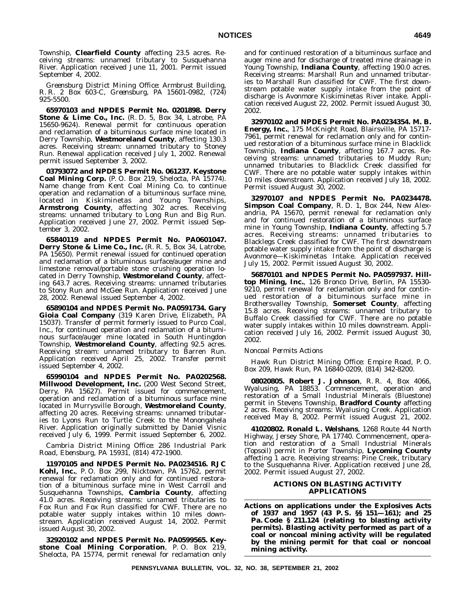Township, **Clearfield County** affecting 23.5 acres. Receiving streams: unnamed tributary to Susquehanna River. Application received June 11, 2001. Permit issued September 4, 2002.

*Greensburg District Mining Office: Armbrust Building, R. R. 2 Box 603-C, Greensburg, PA 15601-0982, (724) 925-5500.*

**65970103 and NPDES Permit No. 0201898. Derry Stone & Lime Co., Inc.** (R. D. 5, Box 34, Latrobe, PA 15650-9624). Renewal permit for continuous operation and reclamation of a bituminous surface mine located in Derry Township, **Westmoreland County**, affecting 130.3 acres. Receiving stream: unnamed tributary to Stoney Run. Renewal application received July 1, 2002. Renewal permit issued September 3, 2002.

**03793072 and NPDES Permit No. 061237. Keystone Coal Mining Corp.** (P. O. Box 219, Shelocta, PA 15774). Name change from Kent Coal Mining Co. to continue operation and reclamation of a bituminous surface mine, located in Kiskiminetas and Young Townships, **Armstrong County**, affecting 302 acres. Receiving streams: unnamed tributary to Long Run and Big Run. Application received June 27, 2002. Permit issued September 3, 2002.

**65840119 and NPDES Permit No. PA0601047. Derry Stone & Lime Co., Inc.** (R. R. 5, Box 34, Latrobe, PA 15650). Permit renewal issued for continued operation and reclamation of a bituminous surface/auger mine and limestone removal/portable stone crushing operation located in Derry Township, **Westmoreland County**, affecting 643.7 acres. Receiving streams: unnamed tributaries to Stony Run and McGee Run. Application received June 28, 2002. Renewal issued September 4, 2002.

**65890104 and NPDES Permit No. PA0591734. Gary Gioia Coal Company** (319 Karen Drive, Elizabeth, PA 15037). Transfer of permit formerly issued to Purco Coal, Inc., for continued operation and reclamation of a bituminous surface/auger mine located in South Huntingdon Township, **Westmoreland County**, affecting 92.5 acres. Receiving stream: unnamed tributary to Barren Run. Application received April 25, 2002. Transfer permit issued September 4, 2002.

**65990104 and NPDES Permit No. PA0202568. Millwood Development, Inc.** (200 West Second Street, Derry, PA 15627). Permit issued for commencement, operation and reclamation of a bituminous surface mine located in Murrysville Borough, **Westmoreland County**, affecting 20 acres. Receiving streams: unnamed tributaries to Lyons Run to Turtle Creek to the Monongahela River. Application originally submitted by Daniel Visnic received July 6, 1999. Permit issued September 6, 2002.

*Cambria District Mining Office: 286 Industrial Park Road, Ebensburg, PA 15931, (814) 472-1900.*

**11970105 and NPDES Permit No. PA0234516. RJC Kohl, Inc.**, P. O. Box 299, Nicktown, PA 15762, permit renewal for reclamation only and for continued restoration of a bituminous surface mine in West Carroll and Susquehanna Townships, **Cambria County**, affecting 41.0 acres. Receiving streams: unnamed tributaries to Fox Run and Fox Run classified for CWF. There are no potable water supply intakes within 10 miles downstream. Application received August 14, 2002. Permit issued August 30, 2002.

**32920102 and NPDES Permit No. PA0599565. Keystone Coal Mining Corporation**, P. O. Box 219, Shelocta, PA 15774, permit renewal for reclamation only and for continued restoration of a bituminous surface and auger mine and for discharge of treated mine drainage in Young Township, **Indiana County**, affecting 190.0 acres. Receiving streams: Marshall Run and unnamed tributaries to Marshall Run classified for CWF. The first downstream potable water supply intake from the point of discharge is Avonmore Kiskiminetas River intake. Application received August 22, 2002. Permit issued August 30, 2002.

**32970102 and NPDES Permit No. PA0234354. M. B. Energy, Inc.**, 175 McKnight Road, Blairsville, PA 15717- 7961, permit renewal for reclamation only and for continued restoration of a bituminous surface mine in Blacklick Township, **Indiana County**, affecting 167.7 acres. Receiving streams: unnamed tributaries to Muddy Run; unnamed tributaries to Blacklick Creek classified for CWF. There are no potable water supply intakes within 10 miles downstream. Application received July 18, 2002. Permit issued August 30, 2002.

**32970107 and NPDES Permit No. PA0234478. Simpson Coal Company**, R. D. 1, Box 244, New Alexandria, PA 15670, permit renewal for reclamation only and for continued restoration of a bituminous surface mine in Young Township, **Indiana County**, affecting 5.7 acres. Receiving streams: unnamed tributaries to Blacklegs Creek classified for CWF. The first downstream potable water supply intake from the point of discharge is Avonmore—Kiskiminetas Intake. Application received July 15, 2002. Permit issued August 30, 2002.

**56870101 and NPDES Permit No. PA0597937. Hilltop Mining, Inc.**, 126 Bronco Drive, Berlin, PA 15530- 9210, permit renewal for reclamation only and for continued restoration of a bituminous surface mine in Brothersvalley Township, **Somerset County**, affecting 15.8 acres. Receiving streams: unnamed tributary to Buffalo Creek classified for CWF. There are no potable water supply intakes within 10 miles downstream. Application received July 16, 2002. Permit issued August 30, 2002.

#### *Noncoal Permits Actions*

*Hawk Run District Mining Office: Empire Road, P. O. Box 209, Hawk Run, PA 16840-0209, (814) 342-8200.*

**08020805. Robert J. Johnson**, R. R. 4, Box 4066, Wyalusing, PA 18853. Commencement, operation and restoration of a Small Industrial Minerals (Bluestone) permit in Stevens Township, **Bradford County** affecting 2 acres. Receiving streams: Wyalusing Creek. Application received May 8, 2002. Permit issued August 21, 2002.

**41020802. Ronald L. Welshans**, 1268 Route 44 North Highway, Jersey Shore, PA 17740. Commencement, operation and restoration of a Small Industrial Minerals (Topsoil) permit in Porter Township, **Lycoming County** affecting 1 acre. Receiving streams: Pine Creek, tributary to the Susquehanna River. Application received June 28, 2002. Permit issued August 27, 2002.

#### **ACTIONS ON BLASTING ACTIVITY APPLICATIONS**

**Actions on applications under the Explosives Acts of 1937 and 1957 (43 P. S. §§ 151—161); and 25 Pa. Code § 211.124 (relating to blasting activity permits). Blasting activity performed as part of a coal or noncoal mining activity will be regulated by the mining permit for that coal or noncoal mining activity.**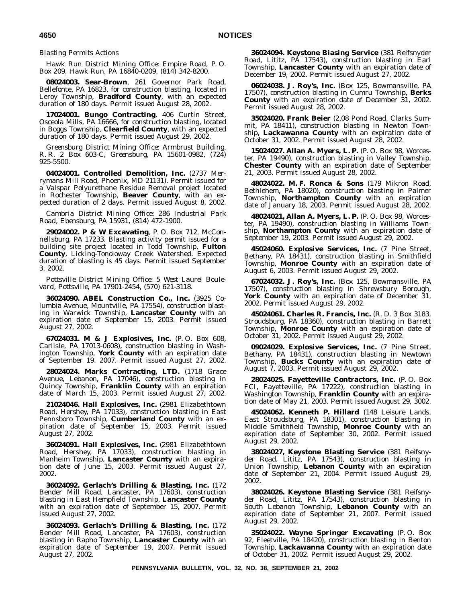*Blasting Permits Actions*

*Hawk Run District Mining Office: Empire Road, P. O. Box 209, Hawk Run, PA 16840-0209, (814) 342-8200.*

**08024003. Sear-Brown**, 261 Governor Park Road, Bellefonte, PA 16823, for construction blasting, located in Leroy Township, **Bradford County**, with an expected duration of 180 days. Permit issued August 28, 2002.

**17024001. Bungo Contracting**, 406 Curtin Street, Osceola Mills, PA 16666, for construction blasting, located in Boggs Township, **Clearfield County**, with an expected duration of 180 days. Permit issued August 29, 2002.

*Greensburg District Mining Office: Armbrust Building, R. R. 2 Box 603-C, Greensburg, PA 15601-0982, (724) 925-5500.*

**04024001. Controlled Demolition, Inc.** (2737 Merrymans Mill Road, Phoenix, MD 21131). Permit issued for a Valspar Polyurethane Residue Removal project located in Rochester Township, **Beaver County**, with an expected duration of 2 days. Permit issued August 8, 2002.

*Cambria District Mining Office: 286 Industrial Park Road, Ebensburg, PA 15931, (814) 472-1900.*

**29024002. P & W Excavating**, P. O. Box 712, McConnellsburg, PA 17233. Blasting activity permit issued for a building site project located in Todd Township, **Fulton County**, Licking-Tonoloway Creek Watershed. Expected duration of blasting is 45 days. Permit issued September 3, 2002.

*Pottsville District Mining Office: 5 West Laurel Boulevard, Pottsville, PA 17901-2454, (570) 621-3118.*

**36024090. ABEL Construction Co., Inc.** (3925 Columbia Avenue, Mountville, PA 17554), construction blasting in Warwick Township, **Lancaster County** with an expiration date of September 15, 2003. Permit issued August 27, 2002.

**67024031. M & J Explosives, Inc.** (P. O. Box 608, Carlisle, PA 17013-0608), construction blasting in Washington Township, **York County** with an expiration date of September 19. 2007. Permit issued August 27, 2002.

**28024024. Marks Contracting, LTD.** (1718 Grace Avenue, Lebanon, PA 17046), construction blasting in Quincy Township, **Franklin County** with an expiration date of March 15, 2003. Permit issued August 27, 2002.

**21024046. Hall Explosives, Inc.** (2981 Elizabethtown Road, Hershey, PA 17033), construction blasting in East Pennsboro Township, **Cumberland County** with an expiration date of September 15, 2003. Permit issued August 27, 2002.

**36024091. Hall Explosives, Inc.** (2981 Elizabethtown Road, Hershey, PA 17033), construction blasting in Manheim Township, **Lancaster County** with an expiration date of June 15, 2003. Permit issued August 27, 2002.

**36024092. Gerlach's Drilling & Blasting, Inc.** (172 Bender Mill Road, Lancaster, PA 17603), construction blasting in East Hempfield Township, **Lancaster County** with an expiration date of September 15, 2007. Permit issued August 27, 2002.

**36024093. Gerlach's Drilling & Blasting, Inc.** (172 Bender Mill Road, Lancaster, PA 17603), construction blasting in Rapho Township, **Lancaster County** with an expiration date of September 19, 2007. Permit issued August 27, 2002.

**36024094. Keystone Biasing Service** (381 Reifsnyder Road, Lititz, PA 17543), construction blasting in Earl Township, **Lancaster County** with an expiration date of December 19, 2002. Permit issued August 27, 2002.

**06024038. J. Roy's, Inc.** (Box 125, Bowmansville, PA 17507), construction blasting in Cumru Township, **Berks County** with an expiration date of December 31, 2002. Permit issued August 28, 2002.

**35024020. Frank Beier** (2,08 Pond Road, Clarks Summit, PA 18411), construction blasting in Newton Township, **Lackawanna County** with an expiration date of October 31, 2002. Permit issued August 28, 2002.

**15024027. Allan A. Myers, L. P.** (P. O. Box 98, Worcester, PA 19490), construction blasting in Valley Township, **Chester County** with an expiration date of September 21, 2003. Permit issued August 28, 2002.

**48024022. M. F. Ronca & Sons** (179 Mikron Road, Bethlehem, PA 18020), construction blasting in Palmer Township, **Northampton County** with an expiration date of January 18, 2003. Permit issued August 28, 2002.

**48024021, Allan A. Myers, L. P.** (P. O. Box 98, Worcester, PA 19490), construction blasting in Williams Township, **Northampton County** with an expiration date of September 19, 2003. Permit issued August 29, 2002.

**45024060. Explosive Services, Inc.** (7 Pine Street, Bethany, PA 18431), construction blasting in Smithfield Township, **Monroe County** with an expiration date of August 6, 2003. Permit issued August 29, 2002.

**67024032. J. Roy's, Inc.** (Box 125, Bowmansville, PA 17507), construction blasting in Shrewsbury Borough, York County with an expiration date of December 31, 2002. Permit issued August 29, 2002.

**45024061. Charles R. Francis, Inc.** (R. D. 3 Box 3183, Stroudsburg, PA 18360), construction blasting in Barrett Township, **Monroe County** with an expiration date of October 31, 2002. Permit issued August 29, 2002.

**09024029. Explosive Services, Inc.** (7 Pine Street, Bethany, PA 18431), construction blasting in Newtown Township, **Bucks County** with an expiration date of August 7, 2003. Permit issued August 29, 2002.

**28024025. Fayetteville Contractors, Inc.** (P. O. Box FCI, Fayetteville, PA 17222), construction blasting in Washington Township, **Franklin County** with an expiration date of May 21, 2003. Permit issued August 29, 3002.

**45024062. Kenneth P. Hillard** (148 Leisure Lands, East Stroudsburg, PA 18301), construction blasting in Middle Smithfield Township, **Monroe County** with an expiration date of September 30, 2002. Permit issued August 29, 2002.

**38024027, Keystone Blasting Service** (381 Reifsnyder Road, Lititz, PA 17543), construction blasting in Union Township, **Lebanon County** with an expiration date of September 21, 2004. Permit issued August 29, 2002.

**38024026. Keystone Blasting Service** (381 Reifsnyder Road, Lititz, PA 17543), construction blasting in South Lebanon Township, **Lebanon County** with an expiration date of September 21, 2007. Permit issued August 29, 2002.

**35024022. Wayne Springer Excavating** (P. O. Box 92, Fleetville, PA 18420), construction blasting in Benton Township, **Lackawanna County** with an expiration date of October 31, 2002. Permit issued August 29, 2002.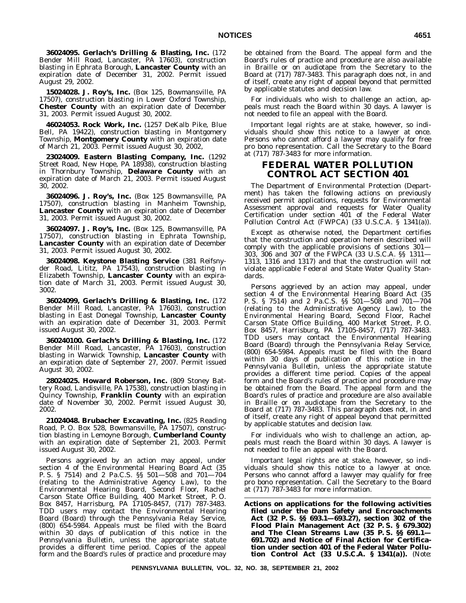**36024095. Gerlach's Drilling & Blasting, Inc.** (172 Bender Mill Road, Lancaster, PA 17603), construction blasting in Ephrata Borough, **Lancaster County** with an expiration date of December 31, 2002. Permit issued August 29, 2002.

**15024028. J. Roy's, Inc.** (Box 125, Bowmansville, PA 17507), construction blasting in Lower Oxford Township, **Chester County** with an expiration date of December 31, 2003. Permit issued August 30, 2002.

**46024053. Rock Work, Inc.** (1257 DeKalb Pike, Blue Bell, PA 19422), construction blasting in Montgomery Township, **Montgomery County** with an expiration date of March 21, 2003. Permit issued August 30, 2002,

**23024009. Eastern Blasting Company, Inc.** (1292 Street Road, New Hope, PA 18938), construction blasting in Thornbury Township, **Delaware County** with an expiration date of March 21, 2003. Permit issued August 30, 2002.

**36024096. J. Roy's, Inc.** (Box 125 Bowmansville, PA 17507), construction blasting in Manheim Township, **Lancaster County** with an expiration date of December 31, 2003. Permit issued August 30, 2002.

**36024097. J. Roy's, Inc.** (Box 125, Bowmansville, PA 17507), construction blasting in Ephrata Township, **Lancaster County** with an expiration date of December 31, 2003. Permit issued August 30, 2002.

**36024098. Keystone Blasting Service** (381 Reifsnyder Road, Lititz, PA 17543), construction blasting in Elizabeth Township, **Lancaster County** with an expiration date of March 31, 2003. Permit issued August 30, 3002.

**36024099, Gerlach's Drilling & Blasting, Inc.** (172 Bender Mill Road, Lancaster, PA 17603), construction blasting in East Donegal Township, **Lancaster County** with an expiration date of December 31, 2003. Permit issued August 30, 2002.

**360240100. Gerlach's Drilling & Blasting, Inc.** (172 Bender Mill Road, Lancaster, PA 17603), construction blasting in Warwick Township, **Lancaster County** with an expiration date of September 27, 2007. Permit issued August 30, 2002.

**28024025. Howard Roberson, Inc.** (809 Stoney Battery Road, Landisville, PA 17538), construction blasting in Quincy Township, **Franklin County** with an expiration date of November 30, 2002. Permit issued August 30, 2002.

**21024048. Brubacher Excavating, Inc.** (825 Reading Road, P. O. Box 528, Bowmansville, PA 17507), construction blasting in Lemoyne Borough, **Cumberland County** with an expiration date of September 21, 2003. Permit issued August 30, 2002.

Persons aggrieved by an action may appeal, under section 4 of the Environmental Hearing Board Act (35 P. S. § 7514) and 2 Pa.C.S. §§ 501—508 and 701—704 (relating to the Administrative Agency Law), to the Environmental Hearing Board, Second Floor, Rachel Carson State Office Building, 400 Market Street, P. O. Box 8457, Harrisburg, PA 17105-8457, (717) 787-3483. TDD users may contact the Environmental Hearing Board (Board) through the Pennsylvania Relay Service, (800) 654-5984. Appeals must be filed with the Board within 30 days of publication of this notice in the *Pennsylvania Bulletin*, unless the appropriate statute provides a different time period. Copies of the appeal form and the Board's rules of practice and procedure may

be obtained from the Board. The appeal form and the Board's rules of practice and procedure are also available in Braille or on audiotape from the Secretary to the Board at (717) 787-3483. This paragraph does not, in and of itself, create any right of appeal beyond that permitted by applicable statutes and decision law.

For individuals who wish to challenge an action, appeals must reach the Board within 30 days. A lawyer is not needed to file an appeal with the Board.

Important legal rights are at stake, however, so individuals should show this notice to a lawyer at once. Persons who cannot afford a lawyer may qualify for free pro bono representation. Call the Secretary to the Board at (717) 787-3483 for more information.

# **FEDERAL WATER POLLUTION CONTROL ACT SECTION 401**

The Department of Environmental Protection (Department) has taken the following actions on previously received permit applications, requests for Environmental Assessment approval and requests for Water Quality Certification under section 401 of the Federal Water Pollution Control Act (FWPCA) (33 U.S.C.A. § 1341(a)).

Except as otherwise noted, the Department certifies that the construction and operation herein described will comply with the applicable provisions of sections 301— 303, 306 and 307 of the FWPCA (33 U.S.C.A. §§ 1311— 1313, 1316 and 1317) and that the construction will not violate applicable Federal and State Water Quality Standards.

Persons aggrieved by an action may appeal, under section 4 of the Environmental Hearing Board Act (35 P. S. § 7514) and 2 Pa.C.S. §§ 501—508 and 701—704 (relating to the Administrative Agency Law), to the Environmental Hearing Board, Second Floor, Rachel Carson State Office Building, 400 Market Street, P. O. Box 8457, Harrisburg, PA 17105-8457, (717) 787-3483. TDD users may contact the Environmental Hearing Board (Board) through the Pennsylvania Relay Service, (800) 654-5984. Appeals must be filed with the Board within 30 days of publication of this notice in the *Pennsylvania Bulletin*, unless the appropriate statute provides a different time period. Copies of the appeal form and the Board's rules of practice and procedure may be obtained from the Board. The appeal form and the Board's rules of practice and procedure are also available in Braille or on audiotape from the Secretary to the Board at (717) 787-3483. This paragraph does not, in and of itself, create any right of appeal beyond that permitted by applicable statutes and decision law.

For individuals who wish to challenge an action, appeals must reach the Board within 30 days. A lawyer is not needed to file an appeal with the Board.

Important legal rights are at stake, however, so individuals should show this notice to a lawyer at once. Persons who cannot afford a lawyer may qualify for free pro bono representation. Call the Secretary to the Board at (717) 787-3483 for more information.

**Actions on applications for the following activities filed under the Dam Safety and Encroachments Act (32 P. S. §§ 693.1—693.27), section 302 of the Flood Plain Management Act (32 P. S. § 679.302) and The Clean Streams Law (35 P. S. §§ 691.1— 691.702) and Notice of Final Action for Certification under section 401 of the Federal Water Pollution Control Act (33 U.S.C.A. § 1341(a)).** (*Note*: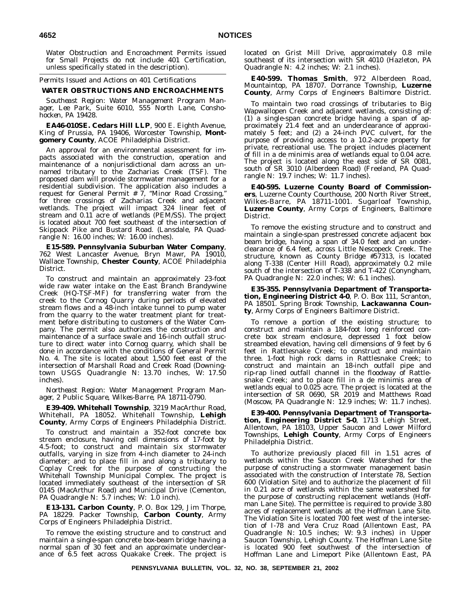Water Obstruction and Encroachment Permits issued for Small Projects do not include 401 Certification, unless specifically stated in the description).

*Permits Issued and Actions on 401 Certifications*

# **WATER OBSTRUCTIONS AND ENCROACHMENTS**

*Southeast Region: Water Management Program Manager, Lee Park, Suite 6010, 555 North Lane, Conshohocken, PA 19428.*

**EA46-010SE. Cedars Hill LLP**, 900 E. Eighth Avenue, King of Prussia, PA 19406, Worcester Township, **Montgomery County**, ACOE Philadelphia District.

An approval for an environmental assessment for impacts associated with the construction, operation and maintenance of a nonjurisdictional dam across an unnamed tributary to the Zacharias Creek (TSF). The proposed dam will provide stormwater management for a residential subdivision. The application also includes a request for General Permit  $\# 7$ , "Minor Road Crossing," for three crossings of Zacharias Creek and adjacent wetlands. The project will impact 324 linear feet of stream and 0.11 acre of wetlands (PEM/SS). The project is located about 700 feet southeast of the intersection of Skippack Pike and Bustard Road. (Lansdale, PA Quadrangle N: 16.00 inches; W: 16.00 inches).

**E15-589. Pennsylvania Suburban Water Company**, 762 West Lancaster Avenue, Bryn Mawr, PA 19010, Wallace Township, **Chester County**, ACOE Philadelphia District.

To construct and maintain an approximately 23-foot wide raw water intake on the East Branch Brandywine Creek (HQ-TSF-MF) for transferring water from the creek to the Cornog Quarry during periods of elevated stream flows and a 48-inch intake tunnel to pump water from the quarry to the water treatment plant for treatment before distributing to customers of the Water Company. The permit also authorizes the construction and maintenance of a surface swale and 16-inch outfall structure to direct water into Cornog quarry, which shall be done in accordance with the conditions of General Permit No. 4. The site is located about 1,500 feet east of the intersection of Marshall Road and Creek Road (Downingtown USGS Quadrangle N: 13.70 inches, W: 17.50 inches).

*Northeast Region: Water Management Program Manager, 2 Public Square, Wilkes-Barre, PA 18711-0790.*

**E39-409. Whitehall Township**, 3219 MacArthur Road, Whitehall, PA 18052. Whitehall Township, **Lehigh County**, Army Corps of Engineers Philadelphia District.

To construct and maintain a 352-foot concrete box stream enclosure, having cell dimensions of 17-foot by 4.5-foot; to construct and maintain six stormwater outfalls, varying in size from 4-inch diameter to 24-inch diameter; and to place fill in and along a tributary to Coplay Creek for the purpose of constructing the Whitehall Township Municipal Complex. The project is located immediately southeast of the intersection of SR 0145 (MacArthur Road) and Municipal Drive (Cementon, PA Quadrangle N: 5.7 inches; W: 1.0 inch).

**E13-131. Carbon County**, P. O. Box 129, Jim Thorpe, PA 18229. Packer Township, **Carbon County**, Army Corps of Engineers Philadelphia District.

To remove the existing structure and to construct and maintain a single-span concrete box-beam bridge having a normal span of 30 feet and an approximate underclearance of 6.5 feet across Quakake Creek. The project is located on Grist Mill Drive, approximately 0.8 mile southeast of its intersection with SR 4010 (Hazleton, PA Quadrangle N: 4.2 inches; W: 2.1 inches).

**E40-599. Thomas Smith**, 972 Alberdeen Road, Mountaintop, PA 18707. Dorrance Township, **Luzerne County**, Army Corps of Engineers Baltimore District.

To maintain two road crossings of tributaries to Big Wapwallopen Creek and adjacent wetlands, consisting of: (1) a single-span concrete bridge having a span of approximately 21.4 feet and an underclearance of approximately 5 feet; and (2) a 24-inch PVC culvert, for the purpose of providing access to a 10.2-acre property for private, recreational use. The project includes placement of fill in a de minimis area of wetlands equal to 0.04 acre. The project is located along the east side of SR 0081, south of SR 3010 (Alberdeen Road) (Freeland, PA Quadrangle N: 19.7 inches; W: 11.7 inches).

**E40-595. Luzerne County Board of Commissioners**, Luzerne County Courthouse, 200 North River Street, Wilkes-Barre, PA 18711-1001. Sugarloaf Township, **Luzerne County**, Army Corps of Engineers, Baltimore District.

To remove the existing structure and to construct and maintain a single-span prestressed concrete adjacent box beam bridge, having a span of 34.0 feet and an underclearance of 6.4 feet, across Little Nescopeck Creek. The structure, known as County Bridge #57313, is located along T-338 (Center Hill Road), approximately 0.2 mile south of the intersection of T-338 and T-422 (Conyngham, PA Quadrangle N: 22.0 inches; W: 6.1 inches).

**E35-355. Pennsylvania Department of Transportation, Engineering District 4-0**, P. O. Box 111, Scranton, PA 18501. Spring Brook Township, **Lackawanna County**, Army Corps of Engineers Baltimore District.

To remove a portion of the existing structure; to construct and maintain a 184-foot long reinforced concrete box stream enclosure, depressed 1 foot below streambed elevation, having cell dimensions of 9 feet by 6 feet in Rattlesnake Creek; to construct and maintain three. 1-foot high rock dams in Rattlesnake Creek; to construct and maintain an 18-inch outfall pipe and rip-rap lined outfall channel in the floodway of Rattlesnake Creek; and to place fill in a de minimis area of wetlands equal to 0.025 acre. The project is located at the intersection of SR 0690, SR 2019 and Matthews Road (Moscow, PA Quadrangle N: 12.9 inches; W: 11.7 inches).

**E39-400. Pennsylvania Department of Transportation, Engineering District 5-0**, 1713 Lehigh Street, Allentown, PA 18103, Upper Saucon and Lower Milford Townships, **Lehigh County**, Army Corps of Engineers Philadelphia District.

To authorize previously placed fill in 1.51 acres of wetlands within the Saucon Creek Watershed for the purpose of constructing a stormwater management basin associated with the construction of Interstate 78, Section 600 (Violation Site) and to authorize the placement of fill in 0.21 acre of wetlands within the same watershed for the purpose of constructing replacement wetlands (Hoffman Lane Site). The permittee is required to provide 3.80 acres of replacement wetlands at the Hoffman Lane Site. The Violation Site is located 700 feet west of the intersection of I-78 and Vera Cruz Road (Allentown East, PA Quadrangle N: 10.5 inches; W: 9.3 inches) in Upper Saucon Township, Lehigh County. The Hoffman Lane Site is located 900 feet southwest of the intersection of Hoffman Lane and Limeport Pike (Allentown East, PA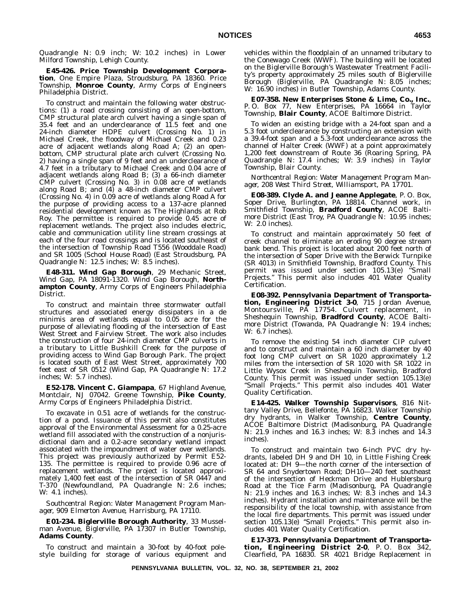Quadrangle N: 0.9 inch; W: 10.2 inches) in Lower Milford Township, Lehigh County.

**E45-426. Price Township Development Corporation**, One Empire Plaza, Stroudsburg, PA 18360. Price Township, **Monroe County**, Army Corps of Engineers Philadelphia District.

To construct and maintain the following water obstructions: (1) a road crossing consisting of an open-bottom, CMP structural plate arch culvert having a single span of 35.4 feet and an underclearance of 11.5 feet and one 24-inch diameter HDPE culvert (Crossing No. 1) in Michael Creek, the floodway of Michael Creek and 0.23 acre of adjacent wetlands along Road A; (2) an openbottom, CMP structural plate arch culvert (Crossing No. 2) having a single span of 9 feet and an underclearance of 4.7 feet in a tributary to Michael Creek and 0.04 acre of adjacent wetlands along Road B; (3) a 66-inch diameter CMP culvert (Crossing No. 3) in 0.08 acre of wetlands along Road B; and  $(4)$  a 48-inch diameter CMP culvert (Crossing No. 4) in 0.09 acre of wetlands along Road A for the purpose of providing access to a 137-acre planned residential development known as The Highlands at Rob Roy. The permittee is required to provide 0.45 acre of replacement wetlands. The project also includes electric, cable and communication utility line stream crossings at each of the four road crossings and is located southeast of the intersection of Township Road T556 (Wooddale Road) and SR 1005 (School House Road) (East Stroudsburg, PA Quadrangle N: 12.5 inches; W: 8.5 inches).

**E48-311. Wind Gap Borough**, 29 Mechanic Street, Wind Gap, PA 18091-1320. Wind Gap Borough, **Northampton County**, Army Corps of Engineers Philadelphia District.

To construct and maintain three stormwater outfall structures and associated energy dissipaters in a de minimis area of wetlands equal to 0.05 acre for the purpose of alleviating flooding of the intersection of East West Street and Fairview Street. The work also includes the construction of four 24-inch diameter CMP culverts in a tributary to Little Bushkill Creek for the purpose of providing access to Wind Gap Borough Park. The project is located south of East West Street, approximately 700 feet east of SR 0512 (Wind Gap, PA Quadrangle N: 17.2 inches; W: 5.7 inches).

**E52-178. Vincent C. Giampapa**, 67 Highland Avenue, Montclair, NJ 07042. Greene Township, **Pike County**, Army Corps of Engineers Philadelphia District.

To excavate in 0.51 acre of wetlands for the construction of a pond. Issuance of this permit also constitutes approval of the Environmental Assessment for a 0.25-acre wetland fill associated with the construction of a nonjurisdictional dam and a 0.2-acre secondary wetland impact associated with the impoundment of water over wetlands. This project was previously authorized by Permit E52- 135. The permittee is required to provide 0.96 acre of replacement wetlands. The project is located approximately 1,400 feet east of the intersection of SR 0447 and T-370 (Newfoundland, PA Quadrangle N: 2.6 inches; W: 4.1 inches).

*Southcentral Region: Water Management Program Manager, 909 Elmerton Avenue, Harrisburg, PA 17110.*

**E01-234. Biglerville Borough Authority**, 33 Musselman Avenue, Biglerville, PA 17307 in Butler Township, **Adams County**.

To construct and maintain a 30-foot by 40-foot polestyle building for storage of various equipment and vehicles within the floodplain of an unnamed tributary to the Conewago Creek (WWF). The building will be located on the Biglerville Borough's Wastewater Treatment Facility's property approximately 25 miles south of Biglerville Borough (Biglerville, PA Quadrangle N: 8.05 inches; W: 16.90 inches) in Butler Township, Adams County.

**E07-358. New Enterprises Stone & Lime, Co., Inc.**, P. O. Box 77, New Enterprises, PA 16664 in Taylor Township, **Blair County**, ACOE Baltimore District.

To widen an existing bridge with a 24-foot span and a 5.3 foot underclearance by constructing an extension with a 39.4-foot span and a 5.3-foot underclearance across the channel of Halter Creek (WWF) at a point approximately 1,200 feet downstream of Route 36 (Roaring Spring, PA Quadrangle N: 17.4 inches; W: 3.9 inches) in Taylor Township, Blair County.

*Northcentral Region: Water Management Program Manager, 208 West Third Street, Williamsport, PA 17701.*

**E08-389. Clyde A. and Jeanne Applegate**, P. O. Box, Soper Drive, Burlington, PA 18814. Channel work, in Smithfield Township, **Bradford County**, ACOE Baltimore District (East Troy, PA Quadrangle N: 10.95 inches; W: 2.0 inches).

To construct and maintain approximately 50 feet of creek channel to eliminate an eroding 90 degree stream bank bend. This project is located about 200 feet north of the intersection of Soper Drive with the Berwick Turnpike (SR 4013) in Smithfield Township, Bradford County. This permit was issued under section 105.13(e) ''Small Projects.'' This permit also includes 401 Water Quality Certification.

**E08-392. Pennsylvania Department of Transportation, Engineering District 3-0**, 715 Jordan Avenue, Montoursville, PA 17754. Culvert replacement, in Sheshequin Township, **Bradford County**, ACOE Baltimore District (Towanda, PA Quadrangle N: 19.4 inches; W: 6.7 inches).

To remove the existing 54 inch diameter CIP culvert and to construct and maintain a 60 inch diameter by 40 foot long CMP culvert on SR 1020 approximately 1.2 miles from the intersection of SR 1020 with SR 1022 in Little Wysox Creek in Sheshequin Township, Bradford County. This permit was issued under section 105.13(e) ''Small Projects.'' This permit also includes 401 Water Quality Certification.

**E14-425. Walker Township Supervisors**, 816 Nittany Valley Drive, Bellefonte, PA 16823. Walker Township dry hydrants, in Walker Township, **Centre County**, ACOE Baltimore District (Madisonburg, PA Quadrangle N: 21.9 inches and 16.3 inches; W: 8.3 inches and 14.3 inches).

To construct and maintain two 6-inch PVC dry hydrants, labeled DH 9 and DH 10, in Little Fishing Creek located at: DH 9—the north corner of the intersection of SR 64 and Snydertown Road; DH10—240 feet southeast of the intersection of Heckman Drive and Hublersburg Road at the Tice Farm (Madisonburg, PA Quadrangle N: 21.9 inches and 16.3 inches; W: 8.3 inches and 14.3 inches). Hydrant installation and maintenance will be the responsibility of the local township, with assistance from the local fire departments. This permit was issued under section 105.13(e) ''Small Projects.'' This permit also includes 401 Water Quality Certification.

**E17-373. Pennsylvania Department of Transportation, Engineering District 2-0**, P. O. Box 342, Clearfield, PA 16830. SR 4021 Bridge Replacement in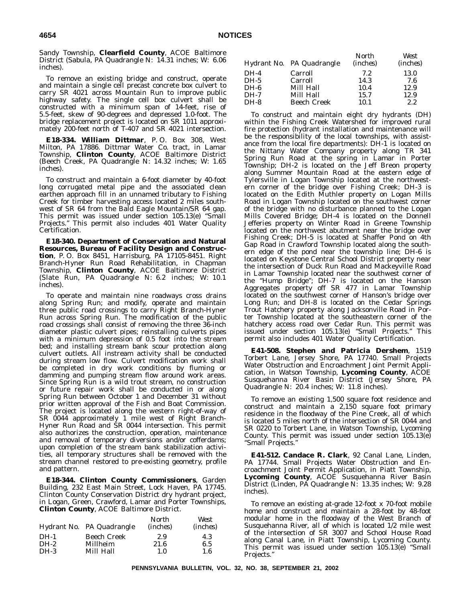Sandy Township, **Clearfield County**, ACOE Baltimore District (Sabula, PA Quadrangle N: 14.31 inches; W: 6.06 inches).

To remove an existing bridge and construct, operate and maintain a single cell precast concrete box culvert to carry SR 4021 across Mountain Run to improve public highway safety. The single cell box culvert shall be constructed with a minimum span of 14-feet, rise of 5.5-feet, skew of 90-degrees and depressed 1.0-foot. The bridge replacement project is located on SR 1011 approximately 200-feet north of T-407 and SR 4021 intersection.

**E18-334. William Dittmar**, P. O. Box 308, West Milton, PA 17886. Dittmar Water Co. tract, in Lamar Township, **Clinton County**, ACOE Baltimore District (Beech Creek, PA Quadrangle N: 14.32 inches; W: 1.65 inches).

To construct and maintain a 6-foot diameter by 40-foot long corrugated metal pipe and the associated clean earthen approach fill in an unnamed tributary to Fishing Creek for timber harvesting access located 2 miles southwest of SR 64 from the Bald Eagle Mountain/SR 64 gap. This permit was issued under section 105.13(e) ''Small Projects.'' This permit also includes 401 Water Quality Certification.

**E18-340. Department of Conservation and Natural Resources, Bureau of Facility Design and Construction**, P. O. Box 8451, Harrisburg, PA 17105-8451. Right Branch-Hyner Run Road Rehabilitation, in Chapman Township, **Clinton County**, ACOE Baltimore District (Slate Run, PA Quadrangle N: 6.2 inches; W: 10.1 inches).

To operate and maintain nine roadways cross drains along Spring Run; and modify, operate and maintain three public road crossings to carry Right Branch-Hyner Run across Spring Run. The modification of the public road crossings shall consist of removing the three 36-inch diameter plastic culvert pipes; reinstalling culverts pipes with a minimum depression of 0.5 foot into the stream bed; and installing stream bank scour protection along culvert outlets. All instream activity shall be conducted during stream low flow. Culvert modification work shall be completed in dry work conditions by fluming or damming and pumping stream flow around work areas. Since Spring Run is a wild trout stream, no construction or future repair work shall be conducted in or along Spring Run between October 1 and December 31 without prior written approval of the Fish and Boat Commission. The project is located along the western right-of-way of SR 0044 approximately 1 mile west of Right Branch-Hyner Run Road and SR 0044 intersection. This permit also authorizes the construction, operation, maintenance and removal of temporary diversions and/or cofferdams; upon completion of the stream bank stabilization activities, all temporary structures shall be removed with the stream channel restored to pre-existing geometry, profile and pattern.

**E18-344. Clinton County Commissioners**, Garden Building, 232 East Main Street, Lock Haven, PA 17745. Clinton County Conservation District dry hydrant project, in Logan, Green, Crawford, Lamar and Porter Townships, **Clinton County**, ACOE Baltimore District.

|        |                           | North             | West              |
|--------|---------------------------|-------------------|-------------------|
|        | Hydrant No. PA Quadrangle | ( <i>inches</i> ) | ( <i>inches</i> ) |
| $DH-1$ | Beech Creek               | 2.9               | 4.3               |
| $DH-2$ | Millheim                  | 21.6              | 6.5               |
| DH-3   | Mill Hall                 | 1.0               | 1.6               |

|      | Hydrant No. PA Quadrangle | North<br>( <i>inches</i> ) | West<br>( <i>inches</i> ) |
|------|---------------------------|----------------------------|---------------------------|
| DH-4 | Carroll                   | 7.2                        | 13.0                      |
| DH-5 | Carroll                   | 14.3                       | 7.6                       |
| DH-6 | Mill Hall                 | 10.4                       | 12.9                      |
| DH-7 | Mill Hall                 | 15.7                       | 12.9                      |
| DH-8 | <b>Beech Creek</b>        | 10.1                       | 2.2                       |
|      |                           |                            |                           |

To construct and maintain eight dry hydrants (DH) within the Fishing Creek Watershed for improved rural fire protection (hydrant installation and maintenance will be the responsibility of the local townships, with assistance from the local fire departments): DH-1 is located on the Nittany Water Company property along TR 341 Spring Run Road at the spring in Lamar in Porter Township; DH-2 is located on the Jeff Breon property along Summer Mountain Road at the eastern edge of Tylersville in Logan Township located at the northwestern corner of the bridge over Fishing Creek; DH-3 is located on the Edith Muthler property on Logan Mills Road in Logan Township located on the southwest corner of the bridge with no disturbance planned to the Logan Mills Covered Bridge; DH-4 is located on the Donnell Jefferies property on Winter Road in Greene Township located on the northwest abutment near the bridge over Fishing Creek; DH-5 is located at Shaffer Pond on 4th Gap Road in Crawford Township located along the southern edge of the pond near the township line; DH-6 is located on Keystone Central School District property near the intersection of Duck Run Road and Mackeyville Road in Lamar Township located near the southwest corner of the ''Hump Bridge''; DH-7 is located on the Hanson Aggregates property off SR 477 in Lamar Township located on the southwest corner of Hanson's bridge over Long Run; and DH-8 is located on the Cedar Springs Trout Hatchery property along Jacksonville Road in Porter Township located at the southeastern corner of the hatchery access road over Cedar Run. This permit was issued under section 105.13(e) ''Small Projects.'' This permit also includes 401 Water Quality Certification.

**E41-508. Stephen and Patricia Dershem**, 1519 Torbert Lane, Jersey Shore, PA 17740. Small Projects Water Obstruction and Encroachment Joint Permit Application, in Watson Township, **Lycoming County**, ACOE Susquehanna River Basin District (Jersey Shore, PA Quadrangle N: 20.4 inches; W: 11.8 inches).

To remove an existing 1,500 square foot residence and construct and maintain a 2,150 square foot primary residence in the floodway of the Pine Creek, all of which is located 5 miles north of the intersection of SR 0044 and SR 0220 to Torbert Lane, in Watson Township, Lycoming County. This permit was issued under section 105.13(e) ''Small Projects.''

**E41-512. Candace R. Clark**, 92 Canal Lane, Linden, PA 17744. Small Projects Water Obstruction and Encroachment Joint Permit Application, in Piatt Township, **Lycoming County**, ACOE Susquehanna River Basin District (Linden, PA Quadrangle N: 13.35 inches; W: 9.28 inches).

To remove an existing at-grade 12-foot x 70-foot mobile home and construct and maintain a 28-foot by 48-foot modular home in the floodway of the West Branch of Susquehanna River, all of which is located 1/2 mile west of the intersection of SR 3007 and School House Road along Canal Lane, in Piatt Township, Lycoming County. This permit was issued under section 105.13(e) ''Small Projects.''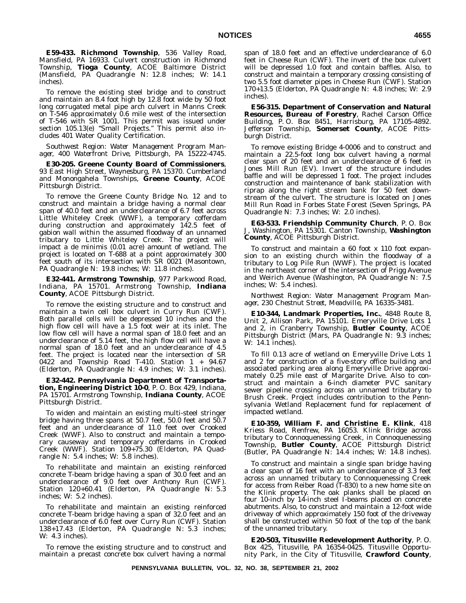**E59-433. Richmond Township**, 536 Valley Road, Mansfield, PA 16933. Culvert construction in Richmond Township, **Tioga County**, ACOE Baltimore District (Mansfield, PA Quadrangle N: 12.8 inches; W: 14.1 inches).

To remove the existing steel bridge and to construct and maintain an 8.4 foot high by 12.8 foot wide by 50 foot long corrugated metal pipe arch culvert in Manns Creek on T-546 approximately 0.6 mile west of the intersection of T-546 with SR 1001. This permit was issued under section 105.13(e) ''Small Projects.'' This permit also includes 401 Water Quality Certification.

*Southwest Region: Water Management Program Manager, 400 Waterfront Drive, Pittsburgh, PA 15222-4745.*

**E30-205. Greene County Board of Commissioners**, 93 East High Street, Waynesburg, PA 15370. Cumberland and Monongahela Townships, **Greene County**, ACOE Pittsburgh District.

To remove the Greene County Bridge No. 12 and to construct and maintain a bridge having a normal clear span of 40.0 feet and an underclearance of 6.7 feet across Little Whiteley Creek (WWF), a temporary cofferdam during construction and approximately 142.5 feet of gabion wall within the assumed floodway of an unnamed tributary to Little Whiteley Creek. The project will impact a de minimis (0.01 acre) amount of wetland. The project is located on T-688 at a point approximately 300 feet south of its intersection with SR 0021 (Masontown, PA Quadrangle N: 19.8 inches; W: 11.8 inches).

**E32-441. Armstrong Township**, 977 Parkwood Road, Indiana, PA 15701. Armstrong Township, **Indiana County**, ACOE Pittsburgh District.

To remove the existing structure and to construct and maintain a twin cell box culvert in Curry Run (CWF). Both parallel cells will be depressed 10 inches and the high flow cell will have a 1.5 foot weir at its inlet. The low flow cell will have a normal span of 18.0 feet and an underclearance of 5.14 feet, the high flow cell will have a normal span of 18.0 feet and an underclearance of 4.5 feet. The project is located near the intersection of SR 0422 and Township Road T-410. Station  $1 + 94.67$ (Elderton, PA Quadrangle N: 4.9 inches; W: 3.1 inches).

**E32-442. Pennsylvania Department of Transportation, Engineering District 10-0**, P. O. Box 429, Indiana, PA 15701. Armstrong Township, **Indiana County**, ACOE Pittsburgh District.

To widen and maintain an existing multi-steel stringer bridge having three spans at 50.7 feet, 50.0 feet and 50.7 feet and an underclearance of 11.0 feet over Crooked Creek (WWF). Also to construct and maintain a temporary causeway and temporary cofferdams in Crooked Creek (WWF). Station 109+75.30 (Elderton, PA Quadrangle N: 5.4 inches; W: 5.8 inches).

To rehabilitate and maintain an existing reinforced concrete T-beam bridge having a span of 30.0 feet and an underclearance of 9.0 feet over Anthony Run (CWF). Station 120+60.41 (Elderton, PA Quadrangle N: 5.3 inches; W: 5.2 inches).

To rehabilitate and maintain an existing reinforced concrete T-beam bridge having a span of 32.0 feet and an underclearance of 6.0 feet over Curry Run (CWF). Station 138+17.43 (Elderton, PA Quadrangle N: 5.3 inches; W: 4.3 inches).

To remove the existing structure and to construct and maintain a precast concrete box culvert having a normal span of 18.0 feet and an effective underclearance of 6.0 feet in Cheese Run (CWF). The invert of the box culvert will be depressed 1.0 foot and contain baffles. Also, to construct and maintain a temporary crossing consisting of two 5.5 foot diameter pipes in Cheese Run (CWF). Station 170+13.5 (Elderton, PA Quadrangle N: 4.8 inches; W: 2.9 inches).

**E56-315. Department of Conservation and Natural Resources, Bureau of Forestry**, Rachel Carson Office Building, P. O. Box 8451, Harrisburg, PA 17105-4892. Jefferson Township, **Somerset County**, ACOE Pittsburgh District.

To remove existing Bridge 4-0006 and to construct and maintain a 22.5-foot long box culvert having a normal clear span of 20 feet and an underclearance of 6 feet in Jones Mill Run (EV). Invert of the structure includes baffle and will be depressed 1 foot. The project includes construction and maintenance of bank stabilization with riprap along the right stream bank for 50 feet downstream of the culvert. The structure is located on Jones Mill Run Road in Forbes State Forest (Seven Springs, PA Quadrangle N: 7.3 inches; W: 2.0 inches).

**E63-533. Friendship Community Church**, P. O. Box J, Washington, PA 15301. Canton Township, **Washington County**, ACOE Pittsburgh District.

To construct and maintain a 60 foot x 110 foot expansion to an existing church within the floodway of a tributary to Log Pile Run (WWF). The project is located in the northeast corner of the intersection of Prigg Avenue and Weirich Avenue (Washington, PA Quadrangle N: 7.5 inches; W: 5.4 inches).

*Northwest Region: Water Management Program Manager, 230 Chestnut Street, Meadville, PA 16335-3481.*

**E10-344, Landmark Properties, Inc.**, 4848 Route 8, Unit 2, Allison Park, PA 15101. Emeryville Drive Lots 1 and 2, in Cranberry Township, **Butler County**, ACOE Pittsburgh District (Mars, PA Quadrangle N: 9.3 inches; W: 14.1 inches).

To fill 0.13 acre of wetland on Emeryville Drive Lots 1 and 2 for construction of a five-story office building and associated parking area along Emeryville Drive approximately 0.25 mile east of Margarite Drive. Also to construct and maintain a 6-inch diameter PVC sanitary sewer pipeline crossing across an unnamed tributary to Brush Creek. Project includes contribution to the Pennsylvania Wetland Replacement fund for replacement of impacted wetland.

**E10-359, William F. and Christine E. Klink**, 418 Kriess Road, Renfrew, PA 16053. Klink Bridge across tributary to Connoquenessing Creek, in Connoquenessing Township, **Butler County**, ACOE Pittsburgh District (Butler, PA Quadrangle N: 14.4 inches; W: 14.8 inches).

To construct and maintain a single span bridge having a clear span of 16 feet with an underclearance of 3.3 feet across an unnamed tributary to Connoquenessing Creek for access from Reiber Road (T-830) to a new home site on the Klink property. The oak planks shall be placed on four 10-inch by 14-inch steel I-beams placed on concrete abutments. Also, to construct and maintain a 12-foot wide driveway of which approximately 150 foot of the driveway shall be constructed within 50 foot of the top of the bank of the unnamed tributary.

**E20-503, Titusville Redevelopment Authority**, P. O. Box 425, Titusville, PA 16354-0425. Titusville Opportunity Park, in the City of Titusville, **Crawford County**,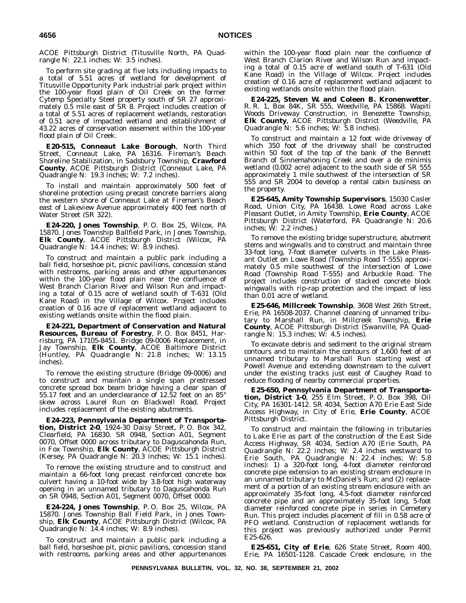ACOE Pittsburgh District (Titusville North, PA Quadrangle N: 22.1 inches; W: 3.5 inches).

To perform site grading at five lots including impacts to a total of 5.51 acres of wetland for development of Titusville Opportunity Park industrial park project within the 100-year flood plain of Oil Creek on the former Cytemp Specialty Steel property south of SR 27 approximately 0.5 mile east of SR 8. Project includes creation of a total of 5.51 acres of replacement wetlands, restoration of 0.51 acre of impacted wetland and establishment of 43.22 acres of conservation easement within the 100-year flood plain of Oil Creek.

**E20-515, Conneaut Lake Borough**, North Third Street, Conneaut Lake, PA 16316. Fireman's Beach Shoreline Stabilization, in Sadsbury Township, **Crawford County**, ACOE Pittsburgh District (Conneaut Lake, PA Quadrangle N: 19.3 inches; W: 7.2 inches).

To install and maintain approximately 500 feet of shoreline protection using precast concrete barriers along the western shore of Conneaut Lake at Fireman's Beach east of Lakeview Avenue approximately 400 feet north of Water Street (SR 322).

**E24-220, Jones Township**, P. O. Box 25, Wilcox, PA 15870. Jones Township Ballfield Park, in Jones Township, **Elk County**, ACOE Pittsburgh District (Wilcox, PA Quadrangle N: 14.4 inches; W: 8.9 inches).

To construct and maintain a public park including a ball field, horseshoe pit, picnic pavilions, concession stand with restrooms, parking areas and other appurtenances within the 100-year flood plain near the confluence of West Branch Clarion River and Wilson Run and impacting a total of 0.15 acre of wetland south of T-631 (Old Kane Road) in the Village of Wilcox. Project includes creation of 0.16 acre of replacement wetland adjacent to existing wetlands onsite within the flood plain.

**E24-221, Department of Conservation and Natural Resources, Bureau of Forestry**, P. O. Box 8451, Harrisburg, PA 17105-8451. Bridge 09-0006 Replacement, in Jay Township, **Elk County**, ACOE Baltimore District (Huntley, PA Quadrangle N: 21.8 inches; W: 13.15 inches).

To remove the existing structure (Bridge 09-0006) and to construct and maintain a single span prestressed concrete spread box beam bridge having a clear span of 55.17 feet and an underclearance of 12.52 feet on an 85° skew across Laurel Run on Blackwell Road. Project includes replacement of the existing abutments.

**E24-223, Pennsylvania Department of Transportation, District 2-0**, 1924-30 Daisy Street, P. O. Box 342, Clearfield, PA 16830. SR 0948, Section A01, Segment 0070, Offset 0000 across tributary to Daguscahonda Run, in Fox Township, **Elk County**, ACOE Pittsburgh District (Kersey, PA Quadrangle N: 20.3 inches; W: 15.1 inches).

To remove the existing structure and to construct and maintain a 66-foot long precast reinforced concrete box culvert having a 10-foot wide by 3.8-foot high waterway opening in an unnamed tributary to Daguscahonda Run on SR 0948, Section A01, Segment 0070, Offset 0000.

**E24-224, Jones Township**, P. O. Box 25, Wilcox, PA 15870. Jones Township Ball Field Park, in Jones Township, **Elk County**, ACOE Pittsburgh District (Wilcox, PA Quadrangle N: 14.4 inches; W: 8.9 inches).

To construct and maintain a public park including a ball field, horseshoe pit, picnic pavilions, concession stand with restrooms, parking areas and other appurtenances within the 100-year flood plain near the confluence of West Branch Clarion River and Wilson Run and impacting a total of 0.15 acre of wetland south of T-631 (Old Kane Road) in the Village of Wilcox. Project includes creation of 0.16 acre of replacement wetland adjacent to existing wetlands onsite within the flood plain.

**E24-225, Steven W. and Coleen B. Kronenwetter**, R. R. 1, Box 84K, SR 555, Weedville, PA 15868. Wapiti Woods Driveway Construction, in Benezette Township, **Elk County**, ACOE Pittsburgh District (Weedville, PA Quadrangle N: 5.6 inches; W: 5.8 inches).

To construct and maintain a 12 foot wide driveway of which 350 foot of the driveway shall be constructed within 50 foot of the top of the bank of the Bennett Branch of Sinnemahoning Creek and over a de minimis wetland (0.002 acre) adjacent to the south side of SR 555 approximately 1 mile southwest of the intersection of SR 555 and SR 2004 to develop a rental cabin business on the property.

**E25-645, Amity Township Supervisors**, 15030 Casler Road, Union City, PA 16438. Lowe Road across Lake Pleasant Outlet, in Amity Township, **Erie County**, ACOE Pittsburgh District (Waterford, PA Quadrangle N: 20.6 inches; W: 2.2 inches.)

To remove the existing bridge superstructure, abutment stems and wingwalls and to construct and maintain three 33-foot long, 7-foot diameter culverts in the Lake Pleasant Outlet on Lowe Road (Township Road T-555) approximately 0.5 mile southwest of the intersection of Lowe Road (Township Road T-555) and Arbuckle Road. The project includes construction of stacked concrete block wingwalls with rip-rap protection and the impact of less than 0.01 acre of wetland.

**E25-646, Millcreek Township**, 3608 West 26th Street, Erie, PA 16508-2037. Channel cleaning of unnamed tributary to Marshall Run, in Millcreek Township, **Erie County**, ACOE Pittsburgh District (Swanville, PA Quadrangle N: 15.3 inches; W: 4.5 inches).

To excavate debris and sediment to the original stream contours and to maintain the contours of 1,600 feet of an unnamed tributary to Marshall Run starting west of Powell Avenue and extending downstream to the culvert under the existing tracks just east of Caughey Road to reduce flooding of nearby commercial properties.

**E25-650, Pennsylvania Department of Transportation, District 1-0**, 255 Elm Street, P. O. Box 398, Oil City, PA 16301-1412. SR 4034, Section A70 Erie East Side Access Highway, in City of Erie, **Erie County**, ACOE Pittsburgh District.

To construct and maintain the following in tributaries to Lake Erie as part of the construction of the East Side Access Highway, SR 4034, Section A70 (Erie South, PA Quadrangle N: 22.2 inches; W: 2.4 inches westward to Erie South, PA Quadrangle N: 22.4 inches; W: 5.8 inches): 1) a 320-foot long, 4-foot diameter reinforced concrete pipe extension to an existing stream enclosure in an unnamed tributary to McDaniel's Run; and (2) replacement of a portion of an existing stream enclosure with an approximately 35-foot long, 4.5-foot diameter reinforced concrete pipe and an approximately 35-foot long, 5-foot diameter reinforced concrete pipe in series in Cemetery Run. This project includes placement of fill in 0.58 acre of PFO wetland. Construction of replacement wetlands for this project was previously authorized under Permit E25-626.

**E25-651, City of Erie**, 626 State Street, Room 400, Erie, PA 16501-1128. Cascade Creek enclosure, in the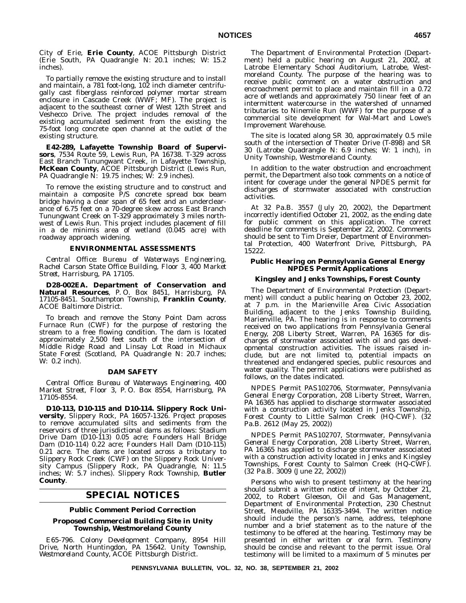City of Erie, **Erie County**, ACOE Pittsburgh District (Erie South, PA Quadrangle N: 20.1 inches; W: 15.2 inches).

To partially remove the existing structure and to install and maintain, a 781 foot-long, 102 inch diameter centrifugally cast fiberglass reinforced polymer mortar stream enclosure in Cascade Creek (WWF; MF). The project is adjacent to the southeast corner of West 12th Street and Veshecco Drive. The project includes removal of the existing accumulated sediment from the existing the 75-foot long concrete open channel at the outlet of the existing structure.

**E42-289, Lafayette Township Board of Supervisors**, 7534 Route 59, Lewis Run, PA 16738. T-329 across East Branch Tunungwant Creek, in Lafayette Township, **McKean County**, ACOE Pittsburgh District (Lewis Run, PA Quadrangle N: 19.75 inches; W: 2.9 inches).

To remove the existing structure and to construct and maintain a composite P/S concrete spread box beam bridge having a clear span of 65 feet and an underclearance of 6.75 feet on a 70-degree skew across East Branch Tunungwant Creek on T-329 approximately 3 miles northwest of Lewis Run. This project includes placement of fill in a de minimis area of wetland (0.045 acre) with roadway approach widening.

#### **ENVIRONMENTAL ASSESSMENTS**

*Central Office: Bureau of Waterways Engineering, Rachel Carson State Office Building, Floor 3, 400 Market Street, Harrisburg, PA 17105.*

**D28-002EA. Department of Conservation and Natural Resources**, P. O. Box 8451, Harrisburg, PA 17105-8451. Southampton Township, **Franklin County**, ACOE Baltimore District.

To breach and remove the Stony Point Dam across Furnace Run (CWF) for the purpose of restoring the stream to a free flowing condition. The dam is located approximately 2,500 feet south of the intersection of Middle Ridge Road and Linsay Lot Road in Michaux State Forest (Scotland, PA Quadrangle N: 20.7 inches; W: 0.2 inch).

#### **DAM SAFETY**

*Central Office: Bureau of Waterways Engineering, 400 Market Street, Floor 3, P. O. Box 8554, Harrisburg, PA 17105-8554.*

**D10-113, D10-115 and D10-114. Slippery Rock University**, Slippery Rock, PA 16057-1326. Project proposes to remove accumulated silts and sediments from the reservoirs of three jurisdictional dams as follows: Stadium Drive Dam (D10-113) 0.05 acre; Founders Hall Bridge Dam (D10-114) 0.22 acre; Founders Hall Dam (D10-115) 0.21 acre. The dams are located across a tributary to Slippery Rock Creek (CWF) on the Slippery Rock University Campus (Slippery Rock, PA Quadrangle, N: 11.5 inches; W: 5.7 inches). Slippery Rock Township, **Butler County**.

## **SPECIAL NOTICES**

#### **Public Comment Period Correction**

#### **Proposed Commercial Building Site in Unity Township, Westmoreland County**

*E65-796. Colony Development Company*, 8954 Hill Drive, North Huntingdon, PA 15642. Unity Township, *Westmoreland County*, ACOE Pittsburgh District.

The Department of Environmental Protection (Department) held a public hearing on August 21, 2002, at Latrobe Elementary School Auditorium, Latrobe, Westmoreland County. The purpose of the hearing was to receive public comment on a water obstruction and encroachment permit to place and maintain fill in a 0.72 acre of wetlands and approximately 750 linear feet of an intermittent watercourse in the watershed of unnamed tributaries to Ninemile Run (WWF) for the purpose of a commercial site development for Wal-Mart and Lowe's Improvement Warehouse.

The site is located along SR 30, approximately 0.5 mile south of the intersection of Theater Drive (T-898) and SR 30 (Latrobe Quadrangle N: 6.9 inches; W: 1 inch), in Unity Township, Westmoreland County.

In addition to the water obstruction and encroachment permit, the Department also took comments on a notice of intent for coverage under the general NPDES permit for discharges of stormwater associated with construction activities.

At 32 Pa.B. 3557 (July 20, 2002), the Department incorrectly identified October 21, 2002, as the ending date for public comment on this application. The correct deadline for comments is September 22, 2002. Comments should be sent to Tim Dreier, Department of Environmental Protection, 400 Waterfront Drive, Pittsburgh, PA 15222.

#### **Public Hearing on Pennsylvania General Energy NPDES Permit Applications**

#### **Kingsley and Jenks Townships, Forest County**

The Department of Environmental Protection (Department) will conduct a public hearing on October 23, 2002, at 7 p.m. in the Marienville Area Civic Association Building, adjacent to the Jenks Township Building, Marienville, PA. The hearing is in response to comments received on two applications from Pennsylvania General Energy, 208 Liberty Street, Warren, PA 16365 for discharges of stormwater associated with oil and gas developmental construction activities. The issues raised include, but are not limited to, potential impacts on threatened and endangered species, public resources and water quality. The permit applications were published as follows, on the dates indicated.

*NPDES Permit PAS102706*, Stormwater, *Pennsylvania General Energy Corporation*, 208 Liberty Street, Warren, PA 16365 has applied to discharge stormwater associated with a construction activity located in Jenks Township, *Forest County* to Little Salmon Creek (HQ-CWF). (32 Pa.B. 2612 (May 25, 2002))

*NPDES Permit PAS102707*, Stormwater, *Pennsylvania General Energy Corporation*, 208 Liberty Street, Warren, PA 16365 has applied to discharge stormwater associated with a construction activity located in Jenks and Kingsley Townships, *Forest County* to Salmon Creek (HQ-CWF). (32 Pa.B. 3009 (June 22, 2002))

Persons who wish to present testimony at the hearing should submit a written notice of intent, by October 21, 2002, to Robert Gleeson, Oil and Gas Management, Department of Environmental Protection, 230 Chestnut Street, Meadville, PA 16335-3494. The written notice should include the person's name, address, telephone number and a brief statement as to the nature of the testimony to be offered at the hearing. Testimony may be presented in either written or oral form. Testimony should be concise and relevant to the permit issue. Oral testimony will be limited to a maximum of 5 minutes per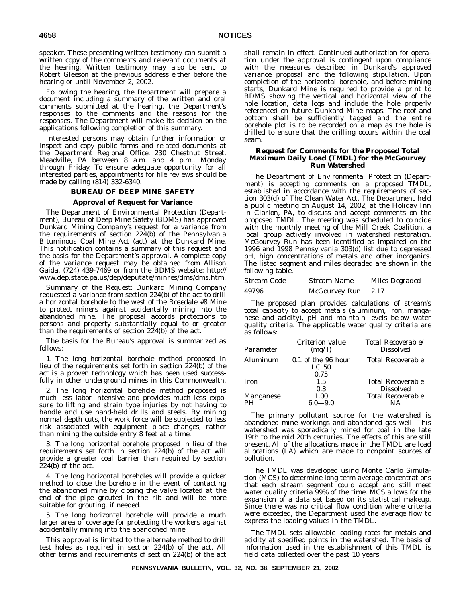speaker. Those presenting written testimony can submit a written copy of the comments and relevant documents at the hearing. Written testimony may also be sent to Robert Gleeson at the previous address either before the hearing or until November 2, 2002.

Following the hearing, the Department will prepare a document including a summary of the written and oral comments submitted at the hearing, the Department's responses to the comments and the reasons for the responses. The Department will make its decision on the applications following completion of this summary.

Interested persons may obtain further information or inspect and copy public forms and related documents at the Department Regional Office, 230 Chestnut Street, Meadville, PA between 8 a.m. and 4 p.m., Monday through Friday. To ensure adequate opportunity for all interested parties, appointments for file reviews should be made by calling (814) 332-6340.

#### **BUREAU OF DEEP MINE SAFETY**

#### **Approval of Request for Variance**

The Department of Environmental Protection (Department), Bureau of Deep Mine Safety (BDMS) has approved Dunkard Mining Company's request for a variance from the requirements of section 224(b) of the Pennsylvania Bituminous Coal Mine Act (act) at the Dunkard Mine. This notification contains a summary of this request and the basis for the Department's approval. A complete copy of the variance request may be obtained from Allison Gaida, (724) 439-7469 or from the BDMS website: http:// www.dep.state.pa.us/dep/deputate/minres/dms/dms.htm.

*Summary of the Request*: Dunkard Mining Company requested a variance from section 224(b) of the act to drill a horizontal borehole to the west of the Rosedale #8 Mine to protect miners against accidentally mining into the abandoned mine. The proposal accords protections to persons and property substantially equal to or greater than the requirements of section 224(b) of the act.

The basis for the Bureau's approval is summarized as follows:

1. The long horizontal borehole method proposed in lieu of the requirements set forth in section 224(b) of the act is a proven technology which has been used successfully in other underground mines in this Commonwealth.

2. The long horizontal borehole method proposed is much less labor intensive and provides much less exposure to lifting and strain type injuries by not having to handle and use hand-held drills and steels. By mining normal depth cuts, the work force will be subjected to less risk associated with equipment place changes, rather than mining the outside entry 8 feet at a time.

3. The long horizontal borehole proposed in lieu of the requirements set forth in section 224(b) of the act will provide a greater coal barrier than required by section 224(b) of the act.

4. The long horizontal boreholes will provide a quicker method to close the borehole in the event of contacting the abandoned mine by closing the valve located at the end of the pipe grouted in the rib and will be more suitable for grouting, if needed.

5. The long horizontal borehole will provide a much larger area of coverage for protecting the workers against accidentally mining into the abandoned mine.

This approval is limited to the alternate method to drill test holes as required in section 224(b) of the act. All other terms and requirements of section 224(b) of the act shall remain in effect. Continued authorization for operation under the approval is contingent upon compliance with the measures described in Dunkard's approved variance proposal and the following stipulation. Upon completion of the horizontal borehole, and before mining starts, Dunkard Mine is required to provide a print to BDMS showing the vertical and horizontal view of the hole location, data logs and include the hole properly referenced on future Dunkard Mine maps. The roof and bottom shall be sufficiently tagged and the entire borehole plot is to be recorded on a map as the hole is drilled to ensure that the drilling occurs within the coal seam.

#### **Request for Comments for the Proposed Total Maximum Daily Load (TMDL) for the McGourvey Run Watershed**

The Department of Environmental Protection (Department) is accepting comments on a proposed TMDL, established in accordance with the requirements of section 303(d) of The Clean Water Act. The Department held a public meeting on August 14, 2002, at the Holiday Inn in Clarion, PA, to discuss and accept comments on the proposed TMDL. The meeting was scheduled to coincide with the monthly meeting of the Mill Creek Coalition, a local group actively involved in watershed restoration. McGourvey Run has been identified as impaired on the 1996 and 1998 Pennsylvania 303(d) list due to depressed pH, high concentrations of metals and other inorganics. The listed segment and miles degraded are shown in the following table.

| Stream Code | Stream Name   | Miles Degraded |
|-------------|---------------|----------------|
| 49796       | McGourvey Run | 2.17           |

The proposed plan provides calculations of stream's total capacity to accept metals (aluminum, iron, manganese and acidity), pH and maintain levels below water quality criteria. The applicable water quality criteria are as follows:

| Parameter   | Criterion value<br>(mg/l)              | Total Recoverable/<br><i>Dissolved</i> |
|-------------|----------------------------------------|----------------------------------------|
| Aluminum    | 0.1 of the 96 hour<br>LC <sub>50</sub> | <b>Total Recoverable</b>               |
|             | 0.75                                   |                                        |
| <b>Iron</b> | 1.5                                    | <b>Total Recoverable</b>               |
|             | 0.3                                    | <b>Dissolved</b>                       |
| Manganese   | 1.00                                   | <b>Total Recoverable</b>               |
| PH          | $6.0 - 9.0$                            | NΔ                                     |

The primary pollutant source for the watershed is abandoned mine workings and abandoned gas well. This watershed was sporadically mined for coal in the late 19th to the mid 20th centuries. The effects of this are still present. All of the allocations made in the TMDL are load allocations (LA) which are made to nonpoint sources of pollution.

The TMDL was developed using Monte Carlo Simulation (MCS) to determine long term average concentrations that each stream segment could accept and still meet water quality criteria 99% of the time. MCS allows for the expansion of a data set based on its statistical makeup. Since there was no critical flow condition where criteria were exceeded, the Department used the average flow to express the loading values in the TMDL.

The TMDL sets allowable loading rates for metals and acidity at specified points in the watershed. The basis of information used in the establishment of this TMDL is field data collected over the past 10 years.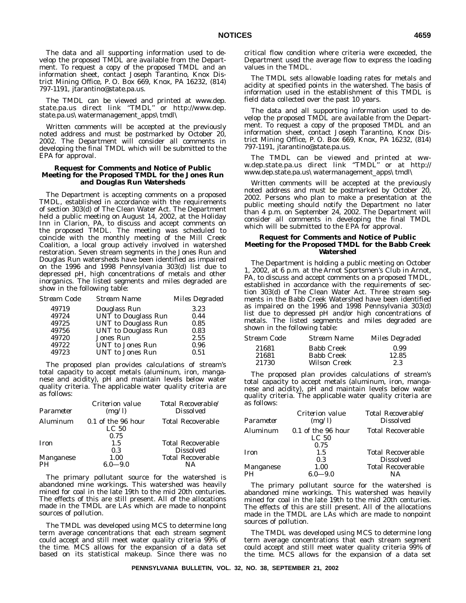The data and all supporting information used to develop the proposed TMDL are available from the Department. To request a copy of the proposed TMDL and an information sheet, contact Joseph Tarantino, Knox District Mining Office, P. O. Box 669, Knox, PA 16232, (814) 797-1191, jtarantino@state.pa.us.

The TMDL can be viewed and printed at www.dep. state.pa.us direct link ''TMDL'' or http://www.dep. state.pa.us\watermanagement\_apps\tmdl\

Written comments will be accepted at the previously noted address and must be postmarked by October 20, 2002. The Department will consider all comments in developing the final TMDL which will be submitted to the EPA for approval.

#### **Request for Comments and Notice of Public Meeting for the Proposed TMDL for the Jones Run and Douglas Run Watersheds**

The Department is accepting comments on a proposed TMDL, established in accordance with the requirements of section 303(d) of The Clean Water Act. The Department held a public meeting on August 14, 2002, at the Holiday Inn in Clarion, PA, to discuss and accept comments on the proposed TMDL. The meeting was scheduled to coincide with the monthly meeting of the Mill Creek Coalition, a local group actively involved in watershed restoration. Seven stream segments in the Jones Run and Douglas Run watersheds have been identified as impaired on the 1996 and 1998 Pennsylvania 303(d) list due to depressed pH, high concentrations of metals and other inorganics. The listed segments and miles degraded are show in the following table:

| <i>Stream Code</i> | Stream Name                | Miles Degraded |
|--------------------|----------------------------|----------------|
| 49719              | Douglass Run               | 3.23           |
| 49724              | UNT to Douglass Run        | 0.44           |
| 49725              | <b>UNT</b> to Douglass Run | 0.85           |
| 49756              | <b>UNT</b> to Douglass Run | 0.83           |
| 49720              | Jones Run                  | 2.55           |
| 49722              | UNT to Jones Run           | 0.96           |
| 49723              | <b>UNT</b> to Jones Run    | 0.51           |

The proposed plan provides calculations of stream's total capacity to accept metals (aluminum, iron, manganese and acidity), pH and maintain levels below water quality criteria. The applicable water quality criteria are as follows:

| Parameter   | Criterion value<br>(mg/l)              | Total Recoverable/<br><b>Dissolved</b>       |
|-------------|----------------------------------------|----------------------------------------------|
| Aluminum    | 0.1 of the 96 hour<br>LC <sub>50</sub> | <b>Total Recoverable</b>                     |
|             | 0.75                                   |                                              |
| <b>Iron</b> | 1.5<br>0.3                             | <b>Total Recoverable</b><br><b>Dissolved</b> |
| Manganese   | 1.00                                   | <b>Total Recoverable</b>                     |
| PН          | $6.0 - 9.0$                            | NΑ                                           |

The primary pollutant source for the watershed is abandoned mine workings. This watershed was heavily mined for coal in the late 19th to the mid 20th centuries. The effects of this are still present. All of the allocations made in the TMDL are LAs which are made to nonpoint sources of pollution.

The TMDL was developed using MCS to determine long term average concentrations that each stream segment could accept and still meet water quality criteria 99% of the time. MCS allows for the expansion of a data set based on its statistical makeup. Since there was no critical flow condition where criteria were exceeded, the Department used the average flow to express the loading values in the TMDL.

The TMDL sets allowable loading rates for metals and acidity at specified points in the watershed. The basis of information used in the establishment of this TMDL is field data collected over the past 10 years.

The data and all supporting information used to develop the proposed TMDL are available from the Department. To request a copy of the proposed TMDL and an information sheet, contact Joseph Tarantino, Knox District Mining Office, P. O. Box 669, Knox, PA 16232, (814) 797-1191, jtarantino@state.pa.us.

The TMDL can be viewed and printed at www.dep.state.pa.us direct link ''TMDL'' or at http:// www.dep.state.pa.us\watermanagement\_apps\tmdl\

Written comments will be accepted at the previously noted address and must be postmarked by October 20, 2002. Persons who plan to make a presentation at the public meeting should notify the Department no later than 4 p.m. on September 24, 2002. The Department will consider all comments in developing the final TMDL which will be submitted to the EPA for approval.

#### **Request for Comments and Notice of Public Meeting for the Proposed TMDL for the Babb Creek Watershed**

The Department is holding a public meeting on October 1, 2002, at 6 p.m. at the Arnot Sportsmen's Club in Arnot, PA, to discuss and accept comments on a proposed TMDL, established in accordance with the requirements of section 303(d) of The Clean Water Act. Three stream segments in the Babb Creek Watershed have been identified as impaired on the 1996 and 1998 Pennsylvania 303(d) list due to depressed pH and/or high concentrations of metals. The listed segments and miles degraded are shown in the following table:

| Stream Code | Stream Name         | Miles Degraded |
|-------------|---------------------|----------------|
| 21681       | <b>Babb Creek</b>   | 0.99           |
| 21681       | <b>Babb Creek</b>   | 12.85          |
| 21730       | <b>Wilson Creek</b> | 2.3            |

The proposed plan provides calculations of stream's total capacity to accept metals (aluminum, iron, manganese and acidity), pH and maintain levels below water quality criteria. The applicable water quality criteria are as follows:

| Parameter       | Criterion value<br>(mg/l)              | Total Recoverable/<br><b>Dissolved</b>       |
|-----------------|----------------------------------------|----------------------------------------------|
| Aluminum        | 0.1 of the 96 hour<br>LC <sub>50</sub> | <b>Total Recoverable</b>                     |
| Iron            | 0.75<br>1.5<br>0.3                     | <b>Total Recoverable</b><br><b>Dissolved</b> |
| Manganese<br>PН | 1.00<br>$6.0 - 9.0$                    | <b>Total Recoverable</b><br>NΔ               |

The primary pollutant source for the watershed is abandoned mine workings. This watershed was heavily mined for coal in the late 19th to the mid 20th centuries. The effects of this are still present. All of the allocations made in the TMDL are LAs which are made to nonpoint sources of pollution.

The TMDL was developed using MCS to determine long term average concentrations that each stream segment could accept and still meet water quality criteria 99% of the time. MCS allows for the expansion of a data set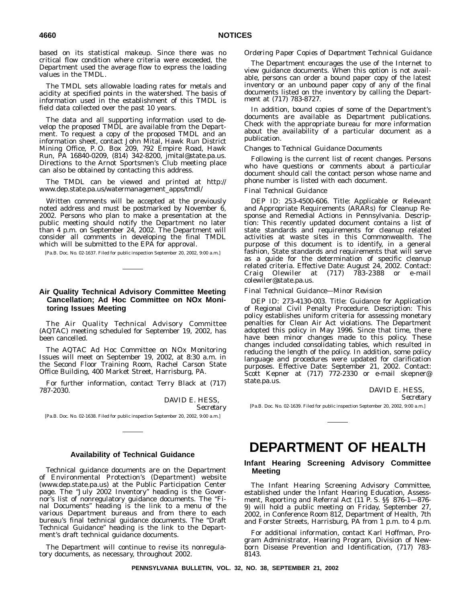based on its statistical makeup. Since there was no critical flow condition where criteria were exceeded, the Department used the average flow to express the loading values in the TMDL.

The TMDL sets allowable loading rates for metals and acidity at specified points in the watershed. The basis of information used in the establishment of this TMDL is field data collected over the past 10 years.

The data and all supporting information used to develop the proposed TMDL are available from the Department. To request a copy of the proposed TMDL and an information sheet, contact John Mital, Hawk Run District Mining Office, P. O. Box 209, 792 Empire Road, Hawk Run, PA 16840-0209, (814) 342-8200, jmital@state.pa.us. Directions to the Arnot Sportsmen's Club meeting place can also be obtained by contacting this address.

The TMDL can be viewed and printed at http:// www.dep.state.pa.us/watermanagement\_apps/tmdl/

Written comments will be accepted at the previously noted address and must be postmarked by November 6, 2002. Persons who plan to make a presentation at the public meeting should notify the Department no later than 4 p.m. on September 24, 2002. The Department will consider all comments in developing the final TMDL which will be submitted to the EPA for approval.

[Pa.B. Doc. No. 02-1637. Filed for public inspection September 20, 2002, 9:00 a.m.]

# **Air Quality Technical Advisory Committee Meeting Cancellation; Ad Hoc Committee on NOx Monitoring Issues Meeting**

The Air Quality Technical Advisory Committee (AQTAC) meeting scheduled for September 19, 2002, has been cancelled.

The AQTAC Ad Hoc Committee on NOx Monitoring Issues will meet on September 19, 2002, at 8:30 a.m. in the Second Floor Training Room, Rachel Carson State Office Building, 400 Market Street, Harrisburg, PA.

For further information, contact Terry Black at (717) 787-2030.

> DAVID E. HESS, *Secretary*

[Pa.B. Doc. No. 02-1638. Filed for public inspection September 20, 2002, 9:00 a.m.]

#### **Availability of Technical Guidance**

Technical guidance documents are on the Department of Environmental Protection's (Department) website (www.dep.state.pa.us) at the Public Participation Center page. The ''July 2002 Inventory'' heading is the Governor's list of nonregulatory guidance documents. The ''Final Documents'' heading is the link to a menu of the various Department bureaus and from there to each bureau's final technical guidance documents. The ''Draft Technical Guidance'' heading is the link to the Department's draft technical guidance documents.

The Department will continue to revise its nonregulatory documents, as necessary, throughout 2002.

#### *Ordering Paper Copies of Department Technical Guidance*

The Department encourages the use of the Internet to view guidance documents. When this option is not available, persons can order a bound paper copy of the latest inventory or an unbound paper copy of any of the final documents listed on the inventory by calling the Department at (717) 783-8727.

In addition, bound copies of some of the Department's documents are available as Department publications. Check with the appropriate bureau for more information about the availability of a particular document as a publication.

#### *Changes to Technical Guidance Documents*

Following is the current list of recent changes. Persons who have questions or comments about a particular document should call the contact person whose name and phone number is listed with each document.

#### *Final Technical Guidance*

DEP ID: 253-4500-606. Title: Applicable or Relevant and Appropriate Requirements (ARARs) for Cleanup Response and Remedial Actions in Pennsylvania. Description: This recently updated document contains a list of state standards and requirements for cleanup related activities at waste sites in this Commonwealth. The purpose of this document is to identify, in a general fashion, State standards and requirements that will serve as a guide for the determination of specific cleanup related criteria. Effective Date: August 24, 2002. Contact: Craig Olewiler at (717) 783-2388 or e-mail colewiler@state.pa.us.

#### *Final Technical Guidance—Minor Revision*

DEP ID: 273-4130-003. Title: Guidance for Application of Regional Civil Penalty Procedure. Description: This policy establishes uniform criteria for assessing monetary penalties for Clean Air Act violations. The Department adopted this policy in May 1996. Since that time, there have been minor changes made to this policy. These changes included consolidating tables, which resulted in reducing the length of the policy. In addition, some policy language and procedures were updated for clarification purposes. Effective Date: September 21, 2002. Contact: Scott Kepner at (717) 772-2330 or e-mail skepner@ state.pa.us.

> DAVID E. HESS, *Secretary*

[Pa.B. Doc. No. 02-1639. Filed for public inspection September 20, 2002, 9:00 a.m.]

# **DEPARTMENT OF HEALTH**

### **Infant Hearing Screening Advisory Committee Meeting**

The Infant Hearing Screening Advisory Committee, established under the Infant Hearing Education, Assessment, Reporting and Referral Act (11 P. S. §§ 876-1—876- 9) will hold a public meeting on Friday, September 27, 2002, in Conference Room 812, Department of Health, 7th and Forster Streets, Harrisburg, PA from 1 p.m. to 4 p.m.

For additional information, contact Karl Hoffman, Program Administrator, Hearing Program, Division of Newborn Disease Prevention and Identification, (717) 783- 8143.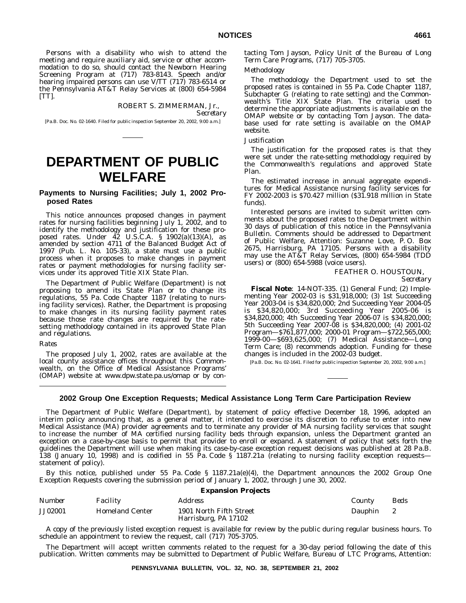Persons with a disability who wish to attend the meeting and require auxiliary aid, service or other accommodation to do so, should contact the Newborn Hearing Screening Program at (717) 783-8143. Speech and/or hearing impaired persons can use V/TT (717) 783-6514 or the Pennsylvania AT&T Relay Services at (800) 654-5984 [TT].

### ROBERT S. ZIMMERMAN, Jr.,

*Secretary*

[Pa.B. Doc. No. 02-1640. Filed for public inspection September 20, 2002, 9:00 a.m.]

# **DEPARTMENT OF PUBLIC WELFARE**

### **Payments to Nursing Facilities; July 1, 2002 Proposed Rates**

This notice announces proposed changes in payment rates for nursing facilities beginning July 1, 2002, and to identify the methodology and justification for these proposed rates. Under 42 U.S.C.A. § 1902(a)(13)(A), as amended by section 4711 of the Balanced Budget Act of 1997 (Pub. L. No. 105-33), a state must use a public process when it proposes to make changes in payment rates or payment methodologies for nursing facility services under its approved Title XIX State Plan.

The Department of Public Welfare (Department) is not proposing to amend its State Plan or to change its regulations, 55 Pa. Code Chapter 1187 (relating to nursing facility services). Rather, the Department is proposing to make changes in its nursing facility payment rates because those rate changes are required by the ratesetting methodology contained in its approved State Plan and regulations.

*Rates*

The proposed July 1, 2002, rates are available at the local county assistance offices throughout this Commonwealth, on the Office of Medical Assistance Programs' (OMAP) website at www.dpw.state.pa.us/omap or by contacting Tom Jayson, Policy Unit of the Bureau of Long Term Care Programs, (717) 705-3705.

## *Methodology*

The methodology the Department used to set the proposed rates is contained in 55 Pa. Code Chapter 1187, Subchapter G (relating to rate setting) and the Commonwealth's Title XIX State Plan. The criteria used to determine the appropriate adjustments is available on the OMAP website or by contacting Tom Jayson. The database used for rate setting is available on the OMAP website.

#### *Justification*

The justification for the proposed rates is that they were set under the rate-setting methodology required by the Commonwealth's regulations and approved State Plan.

The estimated increase in annual aggregate expenditures for Medical Assistance nursing facility services for FY 2002-2003 is \$70.427 million (\$31.918 million in State funds).

Interested persons are invited to submit written comments about the proposed rates to the Department within 30 days of publication of this notice in the *Pennsylvania Bulletin*. Comments should be addressed to Department of Public Welfare, Attention: Suzanne Love, P. O. Box 2675, Harrisburg, PA 17105. Persons with a disability may use the AT&T Relay Services, (800) 654-5984 (TDD users) or (800) 654-5988 (voice users).

# FEATHER O. HOUSTOUN,

*Secretary*

**Fiscal Note**: 14-NOT-335. (1) General Fund; (2) Implementing Year 2002-03 is \$31,918,000; (3) 1st Succeeding Year 2003-04 is \$34,820,000; 2nd Succeeding Year 2004-05 is \$34,820,000; 3rd Succeeding Year 2005-06 is \$34,820,000; 4th Succeeding Year 2006-07 is \$34,820,000; 5th Succeeding Year 2007-08 is \$34,820,000; (4) 2001-02 Program—\$761,877,000; 2000-01 Program—\$722,565,000; 1999-00—\$693,625,000; (7) Medical Assistance—Long Term Care; (8) recommends adoption. Funding for these changes is included in the 2002-03 budget.

[Pa.B. Doc. No. 02-1641. Filed for public inspection September 20, 2002, 9:00 a.m.]

#### **2002 Group One Exception Requests; Medical Assistance Long Term Care Participation Review**

The Department of Public Welfare (Department), by statement of policy effective December 18, 1996, adopted an interim policy announcing that, as a general matter, it intended to exercise its discretion to refuse to enter into new Medical Assistance (MA) provider agreements and to terminate any provider of MA nursing facility services that sought to increase the number of MA certified nursing facility beds through expansion, unless the Department granted an exception on a case-by-case basis to permit that provider to enroll or expand. A statement of policy that sets forth the guidelines the Department will use when making its case-by-case exception request decisions was published at 28 Pa.B. 138 (January 10, 1998) and is codified in 55 Pa. Code § 1187.21a (relating to nursing facility exception requests statement of policy).

By this notice, published under 55 Pa. Code § 1187.21a(e)(4), the Department announces the 2002 Group One Exception Requests covering the submission period of January 1, 2002, through June 30, 2002.

| <b>Expansion Projects</b> |                        |                                                 |         |              |
|---------------------------|------------------------|-------------------------------------------------|---------|--------------|
| Number                    | <i>Facility</i>        | Address                                         | County  | Beds         |
| <b>JJ02001</b>            | <b>Homeland Center</b> | 1901 North Fifth Street<br>Harrisburg, PA 17102 | Dauphin | $\mathbf{2}$ |

A copy of the previously listed exception request is available for review by the public during regular business hours. To schedule an appointment to review the request, call (717) 705-3705.

The Department will accept written comments related to the request for a 30-day period following the date of this publication. Written comments may be submitted to Department of Public Welfare, Bureau of LTC Programs, Attention: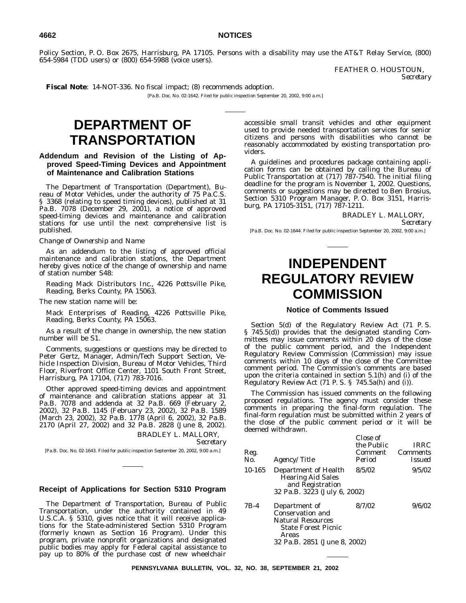Policy Section, P. O. Box 2675, Harrisburg, PA 17105. Persons with a disability may use the AT&T Relay Service, (800) 654-5984 (TDD users) or (800) 654-5988 (voice users).

> FEATHER O. HOUSTOUN, *Secretary*

**Fiscal Note**: 14-NOT-336. No fiscal impact; (8) recommends adoption.

[Pa.B. Doc. No. 02-1642. Filed for public inspection September 20, 2002, 9:00 a.m.]

# **DEPARTMENT OF TRANSPORTATION**

## **Addendum and Revision of the Listing of Approved Speed-Timing Devices and Appointment of Maintenance and Calibration Stations**

The Department of Transportation (Department), Bureau of Motor Vehicles, under the authority of 75 Pa.C.S. § 3368 (relating to speed timing devices), published at 31 Pa.B. 7078 (December 29, 2001), a notice of approved speed-timing devices and maintenance and calibration stations for use until the next comprehensive list is published.

#### *Change of Ownership and Name*

As an addendum to the listing of approved official maintenance and calibration stations, the Department hereby gives notice of the change of ownership and name of station number S48:

Reading Mack Distributors Inc., 4226 Pottsville Pike, Reading, Berks County, PA 15063.

The new station name will be:

Mack Enterprises of Reading, 4226 Pottsville Pike, Reading, Berks County, PA 15063.

As a result of the change in ownership, the new station number will be S1.

Comments, suggestions or questions may be directed to Peter Gertz, Manager, Admin/Tech Support Section, Vehicle Inspection Division, Bureau of Motor Vehicles, Third Floor, Riverfront Office Center, 1101 South Front Street, Harrisburg, PA 17104, (717) 783-7016.

Other approved speed-timing devices and appointment of maintenance and calibration stations appear at 31 Pa.B. 7078 and addenda at 32 Pa.B. 669 (February 2, 2002), 32 Pa.B. 1145 (February 23, 2002), 32 Pa.B. 1589 (March 23, 2002), 32 Pa.B. 1778 (April 6, 2002), 32 Pa.B. 2170 (April 27, 2002) and 32 Pa.B. 2828 (June 8, 2002). BRADLEY L. MALLORY,

*Secretary*

[Pa.B. Doc. No. 02-1643. Filed for public inspection September 20, 2002, 9:00 a.m.]

# **Receipt of Applications for Section 5310 Program**

The Department of Transportation, Bureau of Public Transportation, under the authority contained in 49 U.S.C.A. § 5310, gives notice that it will receive applications for the State-administered Section 5310 Program (formerly known as Section 16 Program). Under this program, private nonprofit organizations and designated public bodies may apply for Federal capital assistance to pay up to 80% of the purchase cost of new wheelchair

accessible small transit vehicles and other equipment used to provide needed transportation services for senior citizens and persons with disabilities who cannot be reasonably accommodated by existing transportation providers.

A guidelines and procedures package containing application forms can be obtained by calling the Bureau of Public Transportation at (717) 787-7540. The initial filing deadline for the program is November 1, 2002. Questions, comments or suggestions may be directed to Ben Brosius, Section 5310 Program Manager, P. O. Box 3151, Harrisburg, PA 17105-3151, (717) 787-1211.

> BRADLEY L. MALLORY, *Secretary*

[Pa.B. Doc. No. 02-1644. Filed for public inspection September 20, 2002, 9:00 a.m.]

# **INDEPENDENT REGULATORY REVIEW**

### **Notice of Comments Issued**

**COMMISSION**

Section 5(d) of the Regulatory Review Act (71 P. S. § 745.5(d)) provides that the designated standing Committees may issue comments within 20 days of the close of the public comment period, and the Independent Regulatory Review Commission (Commission) may issue comments within 10 days of the close of the Committee comment period. The Commission's comments are based upon the criteria contained in section 5.1(h) and (i) of the Regulatory Review Act (71 P. S. § 745.5a(h) and (i)).

The Commission has issued comments on the following proposed regulations. The agency must consider these comments in preparing the final-form regulation. The final-form regulation must be submitted within 2 years of the close of the public comment period or it will be deemed withdrawn.

| Reg.<br>No. | <i>Agency/Title</i>                                                                                  | Close of<br>the Public<br><b>Comment</b><br>Period | <i>IRRC</i><br><b>Comments</b><br><i>Issued</i> |
|-------------|------------------------------------------------------------------------------------------------------|----------------------------------------------------|-------------------------------------------------|
| 10-165      | Department of Health<br><b>Hearing Aid Sales</b><br>and Registration<br>32 Pa.B. 3223 (July 6, 2002) | 8/5/02                                             | 9/5/02                                          |
| $7B-4$      | Department of<br><b>Conservation and</b>                                                             | 8/7/02                                             | 9/6/02                                          |

Natural Resources State Forest Picnic Areas 32 Pa.B. 2851 (June 8, 2002)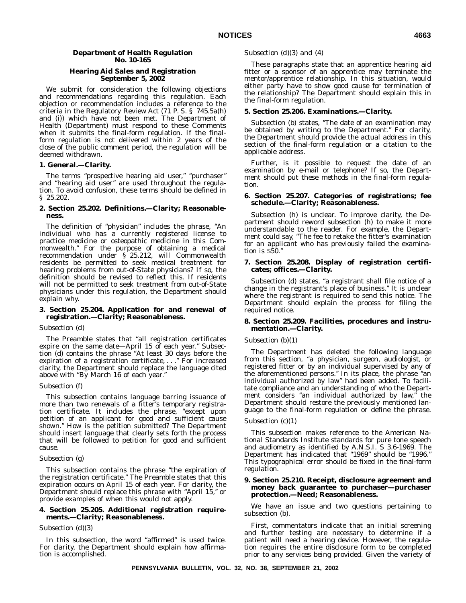#### **Department of Health Regulation No. 10-165**

#### **Hearing Aid Sales and Registration September 5, 2002**

We submit for consideration the following objections and recommendations regarding this regulation. Each objection or recommendation includes a reference to the criteria in the Regulatory Review Act (71 P. S. § 745.5a(h) and (i)) which have not been met. The Department of Health (Department) must respond to these Comments when it submits the final-form regulation. If the finalform regulation is not delivered within 2 years of the close of the public comment period, the regulation will be deemed withdrawn.

#### **1. General.—Clarity.**

The terms "prospective hearing aid user," "purchaser" and ''hearing aid user'' are used throughout the regulation. To avoid confusion, these terms should be defined in § 25.202.

#### **2. Section 25.202. Definitions.—Clarity; Reasonableness.**

The definition of ''physician'' includes the phrase, ''An individual who has a currently registered license to practice medicine or osteopathic medicine in this Commonwealth.'' For the purpose of obtaining a medical recommendation under § 25.212, will Commonwealth residents be permitted to seek medical treatment for hearing problems from out-of-State physicians? If so, the definition should be revised to reflect this. If residents will not be permitted to seek treatment from out-of-State physicians under this regulation, the Department should explain why.

#### **3. Section 25.204. Application for and renewal of registration.—Clarity; Reasonableness.**

#### *Subsection (d)*

The Preamble states that ''all registration certificates expire on the same date—April 15 of each year.'' Subsection (d) contains the phrase ''At least 30 days before the expiration of a registration certificate,...'' For increased clarity, the Department should replace the language cited above with ''By March 16 of each year.''

#### *Subsection (f)*

This subsection contains language barring issuance of more than two renewals of a fitter's temporary registration certificate. It includes the phrase, ''except upon petition of an applicant for good and sufficient cause shown.'' How is the petition submitted? The Department should insert language that clearly sets forth the process that will be followed to petition for good and sufficient cause.

#### *Subsection (g)*

This subsection contains the phrase ''the expiration of the registration certificate.'' The Preamble states that this expiration occurs on April 15 of each year. For clarity, the Department should replace this phrase with "April 15," or provide examples of when this would not apply.

#### **4. Section 25.205. Additional registration requirements.—Clarity; Reasonableness.**

#### *Subsection (d)(3)*

In this subsection, the word "affirmed" is used twice. For clarity, the Department should explain how affirmation is accomplished.

#### *Subsection (d)(3) and (4)*

These paragraphs state that an apprentice hearing aid fitter or a sponsor of an apprentice may terminate the mentor/apprentice relationship. In this situation, would either party have to show good cause for termination of the relationship? The Department should explain this in the final-form regulation.

#### **5. Section 25.206. Examinations.—Clarity.**

Subsection (b) states, "The date of an examination may be obtained by writing to the Department.'' For clarity, the Department should provide the actual address in this section of the final-form regulation or a citation to the applicable address.

Further, is it possible to request the date of an examination by e-mail or telephone? If so, the Department should put these methods in the final-form regulation.

#### **6. Section 25.207. Categories of registrations; fee schedule.—Clarity; Reasonableness.**

Subsection (h) is unclear. To improve clarity, the Department should reword subsection (h) to make it more understandable to the reader. For example, the Department could say, ''The fee to retake the fitter's examination for an applicant who has previously failed the examination is \$50.''

#### **7. Section 25.208. Display of registration certificates; offices.—Clarity.**

Subsection (d) states, "a registrant shall file notice of a change in the registrant's place of business.'' It is unclear where the registrant is required to send this notice. The Department should explain the process for filing the required notice.

#### **8. Section 25.209. Facilities, procedures and instrumentation.—Clarity.**

# *Subsection (b)(1)*

The Department has deleted the following language from this section, ''a physician, surgeon, audiologist, or registered fitter or by an individual supervised by any of the aforementioned persons.'' In its place, the phrase ''an individual authorized by law'' had been added. To facilitate compliance and an understanding of who the Department considers "an individual authorized by law," the Department should restore the previously mentioned language to the final-form regulation or define the phrase.

#### *Subsection (c)(1)*

This subsection makes reference to the American National Standards Institute standards for pure tone speech and audiometry as identified by A.N.S.I. S 3.6-1969. The Department has indicated that "1969" should be "1996." This typographical error should be fixed in the final-form regulation.

#### **9. Section 25.210. Receipt, disclosure agreement and money back guarantee to purchaser—purchaser protection.—Need; Reasonableness.**

We have an issue and two questions pertaining to subsection (b).

First, commentators indicate that an initial screening and further testing are necessary to determine if a patient will need a hearing device. However, the regulation requires the entire disclosure form to be completed prior to any services being provided. Given the variety of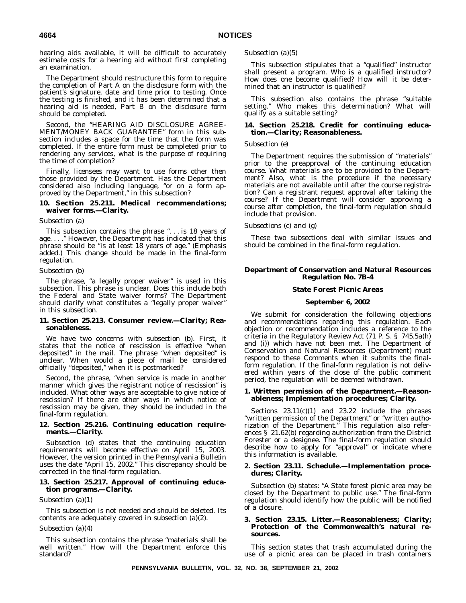hearing aids available, it will be difficult to accurately estimate costs for a hearing aid without first completing an examination.

The Department should restructure this form to require the completion of Part A on the disclosure form with the patient's signature, date and time prior to testing. Once the testing is finished, and it has been determined that a hearing aid is needed, Part B on the disclosure form should be completed.

Second, the ''HEARING AID DISCLOSURE AGREE-MENT/MONEY BACK GUARANTEE'' form in this subsection includes a space for the time that the form was completed. If the entire form must be completed prior to rendering any services, what is the purpose of requiring the time of completion?

Finally, licensees may want to use forms other then those provided by the Department. Has the Department considered also including language, ''or on a form approved by the Department,'' in this subsection?

#### **10. Section 25.211. Medical recommendations; waiver forms.—Clarity.**

#### *Subsection (a)*

This subsection contains the phrase "... is 18 years of age. . . .'' However, the Department has indicated that this phrase should be ''is *at least* 18 years of age.'' (Emphasis added.) This change should be made in the final-form regulation.

#### *Subsection (b)*

The phrase, "a legally proper waiver" is used in this subsection. This phrase is unclear. Does this include both the Federal and State waiver forms? The Department should clarify what constitutes a ''legally proper waiver'' in this subsection.

#### **11. Section 25.213. Consumer review.—Clarity; Reasonableness.**

We have two concerns with subsection (b). First, it states that the notice of rescission is effective ''when deposited'' in the mail. The phrase ''when deposited'' is unclear. When would a piece of mail be considered officially ''deposited,'' when it is postmarked?

Second, the phrase, ''when service is made in another manner which gives the registrant notice of rescission'' is included. What other ways are acceptable to give notice of rescission? If there are other ways in which notice of rescission may be given, they should be included in the final-form regulation.

#### **12. Section 25.216. Continuing education requirements.—Clarity.**

Subsection (d) states that the continuing education requirements will become effective on April 15, 2003. However, the version printed in the *Pennsylvania Bulletin* uses the date ''April 15, 2002.'' This discrepancy should be corrected in the final-form regulation.

#### **13. Section 25.217. Approval of continuing education programs.—Clarity.**

#### *Subsection (a)(1)*

This subsection is not needed and should be deleted. Its contents are adequately covered in subsection (a)(2).

#### *Subsection (a)(4)*

This subsection contains the phrase ''materials shall be well written.'' How will the Department enforce this standard?

#### *Subsection (a)(5)*

This subsection stipulates that a ''qualified'' instructor shall present a program. Who is a qualified instructor? How does one become qualified? How will it be determined that an instructor is qualified?

This subsection also contains the phrase "suitable setting.'' Who makes this determination? What will qualify as a suitable setting?

#### **14. Section 25.218. Credit for continuing education.—Clarity; Reasonableness.**

#### *Subsection (e)*

The Department requires the submission of ''materials'' prior to the preapproval of the continuing education course. What materials are to be provided to the Department? Also, what is the procedure if the necessary materials are not available until after the course registration? Can a registrant request approval after taking the course? If the Department will consider approving a course after completion, the final-form regulation should include that provision.

#### *Subsections (c) and (g)*

These two subsections deal with similar issues and should be combined in the final-form regulation.

#### **Department of Conservation and Natural Resources Regulation No. 7B-4**

#### **State Forest Picnic Areas**

#### **September 6, 2002**

We submit for consideration the following objections and recommendations regarding this regulation. Each objection or recommendation includes a reference to the criteria in the Regulatory Review Act (71 P. S. § 745.5a(h) and (i)) which have not been met. The Department of Conservation and Natural Resources (Department) must respond to these Comments when it submits the finalform regulation. If the final-form regulation is not delivered within years of the close of the public comment period, the regulation will be deemed withdrawn.

#### **1. Written permission of the Department.—Reasonableness; Implementation procedures; Clarity.**

Sections 23.11(c)(1) and 23.22 include the phrases ''written permission of the Department'' or ''written authorization of the Department.'' This regulation also references § 21.62(b) regarding authorization from the District Forester or a designee. The final-form regulation should describe how to apply for ''approval'' or indicate where this information is available.

#### **2. Section 23.11. Schedule.—Implementation procedures; Clarity.**

Subsection (b) states: ''A State forest picnic area may be closed by the Department to public use.'' The final-form regulation should identify how the public will be notified of a closure.

#### **3. Section 23.15. Litter.—Reasonableness; Clarity; Protection of the Commonwealth's natural resources.**

This section states that trash accumulated during the use of a picnic area can be placed in trash containers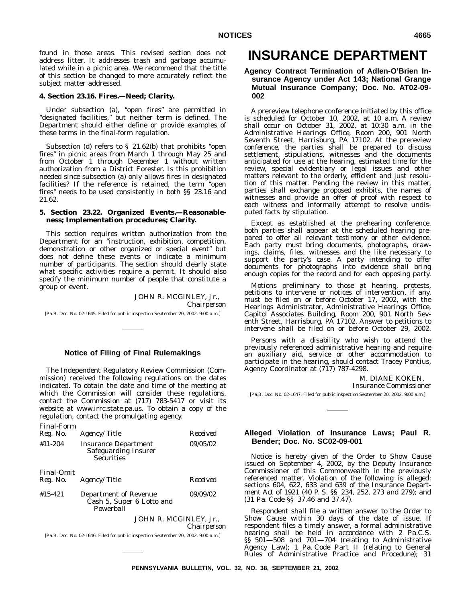found in those areas. This revised section does not address litter. It addresses trash and garbage accumulated while in a picnic area. We recommend that the title of this section be changed to more accurately reflect the subject matter addressed.

#### **4. Section 23.16. Fires.—Need; Clarity.**

Under subsection (a), ''open fires'' are permitted in ''designated facilities,'' but neither term is defined. The Department should either define or provide examples of these terms in the final-form regulation.

Subsection (d) refers to § 21.62(b) that prohibits ''open fires'' in picnic areas from March 1 through May 25 and from October 1 through December 1 without written authorization from a District Forester. Is this prohibition needed since subsection (a) only allows fires in designated facilities? If the reference is retained, the term "open fires'' needs to be used consistently in both §§ 23.16 and 21.62.

#### **5. Section 23.22. Organized Events.—Reasonableness; Implementation procedures; Clarity.**

This section requires written authorization from the Department for an ''instruction, exhibition, competition, demonstration or other organized or special event'' but does not define these events or indicate a minimum number of participants. The section should clearly state what specific activities require a permit. It should also specify the minimum number of people that constitute a group or event.

JOHN R. MCGINLEY, Jr., *Chairperson* [Pa.B. Doc. No. 02-1645. Filed for public inspection September 20, 2002, 9:00 a.m.]

# **Notice of Filing of Final Rulemakings**

The Independent Regulatory Review Commission (Commission) received the following regulations on the dates indicated. To obtain the date and time of the meeting at which the Commission will consider these regulations, contact the Commission at (717) 783-5417 or visit its website at www.irrc.state.pa.us. To obtain a copy of the regulation, contact the promulgating agency.

*Final-Form*

| Reg. No.          | Agency/Title                                                                        | Received    |
|-------------------|-------------------------------------------------------------------------------------|-------------|
| $#11 - 204$       | <b>Insurance Department</b><br><b>Safeguarding Insurer</b><br><b>Securities</b>     | 09/05/02    |
| <i>Final-Omit</i> |                                                                                     |             |
| Reg. No.          | <i>Agency/Title</i>                                                                 | Received    |
| $#15 - 421$       | Department of Revenue<br>Cash 5, Super 6 Lotto and<br>Powerball                     | 09/09/02    |
|                   | JOHN R. MCGINLEY, Jr.,                                                              | Chairperson |
|                   |                                                                                     |             |
|                   | [Pa.B. Doc. No. 02-1646. Filed for public inspection September 20, 2002, 9:00 a.m.] |             |

# **INSURANCE DEPARTMENT**

### **Agency Contract Termination of Adlen-O'Brien Insurance Agency under Act 143; National Grange Mutual Insurance Company; Doc. No. AT02-09- 002**

A prereview telephone conference initiated by this office is scheduled for October 10, 2002, at 10 a.m. A review shall occur on October 31, 2002, at 10:30 a.m. in the Administrative Hearings Office, Room 200, 901 North Seventh Street, Harrisburg, PA 17102. At the prereview conference, the parties shall be prepared to discuss settlement, stipulations, witnesses and the documents anticipated for use at the hearing, estimated time for the review, special evidentiary or legal issues and other matters relevant to the orderly, efficient and just resolution of this matter. Pending the review in this matter, parties shall exchange proposed exhibits, the names of witnesses and provide an offer of proof with respect to each witness and informally attempt to resolve undisputed facts by stipulation.

Except as established at the prehearing conference, both parties shall appear at the scheduled hearing prepared to offer all relevant testimony or other evidence. Each party must bring documents, photographs, drawings, claims, files, witnesses and the like necessary to support the party's case. A party intending to offer documents for photographs into evidence shall bring enough copies for the record and for each opposing party.

Motions preliminary to those at hearing, protests, petitions to intervene or notices of intervention, if any, must be filed on or before October 17, 2002, with the Hearings Administrator, Administrative Hearings Office, Capitol Associates Building, Room 200, 901 North Seventh Street, Harrisburg, PA 17102. Answer to petitions to intervene shall be filed on or before October 29, 2002.

Persons with a disability who wish to attend the previously referenced administrative hearing and require an auxiliary aid, service or other accommodation to participate in the hearing, should contact Tracey Pontius, Agency Coordinator at (717) 787-4298.

M. DIANE KOKEN,

*Insurance Commissioner*

[Pa.B. Doc. No. 02-1647. Filed for public inspection September 20, 2002, 9:00 a.m.]

#### **Alleged Violation of Insurance Laws; Paul R. Bender; Doc. No. SC02-09-001**

Notice is hereby given of the Order to Show Cause issued on September 4, 2002, by the Deputy Insurance Commissioner of this Commonwealth in the previously referenced matter. Violation of the following is alleged: sections 604, 622, 633 and 639 of the Insurance Department Act of 1921 (40 P. S. §§ 234, 252, 273 and 279); and (31 Pa. Code §§ 37.46 and 37.47).

Respondent shall file a written answer to the Order to Show Cause within 30 days of the date of issue. If respondent files a timely answer, a formal administrative hearing shall be held in accordance with 2 Pa.C.S. §§ 501—508 and 701—704 (relating to Administrative Agency Law); 1 Pa. Code Part II (relating to General Rules of Administrative Practice and Procedure); 31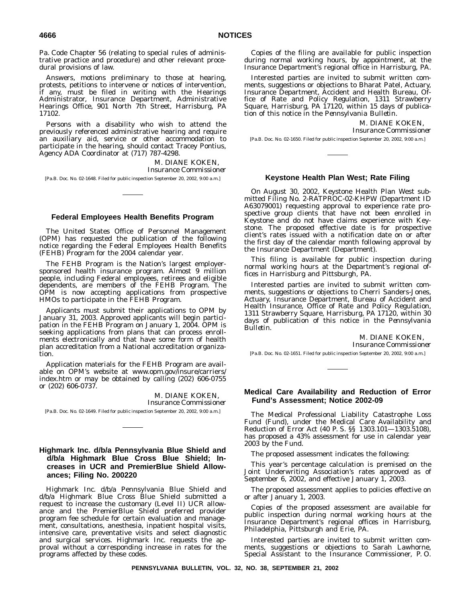Pa. Code Chapter 56 (relating to special rules of administrative practice and procedure) and other relevant procedural provisions of law.

Answers, motions preliminary to those at hearing, protests, petitions to intervene or notices of intervention, if any, must be filed in writing with the Hearings Administrator, Insurance Department, Administrative Hearings Office, 901 North 7th Street, Harrisburg, PA 17102.

Persons with a disability who wish to attend the previously referenced administrative hearing and require an auxiliary aid, service or other accommodation to participate in the hearing, should contact Tracey Pontius, Agency ADA Coordinator at (717) 787-4298.

> M. DIANE KOKEN, *Insurance Commissioner*

[Pa.B. Doc. No. 02-1648. Filed for public inspection September 20, 2002, 9:00 a.m.]

# **Federal Employees Health Benefits Program**

The United States Office of Personnel Management (OPM) has requested the publication of the following notice regarding the Federal Employees Health Benefits (FEHB) Program for the 2004 calendar year.

The FEHB Program is the Nation's largest employersponsored health insurance program. Almost 9 million people, including Federal employees, retirees and eligible dependents, are members of the FEHB Program. The OPM is now accepting applications from prospective HMOs to participate in the FEHB Program.

Applicants must submit their applications to OPM by January 31, 2003. Approved applicants will begin participation in the FEHB Program on January 1, 2004. OPM is seeking applications from plans that can process enrollments electronically and that have some form of health plan accreditation from a National accreditation organization.

Application materials for the FEHB Program are available on OPM's website at www.opm.gov/insure/carriers/ index.htm or may be obtained by calling (202) 606-0755 or (202) 606-0737.

#### M. DIANE KOKEN, *Insurance Commissioner*

[Pa.B. Doc. No. 02-1649. Filed for public inspection September 20, 2002, 9:00 a.m.]

# **Highmark Inc. d/b/a Pennsylvania Blue Shield and d/b/a Highmark Blue Cross Blue Shield; Increases in UCR and PremierBlue Shield Allowances; Filing No. 200220**

Highmark Inc. d/b/a Pennsylvania Blue Shield and d/b/a Highmark Blue Cross Blue Shield submitted a request to increase the customary (Level II) UCR allowance and the PremierBlue Shield preferred provider program fee schedule for certain evaluation and management, consultations, anesthesia, inpatient hospital visits, intensive care, preventative visits and select diagnostic and surgical services. Highmark Inc. requests the approval without a corresponding increase in rates for the programs affected by these codes.

Copies of the filing are available for public inspection during normal working hours, by appointment, at the Insurance Department's regional office in Harrisburg, PA.

Interested parties are invited to submit written comments, suggestions or objections to Bharat Patel, Actuary, Insurance Department, Accident and Health Bureau, Office of Rate and Policy Regulation, 1311 Strawberry Square, Harrisburg, PA 17120, within 15 days of publication of this notice in the *Pennsylvania Bulletin*.

M. DIANE KOKEN,

*Insurance Commissioner*

[Pa.B. Doc. No. 02-1650. Filed for public inspection September 20, 2002, 9:00 a.m.]

#### **Keystone Health Plan West; Rate Filing**

On August 30, 2002, Keystone Health Plan West submitted Filing No. 2-RATPROC-02-KHPW (Department ID A63079001) requesting approval to experience rate prospective group clients that have not been enrolled in Keystone and do not have claims experience with Keystone. The proposed effective date is for prospective client's rates issued with a notification date on or after the first day of the calendar month following approval by the Insurance Department (Department).

This filing is available for public inspection during normal working hours at the Department's regional offices in Harrisburg and Pittsburgh, PA.

Interested parties are invited to submit written comments, suggestions or objections to Cherri Sanders-Jones, Actuary, Insurance Department, Bureau of Accident and Health Insurance, Office of Rate and Policy Regulation, 1311 Strawberry Square, Harrisburg, PA 17120, within 30 days of publication of this notice in the *Pennsylvania Bulletin.*

M. DIANE KOKEN,

*Insurance Commissioner*

[Pa.B. Doc. No. 02-1651. Filed for public inspection September 20, 2002, 9:00 a.m.]

#### **Medical Care Availability and Reduction of Error Fund's Assessment; Notice 2002-09**

The Medical Professional Liability Catastrophe Loss Fund (Fund), under the Medical Care Availability and Reduction of Error Act (40 P. S. §§ 1303.101—1303.5108), has proposed a 43% assessment for use in calendar year 2003 by the Fund.

The proposed assessment indicates the following:

This year's percentage calculation is premised on the Joint Underwriting Association's rates approved as of September 6, 2002, and effective January 1, 2003.

The proposed assessment applies to policies effective on or after January 1, 2003.

Copies of the proposed assessment are available for public inspection during normal working hours at the Insurance Department's regional offices in Harrisburg, Philadelphia, Pittsburgh and Erie, PA.

Interested parties are invited to submit written comments, suggestions or objections to Sarah Lawhorne, Special Assistant to the Insurance Commissioner, P. O.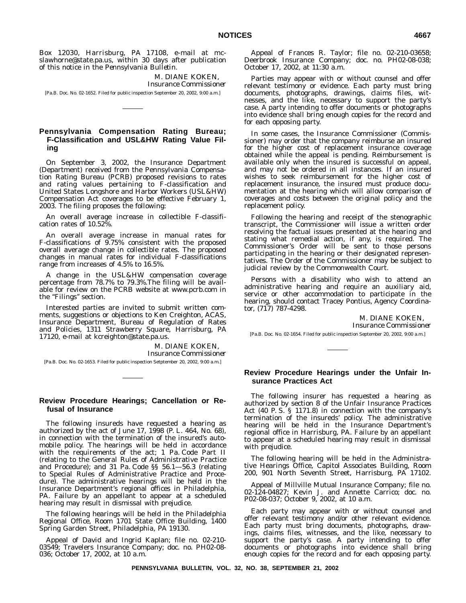Box 12030, Harrisburg, PA 17108, e-mail at mcslawhorne@state.pa.us, within 30 days after publication of this notice in the *Pennsylvania Bulletin*.

> M. DIANE KOKEN, *Insurance Commissioner*

[Pa.B. Doc. No. 02-1652. Filed for public inspection September 20, 2002, 9:00 a.m.]

## **Pennsylvania Compensation Rating Bureau; F-Classification and USL&HW Rating Value Filing**

On September 3, 2002, the Insurance Department (Department) received from the Pennsylvania Compensation Rating Bureau (PCRB) proposed revisions to rates and rating values pertaining to F-classification and United States Longshore and Harbor Workers (USL&HW) Compensation Act coverages to be effective February 1, 2003. The filing proposes the following:

An overall average increase in collectible F-classification rates of 10.52%.

An overall average increase in manual rates for F-classifications of 9.75% consistent with the proposed overall average change in collectible rates. The proposed changes in manual rates for individual F-classifications range from increases of 4.5% to 16.5%.

A change in the USL&HW compensation coverage percentage from 78.7% to 79.3%.The filing will be available for review on the PCRB website at www.pcrb.com in the "Filings" section.

Interested parties are invited to submit written comments, suggestions or objections to Ken Creighton, ACAS, Insurance Department, Bureau of Regulation of Rates and Policies, 1311 Strawberry Square, Harrisburg, PA 17120, e-mail at kcreighton@state.pa.us.

> M. DIANE KOKEN, *Insurance Commissioner*

[Pa.B. Doc. No. 02-1653. Filed for public inspection Setptember 20, 2002, 9:00 a.m.]

# **Review Procedure Hearings; Cancellation or Refusal of Insurance**

The following insureds have requested a hearing as authorized by the act of June 17, 1998 (P. L. 464, No. 68), in connection with the termination of the insured's automobile policy. The hearings will be held in accordance with the requirements of the act; 1 Pa. Code Part II (relating to the General Rules of Administrative Practice and Procedure); and 31 Pa. Code §§ 56.1—56.3 (relating to Special Rules of Administrative Practice and Procedure). The administrative hearings will be held in the Insurance Department's regional offices in Philadelphia, PA. Failure by an appellant to appear at a scheduled hearing may result in dismissal with prejudice.

The following hearings will be held in the Philadelphia Regional Office, Room 1701 State Office Building, 1400 Spring Garden Street, Philadelphia, PA 19130.

Appeal of David and Ingrid Kaplan; file no. 02-210- 03549; Travelers Insurance Company; doc. no. PH02-08- 036; October 17, 2002, at 10 a.m.

Appeal of Frances R. Taylor; file no. 02-210-03658; Deerbrook Insurance Company; doc. no. PH02-08-038; October 17, 2002, at 11:30 a.m.

Parties may appear with or without counsel and offer relevant testimony or evidence. Each party must bring documents, photographs, drawings, claims files, witnesses, and the like, necessary to support the party's case. A party intending to offer documents or photographs into evidence shall bring enough copies for the record and for each opposing party.

In some cases, the Insurance Commissioner (Commissioner) may order that the company reimburse an insured for the higher cost of replacement insurance coverage obtained while the appeal is pending. Reimbursement is available only when the insured is successful on appeal, and may not be ordered in all instances. If an insured wishes to seek reimbursement for the higher cost of replacement insurance, the insured must produce documentation at the hearing which will allow comparison of coverages and costs between the original policy and the replacement policy.

Following the hearing and receipt of the stenographic transcript, the Commissioner will issue a written order resolving the factual issues presented at the hearing and stating what remedial action, if any, is required. The Commissioner's Order will be sent to those persons participating in the hearing or their designated representatives. The Order of the Commissioner may be subject to judicial review by the Commonwealth Court.

Persons with a disability who wish to attend an administrative hearing and require an auxiliary aid, service or other accommodation to participate in the hearing, should contact Tracey Pontius, Agency Coordinator, (717) 787-4298.

> M. DIANE KOKEN *Insurance Commissioner*

[Pa.B. Doc. No. 02-1654. Filed for public inspection September 20, 2002, 9:00 a.m.]

## **Review Procedure Hearings under the Unfair Insurance Practices Act**

The following insurer has requested a hearing as authorized by section 8 of the Unfair Insurance Practices Act (40 P. S. § 1171.8) in connection with the company's termination of the insureds' policy. The administrative hearing will be held in the Insurance Department's regional office in Harrisburg, PA. Failure by an appellant to appear at a scheduled hearing may result in dismissal with prejudice.

The following hearing will be held in the Administrative Hearings Office, Capitol Associates Building, Room 200, 901 North Seventh Street, Harrisburg, PA 17102.

Appeal of Millville Mutual Insurance Company; file no. 02-124-04827; Kevin J. and Annette Carrico; doc. no. P02-08-037; October 9, 2002, at 10 a.m.

Each party may appear with or without counsel and offer relevant testimony and/or other relevant evidence. Each party must bring documents, photographs, drawings, claims files, witnesses, and the like, necessary to support the party's case. A party intending to offer documents or photographs into evidence shall bring enough copies for the record and for each opposing party.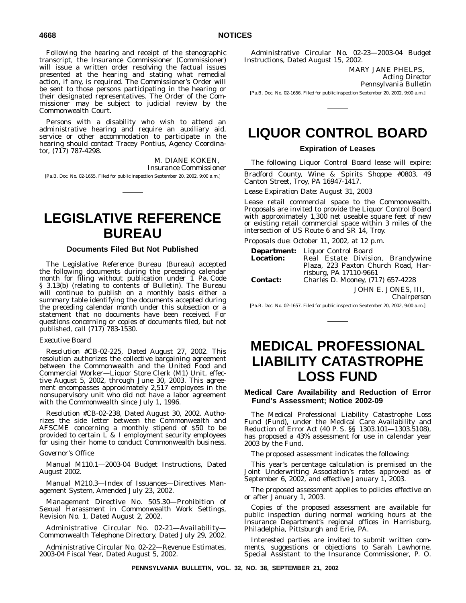Following the hearing and receipt of the stenographic transcript, the Insurance Commissioner (Commissioner) will issue a written order resolving the factual issues presented at the hearing and stating what remedial action, if any, is required. The Commissioner's Order will be sent to those persons participating in the hearing or their designated representatives. The Order of the Commissioner may be subject to judicial review by the Commonwealth Court.

Persons with a disability who wish to attend an administrative hearing and require an auxiliary aid, service or other accommodation to participate in the hearing should contact Tracey Pontius, Agency Coordinator, (717) 787-4298.

M. DIANE KOKEN, *Insurance Commissioner* [Pa.B. Doc. No. 02-1655. Filed for public inspection September 20, 2002, 9:00 a.m.]

# **LEGISLATIVE REFERENCE BUREAU**

#### **Documents Filed But Not Published**

The Legislative Reference Bureau (Bureau) accepted the following documents during the preceding calendar month for filing without publication under 1 Pa. Code § 3.13(b) (relating to contents of Bulletin). The Bureau will continue to publish on a monthly basis either a summary table identifying the documents accepted during the preceding calendar month under this subsection or a statement that no documents have been received. For questions concerning or copies of documents filed, but not published, call (717) 783-1530.

#### *Executive Board*

Resolution #CB-02-225, Dated August 27, 2002. This resolution authorizes the collective bargaining agreement between the Commonwealth and the United Food and Commercial Worker—Liquor Store Clerk (M1) Unit, effective August 5, 2002, through June 30, 2003. This agreement encompasses approximately 2,517 employees in the nonsupervisory unit who did not have a labor agreement with the Commonwealth since July 1, 1996.

Resolution #CB-02-238, Dated August 30, 2002. Authorizes the side letter between the Commonwealth and AFSCME concerning a monthly stipend of \$50 to be provided to certain  $\overline{L}$  & I employment security employees for using their home to conduct Commonwealth business.

#### *Governor's Office*

Manual M110.1—2003-04 Budget Instructions, Dated August 2002.

Manual M210.3—Index of Issuances—Directives Management System, Amended July 23, 2002.

Management Directive No. 505.30—Prohibition of Sexual Harassment in Commonwealth Work Settings, Revision No. 1, Dated August 2, 2002.

Administrative Circular No. 02-21—Availability— Commonwealth Telephone Directory, Dated July 29, 2002.

Administrative Circular No. 02-22—Revenue Estimates, 2003-04 Fiscal Year, Dated August 5, 2002.

Administrative Circular No. 02-23—2003-04 Budget Instructions, Dated August 15, 2002.

> MARY JANE PHELPS, *Acting Director Pennsylvania Bulletin*

[Pa.B. Doc. No. 02-1656. Filed for public inspection September 20, 2002, 9:00 a.m.]

# **LIQUOR CONTROL BOARD**

### **Expiration of Leases**

The following Liquor Control Board lease will expire:

Bradford County, Wine & Spirits Shoppe #0803, 49 Canton Street, Troy, PA 16947-1417.

*Lease Expiration Date:* August 31, 2003

Lease retail commercial space to the Commonwealth. Proposals are invited to provide the Liquor Control Board with approximately 1,300 net useable square feet of new or existing retail commercial space within 3 miles of the intersection of US Route 6 and SR 14, Troy.

*Proposals due:* October 11, 2002, at 12 p.m.

|                  | <b>Department:</b> Liquor Control Board |
|------------------|-----------------------------------------|
| <b>Location:</b> | Real Estate Division, Brandywine        |
|                  | Plaza, 223 Paxton Church Road, Har-     |
|                  | risburg, PA 17110-9661                  |
| <b>Contact:</b>  | Charles D. Mooney, (717) 657-4228       |
|                  | JOHN E. JONES, III.                     |

*Chairperson*

[Pa.B. Doc. No. 02-1657. Filed for public inspection September 20, 2002, 9:00 a.m.]

# **MEDICAL PROFESSIONAL LIABILITY CATASTROPHE LOSS FUND**

#### **Medical Care Availability and Reduction of Error Fund's Assessment; Notice 2002-09**

The Medical Professional Liability Catastrophe Loss Fund (Fund), under the Medical Care Availability and Reduction of Error Act (40 P. S. §§ 1303.101—1303.5108), has proposed a 43% assessment for use in calendar year 2003 by the Fund.

The proposed assessment indicates the following:

This year's percentage calculation is premised on the Joint Underwriting Association's rates approved as of September 6, 2002, and effective January 1, 2003.

The proposed assessment applies to policies effective on or after January 1, 2003.

Copies of the proposed assessment are available for public inspection during normal working hours at the Insurance Department's regional offices in Harrisburg, Philadelphia, Pittsburgh and Erie, PA.

Interested parties are invited to submit written comments, suggestions or objections to Sarah Lawhorne, Special Assistant to the Insurance Commissioner, P. O.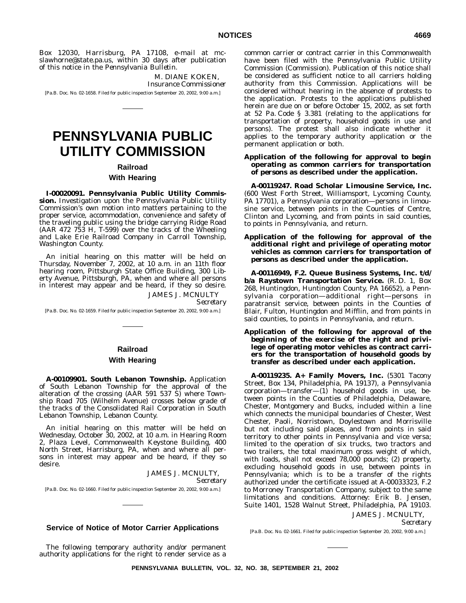Box 12030, Harrisburg, PA 17108, e-mail at mcslawhorne@state.pa.us, within 30 days after publication of this notice in the *Pennsylvania Bulletin*.

> M. DIANE KOKEN, *Insurance Commissioner*

[Pa.B. Doc. No. 02-1658. Filed for public inspection September 20, 2002, 9:00 a.m.]

# **PENNSYLVANIA PUBLIC UTILITY COMMISSION**

### **Railroad**

#### **With Hearing**

**I-00020091. Pennsylvania Public Utility Commission.** Investigation upon the Pennsylvania Public Utility Commission's own motion into matters pertaining to the proper service, accommodation, convenience and safety of the traveling public using the bridge carrying Ridge Road (AAR 472 753 H, T-599) over the tracks of the Wheeling and Lake Erie Railroad Company in Carroll Township, Washington County.

An initial hearing on this matter will be held on Thursday, November 7, 2002, at 10 a.m. in an 11th floor hearing room, Pittsburgh State Office Building, 300 Liberty Avenue, Pittsburgh, PA, when and where all persons in interest may appear and be heard, if they so desire.

JAMES J. MCNULTY

*Secretary*

[Pa.B. Doc. No. 02-1659. Filed for public inspection September 20, 2002, 9:00 a.m.]

# **Railroad**

#### **With Hearing**

**A-00109901. South Lebanon Township.** Application of South Lebanon Township for the approval of the alteration of the crossing (AAR 591 537 S) where Township Road 705 (Wilhelm Avenue) crosses below grade of the tracks of the Consolidated Rail Corporation in South Lebanon Township, Lebanon County.

An initial hearing on this matter will be held on Wednesday, October 30, 2002, at 10 a.m. in Hearing Room 2, Plaza Level, Commonwealth Keystone Building, 400 North Street, Harrisburg, PA, when and where all persons in interest may appear and be heard, if they so desire.

> JAMES J. MCNULTY, *Secretary*

[Pa.B. Doc. No. 02-1660. Filed for public inspection September 20, 2002, 9:00 a.m.]

#### **Service of Notice of Motor Carrier Applications**

The following temporary authority and/or permanent authority applications for the right to render service as a common carrier or contract carrier in this Commonwealth have been filed with the Pennsylvania Public Utility Commission (Commission). Publication of this notice shall be considered as sufficient notice to all carriers holding authority from this Commission. Applications will be considered without hearing in the absence of protests to the application. Protests to the applications published herein are due on or before October 15, 2002, as set forth at 52 Pa. Code § 3.381 (relating to the applications for transportation of property, household goods in use and persons). The protest shall also indicate whether it applies to the temporary authority application or the permanent application or both.

#### **Application of the following for approval to** *begin* **operating as** *common carriers* **for transportation of** *persons* **as described under the application.**

**A-00119247. Road Scholar Limousine Service, Inc.** (600 West Forth Street, Williamsport, Lycoming County, PA 17701), a Pennsylvania corporation—persons in limousine service, between points in the Counties of Centre, Clinton and Lycoming, and from points in said counties, to points in Pennsylvania, and return.

#### **Application of the following for approval of the** *additional right* **and privilege of operating motor vehicles as** *common carriers* **for transportation of** *persons* **as described under the application.**

**A-00116949, F.2. Queue Business Systems, Inc. t/d/ b/a Raystown Transportation Service.** (R. D. 1, Box 268, Huntingdon, Huntingdon County, PA 16652), a Pennsylvania corporation—additional right—persons in paratransit service, between points in the Counties of Blair, Fulton, Huntingdon and Mifflin, and from points in said counties, to points in Pennsylvania, and return.

#### **Application of the following for approval of the** *beginning* **of the exercise of the right and privilege of operating motor vehicles as contract carriers for the transportation of** *household goods* **by transfer as described under each application.**

**A-00119235. A+ Family Movers, Inc.** (5301 Tacony Street, Box 134, Philadelphia, PA 19137), a Pennsylvania corporation—transfer—(1) household goods in use, between points in the Counties of Philadelphia, Delaware, Chester, Montgomery and Bucks, included within a line which connects the municipal boundaries of Chester, West Chester, Paoli, Norristown, Doylestown and Morrisville but not including said places, and from points in said territory to other points in Pennsylvania and vice versa; limited to the operation of six trucks, two tractors and two trailers, the total maximum gross weight of which, with loads, shall not exceed 78,000 pounds; (2) property, excluding household goods in use, between points in Pennsylvania; which is to be a transfer of the rights authorized under the certificate issued at A-00033323, F.2 to Morroney Transportation Company, subject to the same limitations and conditions. *Attorney:* Erik B. Jensen, Suite 1401, 1528 Walnut Street, Philadelphia, PA 19103. JAMES J. MCNULTY,

*Secretary*

[Pa.B. Doc. No. 02-1661. Filed for public inspection September 20, 2002, 9:00 a.m.]